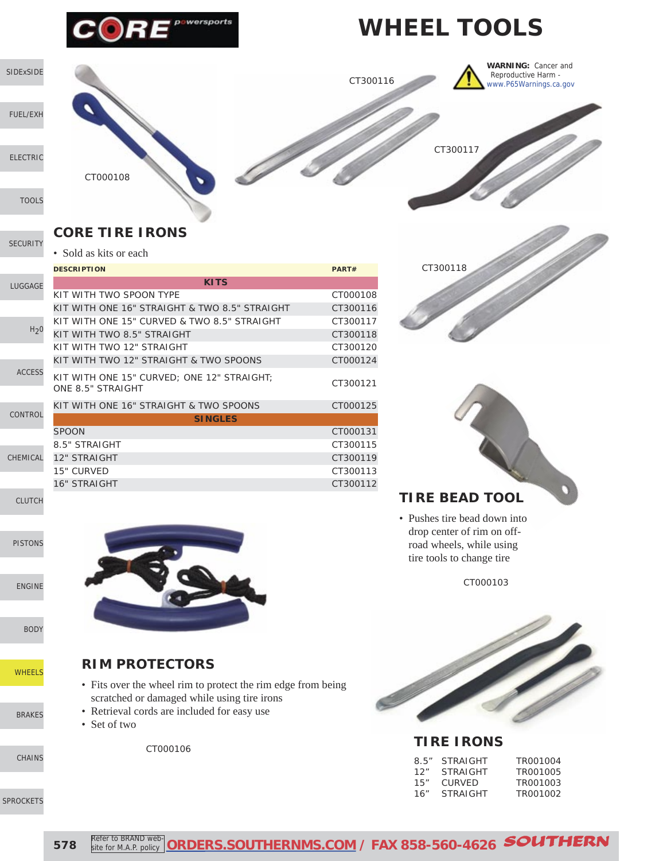

# **WHEEL TOOLS**

CT300117

CT300116



[FUEL/EXH](http://www.southernms.com/wp-content/uploads/2015/08/02_fuel_exh.pdf)

[ELECTRIC](http://www.southernms.com/wp-content/uploads/2015/08/03_electrical.pdf)

[SECURITY](http://www.southernms.com/wp-content/uploads/2015/08/05_locks.pdf)

[TOOLS](http://www.southernms.com/wp-content/uploads/2015/08/04_tools.pdf)

**CORE TIRE IRONS**

• Sold as kits or each

CT000108

|                  | <b>DESCRIPTION</b>                                              | PART#    |
|------------------|-----------------------------------------------------------------|----------|
| LUGGAGE          | <b>KITS</b>                                                     |          |
|                  | KIT WITH TWO SPOON TYPE                                         | CT000108 |
|                  | KIT WITH ONE 16" STRAIGHT & TWO 8.5" STRAIGHT                   | CT300116 |
|                  | KIT WITH ONE 15" CURVED & TWO 8.5" STRAIGHT                     | CT300117 |
| H <sub>2</sub> 0 | KIT WITH TWO 8.5" STRAIGHT                                      | CT300118 |
|                  | KIT WITH TWO 12" STRAIGHT                                       | CT300120 |
|                  | KIT WITH TWO 12" STRAIGHT & TWO SPOONS                          | CT000124 |
| <b>ACCESS</b>    | KIT WITH ONE 15" CURVED; ONE 12" STRAIGHT;<br>ONE 8.5" STRAIGHT | CT300121 |
| <b>CONTROL</b>   | KIT WITH ONE 16" STRAIGHT & TWO SPOONS                          | CT000125 |
|                  | <b>SINGLES</b>                                                  |          |
|                  | <b>SPOON</b>                                                    | CT000131 |
| CHEMICAL         | 8.5" STRAIGHT                                                   | CT300115 |
|                  | <b>12" STRAIGHT</b>                                             | CT300119 |
|                  | 15" CURVED                                                      | CT300113 |
|                  | <b>16" STRAIGHT</b>                                             | CT300112 |
|                  |                                                                 |          |

[CLUTCH](http://www.southernms.com/wp-content/uploads/2015/08/11_clutch.pdf)

CHEM

[PISTONS](http://www.southernms.com/wp-content/uploads/2015/08/12_pistons.pdf)

[ENGINE](http://www.southernms.com/wp-content/uploads/2015/08/13_engine.pdf)

[BODY](http://www.southernms.com/wp-content/uploads/2015/08/14_body.pdf)

**[WHEELS](http://www.southernms.com/wp-content/uploads/2015/08/15_wheel.pdf)** 

[BRAKES](http://www.southernms.com/wp-content/uploads/2015/08/16_brakes.pdf)

[CHAINS](http://www.southernms.com/wp-content/uploads/2015/08/17_chains.pdf)

[SPROCKETS](http://www.southernms.com/wp-content/uploads/2015/08/18_sprockets.pdf)



**RIM PROTECTORS**

- Fits over the wheel rim to protect the rim edge from being scratched or damaged while using tire irons
- Retrieval cords are included for easy use
- Set of two

CT000106



**WARNING:** Cancer and Reproductive Harm [www.P65Warnings.ca.gov](http://www.P65Warnings.ca.gov)



#### **TIRE BEAD TOOL**

• Pushes tire bead down into drop center of rim on offroad wheels, while using tire tools to change tire

CT000103



#### **TIRE IRONS**

| 85″ | <b>STRAIGHT</b> | TR001004 |
|-----|-----------------|----------|
| 12" | <b>STRAIGHT</b> | TR001005 |
| 15" | CURVED          | TR001003 |
| 16" | <b>STRAIGHT</b> | TR001002 |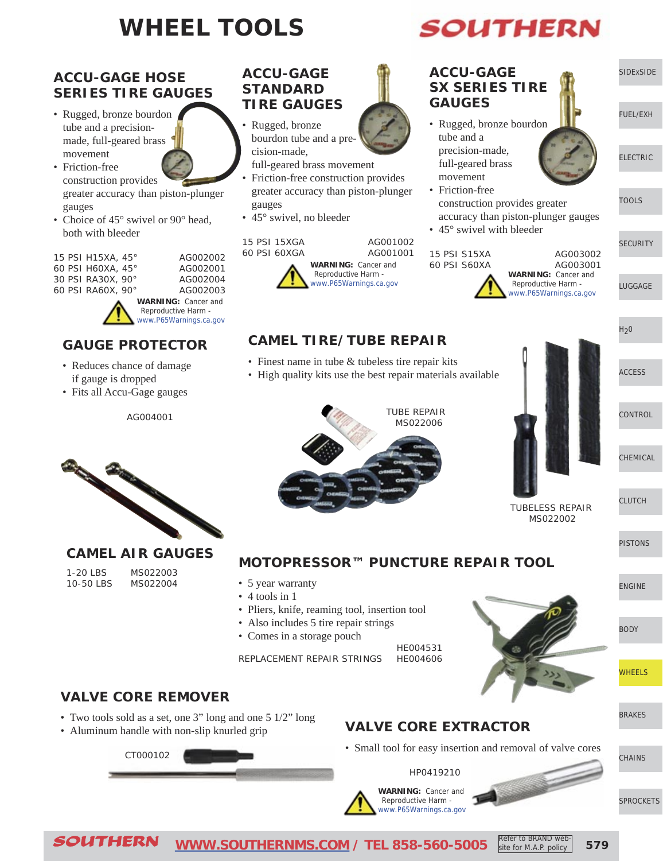# **WHEEL TOOLS**

#### **ACCU-GAGE HOSE SERIES TIRE GAUGES**

- Rugged, bronze bourdon tube and a precisionmade, full-geared brass movement
- Friction-free construction provides greater accuracy than piston-plunger gauges
- Choice of 45° swivel or 90° head, both with bleeder

| 15 PSI H15XA, 45° | AG002002                   |
|-------------------|----------------------------|
| 60 PSI H60XA, 45° | AG002001                   |
| 30 PSI RA30X, 90° | AG002004                   |
| 60 PSI RA60X, 90° | AG002003                   |
|                   | <b>WARNING: Cancer and</b> |

 Reproductive Harm [www.P65Warnings.ca.gov](http://www.P65Warnings.ca.gov)

#### **GAUGE PROTECTOR**

- Reduces chance of damage if gauge is dropped
- Fits all Accu-Gage gauges

AG004001



#### **CAMEL AIR GAUGES**

1-20 LBS MS022003 10-50 LBS MS022004

#### **ACCU-GAGE STANDARD TIRE GAUGES**

- Rugged, bronze bourdon tube and a precision-made,
- full-geared brass movement
- Friction-free construction provides greater accuracy than piston-plunger gauges
- 45° swivel, no bleeder



**CAMEL TIRE/TUBE REPAIR** • Finest name in tube & tubeless tire repair kits

• High quality kits use the best repair materials available

#### **ACCU-GAGE SX SERIES TIRE GAUGES**

- Rugged, bronze bourdon tube and a precision-made, full-geared brass movement
- Friction-free construction provides greater accuracy than piston-plunger gauges

• 45° swivel with bleeder

15 PSI S15XA AG003002 60 PSI S60XA AG003001 **WARNING:** Cancer and Reproductive Harm -

[LUGGAGE](http://www.southernms.com/wp-content/uploads/2015/08/06_lugg.pdf) [www.P65Warnings.ca.gov](http://www.P65Warnings.ca.gov)

 $H<sub>2</sub>0$ 

[SIDExSIDE](http://www.southernms.com/wp-content/uploads/2015/08/01_UTV.pdf)

[ELECTRIC](http://www.southernms.com/wp-content/uploads/2015/08/03_electrical.pdf)

[TOOLS](http://www.southernms.com/wp-content/uploads/2015/08/04_tools.pdf)

**[SECURITY](http://www.southernms.com/wp-content/uploads/2015/08/05_locks.pdf)** 

[FUEL/EXH](http://www.southernms.com/wp-content/uploads/2015/08/02_fuel_exh.pdf)

[ACCESS](http://www.southernms.com/wp-content/uploads/2015/08/08_accessories.pdf)

**[CONTROL](http://www.southernms.com/wp-content/uploads/2015/08/09_controls.pdf)** 

[CHEMICAL](http://www.southernms.com/wp-content/uploads/2015/08/10_chemicals.pdf)

[CLUTCH](http://www.southernms.com/wp-content/uploads/2015/08/11_clutch.pdf)

[PISTONS](http://www.southernms.com/wp-content/uploads/2015/08/12_pistons.pdf)

**MOTOPRESSOR™ PUNCTURE REPAIR TOOL**

TUBE REPAIR MS022006

- 5 year warranty
- 4 tools in 1
- Pliers, knife, reaming tool, insertion tool
- Also includes 5 tire repair strings
- Comes in a storage pouch

HE004531 REPLACEMENT REPAIR STRINGS HE004606



TUBELESS REPAIR MS022002

#### **VALVE CORE REMOVER**

- Two tools sold as a set, one 3" long and one 5 1/2" long
- Aluminum handle with non-slip knurled grip

CT000102

#### **VALVE CORE EXTRACTOR**

• Small tool for easy insertion and removal of valve cores

HP0419210

**WARNING:** Cancer and Reproductive Harm [www.P65Warnings.ca.gov](http://www.P65Warnings.ca.gov)



[SPROCKETS](http://www.southernms.com/wp-content/uploads/2015/08/18_sprockets.pdf)

SOUTHERN **[WWW.SOUTHERNMS.COM](http://m.southernms.com) / TEL 858-560-5005 579** Refer to BRAND website for M.A.P. policy

**SOUTHERN**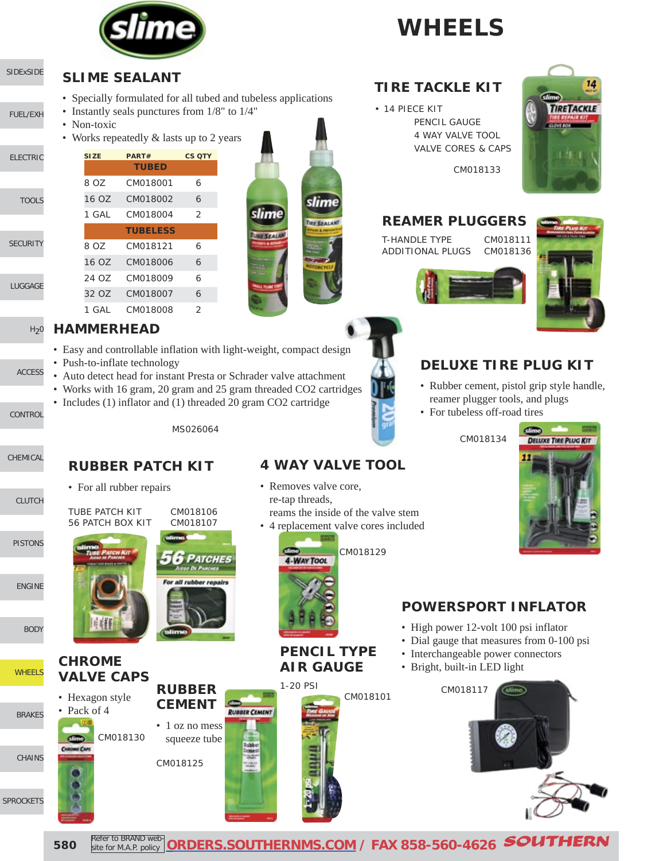

# **WHEELS**

#### **SLIME SEALANT**

- Specially formulated for all tubed and tubeless applications
- Instantly seals punctures from 1/8" to 1/4"
- Non-toxic

[SIDExSIDE](http://www.southernms.com/wp-content/uploads/2015/08/01_UTV.pdf)

[ELECTRIC](http://www.southernms.com/wp-content/uploads/2015/08/03_electrical.pdf)

[LUGGAGE](http://www.southernms.com/wp-content/uploads/2015/08/06_lugg.pdf)

[CONTROL](http://www.southernms.com/wp-content/uploads/2015/08/09_controls.pdf)

[CHEMICAL](http://www.southernms.com/wp-content/uploads/2015/08/10_chemicals.pdf)

[PISTONS](http://www.southernms.com/wp-content/uploads/2015/08/12_pistons.pdf)

[ENGINE](http://www.southernms.com/wp-content/uploads/2015/08/13_engine.pdf)

[BODY](http://www.southernms.com/wp-content/uploads/2015/08/14_body.pdf)

**[WHEELS](http://www.southernms.com/wp-content/uploads/2015/08/15_wheel.pdf)** 

[SPROCKETS](http://www.southernms.com/wp-content/uploads/2015/08/18_sprockets.pdf)

[CHAINS](http://www.southernms.com/wp-content/uploads/2015/08/17_chains.pdf)

[BRAKES](http://www.southernms.com/wp-content/uploads/2015/08/16_brakes.pdf)

[CLUTCH](http://www.southernms.com/wp-content/uploads/2015/08/11_clutch.pdf)

[ACCESS](http://www.southernms.com/wp-content/uploads/2015/08/08_accessories.pdf)

**[SECURITY](http://www.southernms.com/wp-content/uploads/2015/08/05_locks.pdf)** 

**[TOOLS](http://www.southernms.com/wp-content/uploads/2015/08/04_tools.pdf)** 

[FUEL/EXH](http://www.southernms.com/wp-content/uploads/2015/08/02_fuel_exh.pdf)

• Works repeatedly & lasts up to 2 years

| <b>SIZE</b> | PART#           | <b>CS OTY</b>  |
|-------------|-----------------|----------------|
|             | <b>TUBED</b>    |                |
| 8 OZ        | CM018001        | 6              |
| 16 OZ       | CM018002        | $\overline{a}$ |
| 1 GAI       | CM018004        | $\mathcal{P}$  |
|             | <b>TUBELESS</b> |                |
| 8 OZ        | CM018121        | 6              |
| 16 OZ       | CM018006        | 6              |
| 24 OZ       | CM018009        | 6              |
| 32 OZ       | CM018007        | 6              |
| GAL         | CM018008        | 2              |

#### $H<sub>2</sub>0$ **HAMMERHEAD**

- Easy and controllable inflation with light-weight, compact design
- Push-to-inflate technology
- Auto detect head for instant Presta or Schrader valve attachment
- Works with 16 gram, 20 gram and 25 gram threaded CO2 cartridges
- Includes (1) inflator and (1) threaded 20 gram CO2 cartridge

MS026064

#### **RUBBER PATCH KIT**

• For all rubber repairs

**CHROME VALVE CAPS**

• Hexagon style • Pack of 4

CM018130





**RUBBER CEMENT**  • 1 oz no mess squeeze tube

CM018125



**RUBBER CEMENT** 

**PENCIL TYPE AIR GAUGE**



### **TIRE TACKLE KIT**

• 14 PIECE KIT PENCIL GAUGE 4 WAY VALVE TOOL VALVE CORES & CAPS



CM018133

#### **REAMER PLUGGERS**

T-HANDLE TYPE CM018111 ADDITIONAL PLUGS CM018136



#### **DELUXE TIRE PLUG KIT**

- Rubber cement, pistol grip style handle, reamer plugger tools, and plugs
- For tubeless off-road tires

CM018134



#### **POWERSPORT INFLATOR**

- High power 12-volt 100 psi inflator
- Dial gauge that measures from 0-100 psi
- Interchangeable power connectors
- Bright, built-in LED light





**580** Refer to BRAND web Refer to BRAND web-**[ORDERS.SOUTHERNMS.COM](http://orders.southernms.com) / FAX 858-560-4626** SOUTHERN

slime

TIRE SEALANT

slime

**UBE SEALA** 

#### **4 WAY VALVE TOOL**

- Removes valve core, re-tap threads, reams the inside of the valve stem
- 4 replacement valve cores included

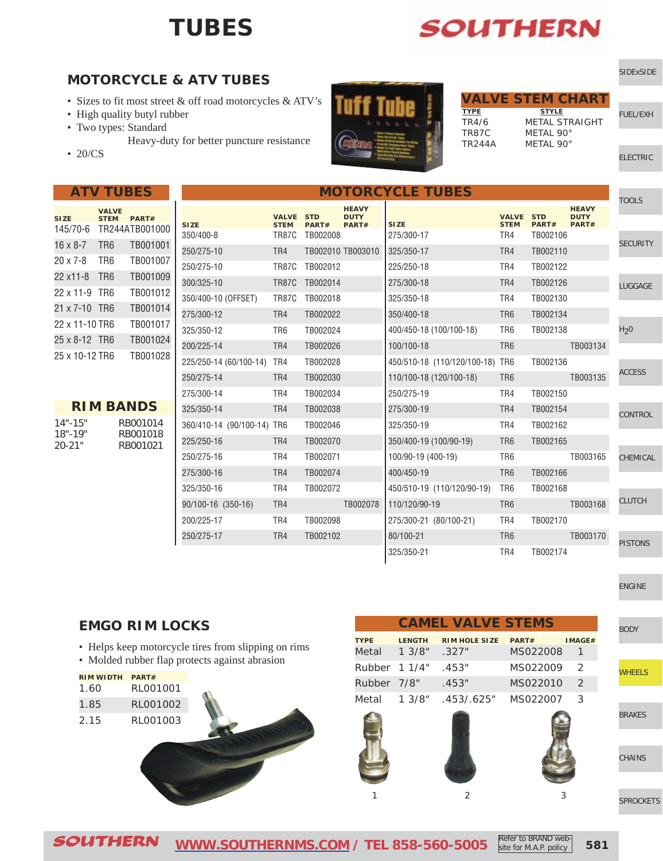### **TUBES**

# **SOUTHERN**

#### **MOTORCYCLE & ATV TUBES**

- Sizes to fit most street & off road motorcycles & ATV's
- High quality butyl rubber
- Two types: Standard
	- Heavy-duty for better puncture resistance
- 20/CS

|--|

| <b>SIZE</b><br>145/70-6 | <b>VAI VF</b><br><b>STEM</b> | PART#<br>TR244ATB001000 |
|-------------------------|------------------------------|-------------------------|
| $16 \times 8 - 7$       | TR <sub>6</sub>              | TR001001                |
| $20 \times 7 - 8$       | TR6                          | TB001007                |
| 22 x11-8                | TR <sub>6</sub>              | TB001009                |
| 22 x 11-9               | TR <sub>6</sub>              | TB001012                |
| 21 x 7-10 TR6           |                              | TB001014                |
| 22 x 11-10 TR6          |                              | TB001017                |
| 25 x 8-12 TR6           |                              | TB001024                |
| 25 x 10-12 TR6          |                              | TB001028                |

|             | <b>RIM BANDS</b> |
|-------------|------------------|
| $14" - 15"$ | RB001014         |
| $18" - 19"$ | RB001018         |
| $20 - 21"$  | RB001021         |

| <b>MOTORCYCLE TUBES</b>    |                                 |          |                                      |                                 |                             |                     | <b>TOOLS</b>                         |                  |
|----------------------------|---------------------------------|----------|--------------------------------------|---------------------------------|-----------------------------|---------------------|--------------------------------------|------------------|
| <b>SIZE</b>                | <b>VALVE STD</b><br><b>STEM</b> | PART#    | <b>HEAVY</b><br><b>DUTY</b><br>PART# | <b>SIZE</b>                     | <b>VALVE</b><br><b>STEM</b> | <b>STD</b><br>PART# | <b>HEAVY</b><br><b>DUTY</b><br>PART# |                  |
| 350/400-8                  | TR87C                           | TB002008 |                                      | 275/300-17                      | TR4                         | TB002106            |                                      | <b>SECURITY</b>  |
| 250/275-10                 | TR4                             |          | TB002010 TB003010                    | 325/350-17                      | TR4                         | TB002110            |                                      |                  |
| 250/275-10                 | TR87C                           | TB002012 |                                      | 225/250-18                      | TR4                         | TB002122            |                                      |                  |
| 300/325-10                 | <b>TR87C</b>                    | TB002014 |                                      | 275/300-18                      | TR4                         | TB002126            |                                      | <b>LUGGAGE</b>   |
| 350/400-10 (OFFSET)        | TR87C                           | TB002018 |                                      | 325/350-18                      | TR4                         | TB002130            |                                      |                  |
| 275/300-12                 | TR4                             | TB002022 |                                      | 350/400-18                      | TR <sub>6</sub>             | TB002134            |                                      |                  |
| 325/350-12                 | TR6                             | TB002024 |                                      | 400/450-18 (100/100-18)         | TR <sub>6</sub>             | TB002138            |                                      | H <sub>2</sub> 0 |
| 200/225-14                 | TR4                             | TB002026 |                                      | 100/100-18                      | TR <sub>6</sub>             |                     | TB003134                             |                  |
| 225/250-14 (60/100-14) TR4 |                                 | TB002028 |                                      | 450/510-18 (110/120/100-18) TR6 |                             | TB002136            |                                      |                  |
| 250/275-14                 | TR4                             | TB002030 |                                      | 110/100-18 (120/100-18)         | TR <sub>6</sub>             |                     | TB003135                             | <b>ACCESS</b>    |
| 275/300-14                 | TR4                             | TB002034 |                                      | 250/275-19                      | TR4                         | TB002150            |                                      |                  |
| 325/350-14                 | TR4                             | TB002038 |                                      | 275/300-19                      | TR4                         | TB002154            |                                      | <b>CONTROL</b>   |
| 360/410-14 (90/100-14) TR6 |                                 | TB002046 |                                      | 325/350-19                      | TR4                         | TB002162            |                                      |                  |
| 225/250-16                 | TR4                             | TB002070 |                                      | 350/400-19 (100/90-19)          | TR <sub>6</sub>             | TB002165            |                                      |                  |
| 250/275-16                 | TR4                             | TB002071 |                                      | 100/90-19 (400-19)              | TR <sub>6</sub>             |                     | TB003165                             | <b>CHEMICAL</b>  |
| 275/300-16                 | TR4                             | TB002074 |                                      | 400/450-19                      | TR <sub>6</sub>             | TB002166            |                                      |                  |
| 325/350-16                 | TR4                             | TB002072 |                                      | 450/510-19 (110/120/90-19)      | TR <sub>6</sub>             | TB002168            |                                      |                  |
| 90/100-16 (350-16)         | TR4                             |          | TB002078                             | 110/120/90-19                   | TR <sub>6</sub>             |                     | TB003168                             | <b>CLUTCH</b>    |
| 200/225-17                 | TR4                             | TB002098 |                                      | 275/300-21 (80/100-21)          | TR4                         | TB002170            |                                      |                  |
| 250/275-17                 | TR4                             | TB002102 |                                      | 80/100-21                       | TR <sub>6</sub>             |                     | TB003170                             | <b>PISTONS</b>   |
|                            |                                 |          |                                      | 325/350-21                      | TR4                         | TB002174            |                                      |                  |

#### **EMGO RIM LOCKS**

- Helps keep motorcycle tires from slipping on rims
- Molded rubber flap protects against abrasion

| <b>RIM WIDTH</b> | PART#    |  |
|------------------|----------|--|
| 1.60             | RL001001 |  |
| 1.85             | RL001002 |  |
| 2.15             | RL001003 |  |
|                  |          |  |

|             |               | <b>CAMEL VALVE STEMS</b> |          |                |
|-------------|---------------|--------------------------|----------|----------------|
| <b>TYPE</b> | <b>LENGTH</b> | <b>RIM HOLE SIZE</b>     | PART#    | IMAGE#         |
| Metal       | 1.3/8"        | .327"                    | MS022008 | $\mathbf{1}$   |
|             | Rubber 1 1/4" | .453"                    | MS022009 | 2              |
| Rubber 7/8" |               | .453"                    | MS022010 | $\mathfrak{D}$ |
| Metal       | 1 3/8"        | .453/.625"               | MS022007 | 3              |
|             |               |                          |          |                |
|             |               |                          |          |                |
|             |               |                          |          |                |
|             |               |                          |          |                |
|             |               |                          |          | 3              |

| <b>SIDExSIDE</b> |  |
|------------------|--|
|------------------|--|

|               | <b>VALVE STEM CHART</b> |                 |
|---------------|-------------------------|-----------------|
| <b>TYPE</b>   | <b>STYLE</b>            | <b>FUEL/EXH</b> |
| TR4/6         | METAL STRAIGHT          |                 |
| TR87C         | METAL 90°               |                 |
| <b>TR244A</b> | MFTAI 90°               |                 |

[ELECTRIC](http://www.southernms.com/wp-content/uploads/2015/08/03_electrical.pdf)

[ENGINE](http://www.southernms.com/wp-content/uploads/2015/08/13_engine.pdf)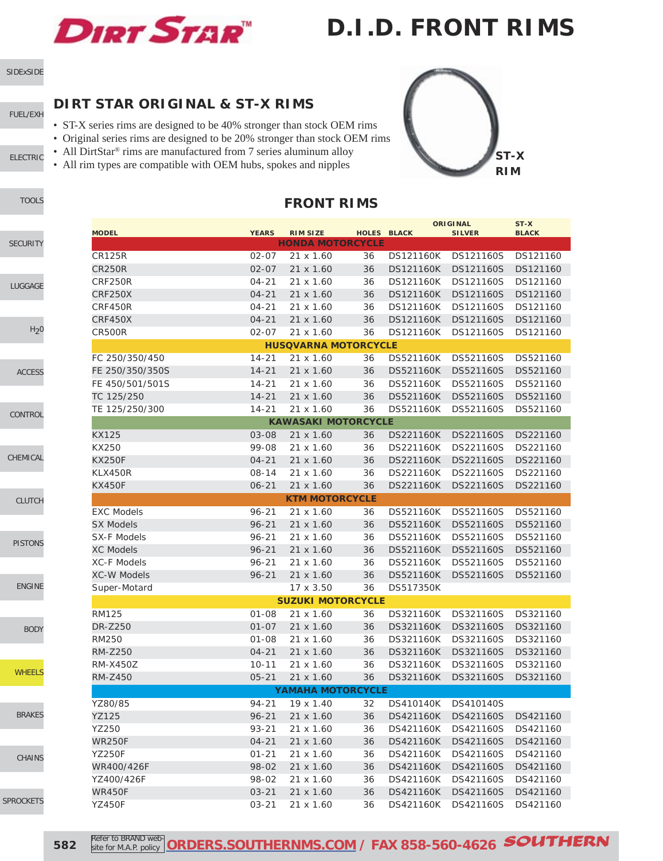

### **D.I.D. FRONT RIMS**

[SIDExSIDE](http://www.southernms.com/wp-content/uploads/2015/08/01_UTV.pdf)

#### [FUEL/EXH](http://www.southernms.com/wp-content/uploads/2015/08/02_fuel_exh.pdf)

[ELECTRIC](http://www.southernms.com/wp-content/uploads/2015/08/03_electrical.pdf)

#### **DIRT STAR ORIGINAL & ST-X RIMS**

- ST-X series rims are designed to be 40% stronger than stock OEM rims
- Original series rims are designed to be 20% stronger than stock OEM rims
- All DirtStar<sup>®</sup> rims are manufactured from 7 series aluminum alloy
- All rim types are compatible with OEM hubs, spokes and nipples



|                    |              |                             |    |                  | <b>ORIGINAL</b>     | ST-X         |
|--------------------|--------------|-----------------------------|----|------------------|---------------------|--------------|
| <b>MODEL</b>       | <b>YEARS</b> | <b>RIM SIZE</b>             |    | HOLES BLACK      | <b>SILVER</b>       | <b>BLACK</b> |
|                    |              | <b>HONDA MOTORCYCLE</b>     |    |                  |                     |              |
| <b>CR125R</b>      | 02-07        | 21 x 1.60                   | 36 | <b>DS121160K</b> | DS121160S           | DS121160     |
| CR250R             | $02 - 07$    | $21 \times 1.60$            | 36 | DS121160K        | DS121160S           | DS121160     |
| CRF250R            | $04 - 21$    | 21 x 1.60                   | 36 | <b>DS121160K</b> | DS121160S           | DS121160     |
| <b>CRF250X</b>     | $04 - 21$    | 21 x 1.60                   | 36 | <b>DS121160K</b> | DS121160S           | DS121160     |
| CRF450R            | $04 - 21$    | 21 x 1.60                   | 36 | <b>DS121160K</b> | DS121160S           | DS121160     |
| <b>CRF450X</b>     | $04 - 21$    | 21 x 1.60                   | 36 | <b>DS121160K</b> | DS121160S           | DS121160     |
| CR500R             | $02 - 07$    | $21 \times 1.60$            | 36 | <b>DS121160K</b> | DS121160S           | DS121160     |
|                    |              | <b>HUSOVARNA MOTORCYCLE</b> |    |                  |                     |              |
| FC 250/350/450     | $14 - 21$    | 21 x 1.60                   | 36 | DS521160K        | DS521160S           | DS521160     |
| FE 250/350/350S    | $14 - 21$    | 21 x 1.60                   | 36 | DS521160K        | DS521160S           | DS521160     |
| FE 450/501/501S    | $14 - 21$    | 21 x 1.60                   | 36 | DS521160K        | DS521160S           | DS521160     |
| TC 125/250         | $14 - 21$    | 21 x 1.60                   | 36 | DS521160K        | DS521160S           | DS521160     |
| TE 125/250/300     | $14 - 21$    | 21 x 1.60                   | 36 | DS521160K        | DS521160S           | DS521160     |
|                    |              | <b>KAWASAKI MOTORCYCLE</b>  |    |                  |                     |              |
| KX125              | 03-08        | 21 x 1.60                   | 36 |                  | DS221160K DS221160S | DS221160     |
| KX250              | 99-08        | 21 x 1.60                   | 36 | DS221160K        | DS221160S           | DS221160     |
| <b>KX250F</b>      | $04 - 21$    | $21 \times 1.60$            | 36 | <b>DS221160K</b> | DS221160S           | DS221160     |
| KLX450R            | $08 - 14$    | 21 x 1.60                   | 36 | <b>DS221160K</b> | DS221160S           | DS221160     |
| <b>KX450F</b>      | $06 - 21$    | 21 x 1.60                   | 36 | <b>DS221160K</b> | DS221160S           | DS221160     |
|                    |              | <b>KTM MOTORCYCLE</b>       |    |                  |                     |              |
| <b>EXC Models</b>  | $96 - 21$    | 21 x 1.60                   | 36 | DS521160K        | DS521160S           | DS521160     |
| <b>SX Models</b>   | $96 - 21$    | 21 x 1.60                   | 36 | DS521160K        | DS521160S           | DS521160     |
| <b>SX-F Models</b> | 96-21        | 21 x 1.60                   | 36 | DS521160K        | DS521160S           | DS521160     |
| <b>XC Models</b>   | $96 - 21$    | 21 x 1.60                   | 36 | <b>DS521160K</b> | DS521160S           | DS521160     |
| <b>XC-F Models</b> | 96-21        | 21 x 1.60                   | 36 | DS521160K        | DS521160S           | DS521160     |
| <b>XC-W Models</b> | $96 - 21$    | 21 x 1.60                   | 36 | <b>DS521160K</b> | DS521160S           | DS521160     |
| Super-Motard       |              | 17 x 3.50                   | 36 | <b>DS517350K</b> |                     |              |
|                    |              | <b>SUZUKI MOTORCYCLE</b>    |    |                  |                     |              |
| <b>RM125</b>       | $01 - 08$    | 21 x 1.60                   | 36 | <b>DS321160K</b> | DS321160S           | DS321160     |
| DR-Z250            | $01 - 07$    | 21 x 1.60                   | 36 | DS321160K        | DS321160S           | DS321160     |
| <b>RM250</b>       | $01 - 08$    | 21 x 1.60                   | 36 | DS321160K        | DS321160S           | DS321160     |
| <b>RM-Z250</b>     | $04 - 21$    | 21 x 1.60                   | 36 | <b>DS321160K</b> | DS321160S           | DS321160     |
| <b>RM-X450Z</b>    | $10 - 11$    | 21 x 1.60                   | 36 | DS321160K        | DS321160S           | DS321160     |
| RM-Z450            | $05 - 21$    | $21 \times 1.60$            | 36 |                  | DS321160S           | DS321160     |
|                    |              | <b>YAMAHA MOTORCYCLE</b>    |    | DS321160K        |                     |              |
| YZ80/85            |              |                             |    |                  | DS410140K DS410140S |              |
|                    | 94-21        | 19 x 1.40                   | 32 |                  |                     |              |
| YZ125<br>YZ250     | $96 - 21$    | 21 x 1.60                   | 36 | DS421160K        | DS421160S           | DS421160     |
|                    | $93 - 21$    | 21 x 1.60                   | 36 | DS421160K        | DS421160S           | DS421160     |
| <b>WR250F</b>      | $04 - 21$    | 21 x 1.60                   | 36 | <b>DS421160K</b> | DS421160S           | DS421160     |
| <b>YZ250F</b>      | $01 - 21$    | 21 x 1.60                   | 36 | DS421160K        | DS421160S           | DS421160     |
| WR400/426F         | 98-02        | 21 x 1.60                   | 36 | <b>DS421160K</b> | DS421160S           | DS421160     |
| YZ400/426F         | 98-02        | 21 x 1.60                   | 36 | DS421160K        | DS421160S           | DS421160     |
| <b>WR450F</b>      | $03 - 21$    | 21 x 1.60                   | 36 | <b>DS421160K</b> | DS421160S           | DS421160     |

**FRONT RIMS**



### [SECURITY](http://www.southernms.com/wp-content/uploads/2015/08/05_locks.pdf)

[LUGGAGE](http://www.southernms.com/wp-content/uploads/2015/08/06_lugg.pdf)

#### $H<sub>2</sub>0$

[ACCESS](http://www.southernms.com/wp-content/uploads/2015/08/08_accessories.pdf)

#### [CONTROL](http://www.southernms.com/wp-content/uploads/2015/08/09_controls.pdf)

[CHEMICAL](http://www.southernms.com/wp-content/uploads/2015/08/10_chemicals.pdf)

[CLUTCH](http://www.southernms.com/wp-content/uploads/2015/08/11_clutch.pdf)

#### [PISTONS](http://www.southernms.com/wp-content/uploads/2015/08/12_pistons.pdf)

### [ENGINE](http://www.southernms.com/wp-content/uploads/2015/08/13_engine.pdf)

[BODY](http://www.southernms.com/wp-content/uploads/2015/08/14_body.pdf)

#### **[WHEELS](http://www.southernms.com/wp-content/uploads/2015/08/15_wheel.pdf)**

### [BRAKES](http://www.southernms.com/wp-content/uploads/2015/08/16_brakes.pdf)

[CHAINS](http://www.southernms.com/wp-content/uploads/2015/08/17_chains.pdf)

#### [SPROCKETS](http://www.southernms.com/wp-content/uploads/2015/08/18_sprockets.pdf)

**582** Refer to BRAND web Refer to BRAND web-**[ORDERS.SOUTHERNMS.COM](http://orders.southernms.com) / FAX 858-560-4626** SOUTHERN

YZ450F 03-21 21 x 1.60 36 DS421160K DS421160S DS421160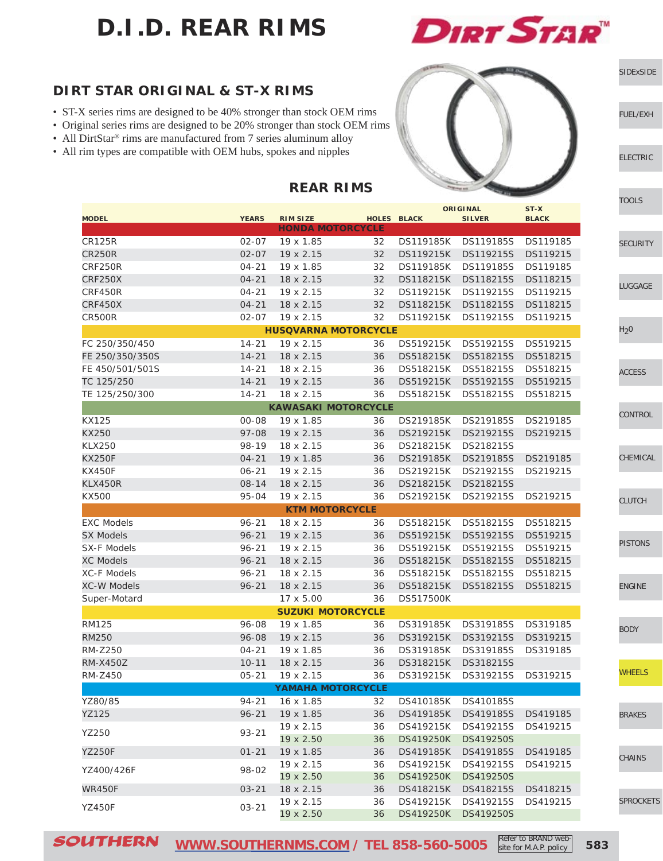# **D.I.D. REAR RIMS**



[SIDExSIDE](http://www.southernms.com/wp-content/uploads/2015/08/01_UTV.pdf)

[ELECTRIC](http://www.southernms.com/wp-content/uploads/2015/08/03_electrical.pdf)

[FUEL/EXH](http://www.southernms.com/wp-content/uploads/2015/08/02_fuel_exh.pdf)

#### **DIRT STAR ORIGINAL & ST-X RIMS**

- ST-X series rims are designed to be 40% stronger than stock OEM rims
- Original series rims are designed to be 20% stronger than stock OEM rims
- All DirtStar® rims are manufactured from 7 series aluminum alloy
- All rim types are compatible with OEM hubs, spokes and nipples



|                    |              |                             |    |                     | <b>ORIGINAL</b>     | ST-X         |
|--------------------|--------------|-----------------------------|----|---------------------|---------------------|--------------|
| <b>MODEL</b>       | <b>YEARS</b> | <b>RIM SIZE</b>             |    | <b>HOLES BLACK</b>  | <b>SILVER</b>       | <b>BLACK</b> |
|                    |              | <b>HONDA MOTORCYCLE</b>     |    |                     |                     |              |
| <b>CR125R</b>      | $02 - 07$    | 19 x 1.85                   | 32 |                     | DS119185K DS119185S | DS119185     |
| <b>CR250R</b>      | $02 - 07$    | $19 \times 2.15$            | 32 | DS119215K           | DS119215S           | DS119215     |
| CRF250R            | $04 - 21$    | 19 x 1.85                   | 32 | <b>DS119185K</b>    | DS119185S           | DS119185     |
| <b>CRF250X</b>     | $04 - 21$    | 18 x 2.15                   | 32 | <b>DS118215K</b>    | DS118215S           | DS118215     |
| CRF450R            | $04 - 21$    | 19 x 2.15                   | 32 | DS119215K           | DS119215S           | DS119215     |
| <b>CRF450X</b>     | $04 - 21$    | 18 x 2.15                   | 32 | DS118215K           | DS118215S           | DS118215     |
| <b>CR500R</b>      | $02 - 07$    | 19 x 2.15                   | 32 | DS119215K           | DS119215S           | DS119215     |
|                    |              | <b>HUSQVARNA MOTORCYCLE</b> |    |                     |                     |              |
| FC 250/350/450     | $14 - 21$    | 19 x 2.15                   | 36 | DS519215K           | DS519215S           | DS519215     |
| FE 250/350/350S    | $14 - 21$    | 18 x 2.15                   | 36 | DS518215K           | DS518215S           | DS518215     |
| FE 450/501/501S    | $14 - 21$    | 18 x 2.15                   | 36 | DS518215K           | DS518215S           | DS518215     |
| TC 125/250         | $14 - 21$    | 19 x 2.15                   | 36 | DS519215K           | DS519215S           | DS519215     |
| TE 125/250/300     | $14 - 21$    | 18 x 2.15                   | 36 | DS518215K           | DS518215S           | DS518215     |
|                    |              | <b>KAWASAKI MOTORCYCLE</b>  |    |                     |                     |              |
| <b>KX125</b>       | 00-08        | 19 x 1.85                   | 36 | DS219185K           | DS219185S           | DS219185     |
| KX250              | $97 - 08$    | 19 x 2.15                   | 36 | DS219215K           | DS219215S           | DS219215     |
| <b>KLX250</b>      | 98-19        | 18 x 2.15                   | 36 | DS218215K           | DS218215S           |              |
| <b>KX250F</b>      | $04 - 21$    | 19 x 1.85                   | 36 | DS219185K           | DS219185S           | DS219185     |
| <b>KX450F</b>      | $06 - 21$    | $19 \times 2.15$            | 36 | DS219215K           | DS219215S           | DS219215     |
| KLX450R            | $08 - 14$    | 18 x 2.15                   | 36 | DS218215K           | DS218215S           |              |
| <b>KX500</b>       | 95-04        | 19 x 2.15                   | 36 | DS219215K           | DS219215S           | DS219215     |
|                    |              | <b>KTM MOTORCYCLE</b>       |    |                     |                     |              |
| <b>EXC Models</b>  | $96 - 21$    | 18 x 2.15                   | 36 | DS518215K           | DS518215S           | DS518215     |
| <b>SX Models</b>   | $96 - 21$    | 19 x 2.15                   | 36 | DS519215K           | DS519215S           | DS519215     |
| SX-F Models        | $96 - 21$    | 19 x 2.15                   | 36 | DS519215K           | DS519215S           | DS519215     |
| <b>XC Models</b>   | $96 - 21$    | 18 x 2.15                   | 36 | DS518215K           | DS518215S           | DS518215     |
| <b>XC-F Models</b> | $96 - 21$    | 18 x 2.15                   | 36 | DS518215K           | DS518215S           | DS518215     |
| <b>XC-W Models</b> | $96 - 21$    | 18 x 2.15                   | 36 | DS518215K           | DS518215S           | DS518215     |
| Super-Motard       |              | 17 x 5.00                   | 36 | <b>DS517500K</b>    |                     |              |
|                    |              | <b>SUZUKI MOTORCYCLE</b>    |    |                     |                     |              |
| <b>RM125</b>       | 96-08        | 19 x 1.85                   | 36 | DS319185K           | DS319185S           | DS319185     |
| <b>RM250</b>       | 96-08        | 19 x 2.15                   | 36 | DS319215K           | DS319215S           | DS319215     |
| <b>RM-Z250</b>     | $04 - 21$    | 19 x 1.85                   | 36 | DS319185K           | DS319185S           | DS319185     |
| <b>RM-X450Z</b>    | $10 - 11$    | 18 x 2.15                   | 36 | DS318215K           | DS318215S           |              |
| <b>RM-Z450</b>     | $05 - 21$    | 19 x 2.15                   | 36 | DS319215K           | DS319215S           | DS319215     |
|                    |              | <b>YAMAHA MOTORCYCLE</b>    |    |                     |                     |              |
| YZ80/85            | 94-21        | 16 x 1.85                   | 32 |                     | DS410185K DS410185S |              |
| YZ125              |              |                             |    |                     |                     |              |
|                    | $96 - 21$    | 19 x 1.85                   | 36 | DS419185K           | DS419185S           | DS419185     |
| YZ250              | $93 - 21$    | 19 x 2.15                   | 36 | DS419215K           | DS419215S           | DS419215     |
|                    |              | 19 x 2.50                   | 36 | <b>DS419250K</b>    | DS419250S           |              |
| YZ250F             | 01-21        | 19 x 1.85                   | 36 | DS419185K           | DS419185S           | DS419185     |
| YZ400/426F         | 98-02        | 19 x 2.15                   | 36 | DS419215K           | DS419215S           | DS419215     |
|                    |              | 19 x 2.50                   | 36 | <b>DS419250K</b>    | DS419250S           |              |
| WR450F             | $03 - 21$    | 18 x 2.15                   | 36 | DS418215K           | DS418215S           | DS418215     |
| <b>YZ450F</b>      | $03 - 21$    | 19 x 2.15                   | 36 | DS419215K           | DS419215S           | DS419215     |
|                    |              | 19 x 2.50                   | 36 | DS419250K DS419250S |                     |              |

#### **REAR RIMS**

SOUTHERN **[WWW.SOUTHERNMS.COM](http://m.southernms.com) / TEL 858-560-5005 583** Refer to BRAND website for M.A.P. policy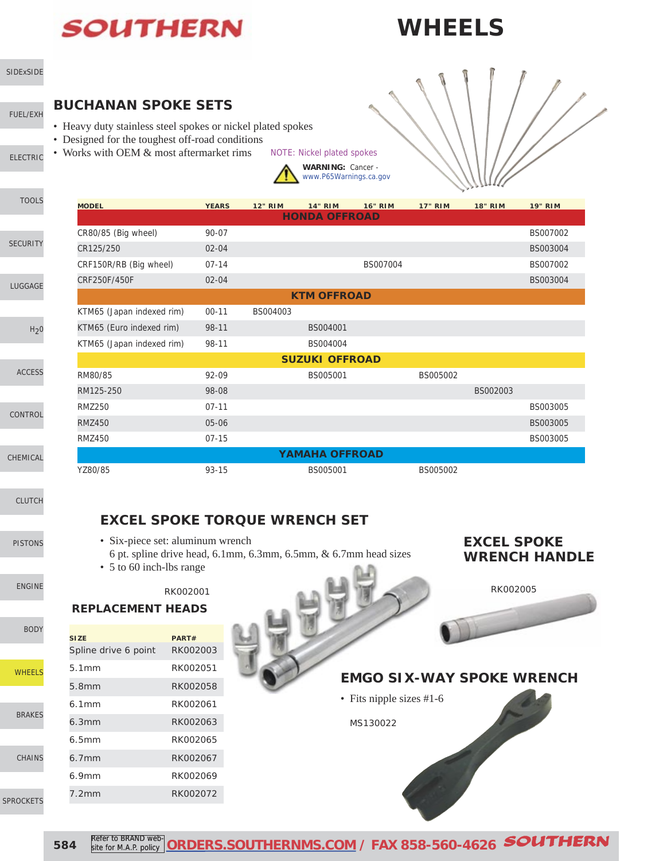# **SOUTHERN**

## **WHEELS**



[SIDExSIDE](http://www.southernms.com/wp-content/uploads/2015/08/01_UTV.pdf)

[LUGGAGE](http://www.southernms.com/wp-content/uploads/2015/08/06_lugg.pdf)

[SECURITY](http://www.southernms.com/wp-content/uploads/2015/08/05_locks.pdf)

[TOOLS](http://www.southernms.com/wp-content/uploads/2015/08/04_tools.pdf)

#### **BUCHANAN SPOKE SETS**

- Heavy duty stainless steel spokes or nickel plated spokes
- Designed for the toughest off-road conditions
- Works with OEM & most aftermarket rims NOTE: Nickel plated spokes



| <b>MODEL</b>              | <b>YEARS</b> | <b>12" RIM</b> | <b>14" RIM</b>        | <b>16" RIM</b> | <b>17" RIM</b> | <b>18" RIM</b> | <b>19" RIM</b> |
|---------------------------|--------------|----------------|-----------------------|----------------|----------------|----------------|----------------|
|                           |              |                | <b>HONDA OFFROAD</b>  |                |                |                |                |
| CR80/85 (Big wheel)       | 90-07        |                |                       |                |                |                | BS007002       |
| CR125/250                 | $02 - 04$    |                |                       |                |                |                | BS003004       |
| CRF150R/RB (Big wheel)    | $07 - 14$    |                |                       | BS007004       |                |                | BS007002       |
| CRF250F/450F              | $02 - 04$    |                |                       |                |                |                | BS003004       |
|                           |              |                | <b>KTM OFFROAD</b>    |                |                |                |                |
| KTM65 (Japan indexed rim) | $00 - 11$    | BS004003       |                       |                |                |                |                |
| KTM65 (Euro indexed rim)  | 98-11        |                | BS004001              |                |                |                |                |
| KTM65 (Japan indexed rim) | 98-11        |                | BS004004              |                |                |                |                |
|                           |              |                | <b>SUZUKI OFFROAD</b> |                |                |                |                |
| RM80/85                   | 92-09        |                | BS005001              |                | BS005002       |                |                |
| RM125-250                 | 98-08        |                |                       |                |                | BS002003       |                |
| <b>RMZ250</b>             | $07 - 11$    |                |                       |                |                |                | BS003005       |
| <b>RMZ450</b>             | 05-06        |                |                       |                |                |                | BS003005       |
| <b>RMZ450</b>             | $07 - 15$    |                |                       |                |                |                | BS003005       |
|                           |              |                | <b>YAMAHA OFFROAD</b> |                |                |                |                |
| YZ80/85                   | 93-15        |                | BS005001              |                | BS005002       |                |                |

[CLUTCH](http://www.southernms.com/wp-content/uploads/2015/08/11_clutch.pdf)

[CONTROL](http://www.southernms.com/wp-content/uploads/2015/08/09_controls.pdf)

[CHEMICAL](http://www.southernms.com/wp-content/uploads/2015/08/10_chemicals.pdf)

[ACCESS](http://www.southernms.com/wp-content/uploads/2015/08/08_accessories.pdf)

[PISTONS](http://www.southernms.com/wp-content/uploads/2015/08/12_pistons.pdf)

[ENGINE](http://www.southernms.com/wp-content/uploads/2015/08/13_engine.pdf)

[BODY](http://www.southernms.com/wp-content/uploads/2015/08/14_body.pdf)

[CHAINS](http://www.southernms.com/wp-content/uploads/2015/08/17_chains.pdf)



**REPLACEMENT HEADS** • Six-piece set: aluminum wrench 6 pt. spline drive head, 6.1mm, 6.3mm, 6.5mm, & 6.7mm head sizes • 5 to 60 inch-lbs range RK002001

#### **EXCEL SPOKE WRENCH HANDLE**

**EXCEL SPOKE TORQUE WRENCH SET**

| <b>SIZE</b>          | PART#    |
|----------------------|----------|
| Spline drive 6 point | RK002003 |
| 5.1mm                | RK002051 |
| 5.8mm                | RK002058 |
| 6.1mm                | RK002061 |
| 6.3mm                | RK002063 |
| 6.5mm                | RK002065 |
| $6.7$ mm             | RK002067 |
| 6.9mm                | RK002069 |
| 7.2mm                | RK002072 |



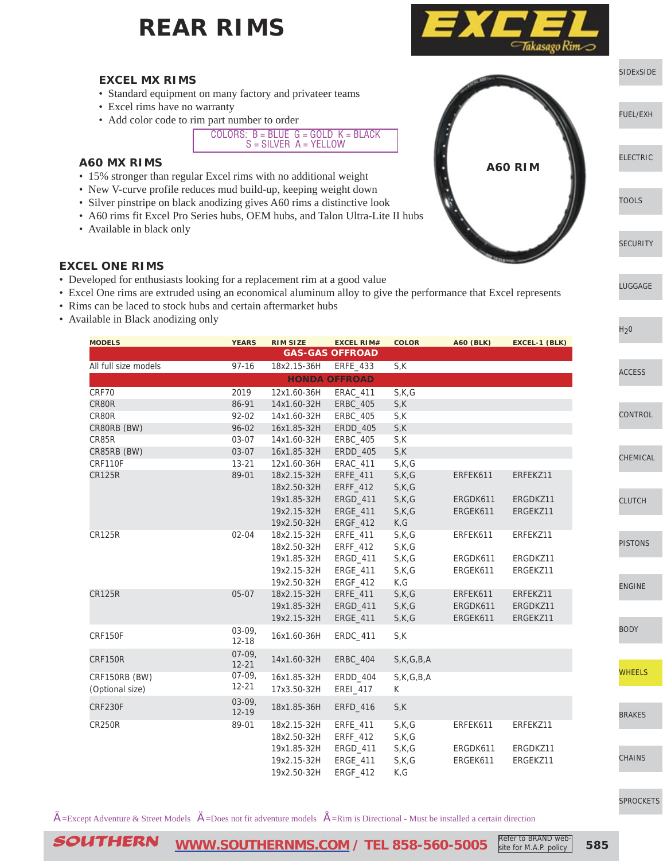

- Standard equipment on many factory and privateer teams
- Excel rims have no warranty
- Add color code to rim part number to order

COLORS:  $B = B \text{LUE}$  G = GOLD K = BLACK S = SILVER A = YELLOW

#### **A60 MX RIMS**

- 15% stronger than regular Excel rims with no additional weight
- New V-curve profile reduces mud build-up, keeping weight down
- Silver pinstripe on black anodizing gives A60 rims a distinctive look
- A60 rims fit Excel Pro Series hubs, OEM hubs, and Talon Ultra-Lite II hubs
- Available in black only

#### **EXCEL ONE RIMS**

- Developed for enthusiasts looking for a replacement rim at a good value
- Excel One rims are extruded using an economical aluminum alloy to give the performance that Excel represents
- Rims can be laced to stock hubs and certain aftermarket hubs
- Available in Black anodizing only

| <b>MODELS</b>        | <b>YEARS</b>          | <b>RIM SIZE</b> | <b>EXCEL RIM#</b>      | <b>COLOR</b> | <b>A60 (BLK)</b> | EXCEL-1 (BLK) |
|----------------------|-----------------------|-----------------|------------------------|--------------|------------------|---------------|
|                      |                       |                 | <b>GAS-GAS OFFROAD</b> |              |                  |               |
| All full size models | $97 - 16$             | 18x2.15-36H     | ERFE_433               | S,K          |                  |               |
|                      |                       |                 | <b>HONDA OFFROAD</b>   |              |                  |               |
| CRF70                | 2019                  | 12x1.60-36H     | <b>ERAC_411</b>        | S,K,G        |                  |               |
| CR80R                | 86-91                 | 14x1.60-32H     | <b>ERBC_405</b>        | S,K          |                  |               |
| CR80R                | 92-02                 | 14x1.60-32H     | <b>ERBC_405</b>        | S,K          |                  |               |
| CR80RB (BW)          | $96 - 02$             | 16x1.85-32H     | ERDD_405               | S,K          |                  |               |
| CR85R                | 03-07                 | 14x1.60-32H     | <b>ERBC_405</b>        | S,K          |                  |               |
| CR85RB (BW)          | 03-07                 | 16x1.85-32H     | ERDD_405               | S,K          |                  |               |
| CRF110F              | $13 - 21$             | 12x1.60-36H     | <b>ERAC_411</b>        | S,K,G        |                  |               |
| <b>CR125R</b>        | 89-01                 | 18x2.15-32H     | ERFE_411               | S,K,G        | ERFEK611         | ERFEKZ11      |
|                      |                       | 18x2.50-32H     | ERFF_412               | S,K,G        |                  |               |
|                      |                       | 19x1.85-32H     | ERGD_411               | S,K,G        | ERGDK611         | ERGDKZ11      |
|                      |                       | 19x2.15-32H     | <b>ERGE_411</b>        | S,K,G        | ERGEK611         | ERGEKZ11      |
|                      |                       | 19x2.50-32H     | ERGF_412               | K, G         |                  |               |
| <b>CR125R</b>        | $02 - 04$             | 18x2.15-32H     | ERFE_411               | S,K,G        | ERFEK611         | ERFEKZ11      |
|                      |                       | 18x2.50-32H     | ERFF_412               | S,K,G        |                  |               |
|                      |                       | 19x1.85-32H     | ERGD_411               | S,K,G        | ERGDK611         | ERGDKZ11      |
|                      |                       | 19x2.15-32H     | ERGE_411               | S,K,G        | ERGEK611         | ERGEKZ11      |
|                      |                       | 19x2.50-32H     | ERGF_412               | K, G         |                  |               |
| <b>CR125R</b>        | $05-07$               | 18x2.15-32H     | ERFE_411               | S,K,G        | ERFEK611         | ERFEKZ11      |
|                      |                       | 19x1.85-32H     | ERGD_411               | S,K,G        | ERGDK611         | ERGDKZ11      |
|                      |                       | 19x2.15-32H     | <b>ERGE_411</b>        | S,K,G        | ERGEK611         | ERGEKZ11      |
| CRF150F              | $03-09,$<br>$12 - 18$ | 16x1.60-36H     | <b>ERDC 411</b>        | S,K          |                  |               |
| <b>CRF150R</b>       | $07-09,$<br>$12 - 21$ | 14x1.60-32H     | <b>ERBC_404</b>        | S,K,G,B,A    |                  |               |
| CRF150RB (BW)        | $07-09,$              | 16x1.85-32H     | ERDD_404               | S,K,G,B,A    |                  |               |
| (Optional size)      | $12 - 21$             | 17x3.50-32H     | EREI_417               | K            |                  |               |
| <b>CRF230F</b>       | $03-09,$              | 18x1.85-36H     |                        | S,K          |                  |               |
|                      | $12 - 19$             |                 | ERFD_416               |              |                  |               |
| <b>CR250R</b>        | 89-01                 | 18x2.15-32H     | ERFE_411               | S,K,G        | ERFEK611         | ERFEKZ11      |
|                      |                       | 18x2.50-32H     | ERFF_412               | S,K,G        |                  |               |
|                      |                       | 19x1.85-32H     | ERGD_411               | S,K,G        | ERGDK611         | ERGDKZ11      |
|                      |                       | 19x2.15-32H     | ERGE_411               | S,K,G        | ERGEK611         | ERGEKZ11      |
|                      |                       | 19x2.50-32H     | <b>ERGF_412</b>        | K, G         |                  |               |

 $\hat{A}$ =Except Adventure & Street Models  $\hat{A}$ =Does not fit adventure models  $\hat{A}$ =Rim is Directional - Must be installed a certain direction





[LUGGAGE](http://www.southernms.com/wp-content/uploads/2015/08/06_lugg.pdf)

 $H_2$ 0

CESS

**NTROL** 

EMICAL

**JTCH** 

**FONS** 

[ENGINE](http://www.southernms.com/wp-content/uploads/2015/08/13_engine.pdf)

[BODY](http://www.southernms.com/wp-content/uploads/2015/08/14_body.pdf)

**IEELS** 

AKES

AINS

[SPROCKETS](http://www.southernms.com/wp-content/uploads/2015/08/18_sprockets.pdf)

SOUTHERN **[WWW.SOUTHERNMS.COM](http://m.southernms.com) / TEL 858-560-5005 585** Refer to BRAND website for M.A.P. policy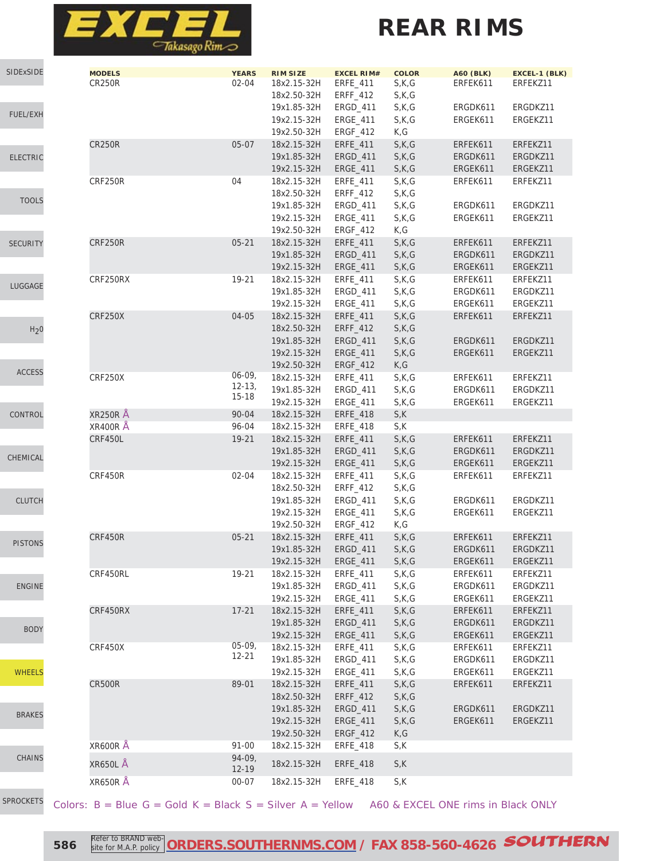

| SIDExSIDE        | <b>MODELS</b><br><b>CR250R</b> | <b>YEARS</b><br>$02 - 04$ | <b>RIM SIZE</b><br>18x2.15-32H<br>18x2.50-32H | <b>EXCEL RIM#</b><br>ERFE_411<br>ERFF_412 | <b>COLOR</b><br>S,K,G<br>S,K,G | <b>A60 (BLK)</b><br>ERFEK611 | EXCEL-1 (BLK)<br>ERFEKZ11 |
|------------------|--------------------------------|---------------------------|-----------------------------------------------|-------------------------------------------|--------------------------------|------------------------------|---------------------------|
|                  |                                |                           | 19x1.85-32H                                   | ERGD_411                                  | S,K,G                          | ERGDK611                     | ERGDKZ11                  |
| <b>FUEL/EXH</b>  |                                |                           | 19x2.15-32H                                   | ERGE_411                                  | S,K,G                          | ERGEK611                     | ERGEKZ11                  |
|                  | <b>CR250R</b>                  | $05-07$                   | 19x2.50-32H<br>18x2.15-32H                    | ERGF_412<br>ERFE_411                      | K, G<br>S,K,G                  | ERFEK611                     | ERFEKZ11                  |
| <b>ELECTRIC</b>  |                                |                           | 19x1.85-32H                                   | ERGD_411                                  | S,K,G                          | ERGDK611                     | ERGDKZ11                  |
|                  |                                |                           | 19x2.15-32H                                   | ERGE_411                                  | S,K,G                          | ERGEK611                     | ERGEKZ11                  |
|                  | CRF250R                        | 04                        | 18x2.15-32H                                   | ERFE_411                                  | S,K,G                          | ERFEK611                     | ERFEKZ11                  |
|                  |                                |                           | 18x2.50-32H                                   | ERFF_412                                  | S,K,G                          |                              |                           |
| <b>TOOLS</b>     |                                |                           | 19x1.85-32H                                   | ERGD_411                                  | S,K,G                          | ERGDK611                     | ERGDKZ11                  |
|                  |                                |                           | 19x2.15-32H                                   | ERGE_411                                  | S,K,G                          | ERGEK611                     | ERGEKZ11                  |
|                  |                                |                           | 19x2.50-32H                                   | ERGF_412                                  | K, G                           |                              |                           |
| <b>SECURITY</b>  | <b>CRF250R</b>                 | $05 - 21$                 | 18x2.15-32H                                   | ERFE_411                                  | S,K,G                          | ERFEK611                     | ERFEKZ11                  |
|                  |                                |                           | 19x1.85-32H<br>19x2.15-32H                    | ERGD_411<br><b>ERGE_411</b>               | S,K,G<br>S,K,G                 | ERGDK611<br>ERGEK611         | ERGDKZ11<br>ERGEKZ11      |
|                  | CRF250RX                       | 19-21                     | 18x2.15-32H                                   | ERFE_411                                  | S,K,G                          | ERFEK611                     | ERFEKZ11                  |
| LUGGAGE          |                                |                           | 19x1.85-32H                                   | ERGD_411                                  | S,K,G                          | ERGDK611                     | ERGDKZ11                  |
|                  |                                |                           | 19x2.15-32H                                   | ERGE_411                                  | S,K,G                          | ERGEK611                     | ERGEKZ11                  |
|                  | <b>CRF250X</b>                 | 04-05                     | 18x2.15-32H                                   | ERFE_411                                  | S,K,G                          | ERFEK611                     | ERFEKZ11                  |
| H <sub>2</sub> 0 |                                |                           | 18x2.50-32H                                   | ERFF_412                                  | S,K,G                          |                              |                           |
|                  |                                |                           | 19x1.85-32H                                   | ERGD_411                                  | S,K,G                          | ERGDK611                     | ERGDKZ11                  |
|                  |                                |                           | 19x2.15-32H                                   | <b>ERGE_411</b>                           | S,K,G                          | ERGEK611                     | ERGEKZ11                  |
| <b>ACCESS</b>    |                                |                           | 19x2.50-32H                                   | <b>ERGF 412</b>                           | K, G                           |                              |                           |
|                  | <b>CRF250X</b>                 | $06 - 09,$<br>$12 - 13,$  | 18x2.15-32H                                   | ERFE_411                                  | S,K,G                          | ERFEK611                     | ERFEKZ11                  |
|                  |                                | $15 - 18$                 | 19x1.85-32H<br>19x2.15-32H                    | ERGD_411<br><b>ERGE_411</b>               | S,K,G<br>S,K,G                 | ERGDK611<br>ERGEK611         | ERGDKZ11<br>ERGEKZ11      |
| CONTROL          | <b>XR250R</b> Å                | 90-04                     | 18x2.15-32H                                   | <b>ERFE_418</b>                           | S,K                            |                              |                           |
|                  | <b>XR400R Å</b>                | 96-04                     | 18x2.15-32H                                   | ERFE_418                                  | S,K                            |                              |                           |
|                  | CRF450L                        | 19-21                     | 18x2.15-32H                                   | ERFE_411                                  | S,K,G                          | ERFEK611                     | ERFEKZ11                  |
|                  |                                |                           | 19x1.85-32H                                   | ERGD_411                                  | S,K,G                          | ERGDK611                     | ERGDKZ11                  |
| CHEMICAL         |                                |                           | 19x2.15-32H                                   | <b>ERGE_411</b>                           | S,K,G                          | ERGEK611                     | ERGEKZ11                  |
|                  | CRF450R                        | $02 - 04$                 | 18x2.15-32H                                   | ERFE_411                                  | S,K,G                          | ERFEK611                     | ERFEKZ11                  |
|                  |                                |                           | 18x2.50-32H                                   | ERFF_412                                  | S,K,G                          |                              |                           |
| <b>CLUTCH</b>    |                                |                           | 19x1.85-32H                                   | ERGD_411                                  | S,K,G                          | ERGDK611                     | ERGDKZ11                  |
|                  |                                |                           | 19x2.15-32H<br>19x2.50-32H                    | ERGE_411                                  | S,K,G<br>K, G                  | ERGEK611                     | ERGEKZ11                  |
|                  | CRF450R                        | $05 - 21$                 | 18x2.15-32H                                   | ERGF_412<br><b>ERFE 411</b>               | S,K,G                          | ERFEK611                     | ERFEKZ11                  |
| <b>PISTONS</b>   |                                |                           | 19x1.85-32H                                   | ERGD_411                                  | S,K,G                          | ERGDK611                     | ERGDKZ11                  |
|                  |                                |                           | 19x2.15-32H                                   | ERGE_411                                  | S,K,G                          | ERGEK611                     | ERGEKZ11                  |
|                  | CRF450RL                       | 19-21                     | 18x2.15-32H                                   | ERFE_411                                  | S,K,G                          | ERFEK611                     | ERFEKZ11                  |
| <b>ENGINE</b>    |                                |                           | 19x1.85-32H                                   | ERGD_411                                  | S,K,G                          | ERGDK611                     | ERGDKZ11                  |
|                  |                                |                           | 19x2.15-32H                                   | ERGE_411                                  | S,K,G                          | ERGEK611                     | ERGEKZ11                  |
|                  | CRF450RX                       | $17 - 21$                 | 18x2.15-32H                                   | ERFE_411                                  | S,K,G                          | ERFEK611                     | ERFEKZ11                  |
| <b>BODY</b>      |                                |                           | 19x1.85-32H                                   | ERGD_411                                  | S,K,G                          | ERGDK611                     | ERGDKZ11                  |
|                  | CRF450X                        | $05-09,$                  | 19x2.15-32H<br>18x2.15-32H                    | ERGE_411                                  | S,K,G                          | ERGEK611<br>ERFEK611         | ERGEKZ11                  |
|                  |                                | $12 - 21$                 | 19x1.85-32H                                   | ERFE_411<br>ERGD_411                      | S,K,G<br>S,K,G                 | ERGDK611                     | ERFEKZ11<br>ERGDKZ11      |
| <b>WHEELS</b>    |                                |                           | 19x2.15-32H                                   | ERGE_411                                  | S,K,G                          | ERGEK611                     | ERGEKZ11                  |
|                  | <b>CR500R</b>                  | 89-01                     | 18x2.15-32H                                   | ERFE_411                                  | S,K,G                          | ERFEK611                     | ERFEKZ11                  |
|                  |                                |                           | 18x2.50-32H                                   | ERFF_412                                  | S,K,G                          |                              |                           |
| <b>BRAKES</b>    |                                |                           | 19x1.85-32H                                   | ERGD_411                                  | S,K,G                          | ERGDK611                     | ERGDKZ11                  |
|                  |                                |                           | 19x2.15-32H                                   | <b>ERGE_411</b>                           | S,K,G                          | ERGEK611                     | ERGEKZ11                  |
|                  |                                |                           | 19x2.50-32H                                   | ERGF_412                                  | K, G                           |                              |                           |
|                  | <b>XR600R Å</b>                | $91 - 00$                 | 18x2.15-32H                                   | <b>ERFE_418</b>                           | S,K                            |                              |                           |
| CHAINS           | XR650LÅ                        | $94-09,$<br>$12 - 19$     | 18x2.15-32H                                   | ERFE_418                                  | $\mathsf{S},\mathsf{K}$        |                              |                           |
|                  | <b>XR650R Å</b>                | 00-07                     | 18x2.15-32H                                   | <b>ERFE_418</b>                           | S,K                            |                              |                           |
|                  |                                |                           |                                               |                                           |                                |                              |                           |

[SPROCKETS](http://www.southernms.com/wp-content/uploads/2015/08/18_sprockets.pdf)

**586** Refer to BRAND web **[ORDERS.SOUTHERNMS.COM](http://orders.southernms.com) / FAX 858-560-4626 SOUTHERN** 

Colors:  $B =$  Blue G = Gold K = Black S = Silver A = Yellow A60 & EXCEL ONE rims in Black ONLY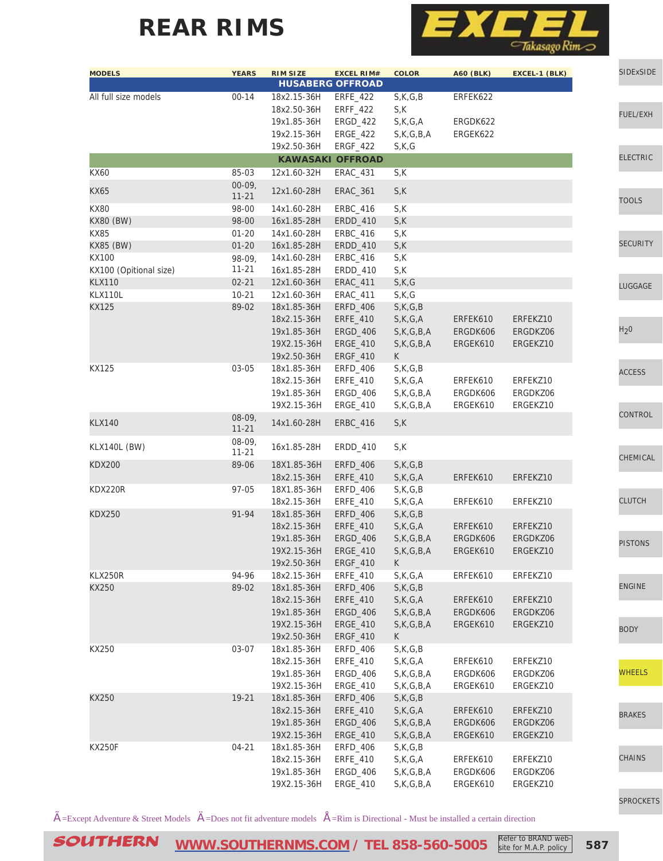

| <b>MODELS</b>           | <b>YEARS</b>          | <b>RIM SIZE</b>            | <b>EXCEL RIM#</b><br><b>HUSABERG OFFROAD</b> | <b>COLOR</b>             | <b>A60 (BLK)</b> | EXCEL-1 (BLK) | <b>SIDExSIDE</b> |
|-------------------------|-----------------------|----------------------------|----------------------------------------------|--------------------------|------------------|---------------|------------------|
| All full size models    | $00 - 14$             | 18x2.15-36H<br>18x2.50-36H | <b>ERFE_422</b><br>ERFF_422                  | S,K,G,B<br>S,K           | ERFEK622         |               |                  |
|                         |                       | 19x1.85-36H                | ERGD_422                                     | S,K,G,A                  | ERGDK622         |               | <b>FUEL/EXH</b>  |
|                         |                       | 19x2.15-36H                | ERGE_422                                     | S, K, G, B, A            | ERGEK622         |               |                  |
|                         |                       | 19x2.50-36H                | ERGF_422                                     | S,K,G                    |                  |               |                  |
|                         |                       |                            | <b>KAWASAKI OFFROAD</b>                      |                          |                  |               | <b>ELECTRIC</b>  |
| <b>KX60</b>             | 85-03                 | 12x1.60-32H                | ERAC_431                                     | S,K                      |                  |               |                  |
| <b>KX65</b>             | $00-09,$<br>$11 - 21$ | 12x1.60-28H                | ERAC_361                                     | S,K                      |                  |               | <b>TOOLS</b>     |
| <b>KX80</b>             | 98-00                 | 14x1.60-28H                | ERBC_416                                     | S,K                      |                  |               |                  |
| KX80 (BW)               | 98-00                 | 16x1.85-28H                | <b>ERDD 410</b>                              | S,K                      |                  |               |                  |
| <b>KX85</b>             | $01 - 20$             | 14x1.60-28H                | ERBC_416                                     | S,K                      |                  |               | <b>SECURITY</b>  |
| <b>KX85 (BW)</b>        | $01 - 20$             | 16x1.85-28H                | ERDD_410                                     | S,K                      |                  |               |                  |
| <b>KX100</b>            | 98-09,                | 14x1.60-28H                | ERBC_416                                     | S,K                      |                  |               |                  |
| KX100 (Opitional size)  | $11 - 21$             | 16x1.85-28H                | ERDD_410                                     | S,K                      |                  |               |                  |
| <b>KLX110</b>           | $02 - 21$             | 12x1.60-36H<br>12x1.60-36H | <b>ERAC_411</b>                              | S,K,G                    |                  |               | LUGGAGE          |
| KLX110L<br><b>KX125</b> | $10 - 21$<br>89-02    | 18x1.85-36H                | ERAC_411<br>ERFD_406                         | S,K,G<br>S,K,G,B         |                  |               |                  |
|                         |                       | 18x2.15-36H                | ERFE_410                                     | S,K,G,A                  | ERFEK610         | ERFEKZ10      |                  |
|                         |                       | 19x1.85-36H                | <b>ERGD_406</b>                              | S,K,G,B,A                | ERGDK606         | ERGDKZ06      | H <sub>2</sub> 0 |
|                         |                       | 19X2.15-36H                | ERGE_410                                     | S, K, G, B, A            | ERGEK610         | ERGEKZ10      |                  |
|                         |                       | 19x2.50-36H                | ERGF_410                                     | K                        |                  |               |                  |
| <b>KX125</b>            | 03-05                 | 18x1.85-36H                | ERFD_406                                     | S,K,G,B                  |                  |               |                  |
|                         |                       | 18x2.15-36H                | ERFE_410                                     | S,K,G,A                  | ERFEK610         | ERFEKZ10      | <b>ACCESS</b>    |
|                         |                       | 19x1.85-36H                | <b>ERGD_406</b>                              | S, K, G, B, A            | ERGDK606         | ERGDKZ06      |                  |
|                         |                       | 19X2.15-36H                | ERGE_410                                     | S, K, G, B, A            | ERGEK610         | ERGEKZ10      |                  |
| <b>KLX140</b>           | $08-09,$<br>$11 - 21$ | 14x1.60-28H                | <b>ERBC_416</b>                              | S,K                      |                  |               | <b>CONTROL</b>   |
| KLX140L (BW)            | $08-09,$<br>$11 - 21$ | 16x1.85-28H                | ERDD_410                                     | S,K                      |                  |               | CHEMICAL         |
| <b>KDX200</b>           | 89-06                 | 18X1.85-36H                | ERFD_406                                     | S,K,G,B                  |                  |               |                  |
|                         |                       | 18x2.15-36H                | ERFE_410                                     | S,K,G,A                  | ERFEK610         | ERFEKZ10      |                  |
| KDX220R                 | 97-05                 | 18X1.85-36H                | ERFD_406                                     | S,K,G,B                  |                  |               |                  |
|                         |                       | 18x2.15-36H                | ERFE_410                                     | S,K,G,A                  | ERFEK610         | ERFEKZ10      | <b>CLUTCH</b>    |
| <b>KDX250</b>           | 91-94                 | 18x1.85-36H                | ERFD_406                                     | S,K,G,B                  |                  |               |                  |
|                         |                       | 18x2.15-36H                | ERFE_410                                     | S,K,G,A                  | ERFEK610         | ERFEKZ10      |                  |
|                         |                       | 19x1.85-36H                | ERGD_406                                     | S, K, G, B, A            | ERGDK606         | ERGDKZ06      | <b>PISTONS</b>   |
|                         |                       | 19X2.15-36H<br>19x2.50-36H | ERGE_410<br>ERGF_410                         | S,K,G,B,A<br>$\mathsf K$ | ERGEK610         | ERGEKZ10      |                  |
| KLX250R                 | 94-96                 | 18x2.15-36H                | ERFE_410                                     | S,K,G,A                  | ERFEK610         | ERFEKZ10      |                  |
| KX250                   | 89-02                 | 18x1.85-36H                | ERFD_406                                     | S,K,G,B                  |                  |               | <b>ENGINE</b>    |
|                         |                       | 18x2.15-36H                | ERFE_410                                     | S,K,G,A                  | ERFEK610         | ERFEKZ10      |                  |
|                         |                       | 19x1.85-36H                | <b>ERGD_406</b>                              | S, K, G, B, A            | ERGDK606         | ERGDKZ06      |                  |
|                         |                       | 19X2.15-36H                | ERGE_410                                     | S,K,G,B,A                | ERGEK610         | ERGEKZ10      |                  |
|                         |                       | 19x2.50-36H                | ERGF_410                                     | K                        |                  |               | <b>BODY</b>      |
| KX250                   | 03-07                 | 18x1.85-36H                | ERFD_406                                     | S,K,G,B                  |                  |               |                  |
|                         |                       | 18x2.15-36H                | ERFE_410                                     | S,K,G,A                  | ERFEK610         | ERFEKZ10      |                  |
|                         |                       | 19x1.85-36H                | ERGD_406                                     | S,K,G,B,A                | ERGDK606         | ERGDKZ06      | <b>WHEELS</b>    |
|                         |                       | 19X2.15-36H                | ERGE_410                                     | S, K, G, B, A            | ERGEK610         | ERGEKZ10      |                  |
| KX250                   | 19-21                 | 18x1.85-36H                | ERFD_406                                     | S,K,G,B                  |                  |               |                  |
|                         |                       | 18x2.15-36H                | ERFE_410                                     | S,K,G,A                  | ERFEK610         | ERFEKZ10      | <b>BRAKES</b>    |
|                         |                       | 19x1.85-36H                | <b>ERGD_406</b>                              | S,K,G,B,A                | ERGDK606         | ERGDKZ06      |                  |
|                         |                       | 19X2.15-36H                | ERGE_410                                     | S,K,G,B,A                | ERGEK610         | ERGEKZ10      |                  |
| <b>KX250F</b>           | $04 - 21$             | 18x1.85-36H                | ERFD_406                                     | S,K,G,B                  |                  |               |                  |
|                         |                       | 18x2.15-36H                | ERFE_410                                     | S,K,G,A                  | ERFEK610         | ERFEKZ10      | <b>CHAINS</b>    |
|                         |                       | 19x1.85-36H                | ERGD_406                                     | S, K, G, B, A            | ERGDK606         | ERGDKZ06      |                  |
|                         |                       | 19X2.15-36H                | ERGE_410                                     | S,K,G,B,A                | ERGEK610         | ERGEKZ10      |                  |

 $\tilde{A}$ =Except Adventure & Street Models  $\ddot{A}$ =Does not fit adventure models  $\dot{A}$ =Rim is Directional - Must be installed a certain direction

SOUTHERN [WWW.SOUTHERNMS.COM](http://m.southernms.com) / TEL 858-560-5005 Refer to BRAND web-<br>Salte for M.A.P. policy 587

site for M.A.P. policy

[SPROCKETS](http://www.southernms.com/wp-content/uploads/2015/08/18_sprockets.pdf)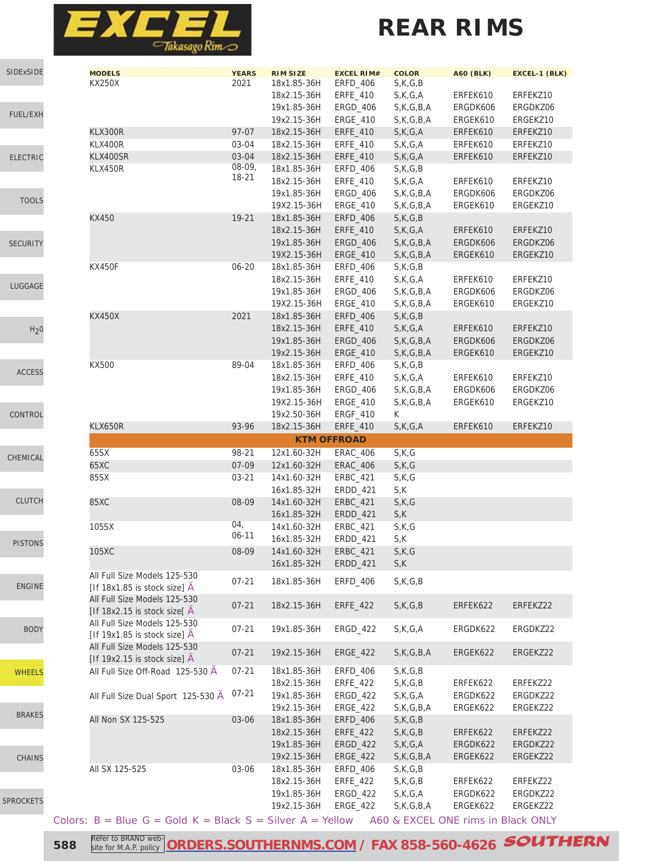

| SIDExSIDE        | <b>MODELS</b>                                               | <b>YEARS</b> | <b>RIM SIZE</b>    | <b>EXCEL RIM#</b> | <b>COLOR</b>                                        | <b>A60 (BLK)</b> | EXCEL-1 (BLK) |
|------------------|-------------------------------------------------------------|--------------|--------------------|-------------------|-----------------------------------------------------|------------------|---------------|
|                  | <b>KX250X</b>                                               | 2021         | 18x1.85-36H        | ERFD_406          | S,K,G,B                                             |                  |               |
|                  |                                                             |              | 18x2.15-36H        | ERFE_410          | S,K,G,A                                             | ERFEK610         | ERFEKZ10      |
| <b>FUEL/EXH</b>  |                                                             |              | 19x1.85-36H        | ERGD_406          | S,K,G,B,A                                           | ERGDK606         | ERGDKZ06      |
|                  |                                                             |              | 19x2.15-36H        | ERGE_410          | S,K,G,B,A                                           | ERGEK610         | ERGEKZ10      |
|                  | KLX300R                                                     | 97-07        | 18x2.15-36H        | ERFE_410          | S,K,G,A                                             | ERFEK610         | ERFEKZ10      |
|                  | KLX400R                                                     | 03-04        | 18x2.15-36H        | <b>ERFE 410</b>   | S,K,G,A                                             | ERFEK610         | ERFEKZ10      |
| <b>ELECTRIC</b>  | KLX400SR                                                    | 03-04        | 18x2.15-36H        | ERFE_410          | S,K,G,A                                             | ERFEK610         | ERFEKZ10      |
|                  | KLX450R                                                     | 08-09,       | 18x1.85-36H        | ERFD_406          | S, K, G, B                                          |                  |               |
|                  |                                                             | 18-21        | 18x2.15-36H        | ERFE_410          | S,K,G,A                                             | ERFEK610         | ERFEKZ10      |
|                  |                                                             |              | 19x1.85-36H        | ERGD_406          | S,K,G,B,A                                           | ERGDK606         | ERGDKZ06      |
| <b>TOOLS</b>     |                                                             |              | 19X2.15-36H        | ERGE_410          | S,K,G,B,A                                           | ERGEK610         | ERGEKZ10      |
|                  | KX450                                                       | 19-21        | 18x1.85-36H        |                   | S,K,G,B                                             |                  |               |
|                  |                                                             |              |                    | ERFD_406          |                                                     |                  |               |
|                  |                                                             |              | 18x2.15-36H        | ERFE_410          | S,K,G,A                                             | ERFEK610         | ERFEKZ10      |
| <b>SECURITY</b>  |                                                             |              | 19x1.85-36H        | ERGD_406          | S, K, G, B, A                                       | ERGDK606         | ERGDKZ06      |
|                  |                                                             |              | 19X2.15-36H        | <b>ERGE_410</b>   | S,K,G,B,A                                           | ERGEK610         | ERGEKZ10      |
|                  | <b>KX450F</b>                                               | $06 - 20$    | 18x1.85-36H        | ERFD_406          | S, K, G, B                                          |                  |               |
| LUGGAGE          |                                                             |              | 18x2.15-36H        | ERFE_410          | S,K,G,A                                             | ERFEK610         | ERFEKZ10      |
|                  |                                                             |              | 19x1.85-36H        | <b>ERGD 406</b>   | S, K, G, B, A                                       | ERGDK606         | ERGDKZ06      |
|                  |                                                             |              | 19X2.15-36H        | ERGE_410          | S,K,G,B,A                                           | ERGEK610         | ERGEKZ10      |
|                  | <b>KX450X</b>                                               | 2021         | 18x1.85-36H        | <b>ERFD_406</b>   | S,K,G,B                                             |                  |               |
| H <sub>2</sub> 0 |                                                             |              | 18x2.15-36H        | <b>ERFE 410</b>   | S,K,G,A                                             | ERFEK610         | ERFEKZ10      |
|                  |                                                             |              | 19x1.85-36H        | <b>ERGD_406</b>   | S,K,G,B,A                                           | ERGDK606         | ERGDKZ06      |
|                  |                                                             |              |                    | <b>ERGE 410</b>   |                                                     | ERGEK610         |               |
|                  |                                                             |              | 19x2.15-36H        |                   | S,K,G,B,A                                           |                  | ERGEKZ10      |
| <b>ACCESS</b>    | KX500                                                       | 89-04        | 18x1.85-36H        | ERFD_406          | S,K,G,B                                             |                  |               |
|                  |                                                             |              | 18x2.15-36H        | ERFE_410          | S,K,G,A                                             | ERFEK610         | ERFEKZ10      |
|                  |                                                             |              | 19x1.85-36H        | ERGD_406          | S,K,G,B,A                                           | ERGDK606         | ERGDKZ06      |
|                  |                                                             |              | 19X2.15-36H        | ERGE_410          | S, K, G, B, A                                       | ERGEK610         | ERGEKZ10      |
| CONTROL          |                                                             |              | 19x2.50-36H        | ERGF_410          | K                                                   |                  |               |
|                  | <b>KLX650R</b>                                              | 93-96        | 18x2.15-36H        | ERFE_410          | S,K,G,A                                             | ERFEK610         | ERFEKZ10      |
|                  |                                                             |              | <b>KTM OFFROAD</b> |                   |                                                     |                  |               |
|                  |                                                             |              |                    |                   |                                                     |                  |               |
|                  |                                                             |              |                    |                   |                                                     |                  |               |
| CHEMICAL         | 65SX                                                        | 98-21        | 12x1.60-32H        | <b>ERAC_406</b>   | S,K,G                                               |                  |               |
|                  | 65XC                                                        | 07-09        | 12x1.60-32H        | ERAC_406          | S,K,G                                               |                  |               |
|                  | 85SX                                                        | $03 - 21$    | 14x1.60-32H        | ERBC_421          | S,K,G                                               |                  |               |
|                  |                                                             |              | 16x1.85-32H        | ERDD_421          | S,K                                                 |                  |               |
| <b>CLUTCH</b>    | 85XC                                                        | 08-09        | 14x1.60-32H        | <b>ERBC_421</b>   | S,K,G                                               |                  |               |
|                  |                                                             |              | 16x1.85-32H        | ERDD_421          | S,K                                                 |                  |               |
|                  | 105SX                                                       | 04,          | 14x1.60-32H        | ERBC_421          | S,K,G                                               |                  |               |
| <b>PISTONS</b>   |                                                             | $06 - 11$    | 16x1.85-32H        | ERDD_421          | S,K                                                 |                  |               |
|                  | 105XC                                                       | 08-09        | 14x1.60-32H        | <b>ERBC_421</b>   | S,K,G                                               |                  |               |
|                  |                                                             |              | 16x1.85-32H        | ERDD_421          | S,K                                                 |                  |               |
|                  | All Full Size Models 125-530                                |              |                    |                   |                                                     |                  |               |
| <b>ENGINE</b>    | [If $18x1.85$ is stock size] $A$                            | $07 - 21$    | 18x1.85-36H        | ERFD_406          | $S$ , $K$ , $G$ , $B$                               |                  |               |
|                  | All Full Size Models 125-530                                |              |                    |                   |                                                     |                  |               |
|                  | [If 18x2.15 is stock size] $\hat{A}$                        | $07 - 21$    | 18x2.15-36H        | ERFE_422          | S,K,G,B                                             | ERFEK622         | ERFEKZ22      |
|                  | All Full Size Models 125-530                                |              |                    |                   |                                                     |                  |               |
| <b>BODY</b>      |                                                             | $07 - 21$    | 19x1.85-36H        | <b>ERGD 422</b>   | S,K,G,A                                             | ERGDK622         | ERGDKZ22      |
|                  | [If 19x1.85 is stock size] $A$                              |              |                    |                   |                                                     |                  |               |
|                  | All Full Size Models 125-530                                | $07 - 21$    | 19x2.15-36H        | ERGE_422          | S,K,G,B,A                                           | ERGEK622         | ERGEKZ22      |
|                  | [If 19x2.15 is stock size] $A$                              |              |                    |                   |                                                     |                  |               |
| <b>WHEELS</b>    | All Full Size Off-Road 125-530 A                            | $07 - 21$    | 18x1.85-36H        | ERFD_406          | S,K,G,B                                             |                  |               |
|                  |                                                             |              | 18x2.15-36H        | ERFE_422          | S,K,G,B                                             | ERFEK622         | ERFEKZ22      |
|                  | All Full Size Dual Sport 125-530 A                          | $07 - 21$    | 19x1.85-36H        | ERGD_422          | S,K,G,A                                             | ERGDK622         | ERGDKZ22      |
|                  |                                                             |              | 19x2.15-36H        | <b>ERGE_422</b>   | S, K, G, B, A                                       | ERGEK622         | ERGEKZ22      |
| <b>BRAKES</b>    | All Non SX 125-525                                          | 03-06        | 18x1.85-36H        | ERFD_406          | S,K,G,B                                             |                  |               |
|                  |                                                             |              | 18x2.15-36H        | ERFE_422          | S,K,G,B                                             | ERFEK622         | ERFEKZ22      |
|                  |                                                             |              | 19x1.85-36H        | ERGD_422          | S,K,G,A                                             | ERGDK622         | ERGDKZ22      |
| <b>CHAINS</b>    |                                                             |              | 19x2.15-36H        | <b>ERGE_422</b>   | S, K, G, B, A                                       | ERGEK622         | ERGEKZ22      |
|                  | All SX 125-525                                              | 03-06        | 18x1.85-36H        |                   | S,K,G,B                                             |                  |               |
|                  |                                                             |              |                    | ERFD_406          |                                                     |                  | ERFEKZ22      |
|                  |                                                             |              | 18x2.15-36H        | ERFE_422          | S, K, G, B                                          | ERFEK622         |               |
| <b>SPROCKETS</b> |                                                             |              | 19x1.85-36H        | ERGD_422          | S,K,G,A                                             | ERGDK622         | ERGDKZ22      |
|                  | Colors: $B = Blue G = Gold K = Black S = Silver A = Yellow$ |              | 19x2.15-36H        | ERGE_422          | S, K, G, B, A<br>A60 & EXCEL ONE rims in Black ONLY | ERGEK622         | ERGEKZ22      |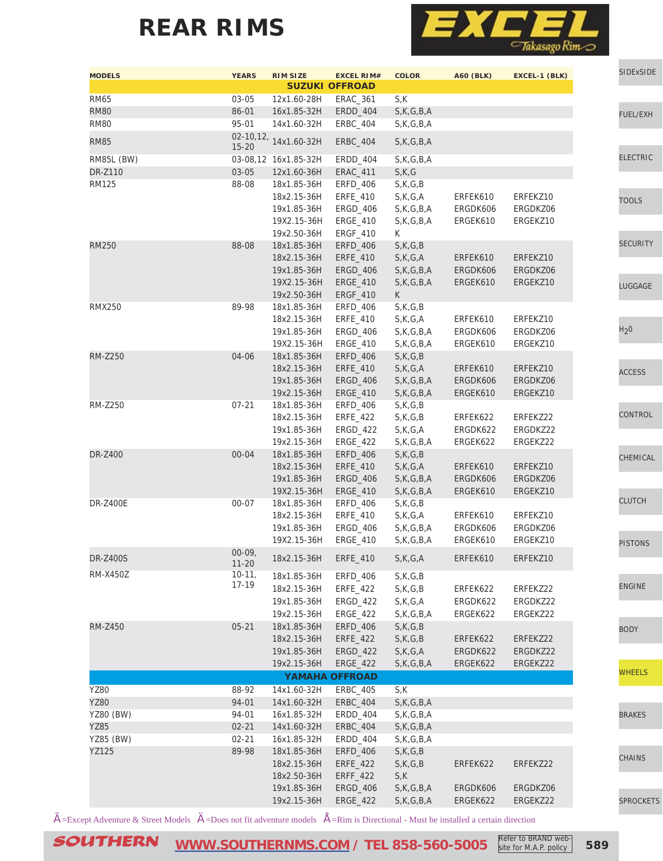

| <b>MODELS</b>     | <b>YEARS</b>          | <b>RIM SIZE</b>       | <b>EXCEL RIM#</b><br><b>SUZUKI OFFROAD</b> | <b>COLOR</b>          | <b>A60 (BLK)</b> | EXCEL-1 (BLK) |                  | SIDExSIDE        |
|-------------------|-----------------------|-----------------------|--------------------------------------------|-----------------------|------------------|---------------|------------------|------------------|
| <b>RM65</b>       | $03 - 05$             | 12x1.60-28H           | ERAC_361                                   | S,K                   |                  |               |                  |                  |
| <b>RM80</b>       | 86-01                 | 16x1.85-32H           | ERDD_404                                   | S,K,G,B,A             |                  |               |                  | FUEL/EXH         |
| <b>RM80</b>       | 95-01                 | 14x1.60-32H           | ERBC_404                                   | S, K, G, B, A         |                  |               |                  |                  |
| <b>RM85</b>       | $15 - 20$             | 02-10,12, 14x1.60-32H | <b>ERBC_404</b>                            | S,K,G,B,A             |                  |               |                  |                  |
| <b>RM85L (BW)</b> |                       | 03-08,12 16x1.85-32H  | ERDD_404                                   | S,K,G,B,A             |                  |               |                  | <b>ELECTRIC</b>  |
| DR-Z110           | $03 - 05$             | 12x1.60-36H           | <b>ERAC_411</b>                            | S,K,G                 |                  |               |                  |                  |
| <b>RM125</b>      | 88-08                 | 18x1.85-36H           | <b>ERFD 406</b>                            | S,K,G,B               |                  |               |                  |                  |
|                   |                       | 18x2.15-36H           | ERFE_410                                   | S,K,G,A               | ERFEK610         | ERFEKZ10      |                  | <b>TOOLS</b>     |
|                   |                       | 19x1.85-36H           | ERGD_406                                   | S,K,G,B,A             | ERGDK606         | ERGDKZ06      |                  |                  |
|                   |                       | 19X2.15-36H           | ERGE_410                                   | S, K, G, B, A         | ERGEK610         | ERGEKZ10      |                  |                  |
|                   |                       | 19x2.50-36H           | ERGF_410                                   | K                     |                  |               |                  |                  |
| <b>RM250</b>      | 88-08                 | 18x1.85-36H           | ERFD_406                                   | S,K,G,B               |                  |               |                  | <b>SECURITY</b>  |
|                   |                       | 18x2.15-36H           | ERFE_410                                   | S,K,G,A               | ERFEK610         | ERFEKZ10      |                  |                  |
|                   |                       | 19x1.85-36H           | <b>ERGD_406</b>                            | S,K,G,B,A             | ERGDK606         | ERGDKZ06      |                  |                  |
|                   |                       | 19X2.15-36H           | ERGE_410                                   | S, K, G, B, A         | ERGEK610         | ERGEKZ10      |                  | LUGGAGE          |
|                   |                       | 19x2.50-36H           | ERGF_410                                   | $\mathsf{K}$          |                  |               |                  |                  |
| <b>RMX250</b>     | 89-98                 | 18x1.85-36H           | ERFD_406                                   | $S$ , $K$ , $G$ , $B$ |                  |               |                  |                  |
|                   |                       | 18x2.15-36H           | ERFE_410                                   | S,K,G,A               | ERFEK610         | ERFEKZ10      |                  |                  |
|                   |                       | 19x1.85-36H           | ERGD_406                                   | S, K, G, B, A         | ERGDK606         | ERGDKZ06      | H <sub>2</sub> 0 |                  |
|                   |                       | 19X2.15-36H           | ERGE_410                                   | S,K,G,B,A             | ERGEK610         | ERGEKZ10      |                  |                  |
| <b>RM-Z250</b>    | 04-06                 | 18x1.85-36H           | <b>ERFD_406</b>                            | S,K,G,B               |                  |               |                  |                  |
|                   |                       | 18x2.15-36H           | ERFE_410                                   | S,K,G,A               | ERFEK610         | ERFEKZ10      |                  | <b>ACCESS</b>    |
|                   |                       | 19x1.85-36H           | <b>ERGD_406</b>                            | S, K, G, B, A         | ERGDK606         | ERGDKZ06      |                  |                  |
|                   |                       | 19x2.15-36H           | ERGE_410                                   | S, K, G, B, A         | ERGEK610         | ERGEKZ10      |                  |                  |
| <b>RM-Z250</b>    | $07 - 21$             | 18x1.85-36H           | ERFD_406                                   | $S$ , $K$ , $G$ , $B$ |                  |               |                  |                  |
|                   |                       | 18x2.15-36H           | ERFE_422                                   | S, K, G, B            | ERFEK622         | ERFEKZ22      |                  | CONTROL          |
|                   |                       | 19x1.85-36H           | ERGD_422                                   | S,K,G,A               | ERGDK622         | ERGDKZ22      |                  |                  |
|                   |                       | 19x2.15-36H           | ERGE_422                                   | S, K, G, B, A         | ERGEK622         | ERGEKZ22      |                  |                  |
| DR-Z400           | $00 - 04$             | 18x1.85-36H           | ERFD_406                                   | S,K,G,B               |                  |               |                  | CHEMICAL         |
|                   |                       | 18x2.15-36H           | ERFE_410                                   | S,K,G,A               | ERFEK610         | ERFEKZ10      |                  |                  |
|                   |                       | 19x1.85-36H           | ERGD_406                                   | S, K, G, B, A         | ERGDK606         | ERGDKZ06      |                  |                  |
|                   |                       | 19X2.15-36H           | ERGE_410                                   | S, K, G, B, A         | ERGEK610         | ERGEKZ10      |                  |                  |
| <b>DR-Z400E</b>   | $00 - 07$             | 18x1.85-36H           | ERFD_406                                   | S,K,G,B               |                  |               |                  | <b>CLUTCH</b>    |
|                   |                       | 18x2.15-36H           | ERFE_410                                   | S,K,G,A               | ERFEK610         | ERFEKZ10      |                  |                  |
|                   |                       | 19x1.85-36H           | ERGD_406                                   | S,K,G,B,A             | ERGDK606         | ERGDKZ06      |                  |                  |
|                   |                       | 19X2.15-36H           | ERGE_410                                   | S,K,G,B,A             | ERGEK610         | ERGEKZ10      |                  | <b>PISTONS</b>   |
| <b>DR-Z400S</b>   | $00-09,$<br>$11 - 20$ | 18x2.15-36H           | ERFE_410                                   | S,K,G,A               | ERFEK610         | ERFEKZ10      |                  |                  |
| RM-X450Z          | $10-11,$              | 18x1.85-36H           | ERFD_406                                   | S,K,G,B               |                  |               |                  |                  |
|                   | 17-19                 | 18x2.15-36H           | ERFE_422                                   | S, K, G, B            | ERFEK622         | ERFEKZ22      |                  | <b>ENGINE</b>    |
|                   |                       | 19x1.85-36H           | ERGD_422                                   | S,K,G,A               | ERGDK622         | ERGDKZ22      |                  |                  |
|                   |                       | 19x2.15-36H           | ERGE_422                                   | S,K,G,B,A             | ERGEK622         | ERGEKZ22      |                  |                  |
| RM-Z450           | $05 - 21$             | 18x1.85-36H           | ERFD_406                                   | S,K,G,B               |                  |               |                  | <b>BODY</b>      |
|                   |                       | 18x2.15-36H           | ERFE_422                                   | S,K,G,B               | ERFEK622         | ERFEKZ22      |                  |                  |
|                   |                       | 19x1.85-36H           | ERGD_422                                   | S,K,G,A               | ERGDK622         | ERGDKZ22      |                  |                  |
|                   |                       | 19x2.15-36H           | ERGE_422                                   | S, K, G, B, A         | ERGEK622         | ERGEKZ22      |                  |                  |
|                   |                       |                       | <b>YAMAHA OFFROAD</b>                      |                       |                  |               |                  | <b>WHEELS</b>    |
| <b>YZ80</b>       | 88-92                 | 14x1.60-32H           | ERBC_405                                   | S,K                   |                  |               |                  |                  |
| <b>YZ80</b>       | 94-01                 | 14x1.60-32H           | <b>ERBC_404</b>                            | S,K,G,B,A             |                  |               |                  |                  |
| <b>YZ80 (BW)</b>  | 94-01                 | 16x1.85-32H           | ERDD_404                                   | S, K, G, B, A         |                  |               |                  | <b>BRAKES</b>    |
| <b>YZ85</b>       | $02 - 21$             | 14x1.60-32H           | ERBC_404                                   | S,K,G,B,A             |                  |               |                  |                  |
| YZ85 (BW)         | $02 - 21$             | 16x1.85-32H           | ERDD_404                                   | S,K,G,B,A             |                  |               |                  |                  |
| <b>YZ125</b>      | 89-98                 | 18x1.85-36H           | ERFD_406                                   | S,K,G,B               |                  |               |                  |                  |
|                   |                       | 18x2.15-36H           | ERFE_422                                   | S,K,G,B               | ERFEK622         | ERFEKZ22      |                  | <b>CHAINS</b>    |
|                   |                       | 18x2.50-36H           | ERFF_422                                   | S,K                   |                  |               |                  |                  |
|                   |                       | 19x1.85-36H           | ERGD_406                                   | S, K, G, B, A         | ERGDK606         | ERGDKZ06      |                  |                  |
|                   |                       | 19x2.15-36H           | ERGE_422                                   | S,K,G,B,A             | ERGEK622         | ERGEKZ22      |                  | <b>SPROCKETS</b> |
|                   |                       |                       |                                            |                       |                  |               |                  |                  |

 $\tilde{A}$ =Except Adventure & Street Models  $\ddot{A}$ =Does not fit adventure models  $\dot{A}$ =Rim is Directional - Must be installed a certain direction

SOUTHERN [WWW.SOUTHERNMS.COM](http://m.southernms.com) / TEL 858-560-5005 Refer to BRAND web-<br>Sample: 589

site for M.A.P. policy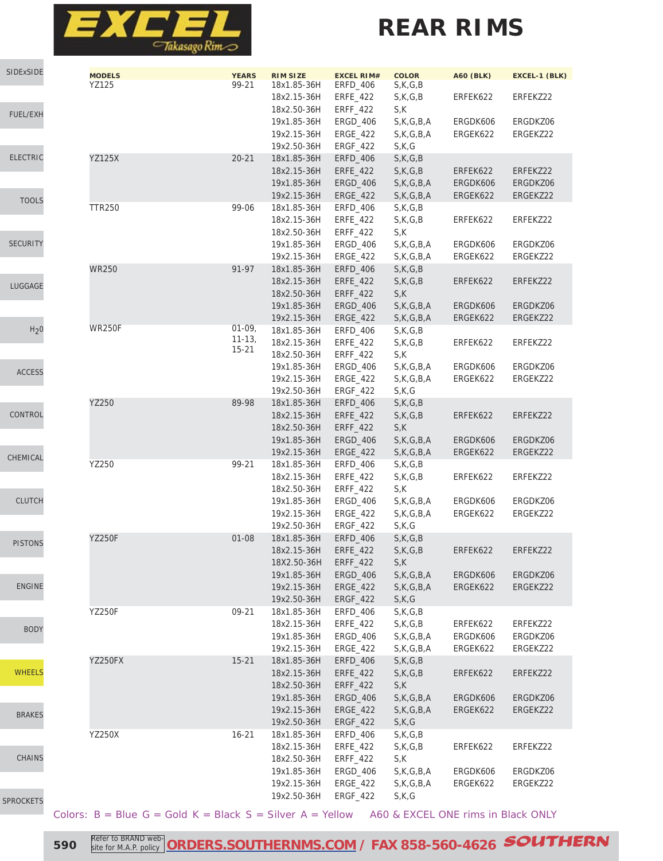

# **REAR RIMS**

| SIDExSIDE        | <b>MODELS</b>                                               | <b>YEARS</b> | <b>RIM SIZE</b><br>18x1.85-36H | <b>EXCEL RIM#</b><br>ERFD_406 | <b>COLOR</b>          | <b>A60 (BLK)</b>                   | EXCEL-1 (BLK)        |
|------------------|-------------------------------------------------------------|--------------|--------------------------------|-------------------------------|-----------------------|------------------------------------|----------------------|
|                  | YZ125                                                       | 99-21        | 18x2.15-36H                    | ERFE_422                      | S,K,G,B<br>S,K,G,B    | ERFEK622                           | ERFEKZ22             |
|                  |                                                             |              | 18x2.50-36H                    | ERFF_422                      | S,K                   |                                    |                      |
| <b>FUEL/EXH</b>  |                                                             |              | 19x1.85-36H                    | ERGD_406                      | S,K,G,B,A             | ERGDK606                           | ERGDKZ06             |
|                  |                                                             |              | 19x2.15-36H                    | ERGE_422                      | S,K,G,B,A             | ERGEK622                           | ERGEKZ22             |
|                  |                                                             |              | 19x2.50-36H                    | ERGF_422                      | S,K,G                 |                                    |                      |
| <b>ELECTRIC</b>  | <b>YZ125X</b>                                               | $20 - 21$    | 18x1.85-36H                    | <b>ERFD_406</b>               | S,K,G,B               |                                    |                      |
|                  |                                                             |              | 18x2.15-36H                    | <b>ERFE_422</b>               | S,K,G,B               | ERFEK622                           | ERFEKZ22             |
|                  |                                                             |              | 19x1.85-36H                    | ERGD_406                      | S, K, G, B, A         | ERGDK606                           | ERGDKZ06             |
| <b>TOOLS</b>     |                                                             |              | 19x2.15-36H                    | <b>ERGE_422</b>               | S,K,G,B,A             | ERGEK622                           | ERGEKZ22             |
|                  | <b>TTR250</b>                                               | 99-06        | 18x1.85-36H                    | ERFD_406                      | S,K,G,B               |                                    |                      |
|                  |                                                             |              | 18x2.15-36H                    | ERFE_422                      | S,K,G,B               | ERFEK622                           | ERFEKZ22             |
| <b>SECURITY</b>  |                                                             |              | 18x2.50-36H                    | ERFF_422                      | S,K                   |                                    |                      |
|                  |                                                             |              | 19x1.85-36H                    | <b>ERGD_406</b>               | S, K, G, B, A         | ERGDK606                           | ERGDKZ06             |
|                  | <b>WR250</b>                                                | 91-97        | 19x2.15-36H<br>18x1.85-36H     | ERGE_422<br>ERFD_406          | S,K,G,B,A<br>S,K,G,B  | ERGEK622                           | ERGEKZ22             |
|                  |                                                             |              | 18x2.15-36H                    | ERFE_422                      | S,K,G,B               | ERFEK622                           | ERFEKZ22             |
| LUGGAGE          |                                                             |              | 18x2.50-36H                    | <b>ERFF_422</b>               | S,K                   |                                    |                      |
|                  |                                                             |              | 19x1.85-36H                    | ERGD_406                      | S,K,G,B,A             | ERGDK606                           | ERGDKZ06             |
|                  |                                                             |              | 19x2.15-36H                    | ERGE_422                      | S,K,G,B,A             | ERGEK622                           | ERGEKZ22             |
| H <sub>2</sub> 0 | <b>WR250F</b>                                               | $01-09,$     | 18x1.85-36H                    | ERFD_406                      | S,K,G,B               |                                    |                      |
|                  |                                                             | $11 - 13,$   | 18x2.15-36H                    | <b>ERFE 422</b>               | $S$ , $K$ , $G$ , $B$ | ERFEK622                           | ERFEKZ22             |
|                  |                                                             | $15 - 21$    | 18x2.50-36H                    | ERFF_422                      | S,K                   |                                    |                      |
| <b>ACCESS</b>    |                                                             |              | 19x1.85-36H                    | ERGD_406                      | $S$ , K, G, B, A      | ERGDK606                           | ERGDKZ06             |
|                  |                                                             |              | 19x2.15-36H                    | ERGE_422                      | S,K,G,B,A             | ERGEK622                           | ERGEKZ22             |
|                  |                                                             |              | 19x2.50-36H                    | ERGF_422                      | S,K,G                 |                                    |                      |
|                  | YZ250                                                       | 89-98        | 18x1.85-36H                    | <b>ERFD_406</b>               | S,K,G,B               |                                    |                      |
| CONTROL          |                                                             |              | 18x2.15-36H                    | ERFE_422                      | S,K,G,B               | ERFEK622                           | ERFEKZ22             |
|                  |                                                             |              | 18x2.50-36H                    | ERFF_422                      | S,K                   |                                    |                      |
|                  |                                                             |              | 19x1.85-36H                    | ERGD_406                      | S, K, G, B, A         | ERGDK606                           | ERGDKZ06             |
| CHEMICAL         |                                                             |              | 19x2.15-36H                    | ERGE_422                      | S,K,G,B,A             | ERGEK622                           | ERGEKZ22             |
|                  | YZ250                                                       | 99-21        | 18x1.85-36H                    | ERFD_406                      | S,K,G,B               |                                    |                      |
|                  |                                                             |              | 18x2.15-36H                    | ERFE_422                      | S, K, G, B            | ERFEK622                           | ERFEKZ22             |
| <b>CLUTCH</b>    |                                                             |              | 18x2.50-36H<br>19x1.85-36H     | ERFF_422<br><b>ERGD_406</b>   | S,K<br>S, K, G, B, A  | ERGDK606                           | ERGDKZ06             |
|                  |                                                             |              | 19x2.15-36H                    | ERGE_422                      | S, K, G, B, A         | ERGEK622                           | ERGEKZ22             |
|                  |                                                             |              | 19x2.50-36H                    | ERGF_422                      | S,K,G                 |                                    |                      |
|                  | <b>YZ250F</b>                                               | $01 - 08$    | 18x1.85-36H                    | ERFD_406                      | S,K,G,B               |                                    |                      |
| <b>PISTONS</b>   |                                                             |              | 18x2.15-36H                    | ERFE_422                      | S,K,G,B               | ERFEK622                           | ERFEKZ22             |
|                  |                                                             |              | 18X2.50-36H                    | $ERF-422$                     | S,K                   |                                    |                      |
|                  |                                                             |              | 19x1.85-36H                    | <b>ERGD_406</b>               | S,K,G,B,A             | ERGDK606                           | ERGDKZ06             |
| <b>ENGINE</b>    |                                                             |              | 19x2.15-36H                    | ERGE_422                      | S,K,G,B,A             | ERGEK622                           | ERGEKZ22             |
|                  |                                                             |              | 19x2.50-36H                    | <b>ERGF_422</b>               | S,K,G                 |                                    |                      |
|                  | <b>YZ250F</b>                                               | 09-21        | 18x1.85-36H                    | ERFD_406                      | S,K,G,B               |                                    |                      |
| <b>BODY</b>      |                                                             |              | 18x2.15-36H                    | ERFE_422                      | S,K,G,B               | ERFEK622                           | ERFEKZ22             |
|                  |                                                             |              | 19x1.85-36H                    | ERGD_406                      | S, K, G, B, A         | ERGDK606                           | ERGDKZ06             |
|                  |                                                             |              | 19x2.15-36H                    | ERGE_422                      | S, K, G, B, A         | ERGEK622                           | ERGEKZ22             |
|                  | YZ250FX                                                     | $15 - 21$    | 18x1.85-36H                    | ERFD_406                      | S,K,G,B               |                                    |                      |
| <b>WHEELS</b>    |                                                             |              | 18x2.15-36H                    | <b>ERFE_422</b>               | S,K,G,B               | ERFEK622                           | ERFEKZ22             |
|                  |                                                             |              | 18x2.50-36H<br>19x1.85-36H     | ERFF_422                      | S,K<br>S,K,G,B,A      | ERGDK606                           |                      |
|                  |                                                             |              | 19x2.15-36H                    | ERGD_406<br>ERGE_422          |                       | ERGEK622                           | ERGDKZ06<br>ERGEKZ22 |
| <b>BRAKES</b>    |                                                             |              | 19x2.50-36H                    | ERGF_422                      | S,K,G,B,A<br>S,K,G    |                                    |                      |
|                  | <b>YZ250X</b>                                               | $16 - 21$    | 18x1.85-36H                    | ERFD_406                      | S,K,G,B               |                                    |                      |
|                  |                                                             |              | 18x2.15-36H                    | ERFE_422                      | S,K,G,B               | ERFEK622                           | ERFEKZ22             |
| <b>CHAINS</b>    |                                                             |              | 18x2.50-36H                    | ERFF_422                      | S,K                   |                                    |                      |
|                  |                                                             |              | 19x1.85-36H                    | ERGD_406                      | S, K, G, B, A         | ERGDK606                           | ERGDKZ06             |
|                  |                                                             |              | 19x2.15-36H                    | ERGE_422                      | S,K,G,B,A             | ERGEK622                           | ERGEKZ22             |
| <b>SPROCKETS</b> |                                                             |              | 19x2.50-36H                    | ERGF_422                      | S,K,G                 |                                    |                      |
|                  | Colors: $B = Blue G = Gold K = Black S = Silver A = Yellow$ |              |                                |                               |                       | A60 & EXCEL ONE rims in Black ONLY |                      |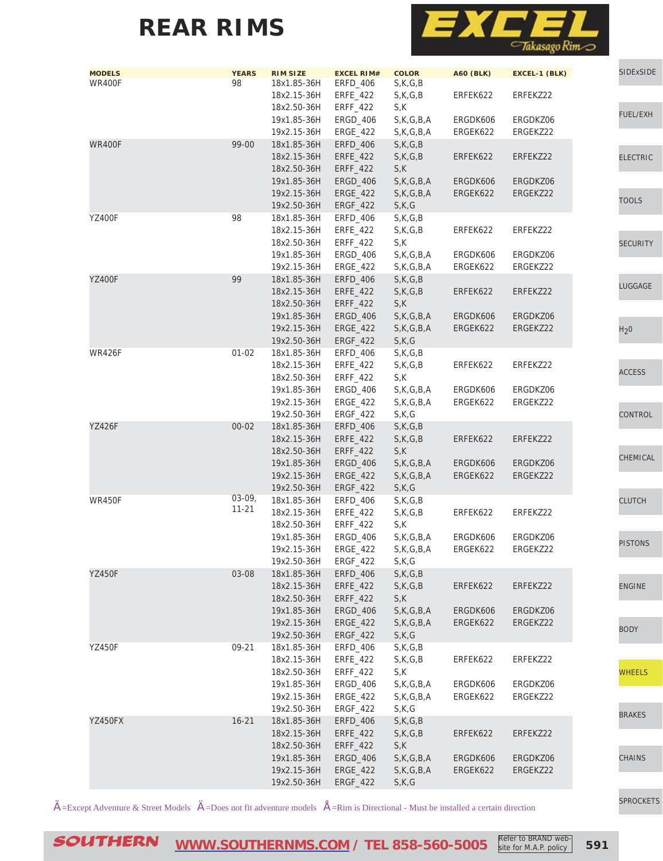

| <b>MODELS</b><br><b>WR400F</b> | <b>YEARS</b><br>98 | <b>RIM SIZE</b><br>18x1.85-36H | <b>EXCEL RIM#</b><br>ERFD_406 | <b>COLOR</b><br>S,K,G,B | <b>A60 (BLK)</b> | EXCEL-1 (BLK) | SIDExSIDE        |
|--------------------------------|--------------------|--------------------------------|-------------------------------|-------------------------|------------------|---------------|------------------|
|                                |                    | 18x2.15-36H<br>18x2.50-36H     | ERFE_422<br><b>ERFF_422</b>   | S,K,G,B<br>S,K          | ERFEK622         | ERFEKZ22      |                  |
|                                |                    | 19x1.85-36H                    | ERGD_406                      | S, K, G, B, A           | ERGDK606         | ERGDKZ06      | FUEL/EXH         |
|                                |                    | 19x2.15-36H                    | ERGE_422                      | S, K, G, B, A           | ERGEK622         | ERGEKZ22      |                  |
| <b>WR400F</b>                  | 99-00              | 18x1.85-36H                    | <b>ERFD_406</b>               | S,K,G,B                 |                  |               |                  |
|                                |                    | 18x2.15-36H<br>18x2.50-36H     | ERFE_422<br>ERFF_422          | S,K,G,B<br>S,K          | ERFEK622         | ERFEKZ22      | <b>ELECTRIC</b>  |
|                                |                    | 19x1.85-36H                    | ERGD_406                      | S, K, G, B, A           | ERGDK606         | ERGDKZ06      |                  |
|                                |                    | 19x2.15-36H                    | ERGE_422                      | S,K,G,B,A               | ERGEK622         | ERGEKZ22      |                  |
|                                |                    | 19x2.50-36H                    | ERGF_422                      | S,K,G                   |                  |               | <b>TOOLS</b>     |
| <b>YZ400F</b>                  | 98                 | 18x1.85-36H                    | ERFD_406                      | S,K,G,B                 |                  |               |                  |
|                                |                    | 18x2.15-36H                    | ERFE_422                      | S,K,G,B                 | ERFEK622         | ERFEKZ22      |                  |
|                                |                    | 18x2.50-36H                    | ERFF_422                      | S,K                     |                  |               | <b>SECURITY</b>  |
|                                |                    | 19x1.85-36H                    | <b>ERGD_406</b>               | S, K, G, B, A           | ERGDK606         | ERGDKZ06      |                  |
|                                | 99                 | 19x2.15-36H                    | ERGE_422                      | S, K, G, B, A           | ERGEK622         | ERGEKZ22      |                  |
| <b>YZ400F</b>                  |                    | 18x1.85-36H<br>18x2.15-36H     | ERFD_406                      | S,K,G,B                 | ERFEK622         | ERFEKZ22      | LUGGAGE          |
|                                |                    | 18x2.50-36H                    | ERFE_422<br><b>ERFF_422</b>   | S,K,G,B<br>S,K          |                  |               |                  |
|                                |                    | 19x1.85-36H                    | ERGD_406                      | S, K, G, B, A           | ERGDK606         | ERGDKZ06      |                  |
|                                |                    | 19x2.15-36H                    | ERGE_422                      | S, K, G, B, A           | ERGEK622         | ERGEKZ22      | H <sub>2</sub> 0 |
|                                |                    | 19x2.50-36H                    | ERGF_422                      | S,K,G                   |                  |               |                  |
| <b>WR426F</b>                  | $01 - 02$          | 18x1.85-36H                    | ERFD_406                      | S,K,G,B                 |                  |               |                  |
|                                |                    | 18x2.15-36H                    | <b>ERFE_422</b>               | S,K,G,B                 | ERFEK622         | ERFEKZ22      |                  |
|                                |                    | 18x2.50-36H                    | ERFF_422                      | S,K                     |                  |               | <b>ACCESS</b>    |
|                                |                    | 19x1.85-36H                    | ERGD_406                      | S, K, G, B, A           | ERGDK606         | ERGDKZ06      |                  |
|                                |                    | 19x2.15-36H                    | ERGE_422                      | S, K, G, B, A           | ERGEK622         | ERGEKZ22      |                  |
|                                |                    | 19x2.50-36H                    | ERGF_422                      | S,K,G                   |                  |               | CONTROL          |
| <b>YZ426F</b>                  | $00 - 02$          | 18x1.85-36H                    | <b>ERFD_406</b>               | S,K,G,B                 |                  |               |                  |
|                                |                    | 18x2.15-36H                    | ERFE_422                      | S,K,G,B                 | ERFEK622         | ERFEKZ22      |                  |
|                                |                    | 18x2.50-36H                    | ERFF_422                      | S,K                     |                  |               | CHEMICAL         |
|                                |                    | 19x1.85-36H                    | ERGD_406                      | S, K, G, B, A           | ERGDK606         | ERGDKZ06      |                  |
|                                |                    | 19x2.15-36H<br>19x2.50-36H     | ERGE_422<br>ERGF_422          | S,K,G,B,A<br>S,K,G      | ERGEK622         | ERGEKZ22      |                  |
| <b>WR450F</b>                  | $03-09,$           | 18x1.85-36H                    | ERFD_406                      | S,K,G,B                 |                  |               | <b>CLUTCH</b>    |
|                                | $11 - 21$          | 18x2.15-36H                    | ERFE_422                      | S,K,G,B                 | ERFEK622         | ERFEKZ22      |                  |
|                                |                    | 18x2.50-36H                    | ERFF_422                      | S,K                     |                  |               |                  |
|                                |                    | 19x1.85-36H                    | ERGD_406                      | S, K, G, B, A           | ERGDK606         | ERGDKZ06      |                  |
|                                |                    | 19x2.15-36H                    | <b>ERGE_422</b>               | $S$ , K, G, B, A        | ERGEK622         | ERGEKZ22      | <b>PISTONS</b>   |
|                                |                    | 19x2.50-36H                    | ERGF_422                      | S,K,G                   |                  |               |                  |
| <b>YZ450F</b>                  | 03-08              | 18x1.85-36H                    | ERFD_406                      | S,K,G,B                 |                  |               |                  |
|                                |                    | 18x2.15-36H                    | <b>ERFE_422</b>               | S,K,G,B                 | ERFEK622         | ERFEKZ22      | <b>ENGINE</b>    |
|                                |                    | 18x2.50-36H                    | ERFF_422                      | S,K                     |                  |               |                  |
|                                |                    | 19x1.85-36H                    | ERGD_406                      | S, K, G, B, A           | ERGDK606         | ERGDKZ06      |                  |
|                                |                    | 19x2.15-36H                    | ERGE_422                      | S, K, G, B, A           | ERGEK622         | ERGEKZ22      | <b>BODY</b>      |
|                                |                    | 19x2.50-36H                    | ERGF_422                      | S,K,G                   |                  |               |                  |
| <b>YZ450F</b>                  | 09-21              | 18x1.85-36H<br>18x2.15-36H     | ERFD_406<br>ERFE_422          | S,K,G,B<br>S,K,G,B      | ERFEK622         | ERFEKZ22      |                  |
|                                |                    | 18x2.50-36H                    | <b>ERFF_422</b>               | S,K                     |                  |               | <b>WHEELS</b>    |
|                                |                    | 19x1.85-36H                    | ERGD_406                      | S, K, G, B, A           | ERGDK606         | ERGDKZ06      |                  |
|                                |                    | 19x2.15-36H                    | ERGE_422                      | S, K, G, B, A           | ERGEK622         | ERGEKZ22      |                  |
|                                |                    | 19x2.50-36H                    | ERGF_422                      | S,K,G                   |                  |               |                  |
| YZ450FX                        | $16 - 21$          | 18x1.85-36H                    | ERFD_406                      | S,K,G,B                 |                  |               | <b>BRAKES</b>    |
|                                |                    | 18x2.15-36H                    | ERFE_422                      | S,K,G,B                 | ERFEK622         | ERFEKZ22      |                  |
|                                |                    | 18x2.50-36H                    | ERFF_422                      | S,K                     |                  |               |                  |
|                                |                    | 19x1.85-36H                    | ERGD_406                      | S,K,G,B,A               | ERGDK606         | ERGDKZ06      | <b>CHAINS</b>    |
|                                |                    | 19x2.15-36H                    | ERGE_422                      | S,K,G,B,A               | ERGEK622         | ERGEKZ22      |                  |
|                                |                    | 19x2.50-36H                    | ERGF_422                      | S,K,G                   |                  |               |                  |

 $\tilde{A}$ =Except Adventure & Street Models  $\ddot{A}$ =Does not fit adventure models  $\dot{A}$ =Rim is Directional - Must be installed a certain direction

[SPROCKETS](http://www.southernms.com/wp-content/uploads/2015/08/18_sprockets.pdf)

SOUTHERN **[WWW.SOUTHERNMS.COM](http://m.southernms.com) / TEL 858-560-5005 591** Refer to BRAND website for M.A.P. policy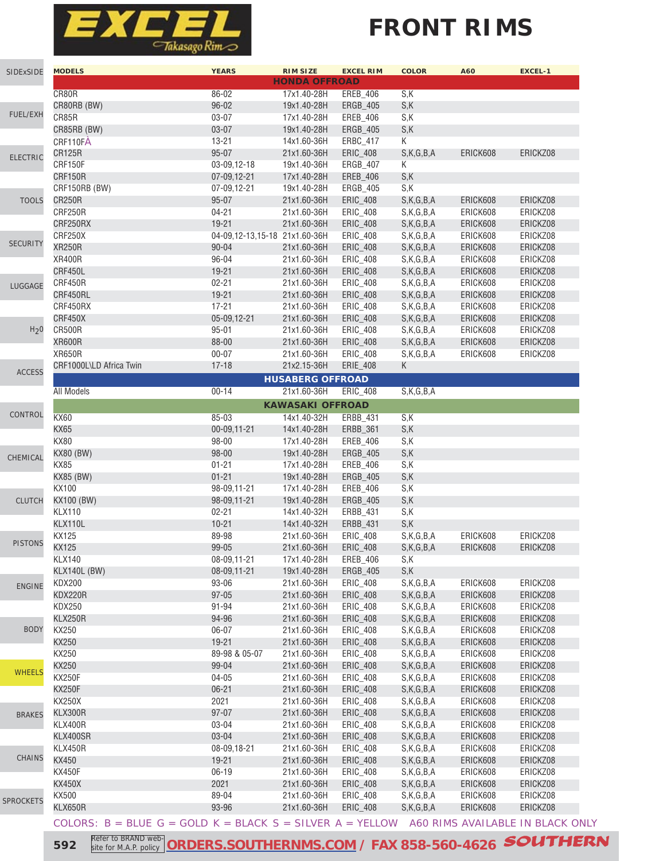

# **FRONT RIMS**

|                  | <b>MODELS</b>                                                                                | <b>YEARS</b>                  | <b>RIM SIZE</b>         | <b>EXCEL RIM</b> | <b>COLOR</b> | A60      | <b>EXCEL-1</b> |
|------------------|----------------------------------------------------------------------------------------------|-------------------------------|-------------------------|------------------|--------------|----------|----------------|
| SIDExSIDE        |                                                                                              |                               | <b>HONDA OFFROAD</b>    |                  |              |          |                |
|                  | CR80R                                                                                        | 86-02                         | 17x1.40-28H             | EREB_406         | S,K          |          |                |
|                  | CR80RB (BW)                                                                                  | $96 - 02$                     | 19x1.40-28H             | <b>ERGB_405</b>  | S,K          |          |                |
| FUEL/EXH         | CR85R                                                                                        | $03 - 07$                     | 17x1.40-28H             | EREB_406         | S,K          |          |                |
|                  | CR85RB (BW)                                                                                  | $03 - 07$                     | 19x1.40-28H             | ERGB_405         | S,K          |          |                |
|                  | CRF110FÅ                                                                                     | $13 - 21$                     | 14x1.60-36H             | ERBC_417         | K            |          |                |
|                  | <b>CR125R</b>                                                                                | $95 - 07$                     | 21x1.60-36H             | ERIC_408         | S,K,G,B,A    | ERICK608 | ERICKZ08       |
| <b>ELECTRIC</b>  | CRF150F                                                                                      | 03-09,12-18                   | 19x1.40-36H             | ERGB_407         | K            |          |                |
|                  | CRF150R                                                                                      | 07-09,12-21                   | 17x1.40-28H             | EREB_406         | S,K          |          |                |
|                  | CRF150RB (BW)                                                                                | 07-09,12-21                   | 19x1.40-28H             | ERGB_405         | S,K          |          |                |
|                  | <b>CR250R</b>                                                                                | $95 - 07$                     |                         |                  |              |          | ERICKZ08       |
| <b>TOOLS</b>     |                                                                                              |                               | 21x1.60-36H             | ERIC_408         | S,K,G,B,A    | ERICK608 |                |
|                  | CRF250R                                                                                      | $04 - 21$                     | 21x1.60-36H             | ERIC_408         | S,K,G,B,A    | ERICK608 | ERICKZ08       |
|                  | CRF250RX                                                                                     | $19 - 21$                     | 21x1.60-36H             | ERIC_408         | S,K,G,B,A    | ERICK608 | ERICKZ08       |
| <b>SECURITY</b>  | CRF250X                                                                                      | 04-09,12-13,15-18 21x1.60-36H |                         | ERIC_408         | S,K,G,B,A    | ERICK608 | ERICKZ08       |
|                  | <b>XR250R</b>                                                                                | $90 - 04$                     | 21x1.60-36H             | ERIC_408         | S,K,G,B,A    | ERICK608 | ERICKZ08       |
|                  | <b>XR400R</b>                                                                                | $96 - 04$                     | 21x1.60-36H             | ERIC_408         | S,K,G,B,A    | ERICK608 | ERICKZ08       |
|                  | CRF450L                                                                                      | $19 - 21$                     | 21x1.60-36H             | ERIC_408         | S,K,G,B,A    | ERICK608 | ERICKZ08       |
| LUGGAGE          | CRF450R                                                                                      | $02 - 21$                     | 21x1.60-36H             | ERIC_408         | S,K,G,B,A    | ERICK608 | ERICKZ08       |
|                  | CRF450RL                                                                                     | $19 - 21$                     | 21x1.60-36H             | ERIC_408         | S,K,G,B,A    | ERICK608 | ERICKZ08       |
|                  | CRF450RX                                                                                     | $17 - 21$                     | 21x1.60-36H             | ERIC_408         | S,K,G,B,A    | ERICK608 | ERICKZ08       |
|                  | CRF450X                                                                                      | 05-09,12-21                   | 21x1.60-36H             | ERIC_408         | S,K,G,B,A    | ERICK608 | ERICKZ08       |
| H <sub>2</sub> 0 | <b>CR500R</b>                                                                                | $95 - 01$                     | 21x1.60-36H             | ERIC_408         | S,K,G,B,A    | ERICK608 | ERICKZ08       |
|                  | <b>XR600R</b>                                                                                | 88-00                         | 21x1.60-36H             | ERIC_408         | S,K,G,B,A    | ERICK608 | ERICKZ08       |
|                  | <b>XR650R</b>                                                                                |                               |                         |                  |              |          |                |
|                  |                                                                                              | $00 - 07$                     | 21x1.60-36H             | ERIC_408         | S,K,G,B,A    | ERICK608 | ERICKZ08       |
| <b>ACCESS</b>    | CRF1000L\LD Africa Twin                                                                      | $17 - 18$                     | 21x2.15-36H             | ERIE_408         | K            |          |                |
|                  |                                                                                              |                               | <b>HUSABERG OFFROAD</b> |                  |              |          |                |
|                  | <b>All Models</b>                                                                            | $00 - 14$                     | 21x1.60-36H             | ERIC_408         | S,K,G,B,A    |          |                |
|                  |                                                                                              |                               | <b>KAWASAKI OFFROAD</b> |                  |              |          |                |
| CONTROL          | <b>KX60</b>                                                                                  | $85 - 03$                     | 14x1.40-32H             | ERBB_431         | S,K          |          |                |
|                  | <b>KX65</b>                                                                                  | 00-09,11-21                   | 14x1.40-28H             | ERBB_361         | S,K          |          |                |
|                  | <b>KX80</b>                                                                                  | 98-00                         | 17x1.40-28H             | EREB_406         | S,K          |          |                |
|                  | <b>KX80 (BW)</b>                                                                             | $98 - 00$                     | 19x1.40-28H             | ERGB_405         | S,K          |          |                |
| CHEMICAL         | <b>KX85</b>                                                                                  | $01 - 21$                     | 17x1.40-28H             | EREB_406         | S,K          |          |                |
|                  | <b>KX85 (BW)</b>                                                                             | $01 - 21$                     | 19x1.40-28H             | ERGB_405         | S,K          |          |                |
|                  |                                                                                              |                               |                         |                  |              |          |                |
|                  | <b>KX100</b>                                                                                 | 98-09,11-21                   | 17x1.40-28H             | EREB_406         | S,K          |          |                |
| <b>CLUTCH</b>    | KX100 (BW)                                                                                   | 98-09,11-21                   | 19x1.40-28H             | ERGB_405         | S,K          |          |                |
|                  | <b>KLX110</b>                                                                                | $02 - 21$                     | 14x1.40-32H             | ERBB_431         | S,K          |          |                |
|                  | KLX110L                                                                                      | $10 - 21$                     | 14x1.40-32H             | ERBB_431         | S,K          |          |                |
|                  | KX125                                                                                        | 89-98                         | 21x1.60-36H             | ERIC_408         | S,K,G,B,A    | ERICK608 | ERICKZ08       |
| <b>PISTONS</b>   | KX125                                                                                        | 99-05                         | 21x1.60-36H             | ERIC_408         | S,K,G,B,A    | ERICK608 | ERICKZ08       |
|                  | <b>KLX140</b>                                                                                | 08-09,11-21                   | 17x1.40-28H             | <b>EREB_406</b>  | S,K          |          |                |
|                  | KLX140L (BW)                                                                                 | 08-09,11-21                   | 19x1.40-28H             | <b>ERGB_405</b>  | S,K          |          |                |
| <b>ENGINE</b>    | <b>KDX200</b>                                                                                | 93-06                         | 21x1.60-36H             | ERIC_408         | S,K,G,B,A    | ERICK608 | ERICKZ08       |
|                  | KDX220R                                                                                      | $97 - 05$                     | 21x1.60-36H             | ERIC_408         | S,K,G,B,A    | ERICK608 | ERICKZ08       |
|                  | <b>KDX250</b>                                                                                | 91-94                         | 21x1.60-36H             | ERIC_408         | S,K,G,B,A    | ERICK608 | ERICKZ08       |
|                  | <b>KLX250R</b>                                                                               | 94-96                         | 21x1.60-36H             | ERIC_408         | S,K,G,B,A    | ERICK608 | ERICKZ08       |
| <b>BODY</b>      |                                                                                              |                               |                         |                  |              |          |                |
|                  | KX250                                                                                        | 06-07                         | 21x1.60-36H             | ERIC_408         | S,K,G,B,A    | ERICK608 | ERICKZ08       |
|                  | KX250                                                                                        | $19 - 21$                     | 21x1.60-36H             | ERIC_408         | S,K,G,B,A    | ERICK608 | ERICKZ08       |
|                  | KX250                                                                                        | 89-98 & 05-07                 | 21x1.60-36H             | ERIC_408         | S,K,G,B,A    | ERICK608 | ERICKZ08       |
| <b>WHEELS</b>    | KX250                                                                                        | 99-04                         | 21x1.60-36H             | ERIC_408         | S,K,G,B,A    | ERICK608 | ERICKZ08       |
|                  | <b>KX250F</b>                                                                                | $04 - 05$                     | 21x1.60-36H             | ERIC_408         | S,K,G,B,A    | ERICK608 | ERICKZ08       |
|                  | <b>KX250F</b>                                                                                | $06 - 21$                     | 21x1.60-36H             | ERIC_408         | S,K,G,B,A    | ERICK608 | ERICKZ08       |
|                  | <b>KX250X</b>                                                                                | 2021                          | 21x1.60-36H             | ERIC_408         | S,K,G,B,A    | ERICK608 | ERICKZ08       |
| <b>BRAKES</b>    | KLX300R                                                                                      | $97 - 07$                     | 21x1.60-36H             | ERIC_408         | S,K,G,B,A    | ERICK608 | ERICKZ08       |
|                  | KLX400R                                                                                      | 03-04                         | 21x1.60-36H             | ERIC_408         | S,K,G,B,A    | ERICK608 | ERICKZ08       |
|                  | KLX400SR                                                                                     | 03-04                         | 21x1.60-36H             | ERIC_408         | S,K,G,B,A    | ERICK608 | ERICKZ08       |
|                  | <b>KLX450R</b>                                                                               | 08-09,18-21                   | 21x1.60-36H             | ERIC_408         | S,K,G,B,A    | ERICK608 | ERICKZ08       |
| CHAINS           | KX450                                                                                        | $19 - 21$                     | 21x1.60-36H             | ERIC_408         | S,K,G,B,A    | ERICK608 | ERICKZ08       |
|                  |                                                                                              |                               |                         |                  |              |          |                |
|                  | <b>KX450F</b>                                                                                | 06-19                         | 21x1.60-36H             | ERIC_408         | S,K,G,B,A    | ERICK608 | ERICKZ08       |
|                  | <b>KX450X</b>                                                                                | 2021                          | 21x1.60-36H             | ERIC_408         | S,K,G,B,A    | ERICK608 | ERICKZ08       |
| <b>SPROCKETS</b> | KX500                                                                                        | 89-04                         | 21x1.60-36H             | ERIC_408         | S,K,G,B,A    | ERICK608 | ERICKZ08       |
|                  | KLX650R                                                                                      | 93-96                         | 21x1.60-36H             | ERIC_408         | S,K,G,B,A    | ERICK608 | ERICKZ08       |
|                  | COLORS: $B = BLUE$ G = GOLD K = BLACK S = SILVER A = YELLOW A60 RIMS AVAILABLE IN BLACK ONLY |                               |                         |                  |              |          |                |
|                  |                                                                                              |                               |                         |                  |              |          |                |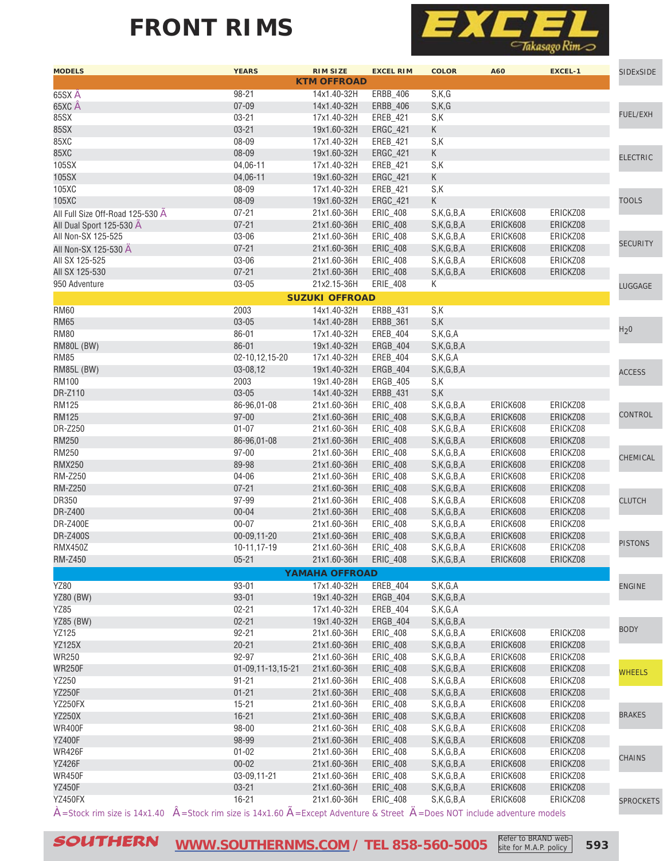### **FRONT RIMS**



| <b>KTM OFFROAD</b><br>98-21<br>ERBB_406<br>S,K,G<br>14x1.40-32H<br>$07 - 09$<br>65XC Â<br>14x1.40-32H<br>ERBB_406<br>S,K,G<br>FUEL/EXH<br>85SX<br>$03 - 21$<br>17x1.40-32H<br>S,K<br>EREB_421<br>85SX<br>$03 - 21$<br>19x1.60-32H<br>ERGC_421<br>K<br>85XC<br>08-09<br>S,K<br>17x1.40-32H<br>EREB_421<br>85XC<br>08-09<br>K<br>19x1.60-32H<br>ERGC_421<br><b>ELECTRIC</b><br>04,06-11<br>S,K<br>17x1.40-32H<br>EREB_421<br>K<br>04,06-11<br>19x1.60-32H<br>ERGC_421<br>08-09<br>S,K<br>17x1.40-32H<br>EREB_421<br>K<br>08-09<br>ERGC_421<br><b>TOOLS</b><br>19x1.60-32H<br>$07 - 21$<br>S,K,G,B,A<br>ERICK608<br>ERICKZ08<br>21x1.60-36H<br>ERIC_408<br>$07 - 21$<br>21x1.60-36H<br>ERIC_408<br>S,K,G,B,A<br>ERICK608<br>ERICKZ08<br>03-06<br>21x1.60-36H<br>ERICK608<br>ERIC_408<br>S,K,G,B,A<br>ERICKZ08<br><b>SECURITY</b><br>$07 - 21$<br>S,K,G,B,A<br>ERICK608<br>21x1.60-36H<br>ERIC_408<br>ERICKZ08<br>03-06<br>21x1.60-36H<br>ERIC_408<br>S,K,G,B,A<br>ERICK608<br>ERICKZ08<br>$07 - 21$<br>S,K,G,B,A<br>ERICK608<br>ERICKZ08<br>21x1.60-36H<br>ERIC_408<br>$03 - 05$<br>21x2.15-36H<br>ERIE_408<br>K<br><b>LUGGAGE</b><br><b>SUZUKI OFFROAD</b><br>2003<br>ERBB_431<br>S,K<br>14x1.40-32H<br>S,K<br>$03 - 05$<br>14x1.40-28H<br>ERBB_361<br>H <sub>2</sub> 0<br>86-01<br>17x1.40-32H<br>EREB_404<br>S,K,G,A<br>$86 - 01$<br>19x1.40-32H<br>ERGB_404<br>S,K,G,B,A<br>02-10,12,15-20<br>17x1.40-32H<br>EREB_404<br>S,K,G,A<br>03-08,12<br>19x1.40-32H<br>ERGB_404<br>S,K,G,B,A<br><b>ACCESS</b><br>2003<br>S,K<br>19x1.40-28H<br>ERGB_405<br>S,K<br>$03 - 05$<br>14x1.40-32H<br>ERBB_431<br>86-96.01-08<br>21x1.60-36H<br>ERIC_408<br>S,K,G,B,A<br>ERICK608<br>ERICKZ08<br>CONTROL<br>$97 - 00$<br>21x1.60-36H<br>ERIC_408<br>S,K,G,B,A<br>ERICK608<br>ERICKZ08<br>$01 - 07$<br>ERICK608<br>21x1.60-36H<br>ERIC_408<br>S,K,G,B,A<br>ERICKZ08<br><b>RM250</b><br>S,K,G,B,A<br>ERICK608<br>86-96,01-08<br>21x1.60-36H<br>ERIC_408<br>ERICKZ08<br>RM250<br>$97 - 00$<br>21x1.60-36H<br>ERIC_408<br>S,K,G,B,A<br>ERICK608<br>ERICKZ08<br>CHEMICAL<br><b>RMX250</b><br>89-98<br>ERIC_408<br>S,K,G,B,A<br>ERICK608<br>ERICKZ08<br>21x1.60-36H<br>04-06<br>ERICK608<br>ERICKZ08<br>21x1.60-36H<br>ERIC_408<br>S,K,G,B,A<br>$07 - 21$<br>21x1.60-36H<br>ERIC_408<br>S,K,G,B,A<br>ERICK608<br>ERICKZ08<br>97-99<br>ERICK608<br>21x1.60-36H<br>ERIC_408<br>S,K,G,B,A<br>ERICKZ08<br><b>CLUTCH</b><br>DR-Z400<br>$00 - 04$<br>21x1.60-36H<br>S,K,G,B,A<br>ERICK608<br>ERIC_408<br>ERICKZ08<br>$00 - 07$<br>21x1.60-36H<br>ERIC_408<br>S,K,G,B,A<br>ERICK608<br>ERICKZ08<br><b>DR-Z400S</b><br>21x1.60-36H<br>ERICK608<br>ERICKZ08<br>00-09,11-20<br>ERIC_408<br>S,K,G,B,A<br><b>PISTONS</b><br><b>RMX450Z</b><br>10-11,17-19<br>21x1.60-36H<br>ERICK608<br><b>ERIC 408</b><br>S.K.G.B.A<br>ERICKZ08<br><b>RM-Z450</b><br>$05 - 21$<br>21x1.60-36H ERIC_408<br>S,K,G,B,A<br>ERICK608<br>ERICKZ08<br><b>YAMAHA OFFROAD</b><br><b>YZ80</b><br>$93 - 01$<br>17x1.40-32H<br>EREB_404<br>S,K,G,A<br><b>ENGINE</b><br><b>YZ80 (BW)</b><br>$93 - 01$<br>ERGB_404<br>S,K,G,B,A<br>19x1.40-32H<br>$02 - 21$<br>EREB_404<br>S,K,G,A<br>17x1.40-32H<br><b>YZ85 (BW)</b><br>$02 - 21$<br>19x1.40-32H<br>ERGB_404<br>S,K,G,B,A<br><b>BODY</b><br>YZ125<br>$92 - 21$<br>21x1.60-36H<br>ERIC_408<br>ERICK608<br>ERICKZ08<br>S,K,G,B,A<br><b>YZ125X</b><br>$20 - 21$<br>ERICK608<br>21x1.60-36H<br>ERIC_408<br>S,K,G,B,A<br>ERICKZ08<br><b>WR250</b><br>92-97<br>S,K,G,B,A<br>ERICK608<br>21x1.60-36H<br>ERIC_408<br>ERICKZ08<br><b>WR250F</b><br>01-09,11-13,15-21<br>ERIC_408<br>S,K,G,B,A<br>ERICK608<br>ERICKZ08<br>21x1.60-36H<br><b>WHEELS</b><br>YZ250<br>$91 - 21$<br>21x1.60-36H<br>ERIC_408<br>S,K,G,B,A<br>ERICK608<br>ERICKZ08<br><b>YZ250F</b><br>$01 - 21$<br>ERICK608<br>21x1.60-36H<br>ERIC_408<br>S,K,G,B,A<br>ERICKZ08<br>YZ250FX<br>$15 - 21$<br>ERICK608<br>21x1.60-36H<br>ERIC_408<br>S,K,G,B,A<br>ERICKZ08<br><b>BRAKES</b><br>$16 - 21$<br><b>YZ250X</b><br>ERICK608<br>21x1.60-36H<br>ERIC_408<br>S,K,G,B,A<br>ERICKZ08<br><b>WR400F</b><br>98-00<br>S,K,G,B,A<br>ERICK608<br>21x1.60-36H<br>ERIC_408<br>ERICKZ08<br><b>YZ400F</b><br>98-99<br>21x1.60-36H<br>ERIC_408<br>S,K,G,B,A<br>ERICK608<br>ERICKZ08<br><b>WR426F</b><br>$01 - 02$<br>ERICK608<br>21x1.60-36H<br>ERIC_408<br>S,K,G,B,A<br>ERICKZ08<br><b>CHAINS</b><br><b>YZ426F</b><br>$00 - 02$<br>ERICK608<br>21x1.60-36H<br>ERIC_408<br>S,K,G,B,A<br>ERICKZ08<br><b>WR450F</b><br>03-09,11-21<br>S,K,G,B,A<br>21x1.60-36H<br>ERIC_408<br>ERICK608<br>ERICKZ08<br><b>YZ450F</b><br>$03 - 21$<br>21x1.60-36H<br>ERICK608<br>ERICKZ08<br>ERIC_408<br>S,K,G,B,A<br>YZ450FX<br>$16 - 21$<br>21x1.60-36H<br>ERIC_408<br>ERICK608<br>ERICKZ08<br>S,K,G,B,A<br><b>SPROCKETS</b><br>$\hat{A}$ = Stock rim size is 14x1.40 $\hat{A}$ = Stock rim size is 14x1.60 $\tilde{A}$ = Except Adventure & Street $\tilde{A}$ = Does NOT include adventure models | <b>MODELS</b>                    | <b>YEARS</b> | <b>RIM SIZE</b> | <b>EXCEL RIM</b> | <b>COLOR</b> | A60 | EXCEL-1 | <b>SIDExSIDE</b> |
|--------------------------------------------------------------------------------------------------------------------------------------------------------------------------------------------------------------------------------------------------------------------------------------------------------------------------------------------------------------------------------------------------------------------------------------------------------------------------------------------------------------------------------------------------------------------------------------------------------------------------------------------------------------------------------------------------------------------------------------------------------------------------------------------------------------------------------------------------------------------------------------------------------------------------------------------------------------------------------------------------------------------------------------------------------------------------------------------------------------------------------------------------------------------------------------------------------------------------------------------------------------------------------------------------------------------------------------------------------------------------------------------------------------------------------------------------------------------------------------------------------------------------------------------------------------------------------------------------------------------------------------------------------------------------------------------------------------------------------------------------------------------------------------------------------------------------------------------------------------------------------------------------------------------------------------------------------------------------------------------------------------------------------------------------------------------------------------------------------------------------------------------------------------------------------------------------------------------------------------------------------------------------------------------------------------------------------------------------------------------------------------------------------------------------------------------------------------------------------------------------------------------------------------------------------------------------------------------------------------------------------------------------------------------------------------------------------------------------------------------------------------------------------------------------------------------------------------------------------------------------------------------------------------------------------------------------------------------------------------------------------------------------------------------------------------------------------------------------------------------------------------------------------------------------------------------------------------------------------------------------------------------------------------------------------------------------------------------------------------------------------------------------------------------------------------------------------------------------------------------------------------------------------------------------------------------------------------------------------------------------------------------------------------------------------------------------------------------------------------------------------------------------------------------------------------------------------------------------------------------------------------------------------------------------------------------------------------------------------------------------------------------------------------------------------------------------------------------------------------------------------------------------------------------------------------------------------------------------------------------------------------------------------------------------------------------------------------------------------------------------------------------------------------------------------------------------------------------------------------------------------------------------------------------------------------------------------------------------------------------------------------------------------------------------------------------------------------------------------------------------------------------------------------------------------------------------------------------------------------------------------------------------------------|----------------------------------|--------------|-----------------|------------------|--------------|-----|---------|------------------|
|                                                                                                                                                                                                                                                                                                                                                                                                                                                                                                                                                                                                                                                                                                                                                                                                                                                                                                                                                                                                                                                                                                                                                                                                                                                                                                                                                                                                                                                                                                                                                                                                                                                                                                                                                                                                                                                                                                                                                                                                                                                                                                                                                                                                                                                                                                                                                                                                                                                                                                                                                                                                                                                                                                                                                                                                                                                                                                                                                                                                                                                                                                                                                                                                                                                                                                                                                                                                                                                                                                                                                                                                                                                                                                                                                                                                                                                                                                                                                                                                                                                                                                                                                                                                                                                                                                                                                                                                                                                                                                                                                                                                                                                                                                                                                                                                                                                                                                              |                                  |              |                 |                  |              |     |         |                  |
|                                                                                                                                                                                                                                                                                                                                                                                                                                                                                                                                                                                                                                                                                                                                                                                                                                                                                                                                                                                                                                                                                                                                                                                                                                                                                                                                                                                                                                                                                                                                                                                                                                                                                                                                                                                                                                                                                                                                                                                                                                                                                                                                                                                                                                                                                                                                                                                                                                                                                                                                                                                                                                                                                                                                                                                                                                                                                                                                                                                                                                                                                                                                                                                                                                                                                                                                                                                                                                                                                                                                                                                                                                                                                                                                                                                                                                                                                                                                                                                                                                                                                                                                                                                                                                                                                                                                                                                                                                                                                                                                                                                                                                                                                                                                                                                                                                                                                                              | 65SX A                           |              |                 |                  |              |     |         |                  |
|                                                                                                                                                                                                                                                                                                                                                                                                                                                                                                                                                                                                                                                                                                                                                                                                                                                                                                                                                                                                                                                                                                                                                                                                                                                                                                                                                                                                                                                                                                                                                                                                                                                                                                                                                                                                                                                                                                                                                                                                                                                                                                                                                                                                                                                                                                                                                                                                                                                                                                                                                                                                                                                                                                                                                                                                                                                                                                                                                                                                                                                                                                                                                                                                                                                                                                                                                                                                                                                                                                                                                                                                                                                                                                                                                                                                                                                                                                                                                                                                                                                                                                                                                                                                                                                                                                                                                                                                                                                                                                                                                                                                                                                                                                                                                                                                                                                                                                              |                                  |              |                 |                  |              |     |         |                  |
|                                                                                                                                                                                                                                                                                                                                                                                                                                                                                                                                                                                                                                                                                                                                                                                                                                                                                                                                                                                                                                                                                                                                                                                                                                                                                                                                                                                                                                                                                                                                                                                                                                                                                                                                                                                                                                                                                                                                                                                                                                                                                                                                                                                                                                                                                                                                                                                                                                                                                                                                                                                                                                                                                                                                                                                                                                                                                                                                                                                                                                                                                                                                                                                                                                                                                                                                                                                                                                                                                                                                                                                                                                                                                                                                                                                                                                                                                                                                                                                                                                                                                                                                                                                                                                                                                                                                                                                                                                                                                                                                                                                                                                                                                                                                                                                                                                                                                                              |                                  |              |                 |                  |              |     |         |                  |
|                                                                                                                                                                                                                                                                                                                                                                                                                                                                                                                                                                                                                                                                                                                                                                                                                                                                                                                                                                                                                                                                                                                                                                                                                                                                                                                                                                                                                                                                                                                                                                                                                                                                                                                                                                                                                                                                                                                                                                                                                                                                                                                                                                                                                                                                                                                                                                                                                                                                                                                                                                                                                                                                                                                                                                                                                                                                                                                                                                                                                                                                                                                                                                                                                                                                                                                                                                                                                                                                                                                                                                                                                                                                                                                                                                                                                                                                                                                                                                                                                                                                                                                                                                                                                                                                                                                                                                                                                                                                                                                                                                                                                                                                                                                                                                                                                                                                                                              |                                  |              |                 |                  |              |     |         |                  |
|                                                                                                                                                                                                                                                                                                                                                                                                                                                                                                                                                                                                                                                                                                                                                                                                                                                                                                                                                                                                                                                                                                                                                                                                                                                                                                                                                                                                                                                                                                                                                                                                                                                                                                                                                                                                                                                                                                                                                                                                                                                                                                                                                                                                                                                                                                                                                                                                                                                                                                                                                                                                                                                                                                                                                                                                                                                                                                                                                                                                                                                                                                                                                                                                                                                                                                                                                                                                                                                                                                                                                                                                                                                                                                                                                                                                                                                                                                                                                                                                                                                                                                                                                                                                                                                                                                                                                                                                                                                                                                                                                                                                                                                                                                                                                                                                                                                                                                              |                                  |              |                 |                  |              |     |         |                  |
|                                                                                                                                                                                                                                                                                                                                                                                                                                                                                                                                                                                                                                                                                                                                                                                                                                                                                                                                                                                                                                                                                                                                                                                                                                                                                                                                                                                                                                                                                                                                                                                                                                                                                                                                                                                                                                                                                                                                                                                                                                                                                                                                                                                                                                                                                                                                                                                                                                                                                                                                                                                                                                                                                                                                                                                                                                                                                                                                                                                                                                                                                                                                                                                                                                                                                                                                                                                                                                                                                                                                                                                                                                                                                                                                                                                                                                                                                                                                                                                                                                                                                                                                                                                                                                                                                                                                                                                                                                                                                                                                                                                                                                                                                                                                                                                                                                                                                                              |                                  |              |                 |                  |              |     |         |                  |
|                                                                                                                                                                                                                                                                                                                                                                                                                                                                                                                                                                                                                                                                                                                                                                                                                                                                                                                                                                                                                                                                                                                                                                                                                                                                                                                                                                                                                                                                                                                                                                                                                                                                                                                                                                                                                                                                                                                                                                                                                                                                                                                                                                                                                                                                                                                                                                                                                                                                                                                                                                                                                                                                                                                                                                                                                                                                                                                                                                                                                                                                                                                                                                                                                                                                                                                                                                                                                                                                                                                                                                                                                                                                                                                                                                                                                                                                                                                                                                                                                                                                                                                                                                                                                                                                                                                                                                                                                                                                                                                                                                                                                                                                                                                                                                                                                                                                                                              | 105SX                            |              |                 |                  |              |     |         |                  |
|                                                                                                                                                                                                                                                                                                                                                                                                                                                                                                                                                                                                                                                                                                                                                                                                                                                                                                                                                                                                                                                                                                                                                                                                                                                                                                                                                                                                                                                                                                                                                                                                                                                                                                                                                                                                                                                                                                                                                                                                                                                                                                                                                                                                                                                                                                                                                                                                                                                                                                                                                                                                                                                                                                                                                                                                                                                                                                                                                                                                                                                                                                                                                                                                                                                                                                                                                                                                                                                                                                                                                                                                                                                                                                                                                                                                                                                                                                                                                                                                                                                                                                                                                                                                                                                                                                                                                                                                                                                                                                                                                                                                                                                                                                                                                                                                                                                                                                              | 105SX                            |              |                 |                  |              |     |         |                  |
|                                                                                                                                                                                                                                                                                                                                                                                                                                                                                                                                                                                                                                                                                                                                                                                                                                                                                                                                                                                                                                                                                                                                                                                                                                                                                                                                                                                                                                                                                                                                                                                                                                                                                                                                                                                                                                                                                                                                                                                                                                                                                                                                                                                                                                                                                                                                                                                                                                                                                                                                                                                                                                                                                                                                                                                                                                                                                                                                                                                                                                                                                                                                                                                                                                                                                                                                                                                                                                                                                                                                                                                                                                                                                                                                                                                                                                                                                                                                                                                                                                                                                                                                                                                                                                                                                                                                                                                                                                                                                                                                                                                                                                                                                                                                                                                                                                                                                                              | 105XC                            |              |                 |                  |              |     |         |                  |
|                                                                                                                                                                                                                                                                                                                                                                                                                                                                                                                                                                                                                                                                                                                                                                                                                                                                                                                                                                                                                                                                                                                                                                                                                                                                                                                                                                                                                                                                                                                                                                                                                                                                                                                                                                                                                                                                                                                                                                                                                                                                                                                                                                                                                                                                                                                                                                                                                                                                                                                                                                                                                                                                                                                                                                                                                                                                                                                                                                                                                                                                                                                                                                                                                                                                                                                                                                                                                                                                                                                                                                                                                                                                                                                                                                                                                                                                                                                                                                                                                                                                                                                                                                                                                                                                                                                                                                                                                                                                                                                                                                                                                                                                                                                                                                                                                                                                                                              | 105XC                            |              |                 |                  |              |     |         |                  |
|                                                                                                                                                                                                                                                                                                                                                                                                                                                                                                                                                                                                                                                                                                                                                                                                                                                                                                                                                                                                                                                                                                                                                                                                                                                                                                                                                                                                                                                                                                                                                                                                                                                                                                                                                                                                                                                                                                                                                                                                                                                                                                                                                                                                                                                                                                                                                                                                                                                                                                                                                                                                                                                                                                                                                                                                                                                                                                                                                                                                                                                                                                                                                                                                                                                                                                                                                                                                                                                                                                                                                                                                                                                                                                                                                                                                                                                                                                                                                                                                                                                                                                                                                                                                                                                                                                                                                                                                                                                                                                                                                                                                                                                                                                                                                                                                                                                                                                              | All Full Size Off-Road 125-530 A |              |                 |                  |              |     |         |                  |
|                                                                                                                                                                                                                                                                                                                                                                                                                                                                                                                                                                                                                                                                                                                                                                                                                                                                                                                                                                                                                                                                                                                                                                                                                                                                                                                                                                                                                                                                                                                                                                                                                                                                                                                                                                                                                                                                                                                                                                                                                                                                                                                                                                                                                                                                                                                                                                                                                                                                                                                                                                                                                                                                                                                                                                                                                                                                                                                                                                                                                                                                                                                                                                                                                                                                                                                                                                                                                                                                                                                                                                                                                                                                                                                                                                                                                                                                                                                                                                                                                                                                                                                                                                                                                                                                                                                                                                                                                                                                                                                                                                                                                                                                                                                                                                                                                                                                                                              | All Dual Sport 125-530 A         |              |                 |                  |              |     |         |                  |
|                                                                                                                                                                                                                                                                                                                                                                                                                                                                                                                                                                                                                                                                                                                                                                                                                                                                                                                                                                                                                                                                                                                                                                                                                                                                                                                                                                                                                                                                                                                                                                                                                                                                                                                                                                                                                                                                                                                                                                                                                                                                                                                                                                                                                                                                                                                                                                                                                                                                                                                                                                                                                                                                                                                                                                                                                                                                                                                                                                                                                                                                                                                                                                                                                                                                                                                                                                                                                                                                                                                                                                                                                                                                                                                                                                                                                                                                                                                                                                                                                                                                                                                                                                                                                                                                                                                                                                                                                                                                                                                                                                                                                                                                                                                                                                                                                                                                                                              | All Non-SX 125-525               |              |                 |                  |              |     |         |                  |
|                                                                                                                                                                                                                                                                                                                                                                                                                                                                                                                                                                                                                                                                                                                                                                                                                                                                                                                                                                                                                                                                                                                                                                                                                                                                                                                                                                                                                                                                                                                                                                                                                                                                                                                                                                                                                                                                                                                                                                                                                                                                                                                                                                                                                                                                                                                                                                                                                                                                                                                                                                                                                                                                                                                                                                                                                                                                                                                                                                                                                                                                                                                                                                                                                                                                                                                                                                                                                                                                                                                                                                                                                                                                                                                                                                                                                                                                                                                                                                                                                                                                                                                                                                                                                                                                                                                                                                                                                                                                                                                                                                                                                                                                                                                                                                                                                                                                                                              | All Non-SX 125-530 A             |              |                 |                  |              |     |         |                  |
|                                                                                                                                                                                                                                                                                                                                                                                                                                                                                                                                                                                                                                                                                                                                                                                                                                                                                                                                                                                                                                                                                                                                                                                                                                                                                                                                                                                                                                                                                                                                                                                                                                                                                                                                                                                                                                                                                                                                                                                                                                                                                                                                                                                                                                                                                                                                                                                                                                                                                                                                                                                                                                                                                                                                                                                                                                                                                                                                                                                                                                                                                                                                                                                                                                                                                                                                                                                                                                                                                                                                                                                                                                                                                                                                                                                                                                                                                                                                                                                                                                                                                                                                                                                                                                                                                                                                                                                                                                                                                                                                                                                                                                                                                                                                                                                                                                                                                                              | All SX 125-525                   |              |                 |                  |              |     |         |                  |
|                                                                                                                                                                                                                                                                                                                                                                                                                                                                                                                                                                                                                                                                                                                                                                                                                                                                                                                                                                                                                                                                                                                                                                                                                                                                                                                                                                                                                                                                                                                                                                                                                                                                                                                                                                                                                                                                                                                                                                                                                                                                                                                                                                                                                                                                                                                                                                                                                                                                                                                                                                                                                                                                                                                                                                                                                                                                                                                                                                                                                                                                                                                                                                                                                                                                                                                                                                                                                                                                                                                                                                                                                                                                                                                                                                                                                                                                                                                                                                                                                                                                                                                                                                                                                                                                                                                                                                                                                                                                                                                                                                                                                                                                                                                                                                                                                                                                                                              | All SX 125-530                   |              |                 |                  |              |     |         |                  |
|                                                                                                                                                                                                                                                                                                                                                                                                                                                                                                                                                                                                                                                                                                                                                                                                                                                                                                                                                                                                                                                                                                                                                                                                                                                                                                                                                                                                                                                                                                                                                                                                                                                                                                                                                                                                                                                                                                                                                                                                                                                                                                                                                                                                                                                                                                                                                                                                                                                                                                                                                                                                                                                                                                                                                                                                                                                                                                                                                                                                                                                                                                                                                                                                                                                                                                                                                                                                                                                                                                                                                                                                                                                                                                                                                                                                                                                                                                                                                                                                                                                                                                                                                                                                                                                                                                                                                                                                                                                                                                                                                                                                                                                                                                                                                                                                                                                                                                              | 950 Adventure                    |              |                 |                  |              |     |         |                  |
|                                                                                                                                                                                                                                                                                                                                                                                                                                                                                                                                                                                                                                                                                                                                                                                                                                                                                                                                                                                                                                                                                                                                                                                                                                                                                                                                                                                                                                                                                                                                                                                                                                                                                                                                                                                                                                                                                                                                                                                                                                                                                                                                                                                                                                                                                                                                                                                                                                                                                                                                                                                                                                                                                                                                                                                                                                                                                                                                                                                                                                                                                                                                                                                                                                                                                                                                                                                                                                                                                                                                                                                                                                                                                                                                                                                                                                                                                                                                                                                                                                                                                                                                                                                                                                                                                                                                                                                                                                                                                                                                                                                                                                                                                                                                                                                                                                                                                                              |                                  |              |                 |                  |              |     |         |                  |
|                                                                                                                                                                                                                                                                                                                                                                                                                                                                                                                                                                                                                                                                                                                                                                                                                                                                                                                                                                                                                                                                                                                                                                                                                                                                                                                                                                                                                                                                                                                                                                                                                                                                                                                                                                                                                                                                                                                                                                                                                                                                                                                                                                                                                                                                                                                                                                                                                                                                                                                                                                                                                                                                                                                                                                                                                                                                                                                                                                                                                                                                                                                                                                                                                                                                                                                                                                                                                                                                                                                                                                                                                                                                                                                                                                                                                                                                                                                                                                                                                                                                                                                                                                                                                                                                                                                                                                                                                                                                                                                                                                                                                                                                                                                                                                                                                                                                                                              | <b>RM60</b>                      |              |                 |                  |              |     |         |                  |
|                                                                                                                                                                                                                                                                                                                                                                                                                                                                                                                                                                                                                                                                                                                                                                                                                                                                                                                                                                                                                                                                                                                                                                                                                                                                                                                                                                                                                                                                                                                                                                                                                                                                                                                                                                                                                                                                                                                                                                                                                                                                                                                                                                                                                                                                                                                                                                                                                                                                                                                                                                                                                                                                                                                                                                                                                                                                                                                                                                                                                                                                                                                                                                                                                                                                                                                                                                                                                                                                                                                                                                                                                                                                                                                                                                                                                                                                                                                                                                                                                                                                                                                                                                                                                                                                                                                                                                                                                                                                                                                                                                                                                                                                                                                                                                                                                                                                                                              | <b>RM65</b>                      |              |                 |                  |              |     |         |                  |
|                                                                                                                                                                                                                                                                                                                                                                                                                                                                                                                                                                                                                                                                                                                                                                                                                                                                                                                                                                                                                                                                                                                                                                                                                                                                                                                                                                                                                                                                                                                                                                                                                                                                                                                                                                                                                                                                                                                                                                                                                                                                                                                                                                                                                                                                                                                                                                                                                                                                                                                                                                                                                                                                                                                                                                                                                                                                                                                                                                                                                                                                                                                                                                                                                                                                                                                                                                                                                                                                                                                                                                                                                                                                                                                                                                                                                                                                                                                                                                                                                                                                                                                                                                                                                                                                                                                                                                                                                                                                                                                                                                                                                                                                                                                                                                                                                                                                                                              | <b>RM80</b>                      |              |                 |                  |              |     |         |                  |
|                                                                                                                                                                                                                                                                                                                                                                                                                                                                                                                                                                                                                                                                                                                                                                                                                                                                                                                                                                                                                                                                                                                                                                                                                                                                                                                                                                                                                                                                                                                                                                                                                                                                                                                                                                                                                                                                                                                                                                                                                                                                                                                                                                                                                                                                                                                                                                                                                                                                                                                                                                                                                                                                                                                                                                                                                                                                                                                                                                                                                                                                                                                                                                                                                                                                                                                                                                                                                                                                                                                                                                                                                                                                                                                                                                                                                                                                                                                                                                                                                                                                                                                                                                                                                                                                                                                                                                                                                                                                                                                                                                                                                                                                                                                                                                                                                                                                                                              | <b>RM80L (BW)</b>                |              |                 |                  |              |     |         |                  |
|                                                                                                                                                                                                                                                                                                                                                                                                                                                                                                                                                                                                                                                                                                                                                                                                                                                                                                                                                                                                                                                                                                                                                                                                                                                                                                                                                                                                                                                                                                                                                                                                                                                                                                                                                                                                                                                                                                                                                                                                                                                                                                                                                                                                                                                                                                                                                                                                                                                                                                                                                                                                                                                                                                                                                                                                                                                                                                                                                                                                                                                                                                                                                                                                                                                                                                                                                                                                                                                                                                                                                                                                                                                                                                                                                                                                                                                                                                                                                                                                                                                                                                                                                                                                                                                                                                                                                                                                                                                                                                                                                                                                                                                                                                                                                                                                                                                                                                              | <b>RM85</b>                      |              |                 |                  |              |     |         |                  |
|                                                                                                                                                                                                                                                                                                                                                                                                                                                                                                                                                                                                                                                                                                                                                                                                                                                                                                                                                                                                                                                                                                                                                                                                                                                                                                                                                                                                                                                                                                                                                                                                                                                                                                                                                                                                                                                                                                                                                                                                                                                                                                                                                                                                                                                                                                                                                                                                                                                                                                                                                                                                                                                                                                                                                                                                                                                                                                                                                                                                                                                                                                                                                                                                                                                                                                                                                                                                                                                                                                                                                                                                                                                                                                                                                                                                                                                                                                                                                                                                                                                                                                                                                                                                                                                                                                                                                                                                                                                                                                                                                                                                                                                                                                                                                                                                                                                                                                              | <b>RM85L (BW)</b>                |              |                 |                  |              |     |         |                  |
|                                                                                                                                                                                                                                                                                                                                                                                                                                                                                                                                                                                                                                                                                                                                                                                                                                                                                                                                                                                                                                                                                                                                                                                                                                                                                                                                                                                                                                                                                                                                                                                                                                                                                                                                                                                                                                                                                                                                                                                                                                                                                                                                                                                                                                                                                                                                                                                                                                                                                                                                                                                                                                                                                                                                                                                                                                                                                                                                                                                                                                                                                                                                                                                                                                                                                                                                                                                                                                                                                                                                                                                                                                                                                                                                                                                                                                                                                                                                                                                                                                                                                                                                                                                                                                                                                                                                                                                                                                                                                                                                                                                                                                                                                                                                                                                                                                                                                                              | <b>RM100</b>                     |              |                 |                  |              |     |         |                  |
|                                                                                                                                                                                                                                                                                                                                                                                                                                                                                                                                                                                                                                                                                                                                                                                                                                                                                                                                                                                                                                                                                                                                                                                                                                                                                                                                                                                                                                                                                                                                                                                                                                                                                                                                                                                                                                                                                                                                                                                                                                                                                                                                                                                                                                                                                                                                                                                                                                                                                                                                                                                                                                                                                                                                                                                                                                                                                                                                                                                                                                                                                                                                                                                                                                                                                                                                                                                                                                                                                                                                                                                                                                                                                                                                                                                                                                                                                                                                                                                                                                                                                                                                                                                                                                                                                                                                                                                                                                                                                                                                                                                                                                                                                                                                                                                                                                                                                                              | DR-Z110                          |              |                 |                  |              |     |         |                  |
|                                                                                                                                                                                                                                                                                                                                                                                                                                                                                                                                                                                                                                                                                                                                                                                                                                                                                                                                                                                                                                                                                                                                                                                                                                                                                                                                                                                                                                                                                                                                                                                                                                                                                                                                                                                                                                                                                                                                                                                                                                                                                                                                                                                                                                                                                                                                                                                                                                                                                                                                                                                                                                                                                                                                                                                                                                                                                                                                                                                                                                                                                                                                                                                                                                                                                                                                                                                                                                                                                                                                                                                                                                                                                                                                                                                                                                                                                                                                                                                                                                                                                                                                                                                                                                                                                                                                                                                                                                                                                                                                                                                                                                                                                                                                                                                                                                                                                                              | <b>RM125</b>                     |              |                 |                  |              |     |         |                  |
|                                                                                                                                                                                                                                                                                                                                                                                                                                                                                                                                                                                                                                                                                                                                                                                                                                                                                                                                                                                                                                                                                                                                                                                                                                                                                                                                                                                                                                                                                                                                                                                                                                                                                                                                                                                                                                                                                                                                                                                                                                                                                                                                                                                                                                                                                                                                                                                                                                                                                                                                                                                                                                                                                                                                                                                                                                                                                                                                                                                                                                                                                                                                                                                                                                                                                                                                                                                                                                                                                                                                                                                                                                                                                                                                                                                                                                                                                                                                                                                                                                                                                                                                                                                                                                                                                                                                                                                                                                                                                                                                                                                                                                                                                                                                                                                                                                                                                                              | <b>RM125</b>                     |              |                 |                  |              |     |         |                  |
|                                                                                                                                                                                                                                                                                                                                                                                                                                                                                                                                                                                                                                                                                                                                                                                                                                                                                                                                                                                                                                                                                                                                                                                                                                                                                                                                                                                                                                                                                                                                                                                                                                                                                                                                                                                                                                                                                                                                                                                                                                                                                                                                                                                                                                                                                                                                                                                                                                                                                                                                                                                                                                                                                                                                                                                                                                                                                                                                                                                                                                                                                                                                                                                                                                                                                                                                                                                                                                                                                                                                                                                                                                                                                                                                                                                                                                                                                                                                                                                                                                                                                                                                                                                                                                                                                                                                                                                                                                                                                                                                                                                                                                                                                                                                                                                                                                                                                                              | DR-Z250                          |              |                 |                  |              |     |         |                  |
|                                                                                                                                                                                                                                                                                                                                                                                                                                                                                                                                                                                                                                                                                                                                                                                                                                                                                                                                                                                                                                                                                                                                                                                                                                                                                                                                                                                                                                                                                                                                                                                                                                                                                                                                                                                                                                                                                                                                                                                                                                                                                                                                                                                                                                                                                                                                                                                                                                                                                                                                                                                                                                                                                                                                                                                                                                                                                                                                                                                                                                                                                                                                                                                                                                                                                                                                                                                                                                                                                                                                                                                                                                                                                                                                                                                                                                                                                                                                                                                                                                                                                                                                                                                                                                                                                                                                                                                                                                                                                                                                                                                                                                                                                                                                                                                                                                                                                                              |                                  |              |                 |                  |              |     |         |                  |
|                                                                                                                                                                                                                                                                                                                                                                                                                                                                                                                                                                                                                                                                                                                                                                                                                                                                                                                                                                                                                                                                                                                                                                                                                                                                                                                                                                                                                                                                                                                                                                                                                                                                                                                                                                                                                                                                                                                                                                                                                                                                                                                                                                                                                                                                                                                                                                                                                                                                                                                                                                                                                                                                                                                                                                                                                                                                                                                                                                                                                                                                                                                                                                                                                                                                                                                                                                                                                                                                                                                                                                                                                                                                                                                                                                                                                                                                                                                                                                                                                                                                                                                                                                                                                                                                                                                                                                                                                                                                                                                                                                                                                                                                                                                                                                                                                                                                                                              |                                  |              |                 |                  |              |     |         |                  |
|                                                                                                                                                                                                                                                                                                                                                                                                                                                                                                                                                                                                                                                                                                                                                                                                                                                                                                                                                                                                                                                                                                                                                                                                                                                                                                                                                                                                                                                                                                                                                                                                                                                                                                                                                                                                                                                                                                                                                                                                                                                                                                                                                                                                                                                                                                                                                                                                                                                                                                                                                                                                                                                                                                                                                                                                                                                                                                                                                                                                                                                                                                                                                                                                                                                                                                                                                                                                                                                                                                                                                                                                                                                                                                                                                                                                                                                                                                                                                                                                                                                                                                                                                                                                                                                                                                                                                                                                                                                                                                                                                                                                                                                                                                                                                                                                                                                                                                              |                                  |              |                 |                  |              |     |         |                  |
|                                                                                                                                                                                                                                                                                                                                                                                                                                                                                                                                                                                                                                                                                                                                                                                                                                                                                                                                                                                                                                                                                                                                                                                                                                                                                                                                                                                                                                                                                                                                                                                                                                                                                                                                                                                                                                                                                                                                                                                                                                                                                                                                                                                                                                                                                                                                                                                                                                                                                                                                                                                                                                                                                                                                                                                                                                                                                                                                                                                                                                                                                                                                                                                                                                                                                                                                                                                                                                                                                                                                                                                                                                                                                                                                                                                                                                                                                                                                                                                                                                                                                                                                                                                                                                                                                                                                                                                                                                                                                                                                                                                                                                                                                                                                                                                                                                                                                                              | RM-Z250                          |              |                 |                  |              |     |         |                  |
|                                                                                                                                                                                                                                                                                                                                                                                                                                                                                                                                                                                                                                                                                                                                                                                                                                                                                                                                                                                                                                                                                                                                                                                                                                                                                                                                                                                                                                                                                                                                                                                                                                                                                                                                                                                                                                                                                                                                                                                                                                                                                                                                                                                                                                                                                                                                                                                                                                                                                                                                                                                                                                                                                                                                                                                                                                                                                                                                                                                                                                                                                                                                                                                                                                                                                                                                                                                                                                                                                                                                                                                                                                                                                                                                                                                                                                                                                                                                                                                                                                                                                                                                                                                                                                                                                                                                                                                                                                                                                                                                                                                                                                                                                                                                                                                                                                                                                                              | <b>RM-Z250</b>                   |              |                 |                  |              |     |         |                  |
|                                                                                                                                                                                                                                                                                                                                                                                                                                                                                                                                                                                                                                                                                                                                                                                                                                                                                                                                                                                                                                                                                                                                                                                                                                                                                                                                                                                                                                                                                                                                                                                                                                                                                                                                                                                                                                                                                                                                                                                                                                                                                                                                                                                                                                                                                                                                                                                                                                                                                                                                                                                                                                                                                                                                                                                                                                                                                                                                                                                                                                                                                                                                                                                                                                                                                                                                                                                                                                                                                                                                                                                                                                                                                                                                                                                                                                                                                                                                                                                                                                                                                                                                                                                                                                                                                                                                                                                                                                                                                                                                                                                                                                                                                                                                                                                                                                                                                                              | DR350                            |              |                 |                  |              |     |         |                  |
|                                                                                                                                                                                                                                                                                                                                                                                                                                                                                                                                                                                                                                                                                                                                                                                                                                                                                                                                                                                                                                                                                                                                                                                                                                                                                                                                                                                                                                                                                                                                                                                                                                                                                                                                                                                                                                                                                                                                                                                                                                                                                                                                                                                                                                                                                                                                                                                                                                                                                                                                                                                                                                                                                                                                                                                                                                                                                                                                                                                                                                                                                                                                                                                                                                                                                                                                                                                                                                                                                                                                                                                                                                                                                                                                                                                                                                                                                                                                                                                                                                                                                                                                                                                                                                                                                                                                                                                                                                                                                                                                                                                                                                                                                                                                                                                                                                                                                                              |                                  |              |                 |                  |              |     |         |                  |
|                                                                                                                                                                                                                                                                                                                                                                                                                                                                                                                                                                                                                                                                                                                                                                                                                                                                                                                                                                                                                                                                                                                                                                                                                                                                                                                                                                                                                                                                                                                                                                                                                                                                                                                                                                                                                                                                                                                                                                                                                                                                                                                                                                                                                                                                                                                                                                                                                                                                                                                                                                                                                                                                                                                                                                                                                                                                                                                                                                                                                                                                                                                                                                                                                                                                                                                                                                                                                                                                                                                                                                                                                                                                                                                                                                                                                                                                                                                                                                                                                                                                                                                                                                                                                                                                                                                                                                                                                                                                                                                                                                                                                                                                                                                                                                                                                                                                                                              | <b>DR-Z400E</b>                  |              |                 |                  |              |     |         |                  |
|                                                                                                                                                                                                                                                                                                                                                                                                                                                                                                                                                                                                                                                                                                                                                                                                                                                                                                                                                                                                                                                                                                                                                                                                                                                                                                                                                                                                                                                                                                                                                                                                                                                                                                                                                                                                                                                                                                                                                                                                                                                                                                                                                                                                                                                                                                                                                                                                                                                                                                                                                                                                                                                                                                                                                                                                                                                                                                                                                                                                                                                                                                                                                                                                                                                                                                                                                                                                                                                                                                                                                                                                                                                                                                                                                                                                                                                                                                                                                                                                                                                                                                                                                                                                                                                                                                                                                                                                                                                                                                                                                                                                                                                                                                                                                                                                                                                                                                              |                                  |              |                 |                  |              |     |         |                  |
|                                                                                                                                                                                                                                                                                                                                                                                                                                                                                                                                                                                                                                                                                                                                                                                                                                                                                                                                                                                                                                                                                                                                                                                                                                                                                                                                                                                                                                                                                                                                                                                                                                                                                                                                                                                                                                                                                                                                                                                                                                                                                                                                                                                                                                                                                                                                                                                                                                                                                                                                                                                                                                                                                                                                                                                                                                                                                                                                                                                                                                                                                                                                                                                                                                                                                                                                                                                                                                                                                                                                                                                                                                                                                                                                                                                                                                                                                                                                                                                                                                                                                                                                                                                                                                                                                                                                                                                                                                                                                                                                                                                                                                                                                                                                                                                                                                                                                                              |                                  |              |                 |                  |              |     |         |                  |
|                                                                                                                                                                                                                                                                                                                                                                                                                                                                                                                                                                                                                                                                                                                                                                                                                                                                                                                                                                                                                                                                                                                                                                                                                                                                                                                                                                                                                                                                                                                                                                                                                                                                                                                                                                                                                                                                                                                                                                                                                                                                                                                                                                                                                                                                                                                                                                                                                                                                                                                                                                                                                                                                                                                                                                                                                                                                                                                                                                                                                                                                                                                                                                                                                                                                                                                                                                                                                                                                                                                                                                                                                                                                                                                                                                                                                                                                                                                                                                                                                                                                                                                                                                                                                                                                                                                                                                                                                                                                                                                                                                                                                                                                                                                                                                                                                                                                                                              |                                  |              |                 |                  |              |     |         |                  |
|                                                                                                                                                                                                                                                                                                                                                                                                                                                                                                                                                                                                                                                                                                                                                                                                                                                                                                                                                                                                                                                                                                                                                                                                                                                                                                                                                                                                                                                                                                                                                                                                                                                                                                                                                                                                                                                                                                                                                                                                                                                                                                                                                                                                                                                                                                                                                                                                                                                                                                                                                                                                                                                                                                                                                                                                                                                                                                                                                                                                                                                                                                                                                                                                                                                                                                                                                                                                                                                                                                                                                                                                                                                                                                                                                                                                                                                                                                                                                                                                                                                                                                                                                                                                                                                                                                                                                                                                                                                                                                                                                                                                                                                                                                                                                                                                                                                                                                              |                                  |              |                 |                  |              |     |         |                  |
|                                                                                                                                                                                                                                                                                                                                                                                                                                                                                                                                                                                                                                                                                                                                                                                                                                                                                                                                                                                                                                                                                                                                                                                                                                                                                                                                                                                                                                                                                                                                                                                                                                                                                                                                                                                                                                                                                                                                                                                                                                                                                                                                                                                                                                                                                                                                                                                                                                                                                                                                                                                                                                                                                                                                                                                                                                                                                                                                                                                                                                                                                                                                                                                                                                                                                                                                                                                                                                                                                                                                                                                                                                                                                                                                                                                                                                                                                                                                                                                                                                                                                                                                                                                                                                                                                                                                                                                                                                                                                                                                                                                                                                                                                                                                                                                                                                                                                                              |                                  |              |                 |                  |              |     |         |                  |
|                                                                                                                                                                                                                                                                                                                                                                                                                                                                                                                                                                                                                                                                                                                                                                                                                                                                                                                                                                                                                                                                                                                                                                                                                                                                                                                                                                                                                                                                                                                                                                                                                                                                                                                                                                                                                                                                                                                                                                                                                                                                                                                                                                                                                                                                                                                                                                                                                                                                                                                                                                                                                                                                                                                                                                                                                                                                                                                                                                                                                                                                                                                                                                                                                                                                                                                                                                                                                                                                                                                                                                                                                                                                                                                                                                                                                                                                                                                                                                                                                                                                                                                                                                                                                                                                                                                                                                                                                                                                                                                                                                                                                                                                                                                                                                                                                                                                                                              |                                  |              |                 |                  |              |     |         |                  |
|                                                                                                                                                                                                                                                                                                                                                                                                                                                                                                                                                                                                                                                                                                                                                                                                                                                                                                                                                                                                                                                                                                                                                                                                                                                                                                                                                                                                                                                                                                                                                                                                                                                                                                                                                                                                                                                                                                                                                                                                                                                                                                                                                                                                                                                                                                                                                                                                                                                                                                                                                                                                                                                                                                                                                                                                                                                                                                                                                                                                                                                                                                                                                                                                                                                                                                                                                                                                                                                                                                                                                                                                                                                                                                                                                                                                                                                                                                                                                                                                                                                                                                                                                                                                                                                                                                                                                                                                                                                                                                                                                                                                                                                                                                                                                                                                                                                                                                              | <b>YZ85</b>                      |              |                 |                  |              |     |         |                  |
|                                                                                                                                                                                                                                                                                                                                                                                                                                                                                                                                                                                                                                                                                                                                                                                                                                                                                                                                                                                                                                                                                                                                                                                                                                                                                                                                                                                                                                                                                                                                                                                                                                                                                                                                                                                                                                                                                                                                                                                                                                                                                                                                                                                                                                                                                                                                                                                                                                                                                                                                                                                                                                                                                                                                                                                                                                                                                                                                                                                                                                                                                                                                                                                                                                                                                                                                                                                                                                                                                                                                                                                                                                                                                                                                                                                                                                                                                                                                                                                                                                                                                                                                                                                                                                                                                                                                                                                                                                                                                                                                                                                                                                                                                                                                                                                                                                                                                                              |                                  |              |                 |                  |              |     |         |                  |
|                                                                                                                                                                                                                                                                                                                                                                                                                                                                                                                                                                                                                                                                                                                                                                                                                                                                                                                                                                                                                                                                                                                                                                                                                                                                                                                                                                                                                                                                                                                                                                                                                                                                                                                                                                                                                                                                                                                                                                                                                                                                                                                                                                                                                                                                                                                                                                                                                                                                                                                                                                                                                                                                                                                                                                                                                                                                                                                                                                                                                                                                                                                                                                                                                                                                                                                                                                                                                                                                                                                                                                                                                                                                                                                                                                                                                                                                                                                                                                                                                                                                                                                                                                                                                                                                                                                                                                                                                                                                                                                                                                                                                                                                                                                                                                                                                                                                                                              |                                  |              |                 |                  |              |     |         |                  |
|                                                                                                                                                                                                                                                                                                                                                                                                                                                                                                                                                                                                                                                                                                                                                                                                                                                                                                                                                                                                                                                                                                                                                                                                                                                                                                                                                                                                                                                                                                                                                                                                                                                                                                                                                                                                                                                                                                                                                                                                                                                                                                                                                                                                                                                                                                                                                                                                                                                                                                                                                                                                                                                                                                                                                                                                                                                                                                                                                                                                                                                                                                                                                                                                                                                                                                                                                                                                                                                                                                                                                                                                                                                                                                                                                                                                                                                                                                                                                                                                                                                                                                                                                                                                                                                                                                                                                                                                                                                                                                                                                                                                                                                                                                                                                                                                                                                                                                              |                                  |              |                 |                  |              |     |         |                  |
|                                                                                                                                                                                                                                                                                                                                                                                                                                                                                                                                                                                                                                                                                                                                                                                                                                                                                                                                                                                                                                                                                                                                                                                                                                                                                                                                                                                                                                                                                                                                                                                                                                                                                                                                                                                                                                                                                                                                                                                                                                                                                                                                                                                                                                                                                                                                                                                                                                                                                                                                                                                                                                                                                                                                                                                                                                                                                                                                                                                                                                                                                                                                                                                                                                                                                                                                                                                                                                                                                                                                                                                                                                                                                                                                                                                                                                                                                                                                                                                                                                                                                                                                                                                                                                                                                                                                                                                                                                                                                                                                                                                                                                                                                                                                                                                                                                                                                                              |                                  |              |                 |                  |              |     |         |                  |
|                                                                                                                                                                                                                                                                                                                                                                                                                                                                                                                                                                                                                                                                                                                                                                                                                                                                                                                                                                                                                                                                                                                                                                                                                                                                                                                                                                                                                                                                                                                                                                                                                                                                                                                                                                                                                                                                                                                                                                                                                                                                                                                                                                                                                                                                                                                                                                                                                                                                                                                                                                                                                                                                                                                                                                                                                                                                                                                                                                                                                                                                                                                                                                                                                                                                                                                                                                                                                                                                                                                                                                                                                                                                                                                                                                                                                                                                                                                                                                                                                                                                                                                                                                                                                                                                                                                                                                                                                                                                                                                                                                                                                                                                                                                                                                                                                                                                                                              |                                  |              |                 |                  |              |     |         |                  |
|                                                                                                                                                                                                                                                                                                                                                                                                                                                                                                                                                                                                                                                                                                                                                                                                                                                                                                                                                                                                                                                                                                                                                                                                                                                                                                                                                                                                                                                                                                                                                                                                                                                                                                                                                                                                                                                                                                                                                                                                                                                                                                                                                                                                                                                                                                                                                                                                                                                                                                                                                                                                                                                                                                                                                                                                                                                                                                                                                                                                                                                                                                                                                                                                                                                                                                                                                                                                                                                                                                                                                                                                                                                                                                                                                                                                                                                                                                                                                                                                                                                                                                                                                                                                                                                                                                                                                                                                                                                                                                                                                                                                                                                                                                                                                                                                                                                                                                              |                                  |              |                 |                  |              |     |         |                  |
|                                                                                                                                                                                                                                                                                                                                                                                                                                                                                                                                                                                                                                                                                                                                                                                                                                                                                                                                                                                                                                                                                                                                                                                                                                                                                                                                                                                                                                                                                                                                                                                                                                                                                                                                                                                                                                                                                                                                                                                                                                                                                                                                                                                                                                                                                                                                                                                                                                                                                                                                                                                                                                                                                                                                                                                                                                                                                                                                                                                                                                                                                                                                                                                                                                                                                                                                                                                                                                                                                                                                                                                                                                                                                                                                                                                                                                                                                                                                                                                                                                                                                                                                                                                                                                                                                                                                                                                                                                                                                                                                                                                                                                                                                                                                                                                                                                                                                                              |                                  |              |                 |                  |              |     |         |                  |
|                                                                                                                                                                                                                                                                                                                                                                                                                                                                                                                                                                                                                                                                                                                                                                                                                                                                                                                                                                                                                                                                                                                                                                                                                                                                                                                                                                                                                                                                                                                                                                                                                                                                                                                                                                                                                                                                                                                                                                                                                                                                                                                                                                                                                                                                                                                                                                                                                                                                                                                                                                                                                                                                                                                                                                                                                                                                                                                                                                                                                                                                                                                                                                                                                                                                                                                                                                                                                                                                                                                                                                                                                                                                                                                                                                                                                                                                                                                                                                                                                                                                                                                                                                                                                                                                                                                                                                                                                                                                                                                                                                                                                                                                                                                                                                                                                                                                                                              |                                  |              |                 |                  |              |     |         |                  |
|                                                                                                                                                                                                                                                                                                                                                                                                                                                                                                                                                                                                                                                                                                                                                                                                                                                                                                                                                                                                                                                                                                                                                                                                                                                                                                                                                                                                                                                                                                                                                                                                                                                                                                                                                                                                                                                                                                                                                                                                                                                                                                                                                                                                                                                                                                                                                                                                                                                                                                                                                                                                                                                                                                                                                                                                                                                                                                                                                                                                                                                                                                                                                                                                                                                                                                                                                                                                                                                                                                                                                                                                                                                                                                                                                                                                                                                                                                                                                                                                                                                                                                                                                                                                                                                                                                                                                                                                                                                                                                                                                                                                                                                                                                                                                                                                                                                                                                              |                                  |              |                 |                  |              |     |         |                  |
|                                                                                                                                                                                                                                                                                                                                                                                                                                                                                                                                                                                                                                                                                                                                                                                                                                                                                                                                                                                                                                                                                                                                                                                                                                                                                                                                                                                                                                                                                                                                                                                                                                                                                                                                                                                                                                                                                                                                                                                                                                                                                                                                                                                                                                                                                                                                                                                                                                                                                                                                                                                                                                                                                                                                                                                                                                                                                                                                                                                                                                                                                                                                                                                                                                                                                                                                                                                                                                                                                                                                                                                                                                                                                                                                                                                                                                                                                                                                                                                                                                                                                                                                                                                                                                                                                                                                                                                                                                                                                                                                                                                                                                                                                                                                                                                                                                                                                                              |                                  |              |                 |                  |              |     |         |                  |
|                                                                                                                                                                                                                                                                                                                                                                                                                                                                                                                                                                                                                                                                                                                                                                                                                                                                                                                                                                                                                                                                                                                                                                                                                                                                                                                                                                                                                                                                                                                                                                                                                                                                                                                                                                                                                                                                                                                                                                                                                                                                                                                                                                                                                                                                                                                                                                                                                                                                                                                                                                                                                                                                                                                                                                                                                                                                                                                                                                                                                                                                                                                                                                                                                                                                                                                                                                                                                                                                                                                                                                                                                                                                                                                                                                                                                                                                                                                                                                                                                                                                                                                                                                                                                                                                                                                                                                                                                                                                                                                                                                                                                                                                                                                                                                                                                                                                                                              |                                  |              |                 |                  |              |     |         |                  |
|                                                                                                                                                                                                                                                                                                                                                                                                                                                                                                                                                                                                                                                                                                                                                                                                                                                                                                                                                                                                                                                                                                                                                                                                                                                                                                                                                                                                                                                                                                                                                                                                                                                                                                                                                                                                                                                                                                                                                                                                                                                                                                                                                                                                                                                                                                                                                                                                                                                                                                                                                                                                                                                                                                                                                                                                                                                                                                                                                                                                                                                                                                                                                                                                                                                                                                                                                                                                                                                                                                                                                                                                                                                                                                                                                                                                                                                                                                                                                                                                                                                                                                                                                                                                                                                                                                                                                                                                                                                                                                                                                                                                                                                                                                                                                                                                                                                                                                              |                                  |              |                 |                  |              |     |         |                  |
|                                                                                                                                                                                                                                                                                                                                                                                                                                                                                                                                                                                                                                                                                                                                                                                                                                                                                                                                                                                                                                                                                                                                                                                                                                                                                                                                                                                                                                                                                                                                                                                                                                                                                                                                                                                                                                                                                                                                                                                                                                                                                                                                                                                                                                                                                                                                                                                                                                                                                                                                                                                                                                                                                                                                                                                                                                                                                                                                                                                                                                                                                                                                                                                                                                                                                                                                                                                                                                                                                                                                                                                                                                                                                                                                                                                                                                                                                                                                                                                                                                                                                                                                                                                                                                                                                                                                                                                                                                                                                                                                                                                                                                                                                                                                                                                                                                                                                                              |                                  |              |                 |                  |              |     |         |                  |
|                                                                                                                                                                                                                                                                                                                                                                                                                                                                                                                                                                                                                                                                                                                                                                                                                                                                                                                                                                                                                                                                                                                                                                                                                                                                                                                                                                                                                                                                                                                                                                                                                                                                                                                                                                                                                                                                                                                                                                                                                                                                                                                                                                                                                                                                                                                                                                                                                                                                                                                                                                                                                                                                                                                                                                                                                                                                                                                                                                                                                                                                                                                                                                                                                                                                                                                                                                                                                                                                                                                                                                                                                                                                                                                                                                                                                                                                                                                                                                                                                                                                                                                                                                                                                                                                                                                                                                                                                                                                                                                                                                                                                                                                                                                                                                                                                                                                                                              |                                  |              |                 |                  |              |     |         |                  |
|                                                                                                                                                                                                                                                                                                                                                                                                                                                                                                                                                                                                                                                                                                                                                                                                                                                                                                                                                                                                                                                                                                                                                                                                                                                                                                                                                                                                                                                                                                                                                                                                                                                                                                                                                                                                                                                                                                                                                                                                                                                                                                                                                                                                                                                                                                                                                                                                                                                                                                                                                                                                                                                                                                                                                                                                                                                                                                                                                                                                                                                                                                                                                                                                                                                                                                                                                                                                                                                                                                                                                                                                                                                                                                                                                                                                                                                                                                                                                                                                                                                                                                                                                                                                                                                                                                                                                                                                                                                                                                                                                                                                                                                                                                                                                                                                                                                                                                              |                                  |              |                 |                  |              |     |         |                  |
|                                                                                                                                                                                                                                                                                                                                                                                                                                                                                                                                                                                                                                                                                                                                                                                                                                                                                                                                                                                                                                                                                                                                                                                                                                                                                                                                                                                                                                                                                                                                                                                                                                                                                                                                                                                                                                                                                                                                                                                                                                                                                                                                                                                                                                                                                                                                                                                                                                                                                                                                                                                                                                                                                                                                                                                                                                                                                                                                                                                                                                                                                                                                                                                                                                                                                                                                                                                                                                                                                                                                                                                                                                                                                                                                                                                                                                                                                                                                                                                                                                                                                                                                                                                                                                                                                                                                                                                                                                                                                                                                                                                                                                                                                                                                                                                                                                                                                                              |                                  |              |                 |                  |              |     |         |                  |
|                                                                                                                                                                                                                                                                                                                                                                                                                                                                                                                                                                                                                                                                                                                                                                                                                                                                                                                                                                                                                                                                                                                                                                                                                                                                                                                                                                                                                                                                                                                                                                                                                                                                                                                                                                                                                                                                                                                                                                                                                                                                                                                                                                                                                                                                                                                                                                                                                                                                                                                                                                                                                                                                                                                                                                                                                                                                                                                                                                                                                                                                                                                                                                                                                                                                                                                                                                                                                                                                                                                                                                                                                                                                                                                                                                                                                                                                                                                                                                                                                                                                                                                                                                                                                                                                                                                                                                                                                                                                                                                                                                                                                                                                                                                                                                                                                                                                                                              |                                  |              |                 |                  |              |     |         |                  |

SOUTHERN [WWW.SOUTHERNMS.COM](http://m.southernms.com) / TEL 858-560-5005 Refer to BRAND web-<br>
393 site for M.A.P. policy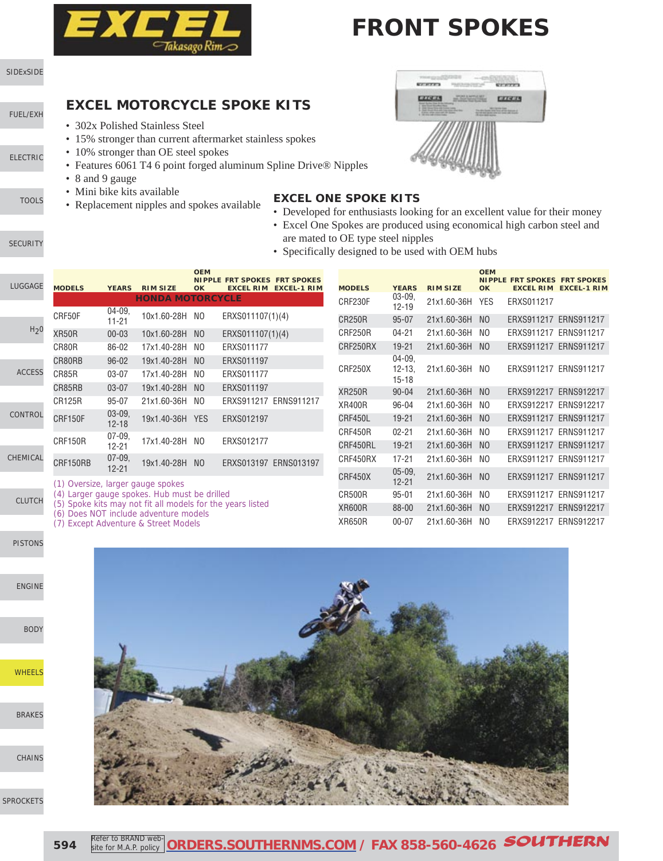

# **FRONT SPOKES**

#### [SIDExSIDE](http://www.southernms.com/wp-content/uploads/2015/08/01_UTV.pdf)

### [FUEL/EXH](http://www.southernms.com/wp-content/uploads/2015/08/02_fuel_exh.pdf)

[ELECTRIC](http://www.southernms.com/wp-content/uploads/2015/08/03_electrical.pdf)

- 
- **[TOOLS](http://www.southernms.com/wp-content/uploads/2015/08/04_tools.pdf)**

**[SECURITY](http://www.southernms.com/wp-content/uploads/2015/08/05_locks.pdf)** 

#### • 302x Polished Stainless Steel

• 15% stronger than current aftermarket stainless spokes

**EXCEL MOTORCYCLE SPOKE KITS**

- 10% stronger than OE steel spokes
- Features 6061 T4 6 point forged aluminum Spline Drive® Nipples
- 8 and 9 gauge
- Mini bike kits available
- Replacement nipples and spokes available



- **EXCEL ONE SPOKE KITS**
- Developed for enthusiasts looking for an excellent value for their money
- Excel One Spokes are produced using economical high carbon steel and are mated to OE type steel nipples
- Specifically designed to be used with OEM hubs

| LUGGAGE          | <b>MODELS</b>                     | <b>YEARS</b>                                                                   | <b>RIM SIZE</b>                              | <b>OEM</b><br>OK | <b>NIPPLE FRT SPOKES FRT SPOKES</b><br><b>EXCEL RIM EXCEL-1 RIM</b> |  | <b>MODELS</b> | <b>YEARS</b>            | <b>RIM SIZE</b> | <b>OEM</b><br><b>OK</b> | <b>NIPPLE FRT SPOKES FRT SPOKES</b> | <b>EXCEL RIM EXCEL-1 RIM</b> |
|------------------|-----------------------------------|--------------------------------------------------------------------------------|----------------------------------------------|------------------|---------------------------------------------------------------------|--|---------------|-------------------------|-----------------|-------------------------|-------------------------------------|------------------------------|
|                  |                                   | $04 - 09.$                                                                     | <b>HONDA MOTORCYCLE</b>                      |                  |                                                                     |  | CRF230F       | $03 - 09,$<br>$12 - 19$ | 21x1.60-36H YES |                         | ERXS011217                          |                              |
|                  | CRF50F                            | $11 - 21$                                                                      | 10x1.60-28H NO                               |                  | ERXS011107(1)(4)                                                    |  | <b>CR250R</b> | $95 - 07$               | 21x1.60-36H     | NO.                     | ERXS911217 ERNS911217               |                              |
| H <sub>2</sub> 0 | XR50R                             | $00 - 03$                                                                      | 10x1.60-28H                                  | NO               | ERXS011107(1)(4)                                                    |  | CRF250R       | $04 - 21$               | 21x1.60-36H     | NO.                     | ERXS911217 ERNS911217               |                              |
|                  | CR80R                             | 86-02                                                                          | 17x1.40-28H                                  | NO.              | ERXS011177                                                          |  | CRF250RX      | $19 - 21$               | 21x1.60-36H     | NO.                     | ERXS911217 ERNS911217               |                              |
|                  | CR80RB                            | $96 - 02$                                                                      | 19x1.40-28H                                  | NO.              | ERXS011197                                                          |  |               | $04 - 09$               |                 |                         |                                     |                              |
| <b>ACCESS</b>    | CR85R                             | 03-07                                                                          | 17x1.40-28H                                  | NO.              | ERXS011177                                                          |  | CRF250X       | $12 - 13$<br>$15 - 18$  | 21x1.60-36H NO  |                         | ERXS911217 ERNS911217               |                              |
|                  | CR85RB                            | $03 - 07$                                                                      | 19x1.40-28H                                  | N <sub>0</sub>   | ERXS011197                                                          |  | <b>XR250R</b> | $90 - 04$               | 21x1.60-36H NO  |                         | ERXS912217 ERNS912217               |                              |
|                  | CR125R                            | $95 - 07$                                                                      | 21x1.60-36H                                  | NO.              | ERXS911217 ERNS911217                                               |  | <b>XR400R</b> | 96-04                   | 21x1.60-36H     | NO.                     | ERXS912217 ERNS912217               |                              |
| CONTROL          | CRF150F                           | $03 - 09.$<br>$12 - 18$                                                        | 19x1.40-36H YES                              |                  | ERXS012197                                                          |  | CRF450L       | $19 - 21$               | 21x1.60-36H     | NO                      | ERXS911217 ERNS911217               |                              |
|                  | CRF150R                           | $07 - 09$                                                                      | 17x1.40-28H                                  | NO.              | ERXS012177                                                          |  | CRF450R       | $02 - 21$               | 21x1.60-36H     | NO.                     | ERXS911217 ERNS911217               |                              |
|                  |                                   | $12 - 21$                                                                      |                                              |                  |                                                                     |  | CRF450RL      | $19 - 21$               | 21x1.60-36H     | NO.                     | ERXS911217 ERNS911217               |                              |
| <b>HEMICAL</b>   | CRF150RB                          | $07 - 09$<br>$12 - 21$                                                         | 19x1.40-28H                                  | N <sub>O</sub>   | ERXS013197 ERNS013197                                               |  | CRF450RX      | $17 - 21$               | 21x1.60-36H NO  |                         | ERXS911217 ERNS911217               |                              |
|                  | (1) Oversize, larger gauge spokes |                                                                                |                                              |                  |                                                                     |  | CRF450X       | $05 - 09.$<br>$12 - 21$ | 21x1.60-36H NO  |                         | ERXS911217 ERNS911217               |                              |
| <b>CLUTCH</b>    |                                   |                                                                                | (4) Larger gauge spokes. Hub must be drilled |                  |                                                                     |  | <b>CR500R</b> | $95 - 01$               | 21x1.60-36H     | NO.                     | ERXS911217 ERNS911217               |                              |
|                  |                                   | (5) Spoke kits may not fit all models for the years listed                     |                                              |                  |                                                                     |  | <b>XR600R</b> | 88-00                   | 21x1.60-36H     | NO.                     | ERXS912217 ERNS912217               |                              |
|                  |                                   | (6) Does NOT include adventure models<br>(7) Except Adventure 8, Street Models |                                              |                  |                                                                     |  | <b>XR650R</b> | $00 - 07$               | 21x1.60-36H NO  |                         | ERXS912217 ERNS912217               |                              |

(7) Except Adventure & Street Models

[PISTONS](http://www.southernms.com/wp-content/uploads/2015/08/12_pistons.pdf)

 $C<sub>l</sub>$ 

[ENGINE](http://www.southernms.com/wp-content/uploads/2015/08/13_engine.pdf)

[BODY](http://www.southernms.com/wp-content/uploads/2015/08/14_body.pdf)

**[WHEELS](http://www.southernms.com/wp-content/uploads/2015/08/15_wheel.pdf)** 

[BRAKES](http://www.southernms.com/wp-content/uploads/2015/08/16_brakes.pdf)

[CHAINS](http://www.southernms.com/wp-content/uploads/2015/08/17_chains.pdf)



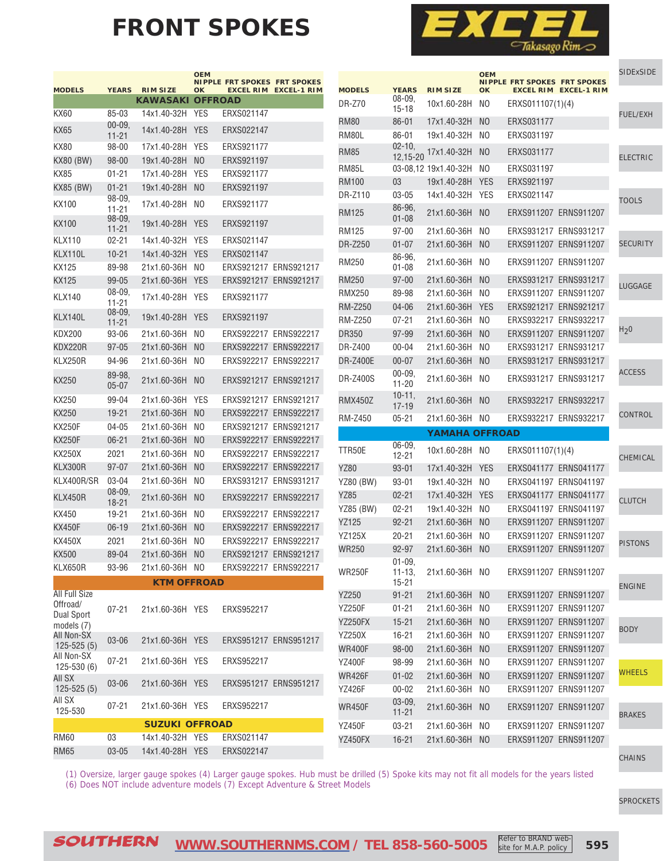# **FRONT SPOKES**



|                                      |                       |                                    | <b>OEM</b>           | <b>NIPPLE FRT SPOKES</b> | <b>FRT SPOKES</b>     |  |  |
|--------------------------------------|-----------------------|------------------------------------|----------------------|--------------------------|-----------------------|--|--|
| <b>MODELS</b>                        | <b>YEARS</b>          | <b>RIM SIZE</b><br><b>KAWASAKI</b> | OK<br><b>OFFROAD</b> | <b>EXCEL RIM</b>         | <b>EXCEL-1 RIM</b>    |  |  |
| KX60                                 | 85-03                 | 14x1.40-32H                        | YES                  | ERXS021147               |                       |  |  |
| KX65                                 | 00-09.                | 14x1.40-28H                        | <b>YFS</b>           | ERXS022147               |                       |  |  |
|                                      | $11 - 21$             |                                    |                      |                          |                       |  |  |
| <b>KX80</b>                          | $98 - 00$             | 17x1.40-28H                        | YES                  | ERXS921177               |                       |  |  |
| <b>KX80 (BW)</b>                     | 98-00                 | 19x1.40-28H                        | N <sub>O</sub>       | ERXS921197               |                       |  |  |
| KX85                                 | 01-21                 | 17x1.40-28H                        | <b>YES</b>           | ERXS921177               |                       |  |  |
| <b>KX85 (BW)</b>                     | $01 - 21$             | 19x1.40-28H                        | NO                   | ERXS921197               |                       |  |  |
| KX100                                | 98-09.<br>11-21       | 17x1.40-28H                        | NO.                  | FRXS921177               |                       |  |  |
| KX100                                | 98-09.<br>11-21       | 19x1.40-28H                        | YES                  | ERXS921197               |                       |  |  |
| KLX110                               | 02-21                 | 14x1.40-32H                        | YES                  | ERXS021147               |                       |  |  |
| KLX110L                              | $10 - 21$             | 14x1.40-32H                        | <b>YES</b>           | ERXS021147               |                       |  |  |
| KX125                                | 89-98                 | 21x1.60-36H                        | NO                   | ERXS921217 ERNS921217    |                       |  |  |
| KX125                                | 99-05                 | 21x1.60-36H                        | <b>YES</b>           | ERXS921217 ERNS921217    |                       |  |  |
| KLX140                               | 08-09.<br>11-21       | 17x1.40-28H                        | <b>YES</b>           | ERXS921177               |                       |  |  |
| KLX140L                              | 08-09.<br>$11 - 21$   | 19x1.40-28H                        | <b>YES</b>           | ERXS921197               |                       |  |  |
| KDX200                               | 93-06                 | 21x1.60-36H                        | NO.                  | ERXS922217 ERNS922217    |                       |  |  |
| KDX220R                              | 97-05                 | 21x1.60-36H                        | NO                   | ERXS922217               | ERNS922217            |  |  |
| KLX250R                              | 94-96                 | 21x1.60-36H                        | NO.                  | ERXS922217 ERNS922217    |                       |  |  |
| KX250                                | 89-98.<br>05-07       | 21x1.60-36H                        | NO.                  |                          | ERXS921217 ERNS921217 |  |  |
| KX250                                | 99-04                 | 21x1.60-36H                        | <b>YES</b>           | ERXS921217 ERNS921217    |                       |  |  |
| KX250                                | 19-21                 | 21x1.60-36H                        | NO                   | ERXS922217               | ERNS922217            |  |  |
| KX250F                               | 04-05                 | 21x1.60-36H                        | NO.                  | ERXS921217               | ERNS921217            |  |  |
| KX250F                               | $06 - 21$             | 21x1.60-36H                        | NO                   | ERXS922217               | <b>ERNS922217</b>     |  |  |
| KX250X                               | 2021                  | 21x1.60-36H                        | NO                   | ERXS922217               | ERNS922217            |  |  |
| KLX300R                              | $97 - 07$             | 21x1.60-36H                        | NO                   | ERXS922217               | <b>ERNS922217</b>     |  |  |
| KLX400R/SR                           | 03-04                 | 21x1.60-36H                        | NO                   | ERXS931217               | ERNS931217            |  |  |
| KLX450R                              | 08-09,                | 21x1.60-36H                        | NO.                  | ERXS922217               | ERNS922217            |  |  |
| KX450                                | 18-21<br>19-21        | 21x1.60-36H                        | NO                   | FRXS922217               | ERNS922217            |  |  |
| KX450F                               | $06-19$               | 21x1.60-36H                        | NO                   | ERXS922217               | ERNS922217            |  |  |
| KX450X                               | 2021                  | 21x1.60-36H                        | NO                   | ERXS922217               | ERNS922217            |  |  |
| KX500                                | 89-04                 | 21x1.60-36H                        | NO                   |                          | ERXS921217 ERNS921217 |  |  |
| KLX650R                              | 93-96                 | 21x1.60-36H                        | NO.                  |                          | ERXS922217 ERNS922217 |  |  |
|                                      |                       | <b>KTM OFFROAD</b>                 |                      |                          |                       |  |  |
| <b>All Full Size</b>                 |                       |                                    |                      |                          |                       |  |  |
| Offroad/<br>Dual Sport<br>models (7) | 07-21                 | 21x1.60-36H YES                    |                      | ERXS952217               |                       |  |  |
| All Non-SX<br>$125 - 525(5)$         | 03-06                 | 21x1.60-36H                        | <b>YES</b>           |                          | ERXS951217 ERNS951217 |  |  |
| All Non-SX<br>$125 - 530(6)$         | 07-21                 | 21x1.60-36H                        | YES                  | ERXS952217               |                       |  |  |
| All SX<br>$125 - 525(5)$             | 03-06                 | 21x1.60-36H                        | <b>YES</b>           | ERXS951217 ERNS951217    |                       |  |  |
| AII SX<br>125-530                    | 07-21                 | 21x1.60-36H                        | <b>YES</b>           | ERXS952217               |                       |  |  |
|                                      | <b>SUZUKI OFFROAD</b> |                                    |                      |                          |                       |  |  |
| RM60                                 | 03                    | 14x1.40-32H                        | YES                  | ERXS021147               |                       |  |  |
| <b>RM65</b>                          | 03-05                 | 14x1.40-28H                        | <b>YES</b>           | ERXS022147               |                       |  |  |

| <b>MODELS</b>    | <b>YEARS</b>              | <b>RIM SIZE</b>       | <b>OEM</b><br>OK | <b>EXCEL RIM</b> | <b>NIPPLE FRT SPOKES FRT SPOKES</b><br><b>EXCEL-1 RIM</b> | <b>SIDExSIDE</b> |
|------------------|---------------------------|-----------------------|------------------|------------------|-----------------------------------------------------------|------------------|
| DR-Z70           | 08-09,<br>$15 - 18$       | 10x1.60-28H           | NO               | ERXS011107(1)(4) |                                                           |                  |
| <b>RM80</b>      | $86 - 01$                 | 17x1.40-32H           | N <sub>0</sub>   | ERXS031177       |                                                           | <b>FUEL/EXH</b>  |
| RM80L            | 86-01                     | 19x1.40-32H           | NO               | ERXS031197       |                                                           |                  |
| <b>RM85</b>      | $02 - 10,$<br>12,15-20    | 17x1.40-32H           | N <sub>0</sub>   | ERXS031177       |                                                           | <b>ELECTRIC</b>  |
| <b>RM85L</b>     |                           | 03-08.12 19x1.40-32H  | NO               | ERXS031197       |                                                           |                  |
| <b>RM100</b>     | 03                        | 19x1.40-28H           | <b>YES</b>       | ERXS921197       |                                                           |                  |
| DR-Z110          | 03-05                     | 14x1.40-32H           | YES              | ERXS021147       |                                                           | <b>TOOLS</b>     |
| <b>RM125</b>     | 86-96.<br>01-08           | 21x1.60-36H           | N <sub>0</sub>   |                  | ERXS911207 ERNS911207                                     |                  |
| <b>RM125</b>     | $97 - 00$                 | 21x1.60-36H           | NO               |                  | ERXS931217 ERNS931217                                     |                  |
| DR-Z250          | $01 - 07$                 | 21x1.60-36H           | N <sub>0</sub>   |                  | ERXS911207 ERNS911207                                     | <b>SECURITY</b>  |
| RM250            | 86-96,<br>$01 - 08$       | 21x1.60-36H           | NO               |                  | ERXS911207 ERNS911207                                     |                  |
| RM250            | $97 - 00$                 | 21x1.60-36H           | N <sub>0</sub>   |                  | ERXS931217 ERNS931217                                     |                  |
| <b>RMX250</b>    | 89-98                     | 21x1.60-36H           | NO               |                  | ERXS911207 ERNS911207                                     | <b>LUGGAGE</b>   |
| <b>RM-Z250</b>   | $04 - 06$                 | 21x1.60-36H           | <b>YES</b>       |                  | ERXS921217 ERNS921217                                     |                  |
| <b>RM-Z250</b>   | $07 - 21$                 | 21x1.60-36H           | NO               |                  | ERXS932217 ERNS932217                                     |                  |
| DR350            | 97-99                     | 21x1.60-36H           | N <sub>0</sub>   |                  | ERXS911207 ERNS911207                                     | H <sub>2</sub> 0 |
| DR-Z400          | 00-04                     | 21x1.60-36H           | NO               |                  | ERXS931217 ERNS931217                                     |                  |
| DR-Z400E         | $00 - 07$                 | 21x1.60-36H           | N <sub>O</sub>   |                  | ERXS931217 ERNS931217                                     |                  |
| <b>DR-Z400S</b>  | 00-09,<br>$11 - 20$       | 21x1.60-36H           | NO               |                  | ERXS931217 ERNS931217                                     | <b>ACCESS</b>    |
| RMX450Z          | 10-11,<br>17-19           | 21x1.60-36H           | N <sub>0</sub>   |                  | ERXS932217 ERNS932217                                     |                  |
| <b>RM-Z450</b>   | $05 - 21$                 | 21x1.60-36H           | NO               |                  | ERXS932217 ERNS932217                                     | CONTROL          |
|                  |                           | <b>YAMAHA OFFROAD</b> |                  |                  |                                                           |                  |
| TTR50E           | $06 - 09.$<br>$12 - 21$   | 10x1.60-28H           | NO.              | ERXS011107(1)(4) |                                                           |                  |
| YZ80             | $93 - 01$                 | 17x1.40-32H           | <b>YES</b>       |                  | ERXS041177 ERNS041177                                     | <b>CHEMICAL</b>  |
| <b>YZ80 (BW)</b> | $93 - 01$                 | 19x1.40-32H           | NO.              |                  | ERXS041197 ERNS041197                                     |                  |
| <b>YZ85</b>      | $02 - 21$                 | 17x1.40-32H           | <b>YES</b>       |                  | ERXS041177 ERNS041177                                     |                  |
| <b>YZ85 (BW)</b> | $02 - 21$                 | 19x1.40-32H           | NO               |                  | ERXS041197 ERNS041197                                     | <b>CLUTCH</b>    |
| YZ125            | $92 - 21$                 | 21x1.60-36H           | N <sub>O</sub>   |                  | ERXS911207 ERNS911207                                     |                  |
| <b>YZ125X</b>    | 20-21                     | 21x1.60-36H           | NO               |                  | ERXS911207 ERNS911207                                     |                  |
| WR250            | 92-97                     | 21x1.60-36H           | N <sub>O</sub>   |                  | ERXS911207 ERNS911207                                     | <b>PISTONS</b>   |
| <b>WR250F</b>    | $01 - 09.$<br>$11 - 13$ , | 21x1.60-36H           | NO               |                  | ERXS911207 ERNS911207                                     |                  |
|                  | $15 - 21$                 |                       |                  |                  |                                                           | <b>ENGINE</b>    |
| YZ250            | $91 - 21$                 | 21x1.60-36H           | N <sub>O</sub>   |                  | ERXS911207 ERNS911207                                     |                  |
| <b>YZ250F</b>    |                           |                       |                  |                  |                                                           |                  |
|                  | $01 - 21$                 | 21x1.60-36H           | NO.              |                  | ERXS911207 ERNS911207                                     |                  |
| YZ250FX          | $15 - 21$                 | 21x1.60-36H           | N <sub>O</sub>   |                  | ERXS911207 ERNS911207                                     |                  |
| YZ250X           | 16-21                     | 21x1.60-36H           | NO               |                  | ERXS911207 ERNS911207                                     | <b>BODY</b>      |
| <b>WR400F</b>    | 98-00                     | 21x1.60-36H           | N <sub>O</sub>   |                  | ERXS911207 ERNS911207                                     |                  |
| <b>YZ400F</b>    | 98-99                     | 21x1.60-36H           | NO               |                  | ERXS911207 ERNS911207                                     |                  |
| <b>WR426F</b>    | $01 - 02$                 | 21x1.60-36H           | N <sub>O</sub>   |                  | ERXS911207 ERNS911207                                     | WHEELS           |
| <b>YZ426F</b>    | $00 - 02$                 | 21x1.60-36H           | NO               |                  | ERXS911207 ERNS911207                                     |                  |
| WR450F           | $03 - 09,$<br>$11 - 21$   | 21x1.60-36H           | N <sub>O</sub>   |                  | ERXS911207 ERNS911207                                     | <b>BRAKES</b>    |
| YZ450F           | $03 - 21$                 | 21x1.60-36H           | NO               |                  | ERXS911207 ERNS911207                                     |                  |
| YZ450FX          | $16 - 21$                 | 21x1.60-36H           | N <sub>O</sub>   |                  | ERXS911207 ERNS911207                                     |                  |

[CHAINS](http://www.southernms.com/wp-content/uploads/2015/08/17_chains.pdf)

(1) Oversize, larger gauge spokes (4) Larger gauge spokes. Hub must be drilled (5) Spoke kits may not fit all models for the years listed (6) Does NOT include adventure models (7) Except Adventure & Street Models

[SPROCKETS](http://www.southernms.com/wp-content/uploads/2015/08/18_sprockets.pdf)

SOUTHERN **[WWW.SOUTHERNMS.COM](http://m.southernms.com) / TEL 858-560-5005 595**

site for M.A.P. policy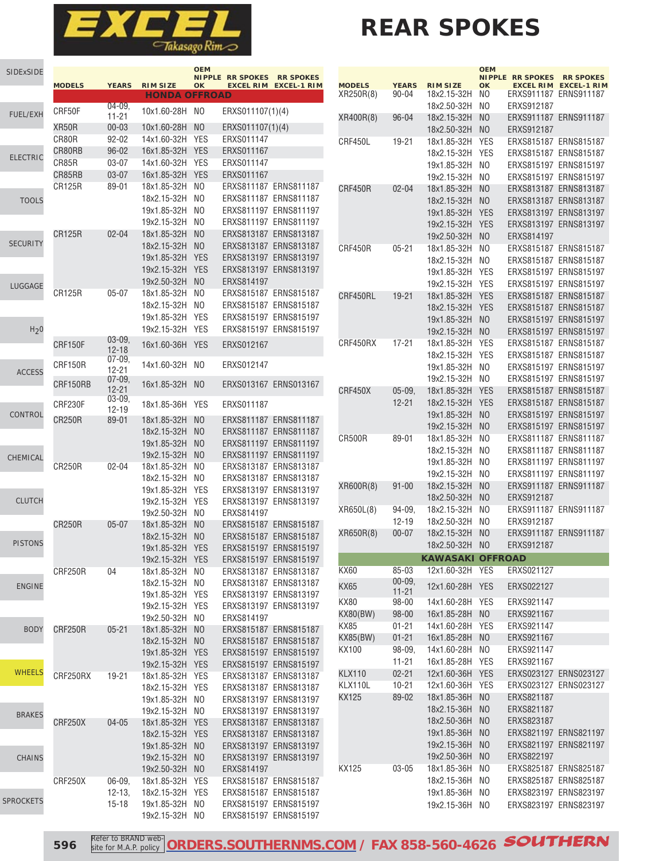

# **REAR SPOKES**

| <b>SIDExSIDE</b> | <b>MODELS</b>           | <b>YEARS</b>          | <b>RIM SIZE</b>            | <b>OEM</b><br>OK             | <b>NIPPLE RR SPOKES</b><br><b>EXCEL RIM</b> | <b>RR SPOKES</b><br><b>EXCEL-1 RIM</b>         |
|------------------|-------------------------|-----------------------|----------------------------|------------------------------|---------------------------------------------|------------------------------------------------|
|                  |                         |                       | <b>HONDA OFFROAD</b>       |                              |                                             |                                                |
|                  | CRF50F                  | $04 - 09.$            | 10x1.60-28H                | NO.                          | ERXS011107(1)(4)                            |                                                |
| <b>FUEL/EXH</b>  |                         | 11-21                 |                            |                              |                                             |                                                |
|                  | XR50R                   | $00 - 03$             | 10x1.60-28H                | N <sub>0</sub>               | ERXS011107(1)(4)                            |                                                |
|                  | CR80R                   | $92 - 02$             | 14x1.60-32H                | <b>YES</b>                   | ERXS011147                                  |                                                |
| <b>ELECTRIC</b>  | CR80RB                  | $96 - 02$             | 16x1.85-32H                | <b>YES</b>                   | ERXS011167                                  |                                                |
|                  | CR85R                   | 03-07                 | 14x1.60-32H                | YES                          | ERXS011147                                  |                                                |
|                  | CR85RB<br><b>CR125R</b> | $03 - 07$<br>89-01    | 16x1.85-32H                | <b>YES</b><br>N <sub>0</sub> | ERXS011167                                  |                                                |
|                  |                         |                       | 18x1.85-32H<br>18x2.15-32H | N <sub>0</sub>               |                                             | ERXS811187 ERNS811187<br>ERXS811187 ERNS811187 |
| <b>TOOLS</b>     |                         |                       | 19x1.85-32H                | NO                           | ERXS811197                                  | ERNS811197                                     |
|                  |                         |                       | 19x2.15-32H                | NO                           | ERXS811197 ERNS811197                       |                                                |
|                  | <b>CR125R</b>           | $02 - 04$             | 18x1.85-32H                | N <sub>O</sub>               |                                             | ERXS813187 ERNS813187                          |
| <b>SECURITY</b>  |                         |                       | 18x2.15-32H                | N <sub>0</sub>               |                                             | ERXS813187 ERNS813187                          |
|                  |                         |                       | 19x1.85-32H                | <b>YES</b>                   |                                             | ERXS813197 ERNS813197                          |
|                  |                         |                       | 19x2.15-32H                | <b>YES</b>                   | ERXS813197                                  | ERNS813197                                     |
|                  |                         |                       | 19x2.50-32H                | N <sub>0</sub>               | ERXS814197                                  |                                                |
| LUGGAGE          | <b>CR125R</b>           | $05 - 07$             | 18x1.85-32H                | N <sub>0</sub>               | ERXS815187 ERNS815187                       |                                                |
|                  |                         |                       | 18x2.15-32H                | NO                           |                                             | ERXS815187 ERNS815187                          |
|                  |                         |                       | 19x1.85-32H                | <b>YES</b>                   |                                             | ERXS815197 ERNS815197                          |
| H <sub>2</sub> 0 |                         |                       | 19x2.15-32H                | <b>YES</b>                   | ERXS815197 ERNS815197                       |                                                |
|                  | CRF150F                 | 03-09.                | 16x1.60-36H                | <b>YFS</b>                   | ERXS012167                                  |                                                |
|                  |                         | $12 - 18$             |                            |                              |                                             |                                                |
| <b>ACCESS</b>    | CRF150R                 | $07-09.$<br>$12 - 21$ | 14x1.60-32H                | NO                           | ERXS012147                                  |                                                |
|                  | CRF150RB                | 07-09,<br>12-21       | 16x1.85-32H                | N <sub>0</sub>               | ERXS013167                                  | ERNS013167                                     |
| CONTROL          | CRF230F                 | 03-09.<br>12-19       | 18x1.85-36H                | YES                          | ERXS011187                                  |                                                |
|                  | <b>CR250R</b>           | 89-01                 | 18x1.85-32H                | N <sub>0</sub>               | ERXS811187                                  | <b>ERNS811187</b>                              |
|                  |                         |                       | 18x2.15-32H                | NO                           |                                             | ERXS811187 ERNS811187                          |
|                  |                         |                       | 19x1.85-32H                | N <sub>0</sub>               |                                             | ERXS811197 ERNS811197                          |
| CHEMICAL         |                         |                       | 19x2.15-32H                | N <sub>0</sub>               | ERXS811197                                  | ERNS811197                                     |
|                  | <b>CR250R</b>           | $02 - 04$             | 18x1.85-32H                | NO                           | ERXS813187                                  | ERNS813187                                     |
|                  |                         |                       | 18x2.15-32H<br>19x1.85-32H | N <sub>0</sub><br><b>YES</b> |                                             | ERXS813187 ERNS813187<br>ERXS813197 ERNS813197 |
| <b>CLUTCH</b>    |                         |                       | 19x2.15-32H                | <b>YES</b>                   | ERXS813197 ERNS813197                       |                                                |
|                  |                         |                       | 19x2.50-32H                | NO                           | ERXS814197                                  |                                                |
|                  | <b>CR250R</b>           | 05-07                 | 18x1.85-32H                | N <sub>O</sub>               |                                             | ERXS815187 ERNS815187                          |
|                  |                         |                       | 18x2.15-32H                | NO                           |                                             | ERXS815187 ERNS815187                          |
| <b>PISTONS</b>   |                         |                       | 19x1.85-32H                | <b>YES</b>                   | ERXS815197 ERNS815197                       |                                                |
|                  |                         |                       | 19x2.15-32H                | <b>YES</b>                   | ERXS815197 ERNS815197                       |                                                |
|                  | CRF250R                 | 04                    | 18x1.85-32H                | NO.                          |                                             | ERXS813187 ERNS813187                          |
| <b>ENGINE</b>    |                         |                       | 18x2.15-32H                | NO                           |                                             | ERXS813187 ERNS813187                          |
|                  |                         |                       | 19x1.85-32H                | <b>YES</b>                   |                                             | ERXS813197 ERNS813197                          |
|                  |                         |                       | 19x2.15-32H                | YES                          |                                             | ERXS813197 ERNS813197                          |
|                  |                         |                       | 19x2.50-32H                | NO.                          | ERXS814197                                  |                                                |
| <b>BODY</b>      | CRF250R                 | $05 - 21$             | 18x1.85-32H                | N <sub>O</sub>               |                                             | ERXS815187 ERNS815187                          |
|                  |                         |                       | 18x2.15-32H                | N <sub>O</sub>               |                                             | ERXS815187 ERNS815187                          |
|                  |                         |                       | 19x1.85-32H                | <b>YES</b>                   | ERXS815197 ERNS815197                       |                                                |
| <b>WHEELS</b>    |                         |                       | 19x2.15-32H                | <b>YES</b>                   |                                             | ERXS815197 ERNS815197                          |
|                  | CRF250RX                | 19-21                 | 18x1.85-32H                | <b>YES</b><br><b>YES</b>     | ERXS813187 ERNS813187                       | ERXS813187 ERNS813187                          |
|                  |                         |                       | 18x2.15-32H<br>19x1.85-32H | N <sub>O</sub>               | ERXS813197 ERNS813197                       |                                                |
|                  |                         |                       | 19x2.15-32H                | NO                           | ERXS813197 ERNS813197                       |                                                |
| <b>BRAKES</b>    | CRF250X                 | 04-05                 | 18x1.85-32H                | <b>YES</b>                   |                                             | ERXS813187 ERNS813187                          |
|                  |                         |                       | 18x2.15-32H                | <b>YES</b>                   |                                             | ERXS813187 ERNS813187                          |
|                  |                         |                       | 19x1.85-32H                | N <sub>O</sub>               |                                             | ERXS813197 ERNS813197                          |
| <b>CHAINS</b>    |                         |                       | 19x2.15-32H                | N <sub>O</sub>               |                                             | ERXS813197 ERNS813197                          |
|                  |                         |                       | 19x2.50-32H                | N <sub>O</sub>               | ERXS814197                                  |                                                |
|                  | CRF250X                 | $06 - 09,$            | 18x1.85-32H                | YES                          |                                             | ERXS815187 ERNS815187                          |
|                  |                         | $12 - 13$ ,           | 18x2.15-32H                | YES                          |                                             | ERXS815187 ERNS815187                          |
| <b>SPROCKETS</b> |                         | $15 - 18$             | 19x1.85-32H                | N <sub>O</sub>               |                                             | ERXS815197 ERNS815197                          |
|                  |                         |                       | 19x2.15-32H                | NO                           | ERXS815197 ERNS815197                       |                                                |

|                          |                        |                            | <b>OEM</b><br><b>NIPPLE</b> | <b>RR SPOKES</b>         | <b>RR SPOKES</b>                       |
|--------------------------|------------------------|----------------------------|-----------------------------|--------------------------|----------------------------------------|
| <b>MODELS</b>            | <b>YEARS</b>           | <b>RIM SIZE</b>            | OK                          | <b>EXCEL RIM</b>         | <b>EXCEL-1 RIM</b>                     |
| XR250R(8)                | 90-04                  | 18x2.15-32H                | NO                          | ERXS911187               | ERNS911187                             |
|                          |                        | 18x2.50-32H                | NO                          | ERXS912187               |                                        |
| XR400R(8)                | 96-04                  | 18x2.15-32H                | N <sub>O</sub>              | ERXS911187               | <b>ERNS911187</b>                      |
|                          |                        | 18x2.50-32H                | N <sub>O</sub>              | ERXS912187               |                                        |
| CRF450L                  | 19-21                  | 18x1.85-32H                | YES                         | ERXS815187               | ERNS815187                             |
|                          |                        | 18x2.15-32H                | <b>YES</b>                  | ERXS815187               | ERNS815187                             |
|                          |                        | 19x1.85-32H                | NO                          | ERXS815197               | ERNS815197                             |
|                          |                        | 19x2.15-32H                | NO                          | ERXS815197               | ERNS815197                             |
| CRF450R                  | $02 - 04$              | 18x1.85-32H                | N <sub>O</sub>              | ERXS813187               | ERNS813187                             |
|                          |                        | 18x2.15-32H                | N <sub>O</sub>              | ERXS813187               | ERNS813187                             |
|                          |                        | 19x1.85-32H                | YES                         | ERXS813197               | ERNS813197                             |
|                          |                        | 19x2.15-32H                | <b>YES</b>                  | ERXS813197               | ERNS813197                             |
|                          |                        | 19x2.50-32H                | N <sub>O</sub>              | ERXS814197               |                                        |
| CRF450R                  | 05-21                  | 18x1.85-32H                | NO                          | ERXS815187               | ERNS815187                             |
|                          |                        | 18x2.15-32H                | NO                          | ERXS815187               | ERNS815187                             |
|                          |                        | 19x1.85-32H                | YES                         | ERXS815197               | ERNS815197                             |
|                          |                        | 19x2.15-32H                | <b>YES</b>                  | ERXS815197               | ERNS815197                             |
| CRF450RL                 | 19-21                  | 18x1.85-32H                | <b>YES</b>                  | ERXS815187               | ERNS815187                             |
|                          |                        | 18x2.15-32H                | <b>YES</b>                  | ERXS815187<br>ERXS815197 | ERNS815187                             |
|                          |                        | 19x1.85-32H                | N <sub>O</sub>              | ERXS815197               | <b>ERNS815197</b><br><b>ERNS815197</b> |
|                          |                        | 19x2.15-32H<br>18x1.85-32H | N <sub>O</sub>              |                          |                                        |
| CRF450RX                 | 17-21                  | 18x2.15-32H                | YES<br>YES                  | ERXS815187<br>ERXS815187 | ERNS815187                             |
|                          |                        |                            | NO                          | ERXS815197               | ERNS815187<br>ERNS815197               |
|                          |                        | 19x1.85-32H<br>19x2.15-32H | NO                          | ERXS815197               | ERNS815197                             |
| CRF450X                  |                        | 18x1.85-32H                | <b>YES</b>                  | ERXS815187               | <b>ERNS815187</b>                      |
|                          | 05-09,<br>12-21        | 18x2.15-32H                | <b>YES</b>                  | ERXS815187               | <b>ERNS815187</b>                      |
|                          |                        | 19x1.85-32H                | N <sub>O</sub>              | ERXS815197               | ERNS815197                             |
|                          |                        | 19x2.15-32H                | N <sub>O</sub>              | ERXS815197               | ERNS815197                             |
| CR500R                   | 89-01                  | 18x1.85-32H                | NO                          | ERXS811187               | ERNS811187                             |
|                          |                        | 18x2.15-32H                | NO                          | ERXS811187               | ERNS811187                             |
|                          |                        | 19x1.85-32H                | NO                          | ERXS811197               | ERNS811197                             |
|                          |                        | 19x2.15-32H                | NO                          | ERXS811197               | ERNS811197                             |
| XR600R(8)                | 91-00                  | 18x2.15-32H                | N <sub>O</sub>              | ERXS911187               | <b>ERNS911187</b>                      |
|                          |                        | 18x2.50-32H                | N <sub>O</sub>              | ERXS912187               |                                        |
| XR650L(8)                | 94-09,                 | 18x2.15-32H                | NO                          | ERXS911187               | ERNS911187                             |
|                          | 12-19                  | 18x2.50-32H                | N <sub>O</sub>              | ERXS912187               |                                        |
| XR650R(8)                | $00 - 07$              | 18x2.15-32H                | NO                          | ERXS911187               | ERNS911187                             |
|                          |                        | 18x2.50-32H                | N <sub>O</sub>              | ERXS912187               |                                        |
|                          |                        | <b>KAWASAKI</b>            | <b>OFFROAD</b>              |                          |                                        |
| KX60                     | $85 - 03$              | 12x1.60-32H                | <b>YES</b>                  | ERXS021127               |                                        |
| <b>KX65</b>              | $00 - 09,$             | 12x1.60-28H                | <b>YES</b>                  | ERXS022127               |                                        |
|                          | $11 - 21$              |                            |                             |                          |                                        |
| KX80                     | 98-00                  | 14x1.60-28H                | <b>YES</b>                  | ERXS921147               |                                        |
| <b>KX80(BW)</b>          | 98-00                  | 16x1.85-28H                | N <sub>O</sub>              | ERXS921167               |                                        |
| KX85                     | 01-21<br>$01 - 21$     | 14x1.60-28H                | <b>YES</b>                  | ERXS921147               |                                        |
| KX85(BW)                 |                        | 16x1.85-28H<br>14x1.60-28H | N <sub>O</sub>              | ERXS921167               |                                        |
| KX100                    | 98-09.<br>$11 - 21$    |                            | NO<br><b>YES</b>            | ERXS921147<br>ERXS921167 |                                        |
|                          |                        | 16x1.85-28H                |                             |                          | ERXS023127 ERNS023127                  |
| <b>KLX110</b><br>KLX110L | $02 - 21$<br>$10 - 21$ | 12x1.60-36H<br>12x1.60-36H | <b>YES</b><br><b>YES</b>    | ERXS023127               | ERNS023127                             |
| KX125                    | 89-02                  | 18x1.85-36H                | N <sub>O</sub>              | ERXS821187               |                                        |
|                          |                        | 18x2.15-36H                | N <sub>O</sub>              | ERXS821187               |                                        |
|                          |                        | 18x2.50-36H                | N <sub>O</sub>              | ERXS823187               |                                        |
|                          |                        | 19x1.85-36H                | N <sub>O</sub>              |                          | ERXS821197 ERNS821197                  |
|                          |                        | 19x2.15-36H                | N <sub>O</sub>              |                          | ERXS821197 ERNS821197                  |
|                          |                        | 19x2.50-36H                | N <sub>O</sub>              | ERXS822197               |                                        |
| KX125                    | 03-05                  | 18x1.85-36H                | N <sub>O</sub>              |                          | ERXS825187 ERNS825187                  |
|                          |                        | 18x2.15-36H                | NO                          |                          | ERXS825187 ERNS825187                  |
|                          |                        | 19x1.85-36H                | N <sub>O</sub>              |                          | ERXS823197 ERNS823197                  |
|                          |                        | 19x2.15-36H                | N <sub>0</sub>              |                          | ERXS823197 ERNS823197                  |
|                          |                        |                            |                             |                          |                                        |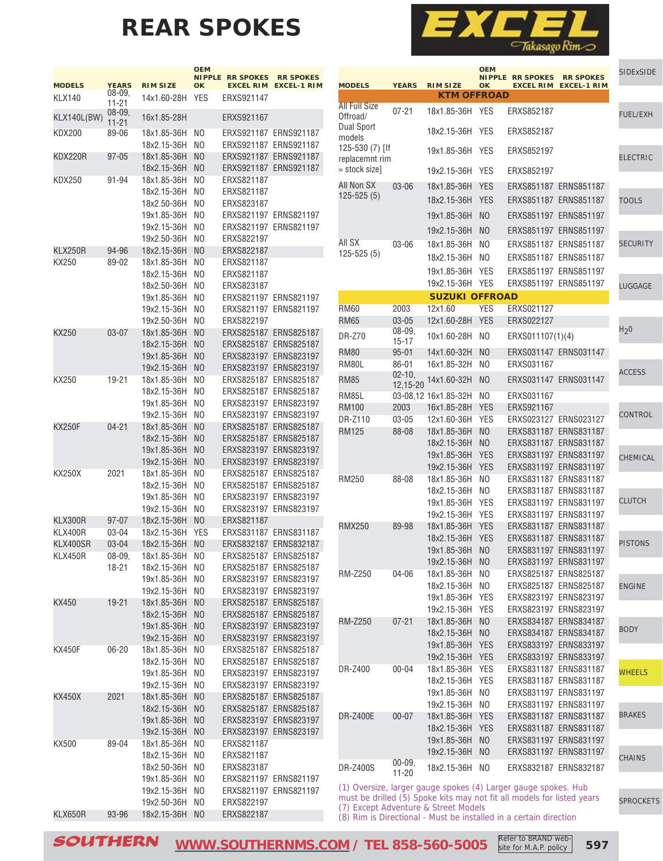# **REAR SPOKES**



**The State** 

|               |                     |                 | <b>OEM</b><br><b>NIPPLE</b> | <b>RR SPOKES</b> | <b>RR SPOKES</b>      |
|---------------|---------------------|-----------------|-----------------------------|------------------|-----------------------|
| <b>MODELS</b> | <b>YEARS</b>        | <b>RIM SIZE</b> | OK                          | <b>EXCEL RIM</b> | <b>EXCEL-1 RIM</b>    |
| <b>KLX140</b> | $08 - 09,$          | 14x1.60-28H     | YES                         | ERXS921147       |                       |
|               | 11-21<br>$08 - 09,$ |                 |                             |                  |                       |
| KLX140L(BW)   | $11 - 21$           | 16x1.85-28H     |                             | ERXS921167       |                       |
| KDX200        | 89-06               | 18x1.85-36H     | NO                          | ERXS921187       | ERNS921187            |
|               |                     | 18x2.15-36H     | N <sub>0</sub>              | ERXS921187       | ERNS921187            |
| KDX220R       | $97 - 05$           | 18x1.85-36H     | N <sub>O</sub>              | ERXS921187       | ERNS921187            |
|               |                     | 18x2.15-36H     | ΝO                          | ERXS921187       | ERNS921187            |
| KDX250        | 91-94               | 18x1.85-36H     | ΝO                          | ERXS821187       |                       |
|               |                     | 18x2.15-36H     | N <sub>0</sub>              | ERXS821187       |                       |
|               |                     | 18x2.50-36H     | NO                          | ERXS823187       |                       |
|               |                     | 19x1.85-36H     | NO                          | ERXS821197       | ERNS821197            |
|               |                     | 19x2.15-36H     | NO                          | ERXS821197       | ERNS821197            |
|               |                     | 19x2.50-36H     | N <sub>0</sub>              | ERXS822197       |                       |
| KLX250R       | 94-96               | 18x2.15-36H     | N <sub>O</sub>              | ERXS822187       |                       |
| KX250         | 89-02               | 18x1.85-36H     | NO                          | ERXS821187       |                       |
|               |                     | 18x2.15-36H     | NO                          | ERXS821187       |                       |
|               |                     | 18x2.50-36H     | ΝO                          | ERXS823187       |                       |
|               |                     | 19x1.85-36H     | N <sub>0</sub>              | ERXS821197       | ERNS821197            |
|               |                     | 19x2.15-36H     | N <sub>0</sub>              | ERXS821197       | ERNS821197            |
|               |                     | 19x2.50-36H     | NO                          | ERXS822197       |                       |
| KX250         | 03-07               | 18x1.85-36H     | N <sub>O</sub>              | ERXS825187       | <b>ERNS825187</b>     |
|               |                     | 18x2.15-36H     | N <sub>O</sub>              | ERXS825187       | <b>ERNS825187</b>     |
|               |                     | 19x1.85-36H     | N <sub>O</sub>              | ERXS823197       | <b>ERNS823197</b>     |
|               |                     |                 |                             |                  |                       |
|               |                     | 19x2.15-36H     | ΝO                          | ERXS823197       | ERNS823197            |
| KX250         | 19-21               | 18x1.85-36H     | NO                          | ERXS825187       | <b>ERNS825187</b>     |
|               |                     | 18x2.15-36H     | NO                          | ERXS825187       | <b>ERNS825187</b>     |
|               |                     | 19x1.85-36H     | N <sub>0</sub>              | ERXS823197       | ERNS823197            |
|               |                     | 19x2.15-36H     | NO                          | ERXS823197       | ERNS823197            |
| <b>KX250F</b> | 04-21               | 18x1.85-36H     | N <sub>O</sub>              | ERXS825187       | <b>ERNS825187</b>     |
|               |                     | 18x2.15-36H     | ΝO                          | ERXS825187       | <b>ERNS825187</b>     |
|               |                     | 19x1.85-36H     | N <sub>O</sub>              | ERXS823197       | ERNS823197            |
|               |                     | 19x2.15-36H     | N <sub>O</sub>              | ERXS823197       | <b>ERNS823197</b>     |
| KX250X        | 2021                | 18x1.85-36H     | NO                          | ERXS825187       | <b>ERNS825187</b>     |
|               |                     | 18x2.15-36H     | NO                          | ERXS825187       | <b>ERNS825187</b>     |
|               |                     | 19x1.85-36H     | NO                          | ERXS823197       | ERNS823197            |
|               |                     | 19x2.15-36H     | N <sub>0</sub>              | ERXS823197       | ERNS823197            |
| KLX300R       | $97 - 07$           | 18x2.15-36H     | N <sub>O</sub>              | ERXS821187       |                       |
| KLX400R       | 03-04               | 18x2.15-36H     | YES                         | ERXS831187       | ERNS831187            |
| KLX400SR      | 03-04               | 18x2.15-36H     | NO                          | ERXS832187       | <b>ERNS832187</b>     |
| KLX450R       | 08-09.              | 18x1.85-36H     | ΝO                          | ERXS825187       | ERNS825187            |
|               | 18-21               | 18x2.15-36H     | NO                          |                  | ERXS825187 ERNS825187 |
|               |                     | 19x1.85-36H     | N <sub>O</sub>              | ERXS823197       | ERNS823197            |
|               |                     | 19x2.15-36H     | N <sub>O</sub>              | ERXS823197       | ERNS823197            |
| <b>KX450</b>  | 19-21               | 18x1.85-36H     | N <sub>O</sub>              | ERXS825187       | ERNS825187            |
|               |                     | 18x2.15-36H     | N <sub>O</sub>              | ERXS825187       | <b>ERNS825187</b>     |
|               |                     | 19x1.85-36H     | N <sub>O</sub>              | ERXS823197       | ERNS823197            |
|               |                     | 19x2.15-36H     | N <sub>O</sub>              | ERXS823197       | ERNS823197            |
| KX450F        | $06 - 20$           | 18x1.85-36H     | N <sub>O</sub>              |                  | ERXS825187 ERNS825187 |
|               |                     | 18x2.15-36H     | N <sub>O</sub>              | ERXS825187       | ERNS825187            |
|               |                     | 19x1.85-36H     | N <sub>O</sub>              | ERXS823197       | ERNS823197            |
|               |                     | 19x2.15-36H     | N <sub>O</sub>              | ERXS823197       | ERNS823197            |
| KX450X        | 2021                | 18x1.85-36H     | N <sub>O</sub>              | ERXS825187       | ERNS825187            |
|               |                     | 18x2.15-36H     | N <sub>O</sub>              | ERXS825187       | ERNS825187            |
|               |                     | 19x1.85-36H     | N <sub>O</sub>              | ERXS823197       | ERNS823197            |
|               |                     | 19x2.15-36H     | N <sub>O</sub>              |                  | ERXS823197 ERNS823197 |
| KX500         | 89-04               | 18x1.85-36H     | N <sub>O</sub>              | ERXS821187       |                       |
|               |                     | 18x2.15-36H     | N <sub>O</sub>              | ERXS821187       |                       |
|               |                     | 18x2.50-36H     | N <sub>O</sub>              | ERXS823187       |                       |
|               |                     | 19x1.85-36H     | N <sub>O</sub>              | ERXS821197       | ERNS821197            |
|               |                     | 19x2.15-36H     | N <sub>O</sub>              | ERXS821197       | ERNS821197            |
|               |                     | 19x2.50-36H     | NO                          | ERXS822197       |                       |
| KLX650R       | 93-96               | 18x2.15-36H     | N <sub>0</sub>              | ERXS822187       |                       |

|                                 |                        |                                       | <b>OEM</b>                   | <b>NIPPLE RR SPOKES</b>  | <b>RR SPOKES</b>                               | <b>SIDExSIDE</b> |
|---------------------------------|------------------------|---------------------------------------|------------------------------|--------------------------|------------------------------------------------|------------------|
| <b>MODELS</b>                   | <b>YEARS</b>           | <b>RIM SIZE</b><br><b>KTM OFFROAD</b> | OK                           | <b>EXCEL RIM</b>         | <b>EXCEL-1 RIM</b>                             |                  |
| <b>All Full Size</b>            | $07 - 21$              | 18x1.85-36H                           | <b>YES</b>                   | ERXS852187               |                                                |                  |
| Offroad/<br><b>Dual Sport</b>   |                        |                                       |                              |                          |                                                | <b>FUEL/EXH</b>  |
| models                          |                        | 18x2.15-36H                           | <b>YES</b>                   | ERXS852187               |                                                |                  |
| 125-530 (7) [If                 |                        | 19x1.85-36H                           | YES                          | ERXS852197               |                                                | <b>ELECTRIC</b>  |
| replacemnt rim<br>= stock size] |                        | 19x2.15-36H                           | <b>YES</b>                   | ERXS852197               |                                                |                  |
| All Non SX                      | $03 - 06$              | 18x1.85-36H                           | <b>YES</b>                   |                          | ERXS851187 ERNS851187                          |                  |
| $125 - 525(5)$                  |                        | 18x2.15-36H                           | <b>YES</b>                   |                          | ERXS851187 ERNS851187                          | <b>TOOLS</b>     |
|                                 |                        | 19x1.85-36H                           | N <sub>O</sub>               |                          | ERXS851197 ERNS851197                          |                  |
|                                 |                        | 19x2.15-36H                           | N <sub>O</sub>               |                          | ERXS851197 ERNS851197                          |                  |
| All SX                          | 03-06                  | 18x1.85-36H                           | N <sub>0</sub>               |                          | ERXS851187 ERNS851187                          | <b>SECURITY</b>  |
| $125 - 525(5)$                  |                        | 18x2.15-36H                           | N <sub>0</sub>               |                          | ERXS851187 ERNS851187                          |                  |
|                                 |                        | 19x1.85-36H                           | <b>YES</b>                   |                          | ERXS851197 ERNS851197                          |                  |
|                                 |                        | 19x2.15-36H                           | <b>YES</b>                   |                          | ERXS851197 ERNS851197                          | LUGGAGE          |
|                                 |                        | <b>SUZUKI OFFROAD</b>                 |                              |                          |                                                |                  |
| <b>RM60</b><br><b>RM65</b>      | 2003<br>03-05          | 12x1.60<br>12x1.60-28H                | <b>YES</b><br><b>YES</b>     | ERXS021127<br>ERXS022127 |                                                |                  |
| <b>DR-Z70</b>                   | $08 - 09,$             | 10x1.60-28H                           | NO                           | ERXS011107(1)(4)         |                                                | H <sub>2</sub> 0 |
| <b>RM80</b>                     | $15 - 17$<br>$95 - 01$ | 14x1.60-32H                           | N <sub>O</sub>               |                          | ERXS031147 ERNS031147                          |                  |
| RM80L                           | $86 - 01$              | 16x1.85-32H                           | N <sub>0</sub>               | ERXS031167               |                                                |                  |
| <b>RM85</b>                     | $02 - 10,$             | 14x1.60-32H                           | N <sub>O</sub>               |                          | ERXS031147 ERNS031147                          | <b>ACCESS</b>    |
| <b>RM85L</b>                    | 12,15-20               | 03-08,12 16x1.85-32H                  | N <sub>0</sub>               | ERXS031167               |                                                |                  |
| <b>RM100</b>                    | 2003                   | 16x1.85-28H                           | <b>YES</b>                   | ERXS921167               |                                                |                  |
| DR-Z110                         | 03-05                  | 12x1.60-36H                           | YES                          |                          | ERXS023127 ERNS023127                          | CONTROL          |
| RM125                           | 88-08                  | 18x1.85-36H                           | N <sub>O</sub>               |                          | ERXS831187 ERNS831187                          |                  |
|                                 |                        | 18x2.15-36H                           | N <sub>O</sub>               |                          | ERXS831187 ERNS831187                          |                  |
|                                 |                        | 19x1.85-36H<br>19x2.15-36H            | <b>YES</b><br><b>YES</b>     |                          | ERXS831197 ERNS831197<br>ERXS831197 ERNS831197 | CHEMICAL         |
| RM250                           | 88-08                  | 18x1.85-36H                           | NO                           |                          | ERXS831187 ERNS831187                          |                  |
|                                 |                        | 18x2.15-36H                           | NO                           |                          | ERXS831187 ERNS831187                          |                  |
|                                 |                        | 19x1.85-36H                           | <b>YES</b>                   |                          | ERXS831197 ERNS831197                          | <b>CLUTCH</b>    |
|                                 |                        | 19x2.15-36H                           | <b>YES</b>                   |                          | ERXS831197 ERNS831197                          |                  |
| <b>RMX250</b>                   | 89-98                  | 18x1.85-36H<br>18x2.15-36H            | <b>YES</b><br><b>YES</b>     |                          | ERXS831187 ERNS831187<br>ERXS831187 ERNS831187 |                  |
|                                 |                        | 19x1.85-36H                           | NO                           |                          | ERXS831197 ERNS831197                          | <b>PISTONS</b>   |
|                                 |                        | 19x2.15-36H                           | N <sub>O</sub>               |                          | ERXS831197 ERNS831197                          |                  |
| <b>RM-Z250</b>                  | 04-06                  | 18x1.85-36H                           | NO                           |                          | ERXS825187 ERNS825187                          |                  |
|                                 |                        | 18x2.15-36H                           | NO                           |                          | ERXS825187 ERNS825187                          | <b>ENGINE</b>    |
|                                 |                        | 19x1.85-36H<br>19x2.15-36H            | <b>YES</b><br>YES            |                          | ERXS823197 ERNS823197<br>ERXS823197 ERNS823197 |                  |
| <b>RM-Z250</b>                  | $07 - 21$              | 18x1.85-36H                           | N <sub>O</sub>               |                          | ERXS834187 ERNS834187                          |                  |
|                                 |                        | 18x2.15-36H                           | N <sub>O</sub>               |                          | ERXS834187 ERNS834187                          | <b>BODY</b>      |
|                                 |                        | 19x1.85-36H                           | <b>YES</b>                   |                          | ERXS833197 ERNS833197                          |                  |
|                                 | $00 - 04$              | 19x2.15-36H                           | <b>YES</b>                   |                          | ERXS833197 ERNS833197                          |                  |
| DR-Z400                         |                        | 18x1.85-36H<br>18x2.15-36H            | <b>YES</b><br><b>YES</b>     |                          | ERXS831187 ERNS831187<br>ERXS831187 ERNS831187 | <b>WHEELS</b>    |
|                                 |                        | 19x1.85-36H                           | N <sub>O</sub>               |                          | ERXS831197 ERNS831197                          |                  |
|                                 |                        | 19x2.15-36H                           | N <sub>O</sub>               |                          | ERXS831197 ERNS831197                          |                  |
| <b>DR-Z400E</b>                 | $00 - 07$              | 18x1.85-36H                           | <b>YES</b>                   |                          | ERXS831187 ERNS831187                          | <b>BRAKES</b>    |
|                                 |                        | 18x2.15-36H<br>19x1.85-36H            | <b>YES</b><br>N <sub>O</sub> |                          | ERXS831187 ERNS831187<br>ERXS831197 ERNS831197 |                  |
|                                 |                        | 19x2.15-36H                           | N <sub>O</sub>               |                          | ERXS831197 ERNS831197                          |                  |
| DR-Z400S                        | $00 - 09,$             | 18x2.15-36H                           | N <sub>O</sub>               |                          | ERXS832187 ERNS832187                          | <b>CHAINS</b>    |
|                                 | $11 - 20$              |                                       |                              |                          |                                                |                  |

(1) Oversize, larger gauge spokes (4) Larger gauge spokes. Hub must be drilled (5) Spoke kits may not fit all models for listed years (7) Except Adventure & Street Models

(8) Rim is Directional - Must be installed in a certain direction

SOUTHERN **[WWW.SOUTHERNMS.COM](http://m.southernms.com) / TEL 858-560-5005 597** Refer to BRAND website for M.A.P. policy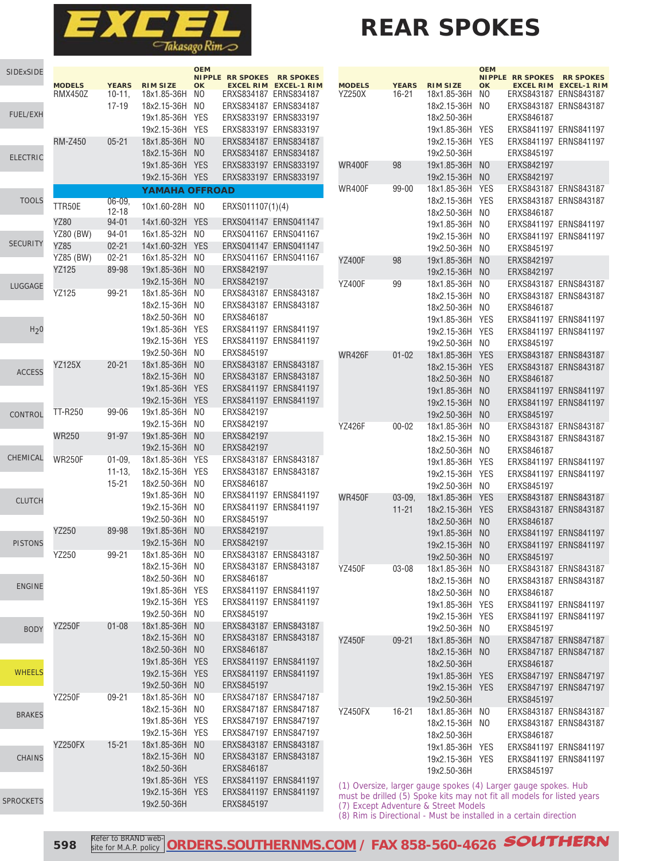

# **REAR SPOKES**

| <b>SIDExSIDE</b> |                  |                   |                            | <b>OEM</b>     | <b>NIPPLE RR SPOKES</b> | <b>RR SPOKES</b>                               |
|------------------|------------------|-------------------|----------------------------|----------------|-------------------------|------------------------------------------------|
|                  | <b>MODELS</b>    | <b>YEARS</b>      | <b>RIM SIZE</b>            | <b>OK</b>      |                         | <b>EXCEL RIM EXCEL-1 RIM</b>                   |
|                  | <b>RMX450Z</b>   | $10-11.$<br>17-19 | 18x1.85-36H<br>18x2.15-36H | NO.<br>NO      |                         | ERXS834187 ERNS834187<br>ERXS834187 ERNS834187 |
| <b>FUEL/EXH</b>  |                  |                   | 19x1.85-36H                | <b>YES</b>     |                         | ERXS833197 ERNS833197                          |
|                  |                  |                   | 19x2.15-36H                | <b>YES</b>     |                         | ERXS833197 ERNS833197                          |
|                  | <b>RM-Z450</b>   | $05 - 21$         | 18x1.85-36H                | N <sub>O</sub> |                         | ERXS834187 ERNS834187                          |
|                  |                  |                   |                            |                |                         |                                                |
| <b>ELECTRIC</b>  |                  |                   | 18x2.15-36H                | N <sub>O</sub> |                         | ERXS834187 ERNS834187                          |
|                  |                  |                   | 19x1.85-36H                | <b>YES</b>     |                         | ERXS833197 ERNS833197                          |
|                  |                  |                   | 19x2.15-36H                | <b>YES</b>     |                         | ERXS833197 ERNS833197                          |
| <b>TOOLS</b>     |                  | $06 - 09.$        | <b>YAMAHA OFFROAD</b>      |                |                         |                                                |
|                  | TTR50E           | $12 - 18$         | 10x1.60-28H                | NO             | ERXS011107(1)(4)        |                                                |
|                  | YZ80             | $94 - 01$         | 14x1.60-32H                | <b>YES</b>     |                         | ERXS041147 ERNS041147                          |
|                  | <b>YZ80 (BW)</b> | 94-01             | 16x1.85-32H                | N <sub>0</sub> |                         | ERXS041167 ERNS041167                          |
| <b>SECURITY</b>  | YZ85             | $02 - 21$         | 14x1.60-32H                | <b>YES</b>     |                         | ERXS041147 ERNS041147                          |
|                  | YZ85 (BW)        | $02 - 21$         | 16x1.85-32H                | NO             |                         | ERXS041167 ERNS041167                          |
|                  | YZ125            | 89-98             | 19x1.85-36H                | N <sub>0</sub> | ERXS842197              |                                                |
| LUGGAGE          |                  |                   | 19x2.15-36H                | N <sub>O</sub> | ERXS842197              |                                                |
|                  | YZ125            | 99-21             | 18x1.85-36H                | N <sub>0</sub> |                         | ERXS843187 ERNS843187                          |
|                  |                  |                   | 18x2.15-36H                | N <sub>0</sub> |                         | ERXS843187 ERNS843187                          |
|                  |                  |                   | 18x2.50-36H                | N <sub>0</sub> | ERXS846187              |                                                |
| H <sub>2</sub> 0 |                  |                   | 19x1.85-36H                | <b>YES</b>     |                         | ERXS841197 ERNS841197                          |
|                  |                  |                   | 19x2.15-36H                | <b>YES</b>     |                         | ERXS841197 ERNS841197                          |
|                  |                  |                   | 19x2.50-36H                | N <sub>O</sub> | ERXS845197              |                                                |
|                  | <b>YZ125X</b>    | $20 - 21$         | 18x1.85-36H                | N <sub>0</sub> |                         | ERXS843187 ERNS843187                          |
| <b>ACCESS</b>    |                  |                   | 18x2.15-36H                | N <sub>O</sub> |                         | ERXS843187 ERNS843187                          |
|                  |                  |                   | 19x1.85-36H                | <b>YES</b>     |                         | ERXS841197 ERNS841197                          |
|                  |                  |                   | 19x2.15-36H                | <b>YES</b>     |                         | ERXS841197 ERNS841197                          |
| CONTROL          | TT-R250          | $99 - 06$         | 19x1.85-36H                | N <sub>0</sub> | ERXS842197              |                                                |
|                  |                  |                   | 19x2.15-36H                | NO             | ERXS842197              |                                                |
|                  | <b>WR250</b>     | $91 - 97$         | 19x1.85-36H                | N <sub>0</sub> | ERXS842197              |                                                |
|                  |                  |                   | 19x2.15-36H                | N <sub>0</sub> | ERXS842197              |                                                |
| CHEMICAL         | <b>WR250F</b>    | $01 - 09$         | 18x1.85-36H                | <b>YES</b>     |                         | ERXS843187 ERNS843187                          |
|                  |                  | $11 - 13$         | 18x2.15-36H                | <b>YES</b>     |                         | ERXS843187 ERNS843187                          |
|                  |                  | 15-21             | 18x2.50-36H                | NO             | ERXS846187              |                                                |
|                  |                  |                   | 19x1.85-36H                | NO             |                         | ERXS841197 ERNS841197                          |
| <b>CLUTCH</b>    |                  |                   | 19x2.15-36H                | NO             |                         | ERXS841197 ERNS841197                          |
|                  |                  |                   | 19x2.50-36H                | NO             | ERXS845197              |                                                |
|                  | YZ250            | 89-98             | 19x1.85-36H                | N <sub>0</sub> | ERXS842197              |                                                |
| <b>PISTONS</b>   |                  |                   | 19x2.15-36H                | N <sub>0</sub> | ERXS842197              |                                                |
|                  | YZ250            | 99-21             | 18x1.85-36H                | NO             |                         | ERXS843187 ERNS843187                          |
|                  |                  |                   | 18x2.15-36H                | NO.            |                         | ERXS843187 ERNS843187                          |
|                  |                  |                   | 18x2.50-36H                | N <sub>0</sub> | ERXS846187              |                                                |
| <b>ENGINE</b>    |                  |                   | 19x1.85-36H                | <b>YES</b>     |                         | ERXS841197 ERNS841197                          |
|                  |                  |                   | 19x2.15-36H                | <b>YES</b>     |                         | ERXS841197 ERNS841197                          |
|                  |                  |                   | 19x2.50-36H                | NO.            | ERXS845197              |                                                |
|                  | <b>YZ250F</b>    | $01 - 08$         | 18x1.85-36H                | N <sub>O</sub> |                         | ERXS843187 ERNS843187                          |
| <b>BODY</b>      |                  |                   | 18x2.15-36H                | N <sub>O</sub> |                         | ERXS843187 ERNS843187                          |
|                  |                  |                   | 18x2.50-36H                | N <sub>O</sub> | ERXS846187              |                                                |
|                  |                  |                   | 19x1.85-36H                | <b>YES</b>     |                         | ERXS841197 ERNS841197                          |
| <b>WHEELS</b>    |                  |                   | 19x2.15-36H                | <b>YES</b>     |                         | ERXS841197 ERNS841197                          |
|                  |                  |                   | 19x2.50-36H                | N <sub>0</sub> | ERXS845197              |                                                |
|                  | <b>YZ250F</b>    | $09 - 21$         | 18x1.85-36H                | N <sub>0</sub> |                         | ERXS847187 ERNS847187                          |
|                  |                  |                   | 18x2.15-36H                | N <sub>0</sub> |                         | ERXS847187 ERNS847187                          |
| <b>BRAKES</b>    |                  |                   |                            |                |                         |                                                |
|                  |                  |                   | 19x1.85-36H                | <b>YES</b>     |                         | ERXS847197 ERNS847197                          |
|                  |                  |                   | 19x2.15-36H                | YES            |                         | ERXS847197 ERNS847197                          |
|                  | YZ250FX          | $15 - 21$         | 18x1.85-36H                | N <sub>0</sub> |                         | ERXS843187 ERNS843187                          |
| <b>CHAINS</b>    |                  |                   | 18x2.15-36H                | N <sub>O</sub> |                         | ERXS843187 ERNS843187                          |
|                  |                  |                   | 18x2.50-36H                |                | ERXS846187              |                                                |
|                  |                  |                   | 19x1.85-36H                | <b>YES</b>     |                         | ERXS841197 ERNS841197                          |
| <b>SPROCKETS</b> |                  |                   | 19x2.15-36H                | <b>YES</b>     |                         | ERXS841197 ERNS841197                          |
|                  |                  |                   | 19x2.50-36H                |                | ERXS845197              |                                                |

|               |              |                 | <b>OEM</b>                 |                                      |                                        |
|---------------|--------------|-----------------|----------------------------|--------------------------------------|----------------------------------------|
| <b>MODELS</b> | <b>YEARS</b> | <b>RIM SIZE</b> | <b>NIPPLE</b><br><b>OK</b> | <b>RR SPOKES</b><br><b>EXCEL RIM</b> | <b>RR SPOKES</b><br><b>EXCEL-1 RIM</b> |
| YZ250X        | 16-21        | 18x1.85-36H     | NO                         | ERXS843187                           | ERNS843187                             |
|               |              | 18x2.15-36H     | NO                         | ERXS843187                           | ERNS843187                             |
|               |              | 18x2.50-36H     |                            | ERXS846187                           |                                        |
|               |              | 19x1.85-36H     | YES                        | ERXS841197                           | ERNS841197                             |
|               |              | 19x2.15-36H     | YES                        | ERXS841197                           | ERNS841197                             |
|               |              | 19x2.50-36H     |                            | ERXS845197                           |                                        |
| WR400F        | 98           | 19x1.85-36H     | N <sub>O</sub>             | ERXS842197                           |                                        |
|               |              | 19x2.15-36H     | NO                         | ERXS842197                           |                                        |
| WR400F        | 99-00        | 18x1.85-36H     | YES                        |                                      | ERXS843187 ERNS843187                  |
|               |              | 18x2.15-36H     | YES                        | ERXS843187                           | ERNS843187                             |
|               |              | 18x2.50-36H     | NO                         | ERXS846187                           |                                        |
|               |              | 19x1.85-36H     | ΝO                         |                                      | ERXS841197 ERNS841197                  |
|               |              | 19x2.15-36H     | NO                         |                                      | ERXS841197 ERNS841197                  |
|               |              | 19x2.50-36H     | NO                         | ERXS845197                           |                                        |
| YZ400F        | 98           | 19x1.85-36H     | N <sub>O</sub>             | ERXS842197                           |                                        |
|               |              | 19x2.15-36H     | N <sub>O</sub>             | ERXS842197                           |                                        |
| YZ400F        | 99           | 18x1.85-36H     | ΝO                         |                                      | ERXS843187 ERNS843187                  |
|               |              | 18x2.15-36H     | NO                         | ERXS843187                           | ERNS843187                             |
|               |              | 18x2.50-36H     | NO                         | ERXS846187                           |                                        |
|               |              | 19x1.85-36H     | YES                        | ERXS841197                           | ERNS841197                             |
|               |              | 19x2.15-36H     | <b>YES</b>                 | ERXS841197                           | ERNS841197                             |
|               |              | 19x2.50-36H     | NO                         | ERXS845197                           |                                        |
| <b>WR426F</b> | $01 - 02$    | 18x1.85-36H     | <b>YES</b>                 | ERXS843187                           | <b>ERNS843187</b>                      |
|               |              | 18x2.15-36H     | <b>YES</b>                 | ERXS843187                           | <b>ERNS843187</b>                      |
|               |              | 18x2.50-36H     | N <sub>O</sub>             | ERXS846187                           |                                        |
|               |              | 19x1.85-36H     | N <sub>O</sub>             |                                      | ERXS841197 ERNS841197                  |
|               |              | 19x2.15-36H     | N <sub>O</sub>             | ERXS841197                           | <b>ERNS841197</b>                      |
|               |              | 19x2.50-36H     | NO                         | ERXS845197                           |                                        |
| YZ426F        | $00 - 02$    | 18x1.85-36H     | NO                         | ERXS843187                           | ERNS843187                             |
|               |              | 18x2.15-36H     | NO                         | ERXS843187                           | ERNS843187                             |
|               |              | 18x2.50-36H     | NO                         | ERXS846187                           |                                        |
|               |              | 19x1.85-36H     | YES                        |                                      | ERXS841197 ERNS841197                  |
|               |              | 19x2.15-36H     | YES                        | ERXS841197                           | ERNS841197                             |
|               |              | 19x2.50-36H     | NO                         | ERXS845197                           |                                        |
| <b>WR450F</b> | $03 - 09,$   | 18x1.85-36H     | <b>YES</b>                 | ERXS843187                           | <b>ERNS843187</b>                      |
|               | 11-21        | 18x2.15-36H     | <b>YES</b>                 |                                      | ERXS843187 ERNS843187                  |
|               |              | 18x2.50-36H     | N <sub>O</sub>             | ERXS846187                           |                                        |
|               |              | 19x1.85-36H     | NO                         |                                      | ERXS841197 ERNS841197                  |
|               |              | 19x2.15-36H     | ΝO                         |                                      | ERXS841197 ERNS841197                  |
|               |              | 19x2.50-36H     | ΝO                         | ERXS845197                           |                                        |
| YZ450F        | 03-08        | 18x1.85-36H     | NO                         |                                      | ERXS843187 ERNS843187                  |
|               |              | 18x2.15-36H     | NO                         |                                      | ERXS843187 ERNS843187                  |
|               |              | 18x2.50-36H     | NO                         | ERXS846187                           |                                        |
|               |              | 19x1.85-36H     | <b>YES</b>                 |                                      | ERXS841197 ERNS841197                  |
|               |              | 19x2.15-36H     | <b>YES</b>                 |                                      | ERXS841197 ERNS841197                  |
|               |              | 19x2.50-36H     | NO                         | ERXS845197                           |                                        |
| YZ450F        | $09 - 21$    | 18x1.85-36H     | N <sub>O</sub>             |                                      | ERXS847187 ERNS847187                  |
|               |              | 18x2.15-36H     | N <sub>O</sub>             |                                      | ERXS847187 ERNS847187                  |
|               |              | 18x2.50-36H     |                            | ERXS846187                           |                                        |
|               |              | 19x1.85-36H     | <b>YES</b>                 |                                      | ERXS847197 ERNS847197                  |
|               |              | 19x2.15-36H     | <b>YES</b>                 |                                      | ERXS847197 ERNS847197                  |
|               |              | 19x2.50-36H     |                            | ERXS845197                           |                                        |
| YZ450FX       | 16-21        | 18x1.85-36H     | N <sub>O</sub>             |                                      | ERXS843187 ERNS843187                  |
|               |              | 18x2.15-36H     | NO                         |                                      | ERXS843187 ERNS843187                  |
|               |              | 18x2.50-36H     |                            | ERXS846187                           |                                        |
|               |              | 19x1.85-36H     | YES                        |                                      | ERXS841197 ERNS841197                  |
|               |              | 19x2.15-36H     | <b>YES</b>                 |                                      | ERXS841197 ERNS841197                  |
|               |              | 19x2.50-36H     |                            | ERXS845197                           |                                        |
|               |              |                 |                            |                                      |                                        |

(1) Oversize, larger gauge spokes (4) Larger gauge spokes. Hub must be drilled (5) Spoke kits may not fit all models for listed years (7) Except Adventure & Street Models (8) Rim is Directional - Must be installed in a certain direction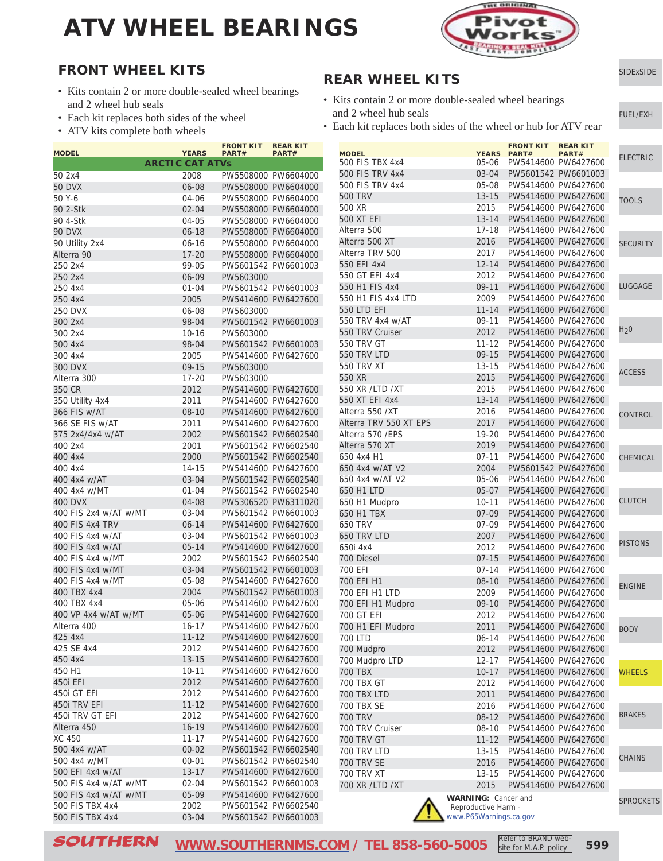

[SIDExSIDE](http://www.southernms.com/wp-content/uploads/2015/08/01_UTV.pdf)

[FUEL/EXH](http://www.southernms.com/wp-content/uploads/2015/08/02_fuel_exh.pdf)

#### **FRONT WHEEL KITS**

- Kits contain 2 or more double-sealed wheel bearings and 2 wheel hub seals
- Each kit replaces both sides of the wheel
- ATV kits complete both wheels

| <b>MODEL</b>          | <b>YEARS</b>           | <b>FRONT KIT</b><br>PART# | <b>REAR KIT</b><br><b>PART#</b> |
|-----------------------|------------------------|---------------------------|---------------------------------|
|                       | <b>ARCTIC CAT ATVs</b> |                           |                                 |
| 50 2x4                | 2008                   |                           | PW5508000 PW6604000             |
| <b>50 DVX</b>         | 06-08                  |                           | PW5508000 PW6604000             |
| 50 Y-6                | 04-06                  |                           | PW5508000 PW6604000             |
| 90 2-Stk              | $02 - 04$              |                           | PW5508000 PW6604000             |
| 90 4-Stk              | 04-05                  |                           | PW5508000 PW6604000             |
|                       |                        |                           |                                 |
| <b>90 DVX</b>         | $06 - 18$              |                           | PW5508000 PW6604000             |
| 90 Utility 2x4        | 06-16                  |                           | PW5508000 PW6604000             |
| Alterra 90            | $17 - 20$              |                           | PW5508000 PW6604000             |
| 250 2x4               | 99-05                  |                           | PW5601542 PW6601003             |
| 250 2x4               | 06-09                  | PW5603000                 |                                 |
| 250 4x4               | 01-04                  |                           | PW5601542 PW6601003             |
| 250 4x4               | 2005                   |                           | PW5414600 PW6427600             |
| 250 DVX               | 06-08                  | PW5603000                 |                                 |
| 300 2x4               | 98-04                  |                           | PW5601542 PW6601003             |
| 300 2x4               | $10 - 16$              | PW5603000                 |                                 |
| 300 4x4               | 98-04                  |                           | PW5601542 PW6601003             |
| 300 4x4               | 2005                   |                           | PW5414600 PW6427600             |
| <b>300 DVX</b>        | 09-15                  | PW5603000                 |                                 |
| Alterra 300           | 17-20                  | PW5603000                 |                                 |
| 350 CR                | 2012                   |                           | PW5414600 PW6427600             |
| 350 Utility 4x4       | 2011                   |                           | PW5414600 PW6427600             |
| 366 FIS w/AT          | 08-10                  |                           | PW5414600 PW6427600             |
| 366 SE FIS W/AT       | 2011                   |                           | PW5414600 PW6427600             |
| 375 2x4/4x4 w/AT      | 2002                   |                           | PW5601542 PW6602540             |
| 400 2x4               | 2001                   |                           | PW5601542 PW6602540             |
| 400 4x4               | 2000                   |                           | PW5601542 PW6602540             |
| 400 4x4               | 14-15                  |                           | PW5414600 PW6427600             |
| 400 4x4 w/AT          | 03-04                  |                           | PW5601542 PW6602540             |
| 400 4x4 w/MT          | 01-04                  |                           | PW5601542 PW6602540             |
| <b>400 DVX</b>        | 04-08                  |                           | PW5306520 PW6311020             |
| 400 FIS 2x4 w/AT w/MT | 03-04                  |                           | PW5601542 PW6601003             |
| 400 FIS 4x4 TRV       | $06 - 14$              |                           | PW5414600 PW6427600             |
| 400 FIS 4x4 w/AT      | 03-04                  |                           | PW5601542 PW6601003             |
| 400 FIS 4x4 w/AT      | $05 - 14$              |                           | PW5414600 PW6427600             |
| 400 FIS 4x4 w/MT      | 2002                   |                           | PW5601542 PW6602540             |
| 400 FIS 4x4 w/MT      | 03-04                  |                           | PW5601542 PW6601003             |
| 400 FIS 4x4 w/MT      | 05-08                  |                           | PW5414600 PW6427600             |
| 400 TBX 4x4           | 2004                   |                           | PW5601542 PW6601003             |
| 400 TBX 4x4           | 05-06                  |                           | PW5414600 PW6427600             |
| 400 VP 4x4 w/AT w/MT  | 05-06                  |                           | PW5414600 PW6427600             |
| Alterra 400           | $16 - 17$              |                           | PW5414600 PW6427600             |
| 425 4x4               | $11 - 12$              |                           | PW5414600 PW6427600             |
| 425 SE 4x4            | 2012                   |                           | PW5414600 PW6427600             |
| 450 4x4               | $13 - 15$              |                           | PW5414600 PW6427600             |
|                       |                        |                           | PW5414600 PW6427600             |
| 450 H1                | $10 - 11$              |                           |                                 |
| 450i EFI              | 2012                   |                           | PW5414600 PW6427600             |
| 450i GT EFI           | 2012                   |                           | PW5414600 PW6427600             |
| 450i TRV EFI          | $11 - 12$              |                           | PW5414600 PW6427600             |
| 450i TRV GT EFI       | 2012                   |                           | PW5414600 PW6427600             |
| Alterra 450           | $16 - 19$              |                           | PW5414600 PW6427600             |
| XC 450                | 11-17                  |                           | PW5414600 PW6427600             |
| 500 4x4 w/AT          | $00 - 02$              |                           | PW5601542 PW6602540             |
| 500 4x4 w/MT          | $00 - 01$              |                           | PW5601542 PW6602540             |
| 500 EFI 4x4 w/AT      | 13-17                  |                           | PW5414600 PW6427600             |
| 500 FIS 4x4 w/AT w/MT | 02-04                  |                           | PW5601542 PW6601003             |
| 500 FIS 4x4 w/AT w/MT | 05-09                  |                           | PW5414600 PW6427600             |
| 500 FIS TBX 4x4       | 2002                   |                           | PW5601542 PW6602540             |
| 500 FIS TBX 4x4       | 03-04                  |                           | PW5601542 PW6601003             |

#### **REAR WHEEL KITS**

- Kits contain 2 or more double-sealed wheel bearings and 2 wheel hub seals
- Each kit replaces both sides of the wheel or hub for ATV rear

|                        |              | <b>FRONT KIT</b>    | <b>REAR KIT</b>     |                 |
|------------------------|--------------|---------------------|---------------------|-----------------|
| <b>MODEL</b>           | <b>YEARS</b> | PART#               | PART#               | <b>ELECTRIC</b> |
| 500 FIS TBX 4x4        | 05-06        |                     | PW5414600 PW6427600 |                 |
| 500 FIS TRV 4x4        | 03-04        |                     | PW5601542 PW6601003 |                 |
| 500 FIS TRV 4x4        | 05-08        | PW5414600 PW6427600 |                     |                 |
| <b>500 TRV</b>         | 13-15        | PW5414600 PW6427600 |                     | TOOLS           |
| 500 XR                 | 2015         | PW5414600 PW6427600 |                     |                 |
| 500 XT EFI             | $13 - 14$    |                     | PW5414600 PW6427600 |                 |
| Alterra 500            | 17-18        | PW5414600 PW6427600 |                     |                 |
| Alterra 500 XT         | 2016         |                     | PW5414600 PW6427600 | <b>SECURITY</b> |
| Alterra TRV 500        | 2017         | PW5414600 PW6427600 |                     |                 |
| 550 EFI 4x4            | $12 - 14$    |                     | PW5414600 PW6427600 |                 |
| 550 GT EFI 4x4         | 2012         | PW5414600 PW6427600 |                     |                 |
| 550 H1 FIS 4x4         | 09-11        |                     | PW5414600 PW6427600 | <b>LUGGAGE</b>  |
| 550 H1 FIS 4x4 LTD     | 2009         | PW5414600 PW6427600 |                     |                 |
| 550 LTD EFI            | $11 - 14$    |                     | PW5414600 PW6427600 |                 |
| 550 TRV 4x4 w/AT       | $09-11$      | PW5414600 PW6427600 |                     |                 |
| 550 TRV Cruiser        |              |                     | PW5414600 PW6427600 | $H_2$ 0         |
| <b>550 TRV GT</b>      | 2012         | PW5414600 PW6427600 |                     |                 |
|                        | 11-12        |                     |                     |                 |
| 550 TRV LTD            | $09 - 15$    |                     | PW5414600 PW6427600 |                 |
| <b>550 TRV XT</b>      | $13 - 15$    | PW5414600 PW6427600 |                     | ACCESS          |
| 550 XR                 | 2015         | PW5414600 PW6427600 |                     |                 |
| 550 XR /LTD /XT        | 2015         |                     | PW5414600 PW6427600 |                 |
| 550 XT EFI 4x4         | $13 - 14$    |                     | PW5414600 PW6427600 |                 |
| Alterra 550 /XT        | 2016         | PW5414600 PW6427600 |                     | CONTROL         |
| Alterra TRV 550 XT EPS | 2017         |                     | PW5414600 PW6427600 |                 |
| Alterra 570 / EPS      | 19-20        | PW5414600 PW6427600 |                     |                 |
| Alterra 570 XT         | 2019         |                     | PW5414600 PW6427600 |                 |
| 650 4x4 H1             | 07-11        | PW5414600 PW6427600 |                     | CHEMICAL        |
| 650 4x4 w/AT V2        | 2004         |                     | PW5601542 PW6427600 |                 |
| 650 4x4 w/AT V2        | $05-06$      | PW5414600 PW6427600 |                     |                 |
| 650 H1 LTD             | 05-07        |                     | PW5414600 PW6427600 |                 |
| 650 H1 Mudpro          | $10 - 11$    | PW5414600 PW6427600 |                     | CLUTCH          |
| 650 H1 TBX             | $07-09$      |                     | PW5414600 PW6427600 |                 |
| <b>650 TRV</b>         | 07-09        | PW5414600 PW6427600 |                     |                 |
| 650 TRV LTD            | 2007         |                     | PW5414600 PW6427600 |                 |
| 650i 4x4               | 2012         |                     | PW5414600 PW6427600 | <b>PISTONS</b>  |
| 700 Diesel             | $07 - 15$    |                     | PW5414600 PW6427600 |                 |
| 700 EFI                | $07-14$      | PW5414600 PW6427600 |                     |                 |
| 700 EFI H1             | $08-10$      |                     | PW5414600 PW6427600 | <b>ENGINE</b>   |
| 700 EFI H1 LTD         | 2009         | PW5414600 PW6427600 |                     |                 |
| 700 EFI H1 Mudpro      | $09-10$      |                     | PW5414600 PW6427600 |                 |
| 700 GT EFI             | 2012         |                     | PW5414600 PW6427600 |                 |
| 700 H1 EFI Mudpro      | 2011         |                     | PW5414600 PW6427600 | <b>BODY</b>     |
| 700 LTD                | 06-14        |                     | PW5414600 PW6427600 |                 |
| 700 Mudpro             | 2012         |                     | PW5414600 PW6427600 |                 |
| 700 Mudpro LTD         | $12 - 17$    |                     | PW5414600 PW6427600 |                 |
| 700 TBX                | $10 - 17$    |                     | PW5414600 PW6427600 | <b>WHEELS</b>   |
| 700 TBX GT             | 2012         |                     | PW5414600 PW6427600 |                 |
| 700 TBX LTD            | 2011         |                     | PW5414600 PW6427600 |                 |
| <b>700 TBX SE</b>      | 2016         |                     | PW5414600 PW6427600 |                 |
| <b>700 TRV</b>         | $08-12$      |                     | PW5414600 PW6427600 | <b>BRAKES</b>   |
| 700 TRV Cruiser        | 08-10        |                     | PW5414600 PW6427600 |                 |
| <b>700 TRV GT</b>      | $11 - 12$    |                     | PW5414600 PW6427600 |                 |
| 700 TRV LTD            | 13-15        |                     | PW5414600 PW6427600 |                 |
| <b>700 TRV SE</b>      | 2016         |                     | PW5414600 PW6427600 | <b>CHAINS</b>   |
| <b>700 TRV XT</b>      | $13 - 15$    |                     | PW5414600 PW6427600 |                 |
| 700 XR /LTD /XT        | 2015         |                     | PW5414600 PW6427600 |                 |
|                        |              |                     |                     |                 |



[SPROCKETS](http://www.southernms.com/wp-content/uploads/2015/08/18_sprockets.pdf)

 $\text{SOUTHERN}$   $\text{WWW.SOUTHERNMS. COM}$  / TEL 858-560-5005  $\text{Kerf to BRAND Web}$  599 Refer to BRAND website for M.A.P. policy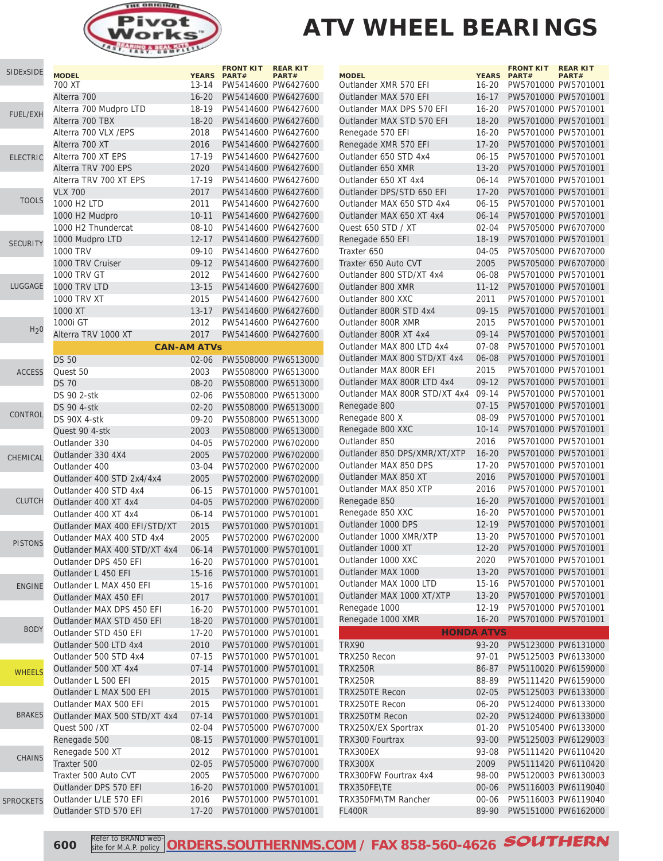

| SIDExSIDE        | <b>MODEL</b>                 |                    | <b>FRONT KIT</b><br>YEARS PART# | <b>REAR KIT</b><br>PART# |
|------------------|------------------------------|--------------------|---------------------------------|--------------------------|
|                  | 700 XT                       | 13-14              |                                 | PW5414600 PW6427600      |
|                  | Alterra 700                  | $16 - 20$          |                                 | PW5414600 PW6427600      |
|                  | Alterra 700 Mudpro LTD       | 18-19              | PW5414600 PW6427600             |                          |
| <b>FUEL/EXH</b>  | Alterra 700 TBX              | $18 - 20$          |                                 | PW5414600 PW6427600      |
|                  | Alterra 700 VLX / EPS        | 2018               |                                 | PW5414600 PW6427600      |
|                  | Alterra 700 XT               |                    |                                 |                          |
|                  |                              | 2016               |                                 | PW5414600 PW6427600      |
| <b>ELECTRIC</b>  | Alterra 700 XT EPS           | 17-19              |                                 | PW5414600 PW6427600      |
|                  | Alterra TRV 700 EPS          | 2020               |                                 | PW5414600 PW6427600      |
|                  | Alterra TRV 700 XT EPS       | $17 - 19$          |                                 | PW5414600 PW6427600      |
| <b>TOOLS</b>     | <b>VLX 700</b>               | 2017               |                                 | PW5414600 PW6427600      |
|                  | 1000 H <sub>2</sub> LTD      | 2011               |                                 | PW5414600 PW6427600      |
|                  | 1000 H2 Mudpro               | $10 - 11$          |                                 | PW5414600 PW6427600      |
|                  | 1000 H2 Thundercat           | 08-10              |                                 | PW5414600 PW6427600      |
| <b>SECURITY</b>  | 1000 Mudpro LTD              | $12 - 17$          |                                 | PW5414600 PW6427600      |
|                  | <b>1000 TRV</b>              | 09-10              |                                 | PW5414600 PW6427600      |
|                  | 1000 TRV Cruiser             | $09 - 12$          |                                 | PW5414600 PW6427600      |
|                  | <b>1000 TRV GT</b>           | 2012               |                                 | PW5414600 PW6427600      |
| LUGGAGE          | 1000 TRV LTD                 | $13 - 15$          |                                 | PW5414600 PW6427600      |
|                  | <b>1000 TRV XT</b>           | 2015               |                                 | PW5414600 PW6427600      |
|                  | 1000 XT                      | $13 - 17$          |                                 | PW5414600 PW6427600      |
|                  | 1000i GT                     | 2012               |                                 | PW5414600 PW6427600      |
| H <sub>2</sub> 0 | Alterra TRV 1000 XT          | 2017               |                                 | PW5414600 PW6427600      |
|                  |                              | <b>CAN-AM ATVs</b> |                                 |                          |
|                  |                              |                    |                                 |                          |
|                  | <b>DS 50</b>                 | $02 - 06$          |                                 | PW5508000 PW6513000      |
| <b>ACCESS</b>    | Quest 50                     | 2003               |                                 | PW5508000 PW6513000      |
|                  | <b>DS 70</b>                 | $08 - 20$          |                                 | PW5508000 PW6513000      |
|                  | <b>DS 90 2-stk</b>           | 02-06              |                                 | PW5508000 PW6513000      |
| CONTROL          | <b>DS 90 4-stk</b>           | $02 - 20$          |                                 | PW5508000 PW6513000      |
|                  | DS 90X 4-stk                 | 09-20              |                                 | PW5508000 PW6513000      |
|                  | Quest 90 4-stk               | 2003               |                                 | PW5508000 PW6513000      |
|                  | Outlander 330                | 04-05              |                                 | PW5702000 PW6702000      |
| <b>CHEMICAL</b>  | Outlander 330 4X4            | 2005               |                                 | PW5702000 PW6702000      |
|                  | Outlander 400                | 03-04              |                                 | PW5702000 PW6702000      |
|                  | Outlander 400 STD 2x4/4x4    | 2005               |                                 | PW5702000 PW6702000      |
|                  | Outlander 400 STD 4x4        | $06 - 15$          |                                 | PW5701000 PW5701001      |
| <b>CLUTCH</b>    | Outlander 400 XT 4x4         | 04-05              |                                 | PW5702000 PW6702000      |
|                  | Outlander 400 XT 4x4         | 06-14              |                                 | PW5701000 PW5701001      |
|                  | Outlander MAX 400 EFI/STD/XT | 2015               |                                 | PW5701000 PW5701001      |
|                  | Outlander MAX 400 STD 4x4    | 2005               |                                 | PW5702000 PW6702000      |
| <b>PISTONS</b>   | Outlander MAX 400 STD/XT 4x4 | $06 - 14$          |                                 | PW5701000 PW5701001      |
|                  | Outlander DPS 450 EFI        | $16 - 20$          |                                 | PW5701000 PW5701001      |
|                  | Outlander L 450 EFI          | $15 - 16$          |                                 | PW5701000 PW5701001      |
|                  | Outlander L MAX 450 EFI      | 15-16              |                                 | PW5701000 PW5701001      |
| <b>ENGINE</b>    | Outlander MAX 450 EFI        | 2017               |                                 | PW5701000 PW5701001      |
|                  | Outlander MAX DPS 450 EFI    | $16 - 20$          |                                 | PW5701000 PW5701001      |
|                  |                              |                    |                                 |                          |
| <b>BODY</b>      | Outlander MAX STD 450 EFI    | $18 - 20$          |                                 | PW5701000 PW5701001      |
|                  | Outlander STD 450 EFI        | 17-20              |                                 | PW5701000 PW5701001      |
|                  | Outlander 500 LTD 4x4        | 2010               |                                 | PW5701000 PW5701001      |
|                  | Outlander 500 STD 4x4        | $07 - 15$          |                                 | PW5701000 PW5701001      |
| <b>WHEELS</b>    | Outlander 500 XT 4x4         | $07 - 14$          |                                 | PW5701000 PW5701001      |
|                  | Outlander L 500 EFI          | 2015               |                                 | PW5701000 PW5701001      |
|                  | Outlander L MAX 500 EFI      | 2015               |                                 | PW5701000 PW5701001      |
|                  | Outlander MAX 500 EFI        | 2015               |                                 | PW5701000 PW5701001      |
| <b>BRAKES</b>    | Outlander MAX 500 STD/XT 4x4 | $07 - 14$          |                                 | PW5701000 PW5701001      |
|                  | Quest 500 /XT                | $02 - 04$          |                                 | PW5705000 PW6707000      |
|                  | Renegade 500                 | $08 - 15$          |                                 | PW5701000 PW5701001      |
|                  | Renegade 500 XT              | 2012               |                                 | PW5701000 PW5701001      |
| <b>CHAINS</b>    | Traxter 500                  | $02 - 05$          |                                 | PW5705000 PW6707000      |
|                  | Traxter 500 Auto CVT         | 2005               |                                 | PW5705000 PW6707000      |
|                  | Outlander DPS 570 EFI        | $16 - 20$          |                                 | PW5701000 PW5701001      |
|                  | Outlander L/LE 570 EFI       | 2016               |                                 | PW5701000 PW5701001      |
| <b>SPROCKETS</b> | Outlander STD 570 EFI        | $17 - 20$          |                                 | PW5701000 PW5701001      |
|                  |                              |                    |                                 |                          |

| <b>MODEL</b>                  | <b>YEARS</b>      | <b>FRONT KIT</b><br>PART# | <b>REAR KIT</b><br>PART# |
|-------------------------------|-------------------|---------------------------|--------------------------|
| Outlander XMR 570 EFI         | 16-20             | PW5701000 PW5701001       |                          |
| Outlander MAX 570 EFI         | $16 - 17$         | PW5701000 PW5701001       |                          |
| Outlander MAX DPS 570 EFI     | $16 - 20$         | PW5701000 PW5701001       |                          |
| Outlander MAX STD 570 EFI     | $18 - 20$         | PW5701000 PW5701001       |                          |
| Renegade 570 EFI              | $16 - 20$         | PW5701000 PW5701001       |                          |
| Renegade XMR 570 EFI          | $17 - 20$         | PW5701000 PW5701001       |                          |
| Outlander 650 STD 4x4         | 06-15             | PW5701000 PW5701001       |                          |
| Outlander 650 XMR             | $13 - 20$         | PW5701000 PW5701001       |                          |
| Outlander 650 XT 4x4          | $06 - 14$         | PW5701000 PW5701001       |                          |
| Outlander DPS/STD 650 EFI     | $17 - 20$         | PW5701000 PW5701001       |                          |
| Outlander MAX 650 STD 4x4     | $06 - 15$         | PW5701000 PW5701001       |                          |
| Outlander MAX 650 XT 4x4      | $06 - 14$         | PW5701000 PW5701001       |                          |
| Quest 650 STD / XT            | $02 - 04$         |                           | PW5705000 PW6707000      |
| Renegade 650 EFI              | 18-19             | PW5701000 PW5701001       |                          |
| Traxter 650                   | 04-05             |                           | PW5705000 PW6707000      |
| Traxter 650 Auto CVT          | 2005              |                           | PW5705000 PW6707000      |
| Outlander 800 STD/XT 4x4      | 06-08             | PW5701000 PW5701001       |                          |
| Outlander 800 XMR             | $11 - 12$         | PW5701000 PW5701001       |                          |
| Outlander 800 XXC             | 2011              | PW5701000 PW5701001       |                          |
| Outlander 800R STD 4x4        | $09 - 15$         | PW5701000 PW5701001       |                          |
| Outlander 800R XMR            | 2015              | PW5701000 PW5701001       |                          |
| Outlander 800R XT 4x4         | $09 - 14$         | PW5701000 PW5701001       |                          |
| Outlander MAX 800 LTD 4x4     | $07 - 08$         | PW5701000 PW5701001       |                          |
| Outlander MAX 800 STD/XT 4x4  | 06-08             | PW5701000 PW5701001       |                          |
| Outlander MAX 800R EFI        | 2015              | PW5701000 PW5701001       |                          |
| Outlander MAX 800R LTD 4x4    | $09 - 12$         | PW5701000 PW5701001       |                          |
| Outlander MAX 800R STD/XT 4x4 | $09 - 14$         | PW5701000 PW5701001       |                          |
| Renegade 800                  | $07 - 15$         | PW5701000 PW5701001       |                          |
| Renegade 800 X                | 08-09             | PW5701000 PW5701001       |                          |
| Renegade 800 XXC              | $10 - 14$         | PW5701000 PW5701001       |                          |
| Outlander 850                 | 2016              | PW5701000 PW5701001       |                          |
| Outlander 850 DPS/XMR/XT/XTP  | $16 - 20$         | PW5701000 PW5701001       |                          |
| Outlander MAX 850 DPS         | $17 - 20$         | PW5701000 PW5701001       |                          |
| Outlander MAX 850 XT          | 2016              | PW5701000 PW5701001       |                          |
| Outlander MAX 850 XTP         | 2016              | PW5701000 PW5701001       |                          |
| Renegade 850                  | $16 - 20$         | PW5701000 PW5701001       |                          |
| Renegade 850 XXC              | $16 - 20$         | PW5701000 PW5701001       |                          |
| Outlander 1000 DPS            | $12 - 19$         | PW5701000 PW5701001       |                          |
| Outlander 1000 XMR/XTP        | $13 - 20$         | PW5701000 PW5701001       |                          |
| Outlander 1000 XT             | $12 - 20$         | PW5701000 PW5701001       |                          |
| Outlander 1000 XXC            | 2020              | PW5701000 PW5701001       |                          |
| Outlander MAX 1000            | $13 - 20$         | PW5701000 PW5701001       |                          |
| Outlander MAX 1000 LTD        | $15 - 16$         | PW5701000 PW5701001       |                          |
| Outlander MAX 1000 XT/XTP     | $13 - 20$         | PW5701000 PW5701001       |                          |
| Renegade 1000                 | 12-19             | PW5701000 PW5701001       |                          |
| Renegade 1000 XMR             | $16 - 20$         | PW5701000 PW5701001       |                          |
|                               | <b>HONDA ATVS</b> |                           |                          |
| <b>TRX90</b>                  | 93-20             |                           | PW5123000 PW6131000      |
| TRX250 Recon                  | $97 - 01$         |                           | PW5125003 PW6133000      |
| <b>TRX250R</b>                | 86-87             |                           | PW5110020 PW6159000      |
| <b>TRX250R</b>                | 88-89             |                           | PW5111420 PW6159000      |
| <b>TRX250TE Recon</b>         | 02-05             |                           | PW5125003 PW6133000      |
| <b>TRX250TE Recon</b>         | $06 - 20$         |                           | PW5124000 PW6133000      |
| <b>TRX250TM Recon</b>         | $02 - 20$         |                           | PW5124000 PW6133000      |
| TRX250X/EX Sportrax           | $01 - 20$         |                           | PW5105400 PW6133000      |
| TRX300 Fourtrax               | 93-00             |                           | PW5125003 PW6129003      |
| <b>TRX300EX</b>               | 93-08             |                           | PW5111420 PW6110420      |
| <b>TRX300X</b>                | 2009              |                           | PW5111420 PW6110420      |
| TRX300FW Fourtrax 4x4         | 98-00             |                           | PW5120003 PW6130003      |
| TRX350FE\TE                   | $00 - 06$         |                           | PW5116003 PW6119040      |
| TRX350FM\TM Rancher           | $00 - 06$         |                           | PW5116003 PW6119040      |
| <b>FL400R</b>                 | 89-90             |                           | PW5151000 PW6162000      |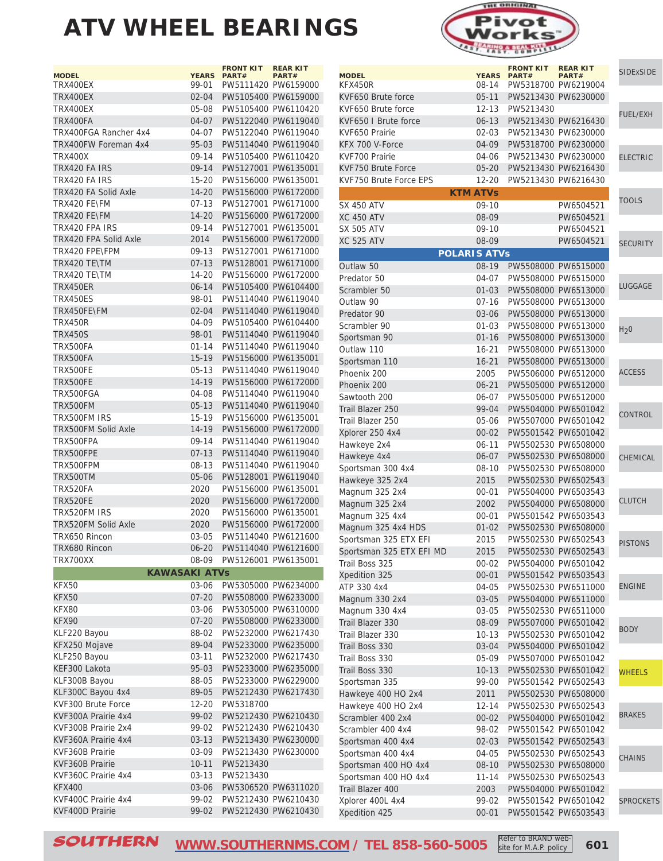| <b>MODEL</b>                 | <b>YEARS</b> | <b>FRONT KIT</b><br>PART# | <b>REAR KIT</b><br>PART# |
|------------------------------|--------------|---------------------------|--------------------------|
| TRX400EX                     | 99-01        | PW5111420 PW6159000       |                          |
| TRX400EX                     | $02 - 04$    |                           | PW5105400 PW6159000      |
| TRX400EX                     | 05-08        | PW5105400 PW6110420       |                          |
| TRX400FA                     | 04-07        | PW5122040 PW6119040       |                          |
| TRX400FGA Rancher 4x4        | 04-07        | PW5122040 PW6119040       |                          |
| TRX400FW Foreman 4x4         | 95-03        |                           | PW5114040 PW6119040      |
| TRX400X                      | $09-14$      | PW5105400 PW6110420       |                          |
| TRX420 FA IRS                | $09 - 14$    | PW5127001 PW6135001       |                          |
| TRX420 FA IRS                | $15 - 20$    | PW5156000 PW6135001       |                          |
| TRX420 FA Solid Axle         | $14 - 20$    | PW5156000 PW6172000       |                          |
| TRX420 FF\FM                 | 07-13        | PW5127001 PW6171000       |                          |
| TRX420 FE\FM                 | 14-20        |                           | PW5156000 PW6172000      |
| TRX420 FPA IRS               | $09 - 14$    | PW5127001 PW6135001       |                          |
| <b>TRX420 FPA Solid Axle</b> | 2014         |                           | PW5156000 PW6172000      |
| TRX420 FPE\FPM               | $09-13$      | PW5127001 PW6171000       |                          |
| TRX420 TE\TM                 | $07 - 13$    |                           | PW5128001 PW6171000      |
| TRX420 TE\TM                 | 14-20        | PW5156000 PW6172000       |                          |
| <b>TRX450ER</b>              | $06 - 14$    | PW5105400 PW6104400       |                          |
| TRX450ES                     | 98-01        | PW5114040 PW6119040       |                          |
| TRX450FE\FM                  | $02 - 04$    | PW5114040 PW6119040       |                          |
| <b>TRX450R</b>               | 04-09        | PW5105400 PW6104400       |                          |
| TRX450S                      | 98-01        |                           | PW5114040 PW6119040      |
|                              |              |                           |                          |
| TRX500FA                     | $01 - 14$    | PW5114040 PW6119040       |                          |
| TRX500FA<br><b>TRX500FE</b>  | $15 - 19$    | PW5156000 PW6135001       |                          |
|                              | $05 - 13$    | PW5114040 PW6119040       |                          |
| TRX500FE                     | 14-19        |                           | PW5156000 PW6172000      |
| TRX500FGA                    | 04-08        | PW5114040 PW6119040       |                          |
| TRX500FM                     | $05 - 13$    | PW5114040 PW6119040       |                          |
| TRX500FM IRS                 | 15-19        | PW5156000 PW6135001       |                          |
| TRX500FM Solid Axle          | 14-19        | PW5156000 PW6172000       |                          |
| TRX500FPA                    | $09 - 14$    | PW5114040 PW6119040       |                          |
| TRX500FPE                    | $07 - 13$    |                           | PW5114040 PW6119040      |
| TRX500FPM                    | $08 - 13$    | PW5114040 PW6119040       |                          |
| TRX500TM                     | $05 - 06$    |                           | PW5128001 PW6119040      |
| TRX520FA                     | 2020         | PW5156000 PW6135001       |                          |
| TRX520FE                     | 2020         |                           | PW5156000 PW6172000      |
| TRX520FM IRS                 | 2020         | PW5156000 PW6135001       |                          |
| TRX520FM Solid Axle          | 2020         |                           | PW5156000 PW6172000      |
| TRX650 Rincon                | 03-05        |                           | PW5114040 PW6121600      |
| TRX680 Rincon                | $06 - 20$    |                           | PW5114040 PW6121600      |
| TRX700XX                     | 08-09        | PW5126001 PW6135001       |                          |
| <b>KAWASAKI ATVs</b>         |              |                           |                          |
| KFX50                        | $03 - 06$    |                           | PW5305000 PW6234000      |
| <b>KFX50</b>                 | $07 - 20$    |                           | PW5508000 PW6233000      |
| KFX80                        | 03-06        | PW5305000 PW6310000       |                          |
| KFX90                        | $07 - 20$    |                           | PW5508000 PW6233000      |
| KLF220 Bayou                 | 88-02        | PW5232000 PW6217430       |                          |
| KFX250 Mojave                | 89-04        | PW5233000 PW6235000       |                          |
| KLF250 Bayou                 | $03 - 11$    | PW5232000 PW6217430       |                          |
| KEF300 Lakota                | 95-03        |                           | PW5233000 PW6235000      |
| KLF300B Bayou                | 88-05        |                           | PW5233000 PW6229000      |
| KLF300C Bayou 4x4            | 89-05        |                           | PW5212430 PW6217430      |
| KVF300 Brute Force           | 12-20        | PW5318700                 |                          |
| KVF300A Prairie 4x4          | 99-02        |                           | PW5212430 PW6210430      |
| KVF300B Prairie 2x4          | 99-02        |                           | PW5212430 PW6210430      |
| KVF360A Prairie 4x4          | $03 - 13$    |                           | PW5213430 PW6230000      |
| KVF360B Prairie              | 03-09        | PW5213430 PW6230000       |                          |
| KVF360B Prairie              | 10-11        | PW5213430                 |                          |
| KVF360C Prairie 4x4          | $03 - 13$    | PW5213430                 |                          |
| <b>KFX400</b>                | 03-06        |                           | PW5306520 PW6311020      |
| KVF400C Prairie 4x4          | 99-02        |                           | PW5212430 PW6210430      |
| KVF400D Prairie              | 99-02        | PW5212430 PW6210430       |                          |



|                                              |                              | <b>FRONT KIT</b> | <b>REAR KIT</b>                            | <b>SIDExSIDE</b> |
|----------------------------------------------|------------------------------|------------------|--------------------------------------------|------------------|
| <b>MODEL</b><br>KFX450R                      | <b>YEARS</b><br>08-14        | PART#            | PART#<br>PW5318700 PW6219004               |                  |
| KVF650 Brute force                           | $05-11$                      |                  | PW5213430 PW6230000                        |                  |
| KVF650 Brute force                           | $12 - 13$                    | PW5213430        |                                            |                  |
| KVF650   Brute force                         | $06 - 13$                    |                  | PW5213430 PW6216430                        | <b>FUEL/EXH</b>  |
| KVF650 Prairie                               | $02 - 03$                    |                  | PW5213430 PW6230000                        |                  |
| KFX 700 V-Force                              | 04-09                        |                  | PW5318700 PW6230000                        |                  |
|                                              |                              |                  |                                            |                  |
| KVF700 Prairie                               | 04-06                        |                  | PW5213430 PW6230000                        | <b>ELECTRIC</b>  |
| KVF750 Brute Force<br>KVF750 Brute Force EPS | $05 - 20$<br>$12 - 20$       |                  | PW5213430 PW6216430<br>PW5213430 PW6216430 |                  |
|                                              | <b>KTM ATVs</b>              |                  |                                            |                  |
|                                              | $09-10$                      |                  |                                            | <b>TOOLS</b>     |
| <b>SX 450 ATV</b><br><b>XC 450 ATV</b>       |                              |                  | PW6504521                                  |                  |
|                                              | 08-09                        |                  | PW6504521                                  |                  |
| <b>SX 505 ATV</b><br><b>XC 525 ATV</b>       | $09-10$                      |                  | PW6504521                                  |                  |
|                                              | 08-09<br><b>POLARIS ATVS</b> |                  | PW6504521                                  | <b>SECURITY</b>  |
|                                              |                              |                  |                                            |                  |
| Outlaw 50                                    | 08-19                        |                  | PW5508000 PW6515000                        |                  |
| Predator 50                                  | 04-07                        |                  | PW5508000 PW6515000                        | LUGGAGE          |
| Scrambler 50                                 | $01 - 03$                    |                  | PW5508000 PW6513000                        |                  |
| Outlaw 90                                    | $07-16$                      |                  | PW5508000 PW6513000                        |                  |
| Predator 90                                  | 03-06                        |                  | PW5508000 PW6513000                        |                  |
| Scrambler 90                                 | $01 - 03$                    |                  | PW5508000 PW6513000                        | H <sub>2</sub> 0 |
| Sportsman 90                                 | $01 - 16$                    |                  | PW5508000 PW6513000                        |                  |
| Outlaw 110                                   | $16 - 21$                    |                  | PW5508000 PW6513000                        |                  |
| Sportsman 110                                | $16 - 21$                    |                  | PW5508000 PW6513000                        |                  |
| Phoenix 200                                  | 2005                         |                  | PW5506000 PW6512000                        | <b>ACCESS</b>    |
| Phoenix 200                                  | $06 - 21$                    |                  | PW5505000 PW6512000                        |                  |
| Sawtooth 200                                 | 06-07                        |                  | PW5505000 PW6512000                        |                  |
| Trail Blazer 250                             | 99-04                        |                  | PW5504000 PW6501042                        | <b>CONTROL</b>   |
| Trail Blazer 250                             | 05-06                        |                  | PW5507000 PW6501042                        |                  |
| Xplorer 250 4x4                              | $00 - 02$                    |                  | PW5501542 PW6501042                        |                  |
| Hawkeye 2x4                                  | $06 - 11$                    |                  | PW5502530 PW6508000                        |                  |
| Hawkeye 4x4                                  | 06-07                        |                  | PW5502530 PW6508000                        | <b>CHEMICAL</b>  |
| Sportsman 300 4x4                            | $08-10$                      |                  | PW5502530 PW6508000                        |                  |
| Hawkeye 325 2x4                              | 2015                         |                  | PW5502530 PW6502543                        |                  |
| Magnum 325 2x4                               | $00 - 01$                    |                  | PW5504000 PW6503543                        | <b>CLUTCH</b>    |
| Magnum 325 2x4                               | 2002                         |                  | PW5504000 PW6508000                        |                  |
| Magnum 325 4x4                               | $00 - 01$                    |                  | PW5501542 PW6503543                        |                  |
| Magnum 325 4x4 HDS                           | $01 - 02$                    |                  | PW5502530 PW6508000                        |                  |
| Sportsman 325 ETX EFI                        | 2015                         |                  | PW5502530 PW6502543                        | <b>PISTONS</b>   |
| Sportsman 325 ETX EFI MD                     | 2015                         |                  | PW5502530 PW6502543                        |                  |
| Trail Boss 325                               | $00 - 02$                    |                  | PW5504000 PW6501042                        |                  |
| Xpedition 325                                | $00 - 01$                    |                  | PW5501542 PW6503543                        | <b>ENGINE</b>    |
| ATP 330 4x4                                  | 04-05                        |                  | PW5502530 PW6511000                        |                  |
| Magnum 330 2x4                               | 03-05                        |                  | PW5504000 PW6511000                        |                  |
| Magnum 330 4x4<br>Trail Blazer 330           | 03-05                        |                  | PW5502530 PW6511000                        |                  |
|                                              | 08-09                        |                  | PW5507000 PW6501042                        | <b>BODY</b>      |
| Trail Blazer 330                             | $10 - 13$                    |                  | PW5502530 PW6501042                        |                  |
| Trail Boss 330                               | $03 - 04$                    |                  | PW5504000 PW6501042                        |                  |
| Trail Boss 330                               | 05-09                        |                  | PW5507000 PW6501042                        |                  |
| Trail Boss 330                               | $10 - 13$                    |                  | PW5502530 PW6501042                        | <b>WHEELS</b>    |
| Sportsman 335                                | 99-00                        |                  | PW5501542 PW6502543                        |                  |
| Hawkeye 400 HO 2x4                           | 2011                         |                  | PW5502530 PW6508000                        |                  |
| Hawkeye 400 HO 2x4                           | 12-14                        |                  | PW5502530 PW6502543                        | <b>BRAKES</b>    |
| Scrambler 400 2x4                            | $00 - 02$                    |                  | PW5504000 PW6501042                        |                  |
| Scrambler 400 4x4                            | 98-02                        |                  | PW5501542 PW6501042                        |                  |
| Sportsman 400 4x4                            | 02-03                        |                  | PW5501542 PW6502543                        |                  |
| Sportsman 400 4x4                            | 04-05                        |                  | PW5502530 PW6502543                        | <b>CHAINS</b>    |
| Sportsman 400 HO 4x4                         | $08-10$                      |                  | PW5502530 PW6508000                        |                  |
| Sportsman 400 HO 4x4                         | 11-14                        |                  | PW5502530 PW6502543                        |                  |
| Trail Blazer 400                             | 2003                         |                  | PW5504000 PW6501042                        |                  |
| Xplorer 400L 4x4                             | 99-02                        |                  | PW5501542 PW6501042                        | <b>SPROCKETS</b> |
| Xpedition 425                                | $00 - 01$                    |                  | PW5501542 PW6503543                        |                  |

 $\mathcal{S}\textcolor{blue}{OUTHERN} \quad \textcolor{red}{\underbrace{\text{WWW.SOUTHERNMS.COM}}\ \textcolor{blue}{/}}\ \textcolor{red}{\text{TEL}}\ \textcolor{red}{858-560-5005} \quad \textcolor{red}{\underbrace{\text{Refer to BRAND Web}}\ \textcolor{red}{\text{KelGIV WED}}} \quad \textcolor{red}{601}$ **[WWW.SOUTHERNMS.COM](http://m.southernms.com) / TEL 858-560-5005** Steel to brand were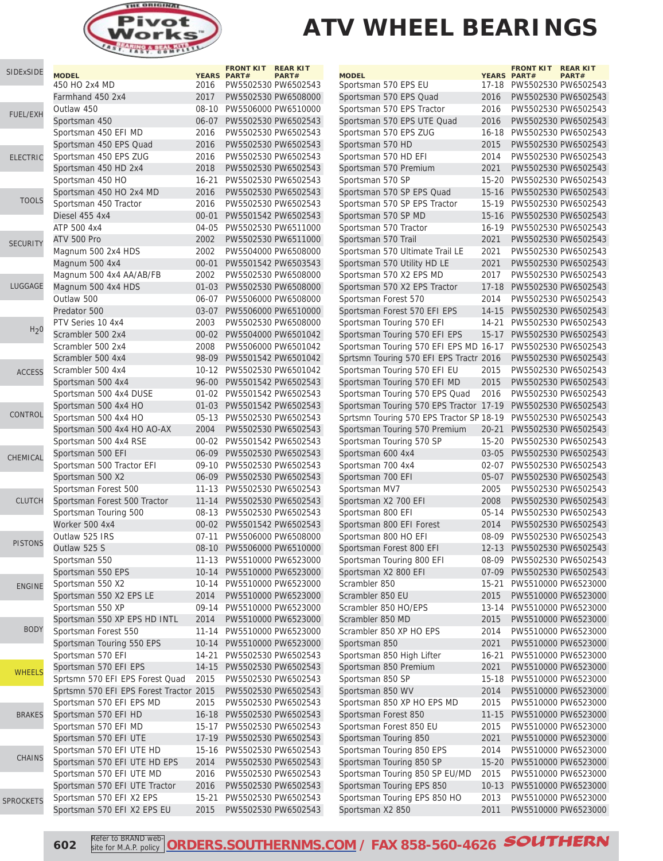

| SIDExSIDE        |                                          |           | <b>FRONT KIT</b>                           | <b>REAR KIT</b>     |                                          |                   | <b>FRONT KIT</b>                           | <b>REAR KIT</b>     |
|------------------|------------------------------------------|-----------|--------------------------------------------|---------------------|------------------------------------------|-------------------|--------------------------------------------|---------------------|
|                  | <b>MODEL</b><br>450 HO 2x4 MD            | 2016      | <b>YEARS PART#</b><br>PW5502530 PW6502543  | PART#               | <b>MODEL</b><br>Sportsman 570 EPS EU     |                   | YEARS PART#<br>17-18 PW5502530 PW6502543   | PART#               |
|                  | Farmhand 450 2x4                         | 2017      | PW5502530 PW6508000                        |                     | Sportsman 570 EPS Quad                   | 2016              | PW5502530 PW6502543                        |                     |
|                  |                                          |           |                                            |                     |                                          |                   |                                            |                     |
| <b>FUEL/EXH</b>  | Outlaw 450                               | 08-10     | PW5506000 PW6510000                        |                     | Sportsman 570 EPS Tractor                | 2016              | PW5502530 PW6502543                        |                     |
|                  | Sportsman 450                            | $06 - 07$ | PW5502530 PW6502543                        |                     | Sportsman 570 EPS UTE Quad               | 2016              | PW5502530 PW6502543                        |                     |
|                  | Sportsman 450 EFI MD                     | 2016      | PW5502530 PW6502543                        |                     | Sportsman 570 EPS ZUG                    |                   | 16-18 PW5502530 PW6502543                  |                     |
|                  | Sportsman 450 EPS Quad                   | 2016      | PW5502530 PW6502543                        |                     | Sportsman 570 HD                         | 2015              | PW5502530 PW6502543                        |                     |
| <b>ELECTRIC</b>  | Sportsman 450 EPS ZUG                    | 2016      | PW5502530 PW6502543                        |                     | Sportsman 570 HD EFI                     | 2014              | PW5502530 PW6502543                        |                     |
|                  | Sportsman 450 HD 2x4                     | 2018      | PW5502530 PW6502543                        |                     | Sportsman 570 Premium                    | 2021              | PW5502530 PW6502543                        |                     |
|                  | Sportsman 450 HO                         | $16 - 21$ | PW5502530 PW6502543                        |                     | Sportsman 570 SP                         | $15 - 20$         | PW5502530 PW6502543                        |                     |
| <b>TOOLS</b>     | Sportsman 450 HO 2x4 MD                  | 2016      | PW5502530 PW6502543                        |                     | Sportsman 570 SP EPS Quad                |                   | 15-16 PW5502530 PW6502543                  |                     |
|                  | Sportsman 450 Tractor                    | 2016      | PW5502530 PW6502543                        |                     | Sportsman 570 SP EPS Tractor             | $15-19$           | PW5502530 PW6502543                        |                     |
|                  | <b>Diesel 455 4x4</b>                    | $00 - 01$ | PW5501542 PW6502543                        |                     | Sportsman 570 SP MD                      | $15 - 16$         | PW5502530 PW6502543                        |                     |
|                  | ATP 500 4x4                              | 04-05     | PW5502530 PW6511000                        |                     | Sportsman 570 Tractor                    | $16 - 19$         | PW5502530 PW6502543                        |                     |
| <b>SECURITY</b>  | ATV 500 Pro                              | 2002      | PW5502530 PW6511000                        |                     | Sportsman 570 Trail                      | 2021              | PW5502530 PW6502543                        |                     |
|                  | Magnum 500 2x4 HDS                       | 2002      | PW5504000 PW6508000                        |                     | Sportsman 570 Ultimate Trail LE          | 2021              | PW5502530 PW6502543                        |                     |
|                  | Magnum 500 4x4                           | $00 - 01$ | PW5501542 PW6503543                        |                     | Sportsman 570 Utility HD LE              | 2021              | PW5502530 PW6502543                        |                     |
|                  | Magnum 500 4x4 AA/AB/FB                  | 2002      | PW5502530 PW6508000                        |                     | Sportsman 570 X2 EPS MD                  | 2017              | PW5502530 PW6502543                        |                     |
| LUGGAGE          | Magnum 500 4x4 HDS                       | $01 - 03$ | PW5502530 PW6508000                        |                     | Sportsman 570 X2 EPS Tractor             | $17 - 18$         | PW5502530 PW6502543                        |                     |
|                  | Outlaw 500                               | 06-07     | PW5506000 PW6508000                        |                     | Sportsman Forest 570                     | 2014              | PW5502530 PW6502543                        |                     |
|                  | Predator 500                             | 03-07     | PW5506000 PW6510000                        |                     | Sportsman Forest 570 EFI EPS             | $14 - 15$         | PW5502530 PW6502543                        |                     |
|                  | PTV Series 10 4x4                        | 2003      | PW5502530 PW6508000                        |                     | Sportsman Touring 570 EFI                | 14-21             | PW5502530 PW6502543                        |                     |
| H <sub>2</sub> 0 | Scrambler 500 2x4                        |           | 00-02 PW5504000 PW6501042                  |                     | Sportsman Touring 570 EFI EPS            | $15-17$           | PW5502530 PW6502543                        |                     |
|                  | Scrambler 500 2x4                        | 2008      | PW5506000 PW6501042                        |                     | Sportsman Touring 570 EFI EPS MD 16-17   |                   | PW5502530 PW6502543                        |                     |
|                  | Scrambler 500 4x4                        | 98-09     | PW5501542 PW6501042                        |                     | Sprtsmn Touring 570 EFI EPS Tractr 2016  |                   | PW5502530 PW6502543                        |                     |
| <b>ACCESS</b>    | Scrambler 500 4x4                        |           | 10-12 PW5502530 PW6501042                  |                     | Sportsman Touring 570 EFI EU             | 2015              | PW5502530 PW6502543                        |                     |
|                  | Sportsman 500 4x4                        | 96-00     | PW5501542 PW6502543                        |                     | Sportsman Touring 570 EFI MD             | 2015              | PW5502530 PW6502543                        |                     |
|                  | Sportsman 500 4x4 DUSE                   |           | 01-02 PW5501542 PW6502543                  |                     | Sportsman Touring 570 EPS Quad           | 2016              | PW5502530 PW6502543                        |                     |
|                  | Sportsman 500 4x4 HO                     | $01 - 03$ | PW5501542 PW6502543                        |                     | Sportsman Touring 570 EPS Tractor 17-19  |                   | PW5502530 PW6502543                        |                     |
| CONTROL          | Sportsman 500 4x4 HO                     | $05-13$   | PW5502530 PW6502543                        |                     | Sprtsmn Touring 570 EPS Tractor SP 18-19 |                   | PW5502530 PW6502543                        |                     |
|                  | Sportsman 500 4x4 HO AO-AX               | 2004      | PW5502530 PW6502543                        |                     | Sportsman Touring 570 Premium            | $20 - 21$         | PW5502530 PW6502543                        |                     |
|                  | Sportsman 500 4x4 RSE                    |           | 00-02 PW5501542 PW6502543                  |                     | Sportsman Touring 570 SP                 | 15-20             | PW5502530 PW6502543                        |                     |
|                  | Sportsman 500 EFI                        | 06-09     | PW5502530 PW6502543                        |                     | Sportsman 600 4x4                        | $03 - 05$         | PW5502530 PW6502543                        |                     |
| CHEMICAL         |                                          | $09-10$   | PW5502530 PW6502543                        |                     | Sportsman 700 4x4                        | 02-07             | PW5502530 PW6502543                        |                     |
|                  | Sportsman 500 Tractor EFI                | 06-09     |                                            |                     |                                          |                   |                                            |                     |
|                  | Sportsman 500 X2<br>Sportsman Forest 500 | $11 - 13$ | PW5502530 PW6502543<br>PW5502530 PW6502543 |                     | Sportsman 700 EFI                        | $05 - 07$<br>2005 | PW5502530 PW6502543<br>PW5502530 PW6502543 |                     |
| <b>CLUTCH</b>    |                                          |           |                                            |                     | Sportsman MV7                            |                   |                                            |                     |
|                  | Sportsman Forest 500 Tractor             | $11 - 14$ | PW5502530 PW6502543<br>PW5502530 PW6502543 |                     | Sportsman X2 700 EFI                     | 2008              | PW5502530 PW6502543<br>PW5502530 PW6502543 |                     |
|                  | Sportsman Touring 500                    | 08-13     |                                            |                     | Sportsman 800 EFI                        | $05-14$           |                                            |                     |
|                  | <b>Worker 500 4x4</b>                    |           | 00-02 PW5501542 PW6502543                  |                     | Sportsman 800 EFI Forest                 | 2014              | PW5502530 PW6502543                        |                     |
| <b>PISTONS</b>   | Outlaw 525 IRS                           | $07-11$   | PW5506000 PW6508000                        |                     | Sportsman 800 HO EFI                     | 08-09             | PW5502530 PW6502543                        |                     |
|                  | Outlaw 525 S                             |           | 08-10 PW5506000 PW6510000                  |                     | Sportsman Forest 800 EFI                 |                   | 12-13 PW5502530 PW6502543                  |                     |
|                  | Sportsman 550                            |           | 11-13 PW5510000 PW6523000                  |                     | Sportsman Touring 800 EFI                |                   | 08-09 PW5502530 PW6502543                  |                     |
|                  | Sportsman 550 EPS                        |           | 10-14 PW5510000 PW6523000                  |                     | Sportsman X2 800 EFI                     |                   | 07-09 PW5502530 PW6502543                  |                     |
| <b>ENGINE</b>    | Sportsman 550 X2                         | 10-14     | PW5510000 PW6523000                        |                     | Scrambler 850                            | 15-21             | PW5510000 PW6523000                        |                     |
|                  | Sportsman 550 X2 EPS LE                  | 2014      |                                            | PW5510000 PW6523000 | Scrambler 850 EU                         | 2015              | PW5510000 PW6523000                        |                     |
|                  | Sportsman 550 XP                         |           | 09-14 PW5510000 PW6523000                  |                     | Scrambler 850 HO/EPS                     |                   | 13-14 PW5510000 PW6523000                  |                     |
|                  | Sportsman 550 XP EPS HD INTL             | 2014      | PW5510000 PW6523000                        |                     | Scrambler 850 MD                         | 2015              | PW5510000 PW6523000                        |                     |
| <b>BODY</b>      | Sportsman Forest 550                     |           | 11-14 PW5510000 PW6523000                  |                     | Scrambler 850 XP HO EPS                  | 2014              | PW5510000 PW6523000                        |                     |
|                  | Sportsman Touring 550 EPS                |           | 10-14 PW5510000 PW6523000                  |                     | Sportsman 850                            | 2021              | PW5510000 PW6523000                        |                     |
|                  | Sportsman 570 EFI                        | 14-21     | PW5502530 PW6502543                        |                     | Sportsman 850 High Lifter                | $16 - 21$         | PW5510000 PW6523000                        |                     |
| <b>WHEELS</b>    | Sportsman 570 EFI EPS                    |           | 14-15 PW5502530 PW6502543                  |                     | Sportsman 850 Premium                    | 2021              |                                            | PW5510000 PW6523000 |
|                  | Sprtsmn 570 EFI EPS Forest Quad          | 2015      | PW5502530 PW6502543                        |                     | Sportsman 850 SP                         |                   | 15-18 PW5510000 PW6523000                  |                     |
|                  | Sprtsmn 570 EFI EPS Forest Tractor 2015  |           | PW5502530 PW6502543                        |                     | Sportsman 850 WV                         | 2014              | PW5510000 PW6523000                        |                     |
|                  | Sportsman 570 EFI EPS MD                 | 2015      | PW5502530 PW6502543                        |                     | Sportsman 850 XP HO EPS MD               | 2015              | PW5510000 PW6523000                        |                     |
| <b>BRAKES</b>    | Sportsman 570 EFI HD                     | $16 - 18$ | PW5502530 PW6502543                        |                     | Sportsman Forest 850                     | $11 - 15$         | PW5510000 PW6523000                        |                     |
|                  | Sportsman 570 EFI MD                     |           | 15-17 PW5502530 PW6502543                  |                     | Sportsman Forest 850 EU                  | 2015              | PW5510000 PW6523000                        |                     |
|                  | Sportsman 570 EFI UTE                    | 17-19     | PW5502530 PW6502543                        |                     | Sportsman Touring 850                    | 2021              | PW5510000 PW6523000                        |                     |
|                  | Sportsman 570 EFI UTE HD                 |           | 15-16 PW5502530 PW6502543                  |                     | Sportsman Touring 850 EPS                | 2014              | PW5510000 PW6523000                        |                     |
| <b>CHAINS</b>    | Sportsman 570 EFI UTE HD EPS             | 2014      | PW5502530 PW6502543                        |                     | Sportsman Touring 850 SP                 |                   | 15-20 PW5510000 PW6523000                  |                     |
|                  | Sportsman 570 EFI UTE MD                 | 2016      | PW5502530 PW6502543                        |                     | Sportsman Touring 850 SP EU/MD           | 2015              | PW5510000 PW6523000                        |                     |
|                  | Sportsman 570 EFI UTE Tractor            | 2016      |                                            | PW5502530 PW6502543 | Sportsman Touring EPS 850                |                   | 10-13 PW5510000 PW6523000                  |                     |
|                  | Sportsman 570 EFI X2 EPS                 | 15-21     | PW5502530 PW6502543                        |                     | Sportsman Touring EPS 850 HO             | 2013              | PW5510000 PW6523000                        |                     |
| <b>SPROCKETS</b> | Sportsman 570 EFI X2 EPS EU              | 2015      | PW5502530 PW6502543                        |                     | Sportsman X2 850                         | 2011              | PW5510000 PW6523000                        |                     |
|                  |                                          |           |                                            |                     |                                          |                   |                                            |                     |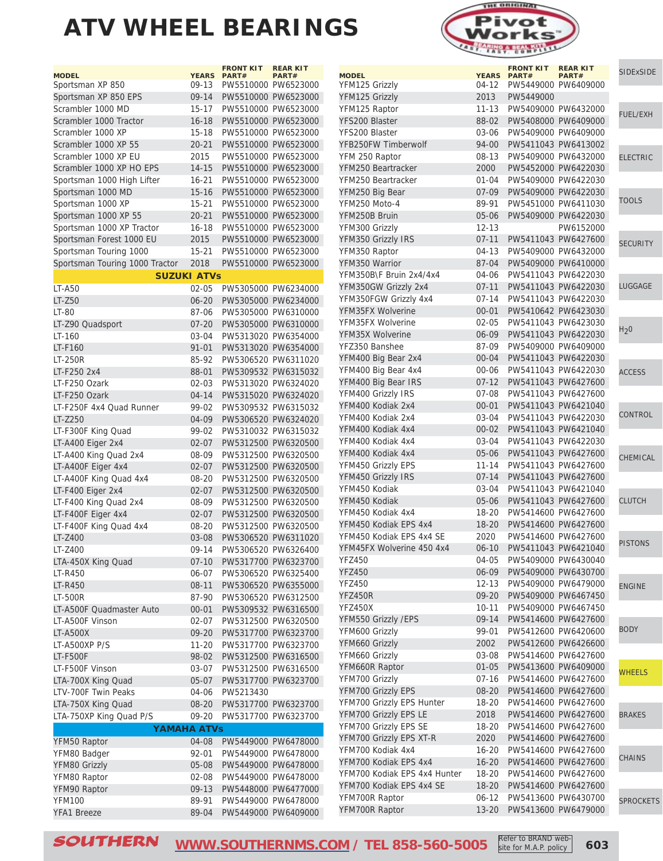



| <b>MODEL</b>                        |                        | <b>FRONT KIT</b><br>YEARS PART# | <b>REAR KIT</b><br>PART#                   | <b>SIDExSIDE</b> |
|-------------------------------------|------------------------|---------------------------------|--------------------------------------------|------------------|
| YFM125 Grizzly                      | 04-12                  |                                 | PW5449000 PW6409000                        |                  |
| YFM125 Grizzly                      | 2013                   | PW5449000                       |                                            |                  |
| YFM125 Raptor                       | 11-13                  |                                 | PW5409000 PW6432000                        |                  |
| YFS200 Blaster                      | 88-02                  |                                 | PW5408000 PW6409000                        | <b>FUEL/EXH</b>  |
| YFS200 Blaster                      | 03-06                  |                                 | PW5409000 PW6409000                        |                  |
| YFB250FW Timberwolf                 | 94-00                  |                                 | PW5411043 PW6413002                        |                  |
| YFM 250 Raptor                      | $08 - 13$              |                                 | PW5409000 PW6432000                        | <b>ELECTRIC</b>  |
| YFM250 Beartracker                  | 2000                   |                                 | PW5452000 PW6422030                        |                  |
| YFM250 Beartracker                  | $01 - 04$              |                                 | PW5409000 PW6422030                        |                  |
| YFM250 Big Bear                     | $07 - 09$              |                                 | PW5409000 PW6422030                        |                  |
| YFM250 Moto-4                       | 89-91                  |                                 | PW5451000 PW6411030                        | <b>TOOLS</b>     |
| YFM250B Bruin                       | $05 - 06$              |                                 | PW5409000 PW6422030                        |                  |
| YFM300 Grizzly                      | $12 - 13$              |                                 | PW6152000                                  |                  |
| YFM350 Grizzly IRS                  | $07 - 11$              |                                 | PW5411043 PW6427600                        | <b>SECURITY</b>  |
| YFM350 Raptor                       | $04 - 13$              |                                 | PW5409000 PW6432000                        |                  |
| YFM350 Warrior                      | 87-04                  |                                 | PW5409000 PW6410000                        |                  |
| YFM350B\F Bruin 2x4/4x4             | 04-06                  |                                 | PW5411043 PW6422030                        |                  |
| YFM350GW Grizzly 2x4                | $07 - 11$              |                                 | PW5411043 PW6422030                        | <b>LUGGAGE</b>   |
| YFM350FGW Grizzly 4x4               | $07 - 14$              |                                 | PW5411043 PW6422030                        |                  |
| YFM35FX Wolverine                   | $00 - 01$              |                                 | PW5410642 PW6423030                        |                  |
| YFM35FX Wolverine                   | $02 - 05$              |                                 | PW5411043 PW6423030                        | H <sub>2</sub> 0 |
| YFM35X Wolverine                    | 06-09                  |                                 | PW5411043 PW6422030                        |                  |
| YFZ350 Banshee                      | 87-09                  |                                 | PW5409000 PW6409000                        |                  |
| YFM400 Big Bear 2x4                 | $00 - 04$              |                                 | PW5411043 PW6422030                        |                  |
| YFM400 Big Bear 4x4                 | $00 - 06$              |                                 | PW5411043 PW6422030                        | <b>ACCESS</b>    |
| YFM400 Big Bear IRS                 | $07 - 12$              |                                 | PW5411043 PW6427600                        |                  |
| YFM400 Grizzly IRS                  | $07 - 08$              |                                 | PW5411043 PW6427600                        |                  |
| YFM400 Kodiak 2x4                   | $00 - 01$              |                                 | PW5411043 PW6421040                        | CONTROL          |
| YFM400 Kodiak 2x4                   | $03 - 04$              |                                 | PW5411043 PW6422030                        |                  |
| YFM400 Kodiak 4x4                   | $00 - 02$              |                                 | PW5411043 PW6421040                        |                  |
| YFM400 Kodiak 4x4                   | $03 - 04$              |                                 | PW5411043 PW6422030                        |                  |
| YFM400 Kodiak 4x4                   | $05 - 06$              |                                 | PW5411043 PW6427600                        | CHEMICAL         |
| YFM450 Grizzly EPS                  | $11 - 14$<br>$07 - 14$ |                                 | PW5411043 PW6427600<br>PW5411043 PW6427600 |                  |
| YFM450 Grizzly IRS<br>YFM450 Kodiak | $03 - 04$              |                                 | PW5411043 PW6421040                        |                  |
| YFM450 Kodiak                       | $05 - 06$              |                                 | PW5411043 PW6427600                        | <b>CLUTCH</b>    |
| YFM450 Kodiak 4x4                   | 18-20                  |                                 | PW5414600 PW6427600                        |                  |
| YFM450 Kodiak EPS 4x4               | $18 - 20$              |                                 | PW5414600 PW6427600                        |                  |
| YFM450 Kodiak EPS 4x4 SE            | 2020                   |                                 | PW5414600 PW6427600                        |                  |
| YFM45FX Wolverine 450 4x4           | $06 - 10$              |                                 | PW5411043 PW6421040                        | <b>PISTONS</b>   |
| <b>YFZ450</b>                       | 04-05                  | PW5409000 PW6430040             |                                            |                  |
| <b>YFZ450</b>                       | 06-09                  |                                 | PW5409000 PW6430700                        |                  |
| <b>YFZ450</b>                       | 12-13                  |                                 | PW5409000 PW6479000                        | <b>ENGINE</b>    |
| YFZ450R                             | 09-20                  |                                 | PW5409000 PW6467450                        |                  |
| YFZ450X                             | 10-11                  | PW5409000 PW6467450             |                                            |                  |
| YFM550 Grizzly /EPS                 | $09 - 14$              |                                 | PW5414600 PW6427600                        |                  |
| YFM600 Grizzly                      | 99-01                  |                                 | PW5412600 PW6420600                        | <b>BODY</b>      |
| YFM660 Grizzly                      | 2002                   |                                 | PW5412600 PW6426600                        |                  |
| YFM660 Grizzly                      | 03-08                  |                                 | PW5414600 PW6427600                        |                  |
| YFM660R Raptor                      | $01 - 05$              |                                 | PW5413600 PW6409000                        | <b>WHEELS</b>    |
| YFM700 Grizzly                      | 07-16                  |                                 | PW5414600 PW6427600                        |                  |
| YFM700 Grizzly EPS                  | $08 - 20$              |                                 | PW5414600 PW6427600                        |                  |
| YFM700 Grizzly EPS Hunter           | 18-20                  |                                 | PW5414600 PW6427600                        |                  |
| YFM700 Grizzly EPS LE               | 2018                   |                                 | PW5414600 PW6427600                        | <b>BRAKES</b>    |
| YFM700 Grizzly EPS SE               | 18-20                  |                                 | PW5414600 PW6427600                        |                  |
| YFM700 Grizzly EPS XT-R             | 2020                   |                                 | PW5414600 PW6427600                        |                  |
| YFM700 Kodiak 4x4                   | 16-20                  |                                 | PW5414600 PW6427600                        |                  |
| YFM700 Kodiak EPS 4x4               | $16 - 20$              |                                 | PW5414600 PW6427600                        | <b>CHAINS</b>    |
| YFM700 Kodiak EPS 4x4 Hunter        | 18-20                  |                                 | PW5414600 PW6427600                        |                  |
| YFM700 Kodiak EPS 4x4 SE            | $18 - 20$              |                                 | PW5414600 PW6427600                        |                  |
| YFM700R Raptor                      | 06-12                  |                                 | PW5413600 PW6430700                        | <b>SPROCKETS</b> |
| YFM700R Raptor                      | $13 - 20$              |                                 | PW5413600 PW6479000                        |                  |

 $\text{SOUTHERN}$   $\text{WWW.SOUTHERNMS. COM}$  / TEL 858-560-5005  $\text{Kerf to BRAND Web}$  603 Refer to BRAND website for M.A.P. policy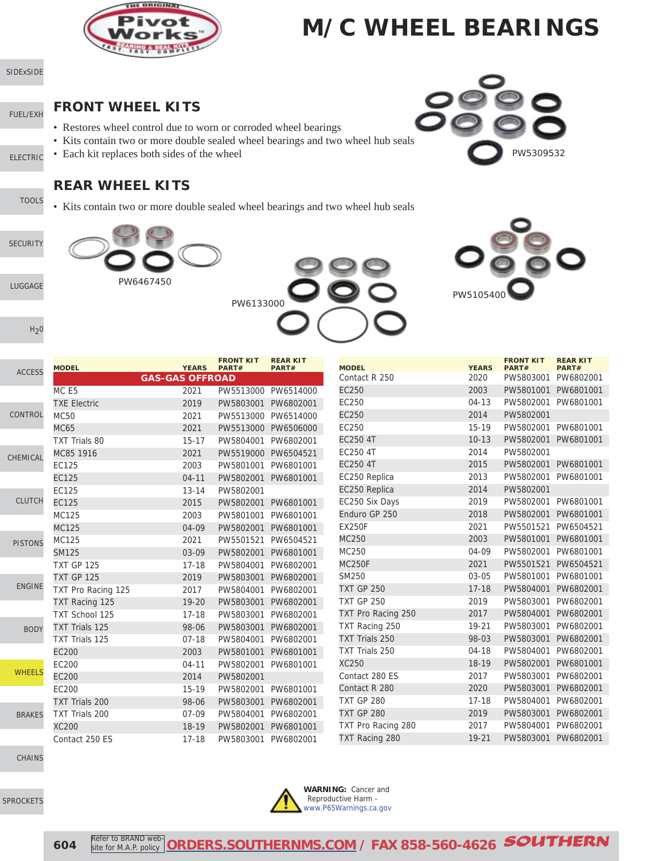

[SIDExSIDE](http://www.southernms.com/wp-content/uploads/2015/08/01_UTV.pdf)

[FUEL/EXH](http://www.southernms.com/wp-content/uploads/2015/08/02_fuel_exh.pdf)

[LUGGAGE](http://www.southernms.com/wp-content/uploads/2015/08/06_lugg.pdf)

 $H<sub>2</sub>0$ 

[SECURITY](http://www.southernms.com/wp-content/uploads/2015/08/05_locks.pdf)

- **FRONT WHEEL KITS**
- Restores wheel control due to worn or corroded wheel bearings
- Kits contain two or more double sealed wheel bearings and two wheel hub seals
- [ELECTRIC](http://www.southernms.com/wp-content/uploads/2015/08/03_electrical.pdf) • Each kit replaces both sides of the wheel

#### **REAR WHEEL KITS**

[TOOLS](http://www.southernms.com/wp-content/uploads/2015/08/04_tools.pdf) • Kits contain two or more double sealed wheel bearings and two wheel hub seals







W5309532

|                | <b>MODEL</b>          | <b>YEARS</b>           | <b>FRONT KIT</b><br>PART# | <b>REAR KIT</b><br>PART# | <b>MODEL</b>       | <b>YEARS</b> | <b>FRONT KIT</b><br>PART# | <b>REAR KIT</b><br>PART# |
|----------------|-----------------------|------------------------|---------------------------|--------------------------|--------------------|--------------|---------------------------|--------------------------|
| <b>ACCESS</b>  |                       | <b>GAS-GAS OFFROAD</b> |                           |                          | Contact R 250      | 2020         | PW5803001                 | PW6802001                |
|                | MC <sub>E5</sub>      | 2021                   | PW5513000                 | PW6514000                | EC250              | 2003         | PW5801001 PW6801001       |                          |
|                | <b>TXE Electric</b>   | 2019                   | PW5803001                 | PW6802001                | EC250              | $04-13$      | PW5802001                 | PW6801001                |
| CONTROL        | <b>MC50</b>           | 2021                   | PW5513000                 | PW6514000                | EC250              | 2014         | PW5802001                 |                          |
|                | <b>MC65</b>           | 2021                   | PW5513000                 | PW6506000                | EC250              | $15-19$      | PW5802001                 | PW6801001                |
|                | TXT Trials 80         | $15 - 17$              | PW5804001                 | PW6802001                | <b>EC250 4T</b>    | $10 - 13$    | PW5802001 PW6801001       |                          |
| CHEMICAL       | MC85 1916             | 2021                   | PW5519000                 | PW6504521                | EC250 4T           | 2014         | PW5802001                 |                          |
|                | EC125                 | 2003                   | PW5801001                 | PW6801001                | <b>EC250 4T</b>    | 2015         | PW5802001 PW6801001       |                          |
|                | <b>EC125</b>          | $04 - 11$              | PW5802001                 | PW6801001                | EC250 Replica      | 2013         | PW5802001                 | PW6801001                |
|                | EC125                 | $13 - 14$              | PW5802001                 |                          | EC250 Replica      | 2014         | PW5802001                 |                          |
| <b>CLUTCH</b>  | <b>EC125</b>          | 2015                   | PW5802001                 | PW6801001                | EC250 Six Days     | 2019         | PW5802001 PW6801001       |                          |
|                | MC125                 | 2003                   | PW5801001                 | PW6801001                | Enduro GP 250      | 2018         | PW5802001                 | PW6801001                |
|                | MC125                 | 04-09                  | PW5802001                 | PW6801001                | <b>EX250F</b>      | 2021         | PW5501521                 | PW6504521                |
| <b>PISTONS</b> | MC125                 | 2021                   | PW5501521                 | PW6504521                | MC250              | 2003         | PW5801001 PW6801001       |                          |
|                | <b>SM125</b>          | 03-09                  | PW5802001                 | PW6801001                | MC250              | 04-09        | PW5802001                 | PW6801001                |
|                | <b>TXT GP 125</b>     | $17 - 18$              | PW5804001                 | PW6802001                | <b>MC250F</b>      | 2021         | PW5501521 PW6504521       |                          |
|                | <b>TXT GP 125</b>     | 2019                   | PW5803001                 | PW6802001                | SM250              | 03-05        | PW5801001                 | PW6801001                |
| <b>ENGINE</b>  | TXT Pro Racing 125    | 2017                   | PW5804001                 | PW6802001                | <b>TXT GP 250</b>  | $17 - 18$    | PW5804001 PW6802001       |                          |
|                | TXT Racing 125        | $19 - 20$              | PW5803001                 | PW6802001                | <b>TXT GP 250</b>  | 2019         | PW5803001 PW6802001       |                          |
|                | <b>TXT School 125</b> | $17 - 18$              | PW5803001                 | PW6802001                | TXT Pro Racing 250 | 2017         | PW5804001                 | PW6802001                |
| <b>BODY</b>    | TXT Trials 125        | 98-06                  | PW5803001                 | PW6802001                | TXT Racing 250     | 19-21        | PW5803001                 | PW6802001                |
|                | TXT Trials 125        | $07 - 18$              | PW5804001                 | PW6802001                | TXT Trials 250     | 98-03        | PW5803001 PW6802001       |                          |
|                | <b>EC200</b>          | 2003                   | PW5801001                 | PW6801001                | TXT Trials 250     | $04-18$      | PW5804001                 | PW6802001                |
|                | EC200                 | $04 - 11$              | PW5802001                 | PW6801001                | <b>XC250</b>       | $18-19$      | PW5802001 PW6801001       |                          |
| <b>WHEELS</b>  | <b>EC200</b>          | 2014                   | PW5802001                 |                          | Contact 280 ES     | 2017         | PW5803001                 | PW6802001                |
|                | EC200                 | 15-19                  | PW5802001                 | PW6801001                | Contact R 280      | 2020         | PW5803001                 | PW6802001                |
|                | <b>TXT Trials 200</b> | 98-06                  | PW5803001                 | PW6802001                | <b>TXT GP 280</b>  | $17 - 18$    | PW5804001                 | PW6802001                |
| <b>BRAKES</b>  | TXT Trials 200        | $07-09$                | PW5804001                 | PW6802001                | <b>TXT GP 280</b>  | 2019         | PW5803001                 | PW6802001                |
|                | <b>XC200</b>          | 18-19                  | PW5802001                 | PW6801001                | TXT Pro Racing 280 | 2017         | PW5804001                 | PW6802001                |
|                | Contact 250 ES        | $17 - 18$              | PW5803001                 | PW6802001                | TXT Racing 280     | 19-21        | PW5803001 PW6802001       |                          |

[CHAINS](http://www.southernms.com/wp-content/uploads/2015/08/17_chains.pdf)

[SPROCKETS](http://www.southernms.com/wp-content/uploads/2015/08/18_sprockets.pdf)



**WARNING:** Cancer and Reproductive Harm [www.P65Warnings.ca.gov](http://www.P65Warnings.ca.gov)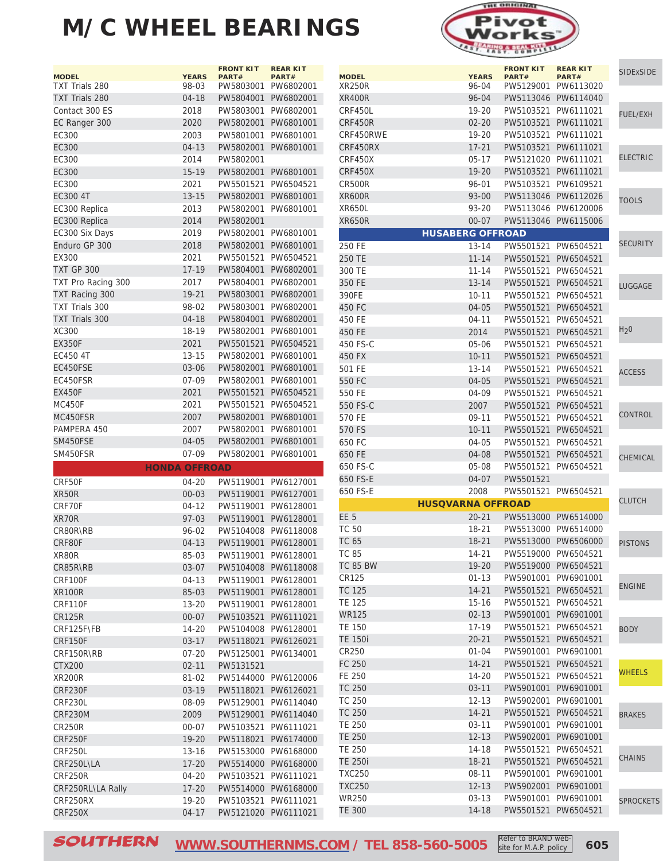| <b>MODEL</b>          | <b>YEARS</b>         | <b>FRONT KIT</b><br>PART# | <b>REAR KIT</b><br>PART# |
|-----------------------|----------------------|---------------------------|--------------------------|
| TXT Trials 280        | 98-03                | PW5803001                 | PW6802001                |
| <b>TXT Trials 280</b> | $04 - 18$            | PW5804001                 | PW6802001                |
| Contact 300 ES        | 2018                 | PW5803001                 | PW6802001                |
| EC Ranger 300         | 2020                 | PW5802001                 | PW6801001                |
| EC300                 | 2003                 | PW5801001                 | PW6801001                |
| <b>EC300</b>          | $04 - 13$            | PW5802001                 | PW6801001                |
| EC300                 | 2014                 | PW5802001                 |                          |
| <b>EC300</b>          | $15 - 19$            | PW5802001                 | PW6801001                |
| EC300                 | 2021                 | PW5501521                 | PW6504521                |
| EC300 4T              | $13 - 15$            | PW5802001                 | PW6801001                |
| EC300 Replica         | 2013                 | PW5802001                 | PW6801001                |
| EC300 Replica         | 2014                 | PW5802001                 |                          |
| EC300 Six Days        | 2019                 | PW5802001                 | PW6801001                |
| Enduro GP 300         | 2018                 | PW5802001                 | PW6801001                |
| EX300                 | 2021                 | PW5501521                 | PW6504521                |
| <b>TXT GP 300</b>     | 17-19                | PW5804001                 | PW6802001                |
| TXT Pro Racing 300    | 2017                 | PW5804001                 | PW6802001                |
| TXT Racing 300        | $19 - 21$            | PW5803001                 | PW6802001                |
| <b>TXT Trials 300</b> | 98-02                | PW5803001                 | PW6802001                |
| <b>TXT Trials 300</b> | $04 - 18$            | PW5804001                 | PW6802001                |
| <b>XC300</b>          | 18-19                | PW5802001                 | PW6801001                |
| <b>EX350F</b>         | 2021                 | PW5501521                 | PW6504521                |
| EC450 4T              | $13 - 15$            | PW5802001                 | PW6801001                |
| EC450FSE              | 03-06                | PW5802001                 | PW6801001                |
| EC450FSR              | $07 - 09$            | PW5802001                 | PW6801001                |
| <b>EX450F</b>         | 2021                 | PW5501521                 | PW6504521                |
| <b>MC450F</b>         | 2021                 | PW5501521                 | PW6504521                |
| MC450FSR              | 2007                 | PW5802001                 | PW6801001                |
| PAMPERA 450           | 2007                 | PW5802001                 | PW6801001                |
| SM450FSE              | 04-05                | PW5802001                 | PW6801001                |
| SM450FSR              | 07-09                | PW5802001                 | PW6801001                |
|                       | <b>HONDA OFFROAD</b> |                           |                          |
| CRF50F                | 04-20                | PW5119001                 | PW6127001                |
| XR50R                 | $00 - 03$            | PW5119001                 | PW6127001                |
| CRF70F                | $04 - 12$            | PW5119001                 | PW6128001                |
| XR70R                 | $97 - 03$            | PW5119001                 | PW6128001                |
| CR80R\RB              | 96-02                | PW5104008                 | PW6118008                |
| CRF80F                | $04 - 13$            | PW5119001                 | PW6128001                |
| XR80R                 | 85-03                | PW5119001                 | PW6128001                |
| CR85R\RB              | $03 - 07$            | PW5104008                 | PW6118008                |
| CRF100F               | 04-13                | PW5119001                 | PW6128001                |
| <b>XR100R</b>         | 85-03                | PW5119001                 | PW6128001                |
| CRF110F               | $13 - 20$            | PW5119001 PW6128001       |                          |
| CR125R                | $00 - 07$            | PW5103521                 | PW6111021                |
| CRF125F\FB            | 14-20                | PW5104008                 | PW6128001                |
| <b>CRF150F</b>        | $03 - 17$            | PW5118021                 | PW6126021                |
| CRF150R\RB            | $07 - 20$            | PW5125001                 | PW6134001                |
| <b>CTX200</b>         | $02 - 11$            | PW5131521                 |                          |
| <b>XR200R</b>         | 81-02                | PW5144000                 | PW6120006                |
| CRF230F               | $03 - 19$            | PW5118021                 | PW6126021                |
| CRF230L               | 08-09                | PW5129001 PW6114040       |                          |
| CRF230M               | 2009                 | PW5129001                 | PW6114040                |
| CR250R                | 00-07                | PW5103521                 | PW6111021                |
| CRF250F               | 19-20                | PW5118021                 | PW6174000                |
| CRF250L               | 13-16                | PW5153000                 | PW6168000                |
| CRF250L\LA            | 17-20                | PW5514000                 | PW6168000                |
| CRF250R               | 04-20                | PW5103521                 | PW6111021                |
| CRF250RL\LA Rally     | $17 - 20$            | PW5514000                 | PW6168000                |
| CRF250RX              | 19-20                | PW5103521                 | PW6111021                |
| <b>CRF250X</b>        | $04 - 17$            | PW5121020                 | PW6111021                |



| <b>MODEL</b>   | <b>YEARS</b>             | <b>FRONT KIT</b><br>PART# | <b>REAR KIT</b>    | <b>SIDExSIDE</b> |
|----------------|--------------------------|---------------------------|--------------------|------------------|
| <b>XR250R</b>  | 96-04                    | PW5129001                 | PART#<br>PW6113020 |                  |
| <b>XR400R</b>  | 96-04                    | PW5113046                 | PW6114040          |                  |
| CRF450L        | 19-20                    | PW5103521                 | PW6111021          |                  |
| CRF450R        | $02 - 20$                | PW5103521                 | PW6111021          | <b>FUEL/EXH</b>  |
| CRF450RWE      | $19 - 20$                | PW5103521                 | PW6111021          |                  |
| CRF450RX       | $17 - 21$                | PW5103521                 | PW6111021          |                  |
| CRF450X        | $05-17$                  | PW5121020                 | PW6111021          | <b>ELECTRIC</b>  |
| CRF450X        | $19 - 20$                | PW5103521                 | PW6111021          |                  |
| CR500R         | 96-01                    | PW5103521                 | PW6109521          |                  |
| <b>XR600R</b>  | $93 - 00$                | PW5113046                 | PW6112026          |                  |
| XR650L         | 93-20                    | PW5113046                 | PW6120006          | <b>TOOLS</b>     |
| XR650R         | $00 - 07$                | PW5113046                 | PW6115006          |                  |
|                | <b>HUSABERG OFFROAD</b>  |                           |                    |                  |
| 250 FE         | $13 - 14$                | PW5501521                 | PW6504521          | SECURITY         |
| 250 TE         | $11 - 14$                | PW5501521                 | PW6504521          |                  |
| 300 TE         | $11 - 14$                | PW5501521                 | PW6504521          |                  |
| 350 FE         | $13 - 14$                | PW5501521                 | PW6504521          |                  |
| 390FE          | $10 - 11$                | PW5501521                 | PW6504521          | LUGGAGE          |
| 450 FC         | 04-05                    | PW5501521                 | PW6504521          |                  |
| 450 FE         | 04-11                    | PW5501521                 | PW6504521          |                  |
| 450 FE         | 2014                     | PW5501521                 | PW6504521          | $H_2$ 0          |
| 450 FS-C       | 05-06                    | PW5501521                 | PW6504521          |                  |
| 450 FX         | $10 - 11$                | PW5501521                 | PW6504521          |                  |
| 501 FE         | $13 - 14$                | PW5501521                 | PW6504521          |                  |
| 550 FC         | $04 - 05$                | PW5501521                 | PW6504521          | ACCESS           |
| 550 FE         | 04-09                    | PW5501521                 | PW6504521          |                  |
| 550 FS-C       | 2007                     | PW5501521                 | PW6504521          |                  |
| 570 FE         | $09 - 11$                | PW5501521                 | PW6504521          | CONTROL          |
| 570 FS         | $10 - 11$                | PW5501521                 | PW6504521          |                  |
| 650 FC         | 04-05                    | PW5501521                 | PW6504521          |                  |
| 650 FE         | 04-08                    | PW5501521                 | PW6504521          |                  |
| 650 FS-C       | 05-08                    | PW5501521                 | PW6504521          | CHEMICAL         |
| 650 FS-E       | 04-07                    | PW5501521                 |                    |                  |
| 650 FS-E       | 2008                     | PW5501521                 | PW6504521          |                  |
|                | <b>HUSQVARNA OFFROAD</b> |                           |                    | <b>CLUTCH</b>    |
| EE 5           | 20-21                    | PW5513000                 | PW6514000          |                  |
| <b>TC 50</b>   | $18 - 21$                | PW5513000                 | PW6514000          |                  |
| <b>TC 65</b>   | $18 - 21$                | PW5513000                 | PW6506000          | <b>PISTONS</b>   |
| TC 85          | 14-21                    | PW5519000                 | PW6504521          |                  |
| TC 85 BW       | 19-20                    | PW5519000 PW6504521       |                    |                  |
| CR125          | $01 - 13$                | PW5901001                 | PW6901001          |                  |
| <b>TC 125</b>  | 14-21                    | PW5501521                 | PW6504521          | <b>ENGINE</b>    |
| TE 125         | $15 - 16$                | PW5501521                 | PW6504521          |                  |
| <b>WR125</b>   | $02 - 13$                | PW5901001                 | PW6901001          |                  |
| <b>TE 150</b>  | 17-19                    | PW5501521                 | PW6504521          | <b>BODY</b>      |
| <b>TE 150i</b> | $20 - 21$                | PW5501521                 | PW6504521          |                  |
| CR250          | 01-04                    | PW5901001                 | PW6901001          |                  |
| FC 250         | $14 - 21$                | PW5501521                 | PW6504521          |                  |
| FE 250         | 14-20                    | PW5501521                 | PW6504521          | <b>WHEELS</b>    |
| TC 250         | $03 - 11$                | PW5901001                 | PW6901001          |                  |
| TC 250         | $12 - 13$                | PW5902001                 | PW6901001          |                  |
| <b>TC 250</b>  | 14-21                    | PW5501521                 | PW6504521          |                  |
| TE 250         | $03-11$                  | PW5901001                 | PW6901001          | <b>BRAKES</b>    |
| <b>TE 250</b>  | $12 - 13$                | PW5902001                 | PW6901001          |                  |
| TE 250         | 14-18                    | PW5501521                 | PW6504521          |                  |
| <b>TE 250i</b> | 18-21                    | PW5501521                 | PW6504521          | <b>CHAINS</b>    |
| <b>TXC250</b>  | 08-11                    | PW5901001                 | PW6901001          |                  |
| <b>TXC250</b>  | $12 - 13$                | PW5902001                 | PW6901001          |                  |
| WR250          | 03-13                    | PW5901001 PW6901001       |                    |                  |
| <b>TE 300</b>  | 14-18                    | PW5501521                 | PW6504521          | <b>SPROCKETS</b> |
|                |                          |                           |                    |                  |

 $\textcolor{red}{\textbf{SOUTHERN}} \quad \textcolor{red}{\textbf{WWW.SOUTHERNMS.COM}}$  / TEL 858-560-5005  $\textcolor{red}{\text{Keter to BRAND Web-} \atop \text{site for M.A.P. policy}}$  605

Refer to BRAND website for M.A.P. policy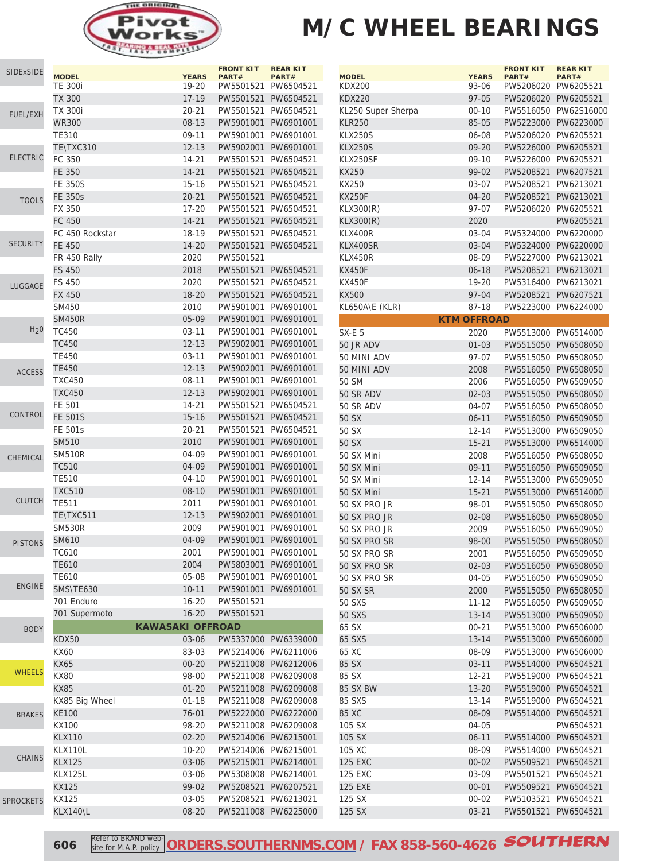

| <b>SIDExSIDE</b> | <b>MODEL</b>                    | <b>YEARS</b>            | <b>FRONT KIT</b><br>PART# | <b>REAR KIT</b><br>PART#                   | <b>MODEL</b>               |
|------------------|---------------------------------|-------------------------|---------------------------|--------------------------------------------|----------------------------|
|                  | <b>TE 300i</b>                  | 19-20                   |                           | PW5501521 PW6504521                        | <b>KDX200</b>              |
|                  | <b>TX 300</b><br><b>TX 300i</b> | 17-19<br>$20 - 21$      |                           | PW5501521 PW6504521<br>PW5501521 PW6504521 | <b>KDX220</b><br>KL250 Sup |
| <b>FUEL/EXH</b>  | <b>WR300</b>                    | $08 - 13$               |                           | PW5901001 PW6901001                        | <b>KLR250</b>              |
|                  | <b>TE310</b>                    | 09-11                   | PW5901001                 | PW6901001                                  | <b>KLX250S</b>             |
|                  | TE\TXC310                       | $12 - 13$               | PW5902001                 | PW6901001                                  | <b>KLX250S</b>             |
| <b>ELECTRIC</b>  | FC 350                          | 14-21                   |                           | PW5501521 PW6504521                        | KLX250SF                   |
|                  | <b>FE 350</b>                   | $14 - 21$               |                           | PW5501521 PW6504521                        | KX250                      |
|                  | <b>FE 350S</b>                  | $15 - 16$               |                           | PW5501521 PW6504521                        | KX250                      |
|                  | <b>FE 350s</b>                  | $20 - 21$               |                           | PW5501521 PW6504521                        | <b>KX250F</b>              |
| <b>TOOLS</b>     | FX 350                          | $17 - 20$               |                           | PW5501521 PW6504521                        | <b>KLX300(R)</b>           |
|                  | FC 450                          | $14 - 21$               |                           | PW5501521 PW6504521                        | <b>KLX300(R)</b>           |
|                  | FC 450 Rockstar                 | 18-19                   | PW5501521                 | PW6504521                                  | KLX400R                    |
| <b>SECURITY</b>  | <b>FE 450</b>                   | $14 - 20$               | PW5501521                 | PW6504521                                  | KLX400SR                   |
|                  | FR 450 Rally                    | 2020                    | PW5501521                 |                                            | KLX450R                    |
|                  | <b>FS 450</b>                   | 2018                    |                           | PW5501521 PW6504521                        | <b>KX450F</b>              |
|                  | <b>FS 450</b>                   | 2020                    |                           | PW5501521 PW6504521                        | <b>KX450F</b>              |
| LUGGAGE          | <b>FX 450</b>                   | $18 - 20$               |                           | PW5501521 PW6504521                        | KX500                      |
|                  | SM450                           | 2010                    |                           | PW5901001 PW6901001                        | KL650A\E                   |
|                  | <b>SM450R</b>                   | 05-09                   | PW5901001                 | PW6901001                                  |                            |
| H <sub>2</sub> 0 | TC450                           | $03 - 11$               | PW5901001                 | PW6901001                                  | SX-E 5                     |
|                  | <b>TC450</b>                    | $12 - 13$               | PW5902001                 | PW6901001                                  | 50 JR AD\                  |
|                  | <b>TE450</b>                    | $03 - 11$               |                           | PW5901001 PW6901001                        | 50 MINI A                  |
| <b>ACCESS</b>    | <b>TE450</b>                    | $12 - 13$               |                           | PW5902001 PW6901001                        | 50 MINI A                  |
|                  | <b>TXC450</b>                   | $08 - 11$               |                           | PW5901001 PW6901001                        | 50 SM                      |
|                  | <b>TXC450</b>                   | $12 - 13$               |                           | PW5902001 PW6901001                        | 50 SR AD                   |
|                  | FE 501                          | 14-21                   | PW5501521                 | PW6504521                                  | 50 SR AD                   |
| CONTROL          | <b>FE 501S</b>                  | $15 - 16$               | PW5501521                 | PW6504521                                  | 50 SX                      |
|                  | FE 501s                         | $20 - 21$               | PW5501521                 | PW6504521                                  | 50 SX                      |
|                  | <b>SM510</b>                    | 2010                    |                           | PW5901001 PW6901001                        | 50 SX                      |
| CHEMICAL         | <b>SM510R</b>                   | 04-09                   |                           | PW5901001 PW6901001                        | 50 SX Min                  |
|                  | <b>TC510</b>                    | 04-09                   |                           | PW5901001 PW6901001                        | 50 SX Min                  |
|                  | <b>TE510</b>                    | $04 - 10$               |                           | PW5901001 PW6901001                        | 50 SX Min                  |
|                  | <b>TXC510</b>                   | $08 - 10$               | PW5901001                 | PW6901001                                  | 50 SX Min                  |
| <b>CLUTCH</b>    | <b>TE511</b>                    | 2011                    | PW5901001                 | PW6901001                                  | <b>50 SX PRO</b>           |
|                  | TE\TXC511                       | $12 - 13$               | PW5902001                 | PW6901001                                  | <b>50 SX PRO</b>           |
|                  | <b>SM530R</b>                   | 2009                    |                           | PW5901001 PW6901001                        | <b>50 SX PRO</b>           |
| <b>PISTONS</b>   | SM610                           | 04-09                   |                           | PW5901001 PW6901001                        | <b>50 SX PRO</b>           |
|                  | <b>TC610</b>                    | 2001                    |                           | PW5901001 PW6901001                        | 50 SX PRO                  |
|                  | <b>TE610</b>                    | 2004                    |                           | PW5803001 PW6901001                        | <b>50 SX PRO</b>           |
| <b>ENGINE</b>    | <b>TE610</b>                    | 05-08                   |                           | PW5901001 PW6901001                        | <b>50 SX PRO</b>           |
|                  | SMS\TE630                       | $10 - 11$               |                           | PW5901001 PW6901001                        | 50 SX SR                   |
|                  | 701 Enduro<br>701 Supermoto     | $16 - 20$<br>$16 - 20$  | PW5501521<br>PW5501521    |                                            | <b>50 SXS</b>              |
|                  |                                 | <b>KAWASAKI OFFROAD</b> |                           |                                            | <b>50 SXS</b>              |
| <b>BODY</b>      |                                 |                         |                           |                                            | 65 SX                      |
|                  | KDX50                           | 03-06                   |                           | PW5337000 PW6339000<br>PW5214006 PW6211006 | 65 SXS                     |
|                  | KX60<br>KX65                    | 83-03<br>$00 - 20$      |                           | PW5211008 PW6212006                        | 65 XC<br>85 SX             |
| <b>WHEELS</b>    | <b>KX80</b>                     | 98-00                   |                           | PW5211008 PW6209008                        | 85 SX                      |
|                  | <b>KX85</b>                     | $01 - 20$               |                           | PW5211008 PW6209008                        | 85 SX BW                   |
|                  | KX85 Big Wheel                  | $01 - 18$               |                           | PW5211008 PW6209008                        | 85 SXS                     |
|                  | <b>KE100</b>                    | 76-01                   |                           | PW5222000 PW6222000                        | 85 XC                      |
| <b>BRAKES</b>    | <b>KX100</b>                    | 98-20                   |                           | PW5211008 PW6209008                        | 105 SX                     |
|                  | <b>KLX110</b>                   | $02 - 20$               |                           | PW5214006 PW6215001                        | 105 SX                     |
|                  | KLX110L                         | $10 - 20$               |                           | PW5214006 PW6215001                        | 105 XC                     |
| <b>CHAINS</b>    | <b>KLX125</b>                   | 03-06                   |                           | PW5215001 PW6214001                        | <b>125 EXC</b>             |
|                  | <b>KLX125L</b>                  | 03-06                   |                           | PW5308008 PW6214001                        | <b>125 EXC</b>             |
|                  | <b>KX125</b>                    | 99-02                   |                           | PW5208521 PW6207521                        | <b>125 EXE</b>             |
| <b>SPROCKETS</b> | KX125                           | 03-05                   |                           | PW5208521 PW6213021                        | 125 SX                     |
|                  | <b>KLX140\L</b>                 | 08-20                   |                           | PW5211008 PW6225000                        | 125 SX                     |
|                  |                                 |                         |                           |                                            |                            |

| <b>MODEL</b>       | <b>YEARS</b>       | <b>FRONT KIT</b><br>PART# | <b>REAR KIT</b><br>PART# |
|--------------------|--------------------|---------------------------|--------------------------|
| KDX200             | 93-06              | PW5206020                 | PW6205521                |
| KDX220             | 97-05              | PW5206020                 | PW6205521                |
| KL250 Super Sherpa | 00-10              | PW5516050                 | PW62S16000               |
| KLR250             | 85-05              | PW5223000                 | PW6223000                |
| KLX250S            | 06-08              | PW5206020                 | PW6205521                |
| KLX250S            | 09-20              | PW5226000                 | PW6205521                |
| KLX250SF           | 09-10              | PW5226000                 | PW6205521                |
| KX250              | 99-02              | PW5208521                 | PW6207521                |
| KX250              | 03-07              | PW5208521                 | PW6213021                |
| <b>KX250F</b>      | 04-20              | PW5208521                 | PW6213021                |
| KLX300(R)          | 97-07              | PW5206020                 | PW6205521                |
| KLX300(R)          | 2020               |                           | PW6205521                |
| KLX400R            | 03-04              | PW5324000                 | PW6220000                |
| KLX400SR           | 03-04              | PW5324000                 | PW6220000                |
| KLX450R            | 08-09              | PW5227000                 | PW6213021                |
| KX450F             | $06 - 18$          | PW5208521                 | PW6213021                |
| <b>KX450F</b>      | 19-20              | PW5316400                 | PW6213021                |
| KX500              | 97-04              | PW5208521                 | PW6207521                |
| KL650A\E (KLR)     | 87-18              | PW5223000                 | PW6224000                |
|                    | <b>KTM OFFROAD</b> |                           |                          |
| SX-E 5             | 2020               | PW5513000                 | PW6514000                |
| 50 JR ADV          | 01-03              | PW5515050                 | PW6508050                |
| 50 MINI ADV        | 97-07              | PW5515050                 | PW6508050                |
| 50 MINI ADV        | 2008               | PW5516050                 | PW6508050                |
| 50 SM              | 2006               | PW5516050                 | PW6509050                |
| 50 SR ADV          | $02 - 03$          | PW5515050                 | PW6508050                |
| 50 SR ADV          | 04-07              | PW5516050                 | PW6508050                |
| 50 SX              | 06-11              | PW5516050                 | PW6509050                |
| 50 SX              | $12 - 14$          | PW5513000                 | PW6509050                |
| 50 SX              | 15-21              | PW5513000                 | PW6514000                |
| 50 SX Mini         | 2008               | PW5516050                 | PW6508050                |
| 50 SX Mini         | 09-11              | PW5516050                 | PW6509050                |
| 50 SX Mini         | $12 - 14$          | PW5513000                 | PW6509050                |
| 50 SX Mini         | $15 - 21$          | PW5513000                 | PW6514000                |
| 50 SX PRO JR       | 98-01              | PW5515050                 | PW6508050                |
| 50 SX PRO JR       | 02-08              | PW5516050                 | PW6508050                |
| 50 SX PRO JR       | 2009               | PW5516050                 | PW6509050                |
| 50 SX PRO SR       | 98-00              | PW5515050                 | PW6508050                |
| 50 SX PRO SR       | 2001               | PW5516050                 | PW6509050                |
| 50 SX PRO SR       | 02-03              | PW5516050 PW6508050       |                          |
| 50 SX PRO SR       | 04-05              | PW5516050                 | PW6509050                |
| 50 SX SR           | 2000               | PW5515050                 | PW6508050                |
| 50 SXS             | $11 - 12$          | PW5516050                 | PW6509050                |
| <b>50 SXS</b>      |                    | PW5513000                 | PW6509050                |
|                    | 13-14              |                           |                          |
| 65 SX              | $00 - 21$          | PW5513000                 | PW6506000                |
| <b>65 SXS</b>      | $13 - 14$          |                           | PW5513000 PW6506000      |
| 65 XC              | 08-09              |                           | PW5513000 PW6506000      |
| 85 SX              | $03-11$            | PW5514000                 | PW6504521                |
| 85 SX              | 12-21              | PW5519000                 | PW6504521                |
| 85 SX BW           | 13-20              | PW5519000                 | PW6504521                |
| 85 SXS             | 13-14              | PW5519000                 | PW6504521                |
| 85 XC              | 08-09              | PW5514000                 | PW6504521                |
| 105 SX             | 04-05              |                           | PW6504521                |
| 105 SX             | $06 - 11$          | PW5514000 PW6504521       |                          |
| 105 XC             | 08-09              | PW5514000                 | PW6504521                |
| <b>125 EXC</b>     | $00 - 02$          | PW5509521                 | PW6504521                |
| 125 EXC            | 03-09              | PW5501521                 | PW6504521                |
| <b>125 EXE</b>     | 00-01              | PW5509521                 | PW6504521                |
| 125 SX             | 00-02              | PW5103521                 | PW6504521                |
| 125 SX             | $03 - 21$          | PW5501521                 | PW6504521                |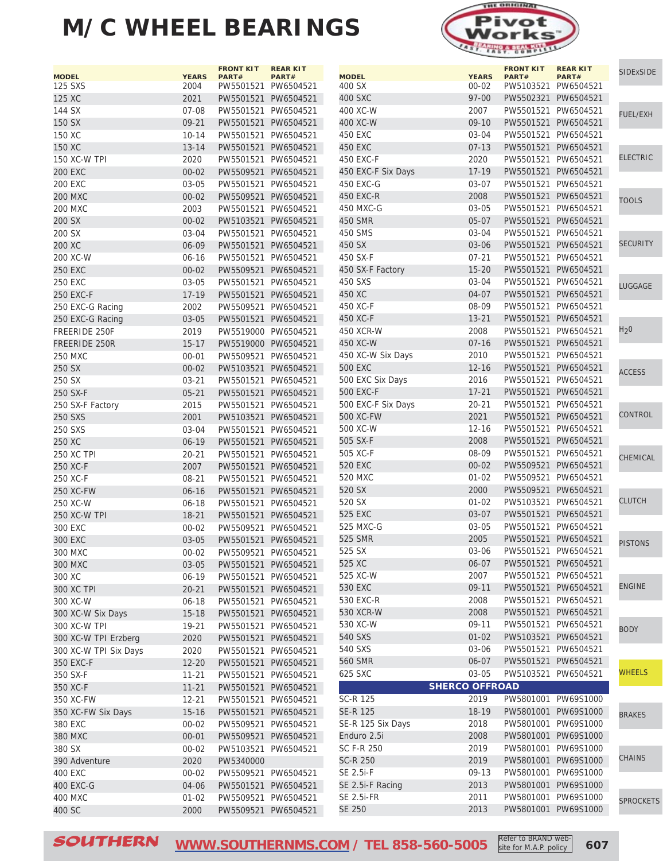

| <b>MODEL</b>          | <b>YEARS</b> | <b>FRONT KIT</b><br>PART# | <b>REAR KIT</b><br>PART# | <b>MODEL</b>       | <b>YEARS</b>          | <b>FRONT KIT</b><br>PART# | <b>REAR KIT</b>              | <b>SIDExSIDE</b> |
|-----------------------|--------------|---------------------------|--------------------------|--------------------|-----------------------|---------------------------|------------------------------|------------------|
| 125 SXS               | 2004         |                           | PW5501521 PW6504521      | 400 SX             | $00 - 02$             |                           | PART#<br>PW5103521 PW6504521 |                  |
| 125 XC                | 2021         |                           | PW5501521 PW6504521      | 400 SXC            | 97-00                 |                           | PW5502321 PW6504521          |                  |
| 144 SX                | $07 - 08$    |                           | PW5501521 PW6504521      | 400 XC-W           | 2007                  | PW5501521 PW6504521       |                              |                  |
| 150 SX                | $09 - 21$    |                           | PW5501521 PW6504521      | 400 XC-W           | $09-10$               |                           | PW5501521 PW6504521          | <b>FUEL/EXH</b>  |
| 150 XC                | $10 - 14$    |                           | PW5501521 PW6504521      | 450 EXC            | 03-04                 |                           | PW5501521 PW6504521          |                  |
| 150 XC                | $13 - 14$    |                           | PW5501521 PW6504521      | 450 EXC            | $07-13$               |                           | PW5501521 PW6504521          |                  |
| 150 XC-W TPI          | 2020         |                           | PW5501521 PW6504521      | 450 EXC-F          | 2020                  |                           | PW5501521 PW6504521          | <b>ELECTRIC</b>  |
| <b>200 EXC</b>        | $00 - 02$    |                           | PW5509521 PW6504521      | 450 EXC-F Six Days | 17-19                 |                           | PW5501521 PW6504521          |                  |
| <b>200 EXC</b>        | 03-05        |                           | PW5501521 PW6504521      | 450 EXC-G          | 03-07                 |                           | PW5501521 PW6504521          |                  |
| <b>200 MXC</b>        | $00 - 02$    |                           | PW5509521 PW6504521      | 450 EXC-R          | 2008                  |                           | PW5501521 PW6504521          |                  |
| <b>200 MXC</b>        | 2003         |                           | PW5501521 PW6504521      | 450 MXC-G          | 03-05                 | PW5501521 PW6504521       |                              | <b>TOOLS</b>     |
| 200 SX                | $00 - 02$    |                           | PW5103521 PW6504521      | 450 SMR            | $05 - 07$             |                           | PW5501521 PW6504521          |                  |
| 200 SX                | 03-04        |                           | PW5501521 PW6504521      | 450 SMS            | 03-04                 |                           | PW5501521 PW6504521          |                  |
| 200 XC                | 06-09        |                           | PW5501521 PW6504521      | 450 SX             | 03-06                 |                           | PW5501521 PW6504521          | <b>SECURITY</b>  |
| 200 XC-W              | $06 - 16$    |                           | PW5501521 PW6504521      | 450 SX-F           | $07 - 21$             |                           | PW5501521 PW6504521          |                  |
|                       |              |                           |                          |                    | $15 - 20$             |                           | PW5501521 PW6504521          |                  |
| <b>250 EXC</b>        | $00 - 02$    |                           | PW5509521 PW6504521      | 450 SX-F Factory   |                       |                           |                              |                  |
| <b>250 EXC</b>        | 03-05        |                           | PW5501521 PW6504521      | 450 SXS<br>450 XC  | 03-04                 | PW5501521 PW6504521       | PW5501521 PW6504521          | LUGGAGE          |
| <b>250 EXC-F</b>      | $17 - 19$    |                           | PW5501521 PW6504521      |                    | 04-07                 |                           |                              |                  |
| 250 EXC-G Racing      | 2002         |                           | PW5509521 PW6504521      | 450 XC-F           | 08-09                 |                           | PW5501521 PW6504521          |                  |
| 250 EXC-G Racing      | $03 - 05$    |                           | PW5501521 PW6504521      | 450 XC-F           | $13 - 21$             |                           | PW5501521 PW6504521          | H <sub>2</sub> 0 |
| FREERIDE 250F         | 2019         |                           | PW5519000 PW6504521      | 450 XCR-W          | 2008                  |                           | PW5501521 PW6504521          |                  |
| <b>FREERIDE 250R</b>  | $15 - 17$    |                           | PW5519000 PW6504521      | 450 XC-W           | $07 - 16$             |                           | PW5501521 PW6504521          |                  |
| <b>250 MXC</b>        | $00 - 01$    |                           | PW5509521 PW6504521      | 450 XC-W Six Days  | 2010                  |                           | PW5501521 PW6504521          |                  |
| 250 SX                | $00 - 02$    |                           | PW5103521 PW6504521      | <b>500 EXC</b>     | $12 - 16$             |                           | PW5501521 PW6504521          | <b>ACCESS</b>    |
| 250 SX                | $03 - 21$    |                           | PW5501521 PW6504521      | 500 EXC Six Days   | 2016                  |                           | PW5501521 PW6504521          |                  |
| 250 SX-F              | $05 - 21$    |                           | PW5501521 PW6504521      | 500 EXC-F          | $17 - 21$             |                           | PW5501521 PW6504521          |                  |
| 250 SX-F Factory      | 2015         |                           | PW5501521 PW6504521      | 500 EXC-F Six Days | 20-21                 |                           | PW5501521 PW6504521          |                  |
| 250 SXS               | 2001         |                           | PW5103521 PW6504521      | 500 XC-FW          | 2021                  |                           | PW5501521 PW6504521          | CONTROL          |
| 250 SXS               | 03-04        |                           | PW5501521 PW6504521      | 500 XC-W           | 12-16                 |                           | PW5501521 PW6504521          |                  |
| 250 XC                | $06 - 19$    |                           | PW5501521 PW6504521      | 505 SX-F           | 2008                  |                           | PW5501521 PW6504521          |                  |
| <b>250 XC TPI</b>     | $20 - 21$    |                           | PW5501521 PW6504521      | 505 XC-F           | 08-09                 | PW5501521 PW6504521       |                              | CHEMICAL         |
| 250 XC-F              | 2007         |                           | PW5501521 PW6504521      | 520 EXC            | $00 - 02$             |                           | PW5509521 PW6504521          |                  |
| 250 XC-F              | 08-21        |                           | PW5501521 PW6504521      | 520 MXC            | $01 - 02$             |                           | PW5509521 PW6504521          |                  |
| 250 XC-FW             | $06 - 16$    |                           | PW5501521 PW6504521      | 520 SX             | 2000                  |                           | PW5509521 PW6504521          |                  |
| 250 XC-W              | $06 - 18$    |                           | PW5501521 PW6504521      | 520 SX             | $01 - 02$             |                           | PW5103521 PW6504521          | <b>CLUTCH</b>    |
| 250 XC-W TPI          | $18 - 21$    |                           | PW5501521 PW6504521      | 525 EXC            | 03-07                 |                           | PW5501521 PW6504521          |                  |
| 300 EXC               | $00 - 02$    |                           | PW5509521 PW6504521      | 525 MXC-G          | 03-05                 |                           | PW5501521 PW6504521          |                  |
| 300 EXC               | $03 - 05$    |                           | PW5501521 PW6504521      | 525 SMR            | 2005                  |                           | PW5501521 PW6504521          | <b>PISTONS</b>   |
| 300 MXC               | $00 - 02$    |                           | PW5509521 PW6504521      | 525 SX             | 03-06                 |                           | PW5501521 PW6504521          |                  |
| 300 MXC               | 03-05        |                           | PW5501521 PW6504521      | 525 XC             | 06-07                 | PW5501521 PW6504521       |                              |                  |
| 300 XC                | 06-19        |                           | PW5501521 PW6504521      | 525 XC-W           | 2007                  | PW5501521 PW6504521       |                              |                  |
| 300 XC TPI            | $20 - 21$    |                           | PW5501521 PW6504521      | 530 EXC            | 09-11                 |                           | PW5501521 PW6504521          | <b>ENGINE</b>    |
| 300 XC-W              | $06 - 18$    |                           | PW5501521 PW6504521      | 530 EXC-R          | 2008                  |                           | PW5501521 PW6504521          |                  |
| 300 XC-W Six Days     | $15 - 18$    |                           | PW5501521 PW6504521      | 530 XCR-W          | 2008                  |                           | PW5501521 PW6504521          |                  |
| 300 XC-W TPI          | 19-21        |                           | PW5501521 PW6504521      | 530 XC-W           | 09-11                 | PW5501521 PW6504521       |                              | <b>BODY</b>      |
| 300 XC-W TPI Erzberg  | 2020         |                           | PW5501521 PW6504521      | 540 SXS            | $01 - 02$             |                           | PW5103521 PW6504521          |                  |
| 300 XC-W TPI Six Days | 2020         |                           | PW5501521 PW6504521      | 540 SXS            | 03-06                 |                           | PW5501521 PW6504521          |                  |
| 350 EXC-F             | $12 - 20$    |                           | PW5501521 PW6504521      | 560 SMR            | 06-07                 |                           | PW5501521 PW6504521          |                  |
| 350 SX-F              | $11 - 21$    |                           | PW5501521 PW6504521      | 625 SXC            | 03-05                 | PW5103521 PW6504521       |                              | <b>WHEELS</b>    |
| 350 XC-F              | $11 - 21$    |                           | PW5501521 PW6504521      |                    | <b>SHERCO OFFROAD</b> |                           |                              |                  |
| 350 XC-FW             | $12 - 21$    |                           | PW5501521 PW6504521      | SC-R 125           | 2019                  |                           | PW5801001 PW69S1000          |                  |
| 350 XC-FW Six Days    | $15 - 16$    |                           | PW5501521 PW6504521      | SE-R 125           | 18-19                 |                           | PW5801001 PW69S1000          | <b>BRAKES</b>    |
| 380 EXC               | $00 - 02$    |                           | PW5509521 PW6504521      | SE-R 125 Six Days  | 2018                  |                           | PW5801001 PW69S1000          |                  |
| 380 MXC               | $00 - 01$    |                           | PW5509521 PW6504521      | Enduro 2.5i        | 2008                  |                           | PW5801001 PW69S1000          |                  |
| 380 SX                | $00 - 02$    |                           | PW5103521 PW6504521      | SC F-R 250         | 2019                  |                           | PW5801001 PW69S1000          |                  |
| 390 Adventure         | 2020         | PW5340000                 |                          | <b>SC-R 250</b>    | 2019                  |                           | PW5801001 PW69S1000          | <b>CHAINS</b>    |
| 400 EXC               | $00 - 02$    |                           | PW5509521 PW6504521      | SE 2.5i-F          | 09-13                 |                           | PW5801001 PW69S1000          |                  |
| 400 EXC-G             | 04-06        |                           | PW5501521 PW6504521      | SE 2.5i-F Racing   | 2013                  |                           | PW5801001 PW69S1000          |                  |
| 400 MXC               | $01 - 02$    |                           | PW5509521 PW6504521      | SE 2.5i-FR         | 2011                  |                           | PW5801001 PW69S1000          | <b>SPROCKETS</b> |
| 400 SC                | 2000         |                           | PW5509521 PW6504521      | SE 250             | 2013                  |                           | PW5801001 PW69S1000          |                  |
|                       |              |                           |                          |                    |                       |                           |                              |                  |

SOUTHERN WWW.SOUTHERNMS.COM / TEL 858-560-5005 Refer to BRAND web-<br>**SOUTHERN** WWW.SOUTHERNMS.COM / TEL 858-560-5005 Site for M.A.P. policy 607 **[WWW.SOUTHERNMS.COM](http://m.southernms.com) / TEL 858-560-5005** Steel to brand were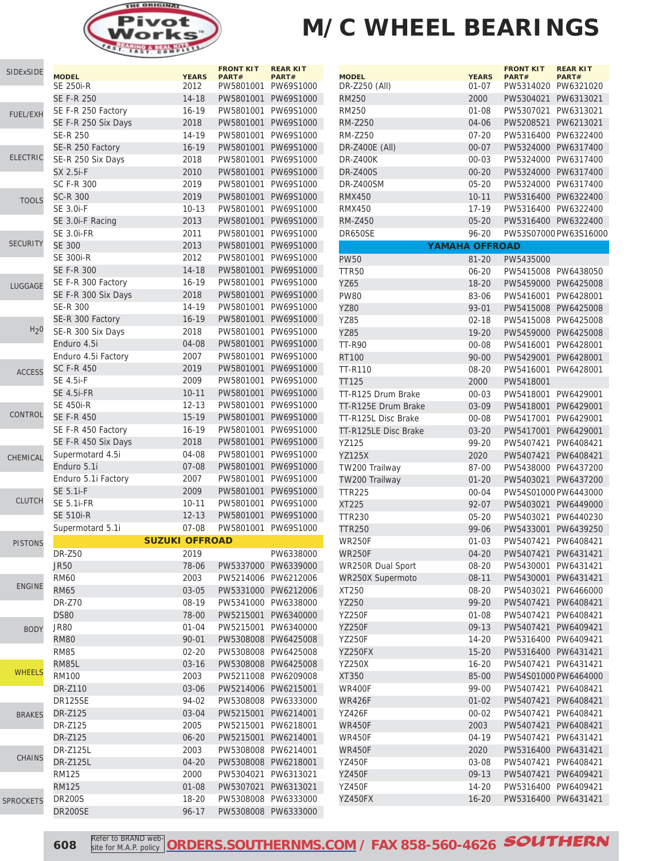

| <b>SIDExSIDE</b> | <b>MODEL</b>        | <b>YEARS</b>          | <b>FRONT KIT</b><br>PART# | <b>REAR KIT</b><br>PART# |
|------------------|---------------------|-----------------------|---------------------------|--------------------------|
|                  | SE 250i-R           | 2012                  |                           | PW5801001 PW69S1000      |
|                  | <b>SE F-R 250</b>   | $14 - 18$             |                           | PW5801001 PW69S1000      |
| <b>FUEL/EXH</b>  | SE F-R 250 Factory  | $16 - 19$             | PW5801001                 | PW69S1000                |
|                  | SE F-R 250 Six Days | 2018                  | PW5801001                 | PW69S1000                |
|                  | <b>SE-R 250</b>     | 14-19                 | PW5801001                 | PW69S1000                |
|                  | SE-R 250 Factory    | $16 - 19$             | PW5801001                 | PW69S1000                |
| <b>ELECTRIC</b>  | SE-R 250 Six Days   | 2018                  | PW5801001                 | PW69S1000                |
|                  | SX 2.5i-F           | 2010                  |                           | PW5801001 PW69S1000      |
|                  | SC F-R 300          | 2019                  |                           | PW5801001 PW69S1000      |
|                  | <b>SC-R 300</b>     | 2019                  | PW5801001                 | PW69S1000                |
| <b>TOOLS</b>     | SE 3.0i-F           | $10-13$               | PW5801001                 | PW69S1000                |
|                  | SE 3.0i-F Racing    | 2013                  | PW5801001                 | PW69S1000                |
|                  | <b>SE 3.0i-FR</b>   | 2011                  | PW5801001                 | PW69S1000                |
| <b>SECURITY</b>  | <b>SE 300</b>       | 2013                  | PW5801001                 | PW69S1000                |
|                  | <b>SE 300i-R</b>    | 2012                  | PW5801001                 | PW69S1000                |
|                  |                     |                       |                           |                          |
|                  | <b>SE F-R 300</b>   | $14 - 18$             | PW5801001                 | PW69S1000                |
| LUGGAGE          | SE F-R 300 Factory  | $16 - 19$             | PW5801001                 | PW69S1000                |
|                  | SE F-R 300 Six Days | 2018                  | PW5801001                 | PW69S1000                |
|                  | <b>SE-R 300</b>     | 14-19                 | PW5801001                 | PW69S1000                |
|                  | SE-R 300 Factory    | $16 - 19$             | PW5801001                 | PW69S1000                |
| H <sub>2</sub> 0 | SE-R 300 Six Days   | 2018                  | PW5801001                 | PW69S1000                |
|                  | Enduro 4.5i         | 04-08                 |                           | PW5801001 PW69S1000      |
|                  | Enduro 4.5i Factory | 2007                  |                           | PW5801001 PW69S1000      |
| <b>ACCESS</b>    | <b>SC F-R 450</b>   | 2019                  | PW5801001                 | PW69S1000                |
|                  | SE 4.5i-F           | 2009                  | PW5801001                 | PW69S1000                |
|                  | <b>SE 4.5i-FR</b>   | $10 - 11$             | PW5801001                 | PW69S1000                |
|                  | <b>SE 450i-R</b>    | $12 - 13$             | PW5801001                 | PW69S1000                |
| CONTROL          | <b>SE F-R 450</b>   | $15 - 19$             | PW5801001                 | PW69S1000                |
|                  | SE F-R 450 Factory  | $16 - 19$             | PW5801001                 | PW69S1000                |
|                  | SE F-R 450 Six Days | 2018                  | PW5801001                 | PW69S1000                |
|                  | Supermotard 4.5i    | 04-08                 | PW5801001                 | PW69S1000                |
| CHEMICAL         | Enduro 5.1i         | $07 - 08$             | PW5801001                 | PW69S1000                |
|                  | Enduro 5.1i Factory | 2007                  | PW5801001                 | PW69S1000                |
|                  | <b>SE 5.1i-F</b>    | 2009                  | PW5801001                 | PW69S1000                |
| <b>CLUTCH</b>    | <b>SE 5.1i-FR</b>   | $10 - 11$             | PW5801001                 | PW69S1000                |
|                  | <b>SE 510i-R</b>    |                       |                           | PW5801001 PW69S1000      |
|                  |                     | $12 - 13$             |                           |                          |
|                  | Supermotard 5.1i    | $07 - 08$             | PW5801001                 | PW69S1000                |
| <b>PISTONS</b>   |                     | <b>SUZUKI OFFROAD</b> |                           |                          |
|                  | <b>DR-Z50</b>       | 2019                  |                           | PW6338000                |
|                  | <b>JR50</b>         | 78-06                 |                           | PW5337000 PW6339000      |
|                  | <b>RM60</b>         | 2003                  | PW5214006                 | PW6212006                |
| <b>ENGINE</b>    | <b>RM65</b>         | $03 - 05$             | PW5331000                 | PW6212006                |
|                  | <b>DR-Z70</b>       | 08-19                 |                           | PW5341000 PW6338000      |
|                  | <b>DS80</b>         | 78-00                 |                           | PW5215001 PW6340000      |
| <b>BODY</b>      | <b>JR80</b>         | $01 - 04$             | PW5215001                 | PW6340000                |
|                  | <b>RM80</b>         | $90 - 01$             |                           | PW5308008 PW6425008      |
|                  | <b>RM85</b>         | $02 - 20$             |                           | PW5308008 PW6425008      |
|                  | <b>RM85L</b>        | $03 - 16$             | PW5308008                 | PW6425008                |
| <b>WHEELS</b>    | <b>RM100</b>        | 2003                  |                           | PW5211008 PW6209008      |
|                  | <b>DR-Z110</b>      | 03-06                 | PW5214006 PW6215001       |                          |
|                  | DR125SE             | 94-02                 |                           | PW5308008 PW6333000      |
|                  | DR-Z125             | 03-04                 | PW5215001 PW6214001       |                          |
| <b>BRAKES</b>    | DR-Z125             | 2005                  | PW5215001                 | PW6218001                |
|                  |                     |                       |                           |                          |
|                  | DR-Z125             | $06 - 20$             | PW5215001                 | PW6214001                |
| <b>CHAINS</b>    | <b>DR-Z125L</b>     | 2003                  | PW5308008                 | PW6214001                |
|                  | <b>DR-Z125L</b>     | 04-20                 | PW5308008 PW6218001       |                          |
|                  | <b>RM125</b>        | 2000                  | PW5304021                 | PW6313021                |
|                  | <b>RM125</b>        | 01-08                 | PW5307021                 | PW6313021                |
| <b>SPROCKETS</b> | <b>DR200S</b>       | 18-20                 |                           | PW5308008 PW6333000      |
|                  | DR200SE             | $96 - 17$             |                           | PW5308008 PW6333000      |

| <b>MODEL</b>         | <b>YEARS</b> | <b>FRONT KIT</b><br>PART# | <b>REAR KIT</b><br>PART# |
|----------------------|--------------|---------------------------|--------------------------|
| DR-Z250 (All)        | $01 - 07$    | PW5314020                 | PW6321020                |
| <b>RM250</b>         | 2000         | PW5304021                 | PW6313021                |
| RM250                | 01-08        | PW5307021                 | PW6313021                |
| <b>RM-Z250</b>       | 04-06        | PW5208521                 | PW6213021                |
| <b>RM-Z250</b>       | $07 - 20$    | PW5316400                 | PW6322400                |
| DR-Z400E (All)       | 00-07        | PW5324000                 | PW6317400                |
| <b>DR-Z400K</b>      | $00 - 03$    | PW5324000                 | PW6317400                |
| <b>DR-Z400S</b>      | $00 - 20$    | PW5324000                 | PW6317400                |
| <b>DR-Z400SM</b>     | $05 - 20$    | PW5324000                 | PW6317400                |
| <b>RMX450</b>        | $10 - 11$    | PW5316400                 | PW6322400                |
| <b>RMX450</b>        | 17-19        | PW5316400                 | PW6322400                |
|                      |              | PW5316400                 |                          |
| <b>RM-Z450</b>       | 05-20        |                           | PW6322400                |
| DR650SE              | 96-20        |                           | PW53S07000 PW63S16000    |
| YAMAHA OFFROAD       |              |                           |                          |
| <b>PW50</b>          | 81-20        | PW5435000                 |                          |
| <b>TTR50</b>         | $06 - 20$    | PW5415008                 | PW6438050                |
| <b>YZ65</b>          | 18-20        | PW5459000                 | PW6425008                |
| <b>PW80</b>          | 83-06        | PW5416001                 | PW6428001                |
| <b>YZ80</b>          | 93-01        | PW5415008                 | PW6425008                |
| YZ85                 | $02 - 18$    | PW5415008                 | PW6425008                |
| <b>YZ85</b>          | $19 - 20$    | PW5459000                 | PW6425008                |
| <b>TT-R90</b>        | 00-08        | PW5416001                 | PW6428001                |
| <b>RT100</b>         | 90-00        | PW5429001                 | PW6428001                |
| TT-R110              | 08-20        | PW5416001                 | PW6428001                |
| TT125                | 2000         | PW5418001                 |                          |
| TT-R125 Drum Brake   | 00-03        | PW5418001                 | PW6429001                |
| TT-R125E Drum Brake  | 03-09        | PW5418001                 | PW6429001                |
| TT-R125L Disc Brake  | 00-08        | PW5417001                 | PW6429001                |
| TT-R125LE Disc Brake | 03-20        | PW5417001                 | PW6429001                |
| YZ125                | 99-20        | PW5407421                 | PW6408421                |
| <b>YZ125X</b>        | 2020         | PW5407421                 | PW6408421                |
| TW200 Trailway       | 87-00        | PW5438000                 | PW6437200                |
| TW200 Trailway       | 01-20        | PW5403021                 | PW6437200                |
| <b>TTR225</b>        | $00 - 04$    | PW54S01000 PW6443000      |                          |
| <b>XT225</b>         | 92-07        | PW5403021                 | PW6449000                |
| <b>TTR230</b>        | $05 - 20$    | PW5403021                 | PW6440230                |
| <b>TTR250</b>        | 99-06        | PW5433001                 | PW6439250                |
| <b>WR250F</b>        | $01 - 03$    | PW5407421                 | PW6408421                |
| <b>WR250F</b>        | $04 - 20$    | PW5407421                 | PW6431421                |
| WR250R Dual Sport    | 08-20        | PW5430001                 | PW6431421                |
| WR250X Supermoto     | 08-11        | PW5430001                 | PW6431421                |
| XT250                | 08-20        | PW5403021                 | PW6466000                |
| YZ250                | 99-20        | PW5407421                 | PW6408421                |
| YZ250F               | 01-08        | PW5407421                 | PW6408421                |
| YZ250F               | $09-13$      | PW5407421                 | PW6409421                |
| <b>YZ250F</b>        | 14-20        | PW5316400                 | PW6409421                |
| <b>YZ250FX</b>       | $15 - 20$    | PW5316400                 | PW6431421                |
| YZ250X               | 16-20        | PW5407421                 | PW6431421                |
| XT350                | 85-00        | PW54S01000 PW6464000      |                          |
| <b>WR400F</b>        | 99-00        | PW5407421                 | PW6408421                |
| <b>WR426F</b>        | 01-02        | PW5407421                 | PW6408421                |
| YZ426F               | $00 - 02$    | PW5407421                 | PW6408421                |
| <b>WR450F</b>        | 2003         | PW5407421                 | PW6408421                |
| WR450F               | 04-19        | PW5407421                 | PW6431421                |
| <b>WR450F</b>        | 2020         | PW5316400                 | PW6431421                |
| YZ450F               |              | PW5407421                 | PW6408421                |
| <b>YZ450F</b>        | 03-08        | PW5407421                 | PW6409421                |
|                      | 09-13        |                           |                          |
| YZ450F               | 14-20        | PW5316400                 | PW6409421                |
| YZ450FX              | $16 - 20$    | PW5316400                 | PW6431421                |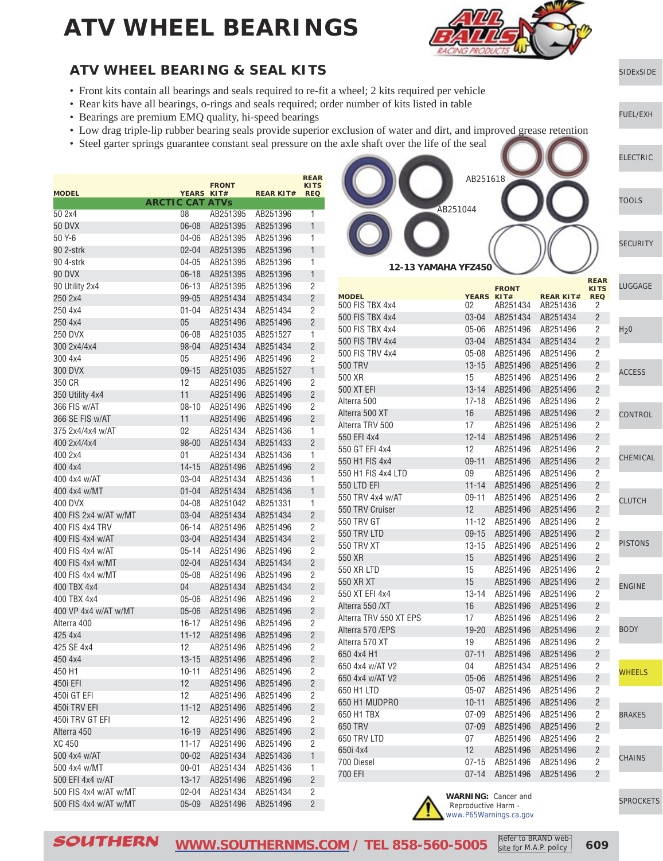

[SIDExSIDE](http://www.southernms.com/wp-content/uploads/2015/08/01_UTV.pdf)

[ELECTRIC](http://www.southernms.com/wp-content/uploads/2015/08/03_electrical.pdf)

[TOOLS](http://www.southernms.com/wp-content/uploads/2015/08/04_tools.pdf)

**[SECURITY](http://www.southernms.com/wp-content/uploads/2015/08/05_locks.pdf)** 

[FUEL/EXH](http://www.southernms.com/wp-content/uploads/2015/08/02_fuel_exh.pdf)

#### **ATV WHEEL BEARING & SEAL KITS**

- Front kits contain all bearings and seals required to re-fit a wheel; 2 kits required per vehicle
- Rear kits have all bearings, o-rings and seals required; order number of kits listed in table
- Bearings are premium EMQ quality, hi-speed bearings
- Low drag triple-lip rubber bearing seals provide superior exclusion of water and dirt, and improved grease retention
- Steel garter springs guarantee constant seal pressure on the axle shaft over the life of the seal

|                       |                        | <b>FRONT</b>            |                  | <b>REAR</b><br><b>KITS</b> |
|-----------------------|------------------------|-------------------------|------------------|----------------------------|
| <b>MODEL</b>          | YEARS KIT#             |                         | <b>REAR KIT#</b> | <b>REQ</b>                 |
|                       | <b>ARCTIC CAT ATVs</b> |                         |                  |                            |
| 50 2x4                | 08                     | AB251395                | AB251396         | 1                          |
| <b>50 DVX</b>         | $06 - 08$              | AB251395                | AB251396         | 1                          |
| 50 Y-6                | $04 - 06$              | AB251395                | AB251396         | 1                          |
| 90 2-strk             | 02-04                  | AB251395                | AB251396         | 1                          |
| 90 4-strk             | 04-05                  | AB251395                | AB251396         | 1                          |
| 90 DVX                | $06 - 18$              | AB251395                | AB251396         | 1                          |
| 90 Utility 2x4        | $06 - 13$              | AB251395                | AB251396         | 2                          |
| 250 2x4               | 99-05                  | AB251434                | AB251434         | $\overline{2}$             |
| 250 4x4               | $01 - 04$              | AB251434                | AB251434         | 2                          |
| 250 4x4               | 05                     | AB251496                | AB251496         | $\overline{2}$             |
| <b>250 DVX</b>        | 06-08                  | AB251035                | AB251527         | 1                          |
| 300 2x4/4x4           | 98-04                  | AB251434                | AB251434         | $\overline{2}$             |
| 300 4x4               | 05                     | AB251496                | AB251496         | 2                          |
| 300 DVX               | $09 - 15$              | AB251035                | AB251527         | $\mathbf{1}$               |
| 350 CR                | 12                     | AB251496                | AB251496         | 2                          |
| 350 Utility 4x4       | 11                     | AB251496                | AB251496         | $\overline{2}$             |
| 366 FIS w/AT          | $08 - 10$              | AB251496                | AB251496         | 2                          |
| 366 SE FIS w/AT       | 11                     | AB251496                | AB251496         | $\overline{2}$             |
| 375 2x4/4x4 w/AT      | 02                     | AB251434                | AB251436         | 1                          |
| 400 2x4/4x4           | $98 - 00$              | AB251434                | AB251433         | $\overline{2}$             |
| 400 2x4               | 01                     | AB251434                | AB251436         | 1                          |
| 400 4x4               | 14-15                  | AB251496                | AB251496         | $\overline{2}$             |
| 400 4x4 w/AT          | 03-04                  | AB251434                | AB251436         | 1                          |
| 400 4x4 w/MT          | $01 - 04$              | AB251434                | AB251436         | 1                          |
| 400 DVX               | 04-08                  | AB251042                | AB251331         | 1                          |
| 400 FIS 2x4 w/AT w/MT | $03 - 04$              | AB251434                | AB251434         | $\overline{2}$             |
| 400 FIS 4x4 TRV       | $06 - 14$              | AB251496                | AB251496         | 2                          |
| 400 FIS 4x4 w/AT      | $03 - 04$              | AB251434                | AB251434         | $\overline{2}$             |
| 400 FIS 4x4 w/AT      | $05 - 14$              | AB251496                | AB251496         | 2                          |
| 400 FIS 4x4 w/MT      | $02 - 04$              | AB251434                | AB251434         | $\overline{2}$             |
| 400 FIS 4x4 w/MT      | 05-08                  | AB251496                | AB251496         | 2                          |
| 400 TBX 4x4           | 04                     | AB251434                | AB251434         | $\overline{2}$             |
| 400 TBX 4x4           | 05-06                  | AB251496                | AB251496         | 2                          |
| 400 VP 4x4 w/AT w/MT  | $05 - 06$              | AB251496                | AB251496         | $\overline{2}$             |
| Alterra 400           | $16 - 17$              | AB251496                | AB251496         | 2                          |
| 425 4x4               | $11 - 12$              | AB251496                | AB251496         | $\overline{2}$             |
| 425 SE 4x4            | 12                     | AB251496                | AB251496         | 2                          |
| 450 4x4               |                        | 13-15 AB251496 AB251496 |                  | $\overline{c}$             |
| 450 H1                | 10-11                  | AB251496                | AB251496         | 2                          |
| 450i EFI              | 12                     | AB251496                | AB251496         | $\overline{\mathbf{c}}$    |
| 450i GT EFI           | 12                     | AB251496                | AB251496         | 2                          |
| 450i TRV EFI          | $11 - 12$              | AB251496                | AB251496         | $\overline{c}$             |
| 450i TRV GT EFI       | 12                     | AB251496                | AB251496         | $\overline{\mathbf{c}}$    |
| Alterra 450           | $16 - 19$              | AB251496                | AB251496         | $\overline{c}$             |
| XC 450                | $11 - 17$              | AB251496                | AB251496         | 2                          |
| 500 4x4 w/AT          | $00 - 02$              | AB251434                | AB251436         | $\mathbf{1}$               |
| 500 4x4 w/MT          | $00 - 01$              | AB251434                | AB251436         | 1                          |
| 500 EFI 4x4 w/AT      | $13 - 17$              | AB251496                | AB251496         | $\overline{c}$             |
| 500 FIS 4x4 w/AT w/MT | $02 - 04$              | AB251434                | AB251434         | 2                          |
| 500 FIS 4x4 w/AT w/MT | $05 - 09$              | AB251496                | AB251496         | $\overline{c}$             |

AB251618 AB251044

**12-13 YAMAHA YFZ450**

| <b>MODEL</b>           | YEARS KIT# | <b>FRONT</b> | <b>REAR KIT#</b> | <b>REAR</b><br><b>KITS</b><br><b>REQ</b> | LUGGAGE          |
|------------------------|------------|--------------|------------------|------------------------------------------|------------------|
| 500 FIS TBX 4x4        | 02         | AB251434     | AB251436         | 2                                        |                  |
| 500 FIS TBX 4x4        | $03 - 04$  | AB251434     | AB251434         | 2                                        |                  |
| 500 FIS TBX 4x4        | $05 - 06$  | AB251496     | AB251496         | 2                                        | H <sub>2</sub> 0 |
| 500 FIS TRV 4x4        | $03 - 04$  | AB251434     | AB251434         | 2                                        |                  |
| 500 FIS TRV 4x4        | $05 - 08$  | AB251496     | AB251496         | 2                                        |                  |
| 500 TRV                | $13 - 15$  | AB251496     | AB251496         | $\overline{2}$                           |                  |
| 500 XR                 | 15         | AB251496     | AB251496         | 2                                        | <b>ACCESS</b>    |
| 500 XT EFI             | $13 - 14$  | AB251496     | AB251496         | $\overline{2}$                           |                  |
| Alterra 500            | 17-18      | AB251496     | AB251496         | 2                                        |                  |
| Alterra 500 XT         | 16         | AB251496     | AB251496         | $\overline{2}$                           | CONTROL          |
| Alterra TRV 500        | 17         | AB251496     | AB251496         | 2                                        |                  |
| 550 EFI 4x4            | $12 - 14$  | AB251496     | AB251496         | $\overline{2}$                           |                  |
| 550 GT EFI 4x4         | 12         | AB251496     | AB251496         | 2                                        |                  |
| 550 H1 FIS 4x4         | $09 - 11$  | AB251496     | AB251496         | $\overline{2}$                           | CHEMICAL         |
| 550 H1 FIS 4x4 LTD     | 09         | AB251496     | AB251496         | 2                                        |                  |
| 550 LTD EFI            | $11 - 14$  | AB251496     | AB251496         | $\overline{2}$                           |                  |
| 550 TRV 4x4 w/AT       | $09 - 11$  | AB251496     | AB251496         | 2                                        | <b>CLUTCH</b>    |
| 550 TRV Cruiser        | 12         | AB251496     | AB251496         | $\overline{2}$                           |                  |
| 550 TRV GT             | 11-12      | AB251496     | AB251496         | 2                                        |                  |
| 550 TRV LTD            | $09-15$    | AB251496     | AB251496         | $\overline{2}$                           |                  |
| 550 TRV XT             | $13 - 15$  | AB251496     | AB251496         | 2                                        | <b>PISTONS</b>   |
| 550 XR                 | 15         | AB251496     | AB251496         | $\overline{c}$                           |                  |
| 550 XR LTD             | 15         | AB251496     | AB251496         | 2                                        |                  |
| 550 XR XT              | 15         | AB251496     | AB251496         | $\overline{2}$                           | <b>ENGINE</b>    |
| 550 XT EFI 4x4         | $13 - 14$  | AB251496     | AB251496         | 2                                        |                  |
| Alterra 550 /XT        | 16         | AB251496     | AB251496         | $\overline{2}$                           |                  |
| Alterra TRV 550 XT EPS | 17         | AB251496     | AB251496         | 2                                        |                  |
| Alterra 570 / EPS      | 19-20      | AB251496     | AB251496         | $\overline{2}$                           | <b>BODY</b>      |
| Alterra 570 XT         | 19         | AB251496     | AB251496         | 2                                        |                  |
| 650 4x4 H1             | $07 - 11$  | AB251496     | AB251496         | $\overline{2}$                           |                  |
| 650 4x4 w/AT V2        | 04         | AB251434     | AB251496         | 2                                        | <b>WHEELS</b>    |
| 650 4x4 w/AT V2        | $05 - 06$  | AB251496     | AB251496         | $\overline{2}$                           |                  |
| 650 H1 LTD             | $05-07$    | AB251496     | AB251496         | 2                                        |                  |
| 650 H1 MUDPRO          | $10 - 11$  | AB251496     | AB251496         | $\overline{2}$                           |                  |
| 650 H1 TBX             | $07 - 09$  | AB251496     | AB251496         | 2                                        | <b>BRAKES</b>    |
| 650 TRV                | $07 - 09$  | AB251496     | AB251496         | $\overline{2}$                           |                  |
| 650 TRV LTD            | 07         | AB251496     | AB251496         | 2                                        |                  |
| 650i 4x4               | 12         | AB251496     | AB251496         | 2                                        | <b>CHAINS</b>    |
| 700 Diesel             | $07 - 15$  | AB251496     | AB251496         | 2                                        |                  |
| 700 EFI                | $07 - 14$  | AB251496     | AB251496         | $\mathfrak{p}$                           |                  |



[SPROCKETS](http://www.southernms.com/wp-content/uploads/2015/08/18_sprockets.pdf)

SOUTHERN **[WWW.SOUTHERNMS.COM](http://m.southernms.com) / TEL 858-560-5005 609**

Refer to BRAND website for M.A.P. policy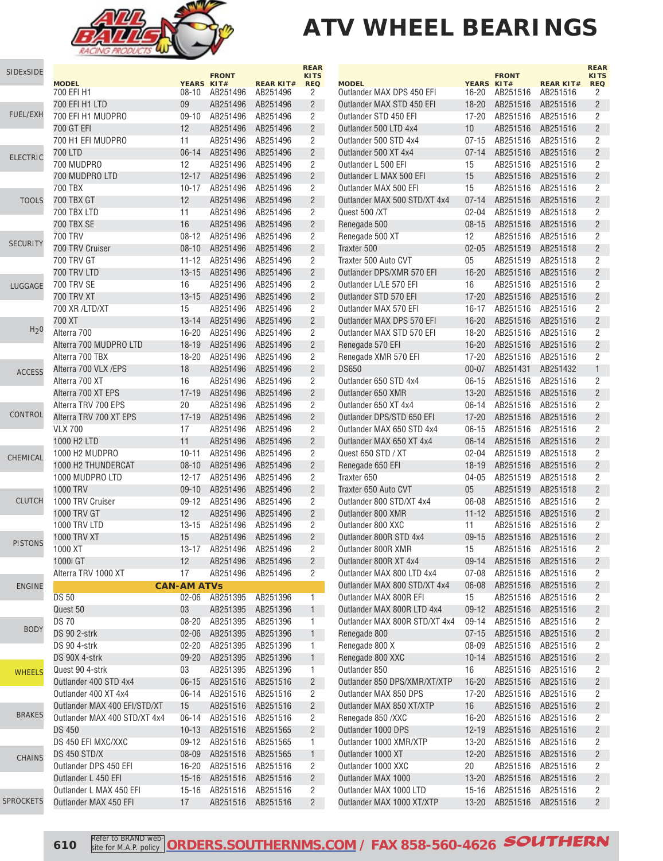

# **ATV WHEEL BEARINGS**

|                  |                                              |                    |                      |                      | <b>REAR</b>               |
|------------------|----------------------------------------------|--------------------|----------------------|----------------------|---------------------------|
| SIDExSIDE        | <b>MODEL</b>                                 | YEARS KIT#         | <b>FRONT</b>         | <b>REAR KIT#</b>     | <b>KITS</b><br><b>REQ</b> |
|                  | 700 EFI H1                                   | $08 - 10$          | AB251496             | AB251496             | 2                         |
|                  | 700 EFI H1 LTD                               | 09                 | AB251496             | AB251496             | 2                         |
| <b>FUEL/EXH</b>  | 700 EFI H1 MUDPRO                            | $09 - 10$          | AB251496             | AB251496             | 2                         |
|                  | 700 GT EFI                                   | 12                 | AB251496             | AB251496             | $\sqrt{2}$                |
|                  | 700 H1 EFI MUDPRO                            | 11                 | AB251496             | AB251496             | $\overline{2}$            |
| <b>ELECTRIC</b>  | 700 LTD                                      | $06 - 14$          | AB251496             | AB251496             | $\overline{2}$            |
|                  | 700 MUDPRO                                   | 12                 | AB251496             | AB251496             | 2                         |
|                  | 700 MUDPRO LTD                               | $12 - 17$          | AB251496             | AB251496             | $\overline{c}$            |
|                  | 700 TBX                                      | 10-17              | AB251496             | AB251496             | $\overline{2}$            |
| <b>TOOLS</b>     | 700 TBX GT                                   | 12                 | AB251496             | AB251496             | $\sqrt{2}$                |
|                  | 700 TBX LTD                                  | 11<br>16           | AB251496             | AB251496             | 2<br>$\overline{2}$       |
|                  | 700 TBX SE<br>700 TRV                        | $08 - 12$          | AB251496<br>AB251496 | AB251496<br>AB251496 |                           |
| <b>SECURITY</b>  | 700 TRV Cruiser                              | $08 - 10$          | AB251496             | AB251496             | 2<br>$\sqrt{2}$           |
|                  | <b>700 TRV GT</b>                            | 11-12              | AB251496             | AB251496             | $\overline{2}$            |
|                  | 700 TRV LTD                                  | $13 - 15$          | AB251496             | AB251496             | $\overline{2}$            |
| LUGGAGE          | <b>700 TRV SE</b>                            | 16                 | AB251496             | AB251496             | $\overline{2}$            |
|                  | 700 TRV XT                                   | $13 - 15$          | AB251496             | AB251496             | $\sqrt{2}$                |
|                  | 700 XR /LTD/XT                               | 15                 | AB251496             | AB251496             | 2                         |
|                  | 700 XT                                       | $13 - 14$          | AB251496             | AB251496             | $\sqrt{2}$                |
| H <sub>2</sub> 0 | Alterra 700                                  | $16 - 20$          | AB251496             | AB251496             | $\overline{c}$            |
|                  | Alterra 700 MUDPRO LTD                       | $18 - 19$          | AB251496             | AB251496             | $\overline{2}$            |
|                  | Alterra 700 TBX                              | 18-20              | AB251496             | AB251496             | $\overline{2}$            |
| <b>ACCESS</b>    | Alterra 700 VLX /EPS                         | 18                 | AB251496             | AB251496             | $\overline{2}$            |
|                  | Alterra 700 XT                               | 16                 | AB251496             | AB251496             | 2                         |
|                  | Alterra 700 XT EPS                           | $17 - 19$          | AB251496             | AB251496             | $\sqrt{2}$                |
|                  | Alterra TRV 700 EPS                          | 20                 | AB251496             | AB251496             | $\overline{c}$            |
| CONTROL          | Alterra TRV 700 XT EPS                       | $17 - 19$          | AB251496             | AB251496             | $\overline{2}$            |
|                  | <b>VLX 700</b>                               | 17                 | AB251496             | AB251496             | 2                         |
|                  | 1000 H <sub>2</sub> LTD                      | 11                 | AB251496             | AB251496             | $\overline{2}$            |
| CHEMICAL         | 1000 H2 MUDPRO                               | $10 - 11$          | AB251496             | AB251496             | 2                         |
|                  | 1000 H2 THUNDERCAT                           | $08 - 10$          | AB251496             | AB251496             | $\sqrt{2}$                |
|                  | 1000 MUDPRO LTD                              | 12-17              | AB251496             | AB251496             | $\overline{c}$            |
| <b>CLUTCH</b>    | 1000 TRV                                     | $09-10$            | AB251496             | AB251496             | $\sqrt{2}$                |
|                  | 1000 TRV Cruiser<br><b>1000 TRV GT</b>       | $09-12$<br>12      | AB251496<br>AB251496 | AB251496             | 2<br>$\overline{c}$       |
|                  | 1000 TRV LTD                                 | $13 - 15$          | AB251496             | AB251496<br>AB251496 | $\overline{c}$            |
|                  | <b>1000 TRV XT</b>                           | 15                 | AB251496             | AB251496             | $\overline{2}$            |
| <b>PISTONS</b>   | 1000 XT                                      |                    | 13-17 AB251496       | AB251496             | $\overline{2}$            |
|                  | 1000i GT                                     | 12                 | AB251496             | AB251496             | $\overline{2}$            |
|                  | Alterra TRV 1000 XT                          | 17                 | AB251496             | AB251496             | 2                         |
| <b>ENGINE</b>    |                                              | <b>CAN-AM ATVs</b> |                      |                      |                           |
|                  | <b>DS 50</b>                                 | $02 - 06$          | AB251395             | AB251396             | 1                         |
|                  | Quest 50                                     | 03                 | AB251395             | AB251396             | 1                         |
|                  | <b>DS70</b>                                  | 08-20              | AB251395             | AB251396             | 1                         |
| <b>BODY</b>      | DS 90 2-strk                                 | 02-06              | AB251395             | AB251396             | $\mathbf{1}$              |
|                  | DS 90 4-strk                                 | $02 - 20$          | AB251395             | AB251396             | 1                         |
|                  | DS 90X 4-strk                                | $09 - 20$          | AB251395             | AB251396             | 1                         |
| <b>WHEELS</b>    | Quest 90 4-strk                              | 03                 | AB251395             | AB251396             | 1                         |
|                  | Outlander 400 STD 4x4                        | $06 - 15$          | AB251516             | AB251516             | $\overline{c}$            |
|                  | Outlander 400 XT 4x4                         | 06-14              | AB251516             | AB251516             | $\overline{c}$            |
| <b>BRAKES</b>    | Outlander MAX 400 EFI/STD/XT                 | 15                 | AB251516             | AB251516             | $\overline{c}$            |
|                  | Outlander MAX 400 STD/XT 4x4                 | 06-14              | AB251516             | AB251516             | 2                         |
|                  | <b>DS 450</b>                                | 10-13              | AB251516             | AB251565             | $\overline{c}$            |
|                  | DS 450 EFI MXC/XXC                           | 09-12              | AB251516             | AB251565             | 1                         |
| <b>CHAINS</b>    | DS 450 STD/X                                 | 08-09              | AB251516             | AB251565             | $\mathbf{1}$              |
|                  | Outlander DPS 450 EFI<br>Outlander L 450 EFI | 16-20<br>$15 - 16$ | AB251516<br>AB251516 | AB251516<br>AB251516 | 2<br>$\sqrt{2}$           |
|                  | Outlander L MAX 450 EFI                      | $15 - 16$          | AB251516             | AB251516             | 2                         |
| <b>SPROCKETS</b> | Outlander MAX 450 EFI                        | 17                 | AB251516             | AB251516             | $\overline{2}$            |

|                                                        |                        | <b>FRONT</b>         |                      | <b>REAR</b><br><b>KITS</b>       |
|--------------------------------------------------------|------------------------|----------------------|----------------------|----------------------------------|
| <b>MODEL</b>                                           | YEARS KIT#             |                      | <b>REAR KIT#</b>     | <b>REQ</b>                       |
| Outlander MAX DPS 450 EFI                              | 16-20                  | AB251516             | AB251516             | 2<br>$\overline{2}$              |
| Outlander MAX STD 450 EFI<br>Outlander STD 450 EFI     | 18-20                  | AB251516             | AB251516             | 2                                |
| Outlander 500 LTD 4x4                                  | 17-20<br>10            | AB251516<br>AB251516 | AB251516<br>AB251516 | $\overline{2}$                   |
| Outlander 500 STD 4x4                                  | 07-15                  | AB251516             | AB251516             | 2                                |
| Outlander 500 XT 4x4                                   | $07 - 14$              | AB251516             | AB251516             | $\overline{2}$                   |
| Outlander L 500 EFI                                    | 15                     | AB251516             | AB251516             | 2                                |
| Outlander L MAX 500 EFI                                | 15                     | AB251516             | AB251516             | $\overline{2}$                   |
| Outlander MAX 500 EFI                                  | 15                     | AB251516             | AB251516             | 2                                |
| Outlander MAX 500 STD/XT 4x4                           | $07 - 14$              | AB251516             | AB251516             | $\overline{2}$                   |
| Quest 500 /XT                                          | 02-04                  | AB251519             | AB251518             | 2                                |
| Renegade 500                                           | $08 - 15$              | AB251516             | AB251516             | $\overline{2}$                   |
| Renegade 500 XT                                        | 12                     | AB251516             | AB251516             | 2                                |
| Traxter 500                                            | $02 - 05$              | AB251519             | AB251518             | $\overline{2}$                   |
| Traxter 500 Auto CVT                                   | 05                     | AB251519             | AB251518             | 2                                |
| Outlander DPS/XMR 570 EFI                              | $16 - 20$              | AB251516             | AB251516             | $\overline{2}$                   |
| Outlander L/LE 570 EFI                                 | 16                     | AB251516             | AB251516             | 2                                |
| Outlander STD 570 EFI                                  | $17 - 20$              | AB251516             | AB251516             | $\overline{2}$                   |
| Outlander MAX 570 EFI                                  | 16-17                  | AB251516             | AB251516             | 2                                |
| Outlander MAX DPS 570 EFI                              | $16 - 20$              | AB251516             | AB251516             | $\overline{2}$                   |
| Outlander MAX STD 570 EFI                              | 18-20                  | AB251516             | AB251516             | 2                                |
| Renegade 570 EFI                                       | $16 - 20$              | AB251516             | AB251516             | $\overline{2}$                   |
| Renegade XMR 570 EFI                                   | 17-20                  | AB251516             | AB251516             | 2                                |
| <b>DS650</b>                                           | $00 - 07$              | AB251431             | AB251432             | $\mathbf{1}$                     |
| Outlander 650 STD 4x4                                  | $06 - 15$              | AB251516             | AB251516             | 2                                |
| Outlander 650 XMR                                      | $13 - 20$              | AB251516             | AB251516             | $\overline{2}$                   |
| Outlander 650 XT 4x4                                   | 06-14                  | AB251516             | AB251516             | 2                                |
| Outlander DPS/STD 650 EFI<br>Outlander MAX 650 STD 4x4 | $17 - 20$<br>$06 - 15$ | AB251516<br>AB251516 | AB251516<br>AB251516 | $\overline{2}$<br>2              |
| Outlander MAX 650 XT 4x4                               | $06 - 14$              | AB251516             | AB251516             | $\overline{2}$                   |
| Quest 650 STD / XT                                     | 02-04                  | AB251519             | AB251518             | $\overline{2}$                   |
| Renegade 650 EFI                                       | $18 - 19$              | AB251516             | AB251516             | $\overline{2}$                   |
| Traxter 650                                            | 04-05                  | AB251519             | AB251518             | 2                                |
| Traxter 650 Auto CVT                                   | 05                     | AB251519             | AB251518             | $\overline{2}$                   |
| Outlander 800 STD/XT 4x4                               | 06-08                  | AB251516             | AB251516             | 2                                |
| Outlander 800 XMR                                      | $11 - 12$              | AB251516             | AB251516             | $\overline{2}$                   |
| Outlander 800 XXC                                      | 11                     | AB251516             | AB251516             | 2                                |
| Outlander 800R STD 4x4                                 | $09 - 15$              | AB251516             | AB251516             | $\overline{2}$                   |
| Outlander 800R XMR                                     | 15                     | AB251516             | AB251516             | 2                                |
| Outlander 800R XT 4x4                                  | 09-14                  | AB251516             | AB251516             | 2                                |
| Outlander MAX 800 LTD 4x4                              | 07-08                  | AB251516             | AB251516             | 2                                |
| Outlander MAX 800 STD/XT 4x4                           | 06-08                  | AB251516             | AB251516             | $\overline{2}$                   |
| Outlander MAX 800R EFI                                 | 15                     | AB251516             | AB251516             | 2                                |
| Outlander MAX 800R LTD 4x4                             | 09-12                  | AB251516             | AB251516             | $\overline{2}$                   |
| Outlander MAX 800R STD/XT 4x4                          | 09-14                  | AB251516             | AB251516             | 2                                |
| Renegade 800                                           | $07 - 15$              | AB251516             | AB251516             | $\overline{2}$                   |
| Renegade 800 X                                         | 08-09                  | AB251516             | AB251516             | 2                                |
| Renegade 800 XXC                                       | $10 - 14$              | AB251516             | AB251516             | $\overline{c}$                   |
| Outlander 850                                          | 16                     | AB251516             | AB251516             | 2                                |
| Outlander 850 DPS/XMR/XT/XTP                           | $16 - 20$              | AB251516             | AB251516             | $\overline{2}$                   |
| Outlander MAX 850 DPS                                  | $17 - 20$              | AB251516             | AB251516             | 2                                |
| Outlander MAX 850 XT/XTP                               | 16                     | AB251516             | AB251516             | $\overline{2}$                   |
| Renegade 850 /XXC                                      | 16-20                  | AB251516             | AB251516             | 2                                |
| Outlander 1000 DPS<br>Outlander 1000 XMR/XTP           | $12 - 19$              | AB251516             | AB251516             | $\overline{2}$<br>$\overline{2}$ |
| Outlander 1000 XT                                      | 13-20<br>$12 - 20$     | AB251516             | AB251516<br>AB251516 | $\overline{2}$                   |
| Outlander 1000 XXC                                     | 20                     | AB251516<br>AB251516 | AB251516             | 2                                |
| Outlander MAX 1000                                     | $13 - 20$              | AB251516             | AB251516             | $\overline{2}$                   |
| Outlander MAX 1000 LTD                                 | 15-16                  | AB251516             | AB251516             | 2                                |
| Outlander MAX 1000 XT/XTP                              | $13 - 20$              | AB251516             | AB251516             | $\overline{2}$                   |
|                                                        |                        |                      |                      |                                  |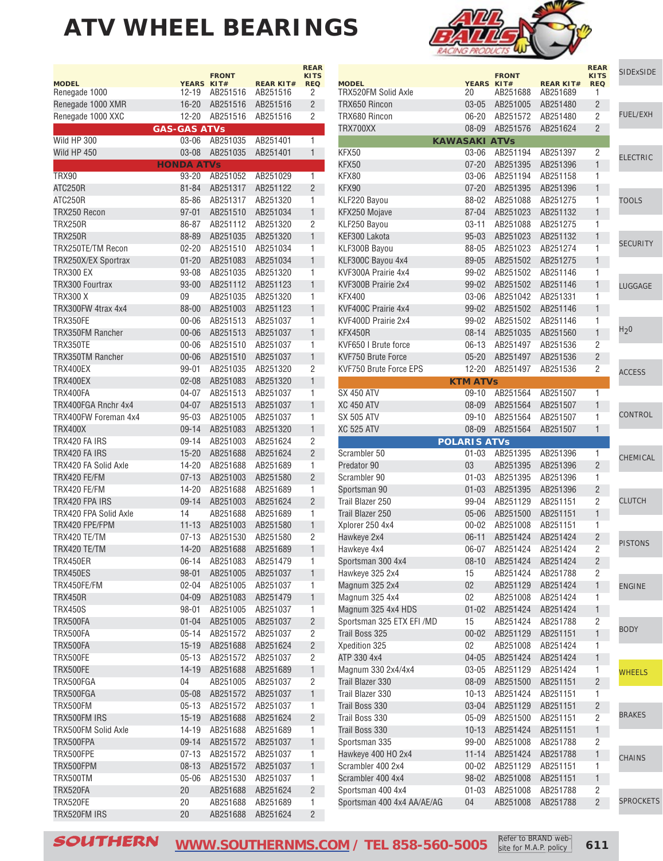|                                     |                     | <b>FRONT</b>         |                      | <b>REAR</b><br><b>KITS</b> |
|-------------------------------------|---------------------|----------------------|----------------------|----------------------------|
| <b>MODEL</b>                        | YEARS KIT#          |                      | <b>REAR KIT#</b>     | <b>REQ</b>                 |
| Renegade 1000                       | 12-19               | AB251516             | AB251516             | 2                          |
| Renegade 1000 XMR                   |                     | 16-20 AB251516       | AB251516             | $\overline{2}$             |
| Renegade 1000 XXC                   |                     | 12-20 AB251516       | AB251516             | 2                          |
|                                     | <b>GAS-GAS ATVs</b> |                      |                      |                            |
| Wild HP 300                         | 03-06               | AB251035             | AB251401             | 1                          |
| Wild HP 450                         | 03-08               | AB251035             | AB251401             | 1                          |
|                                     | <b>HONDA ATVs</b>   |                      |                      |                            |
| TRX90                               | 93-20               | AB251052             | AB251029             | 1                          |
| ATC250R                             | $81 - 84$           | AB251317             | AB251122             | $\overline{2}$             |
| <b>ATC250R</b>                      | 85-86               | AB251317             | AB251320             | 1                          |
| TRX250 Recon<br><b>TRX250R</b>      | 97-01               | AB251510             | AB251034             | 1                          |
| <b>TRX250R</b>                      | 86-87               | AB251112             | AB251320             | 2<br>$\mathbf{1}$          |
|                                     | 88-89               | AB251035             | AB251320             |                            |
| TRX250TE/TM Recon                   | 02-20               | AB251510             | AB251034             | 1                          |
| TRX250X/EX Sportrax                 | $01 - 20$           | AB251083             | AB251034             | 1<br>1                     |
| TRX300 EX<br>TRX300 Fourtrax        | 93-08<br>$93 - 00$  | AB251035<br>AB251112 | AB251320<br>AB251123 | 1                          |
|                                     |                     |                      | AB251320             |                            |
| TRX300 X                            | 09                  | AB251035             |                      | 1                          |
| TRX300FW 4trax 4x4                  | 88-00               | AB251003             | AB251123             | 1                          |
| TRX350FE<br><b>TRX350FM Rancher</b> | 00-06<br>$00 - 06$  | AB251513             | AB251037             | 1<br>1                     |
| <b>TRX350TE</b>                     |                     | AB251513<br>AB251510 | AB251037<br>AB251037 | 1                          |
| <b>TRX350TM Rancher</b>             | 00-06<br>$00 - 06$  | AB251510             | AB251037             | 1                          |
|                                     |                     | AB251035             |                      |                            |
| TRX400EX                            | 99-01               | AB251083             | AB251320<br>AB251320 | 2<br>1                     |
| TRX400EX<br>TRX400FA                | $02 - 08$           | AB251513             | AB251037             | 1                          |
| TRX400FGA Rnchr 4x4                 | 04-07<br>04-07      | AB251513             | AB251037             | 1                          |
| TRX400FW Foreman 4x4                | 95-03               | AB251005             | AB251037             | 1                          |
| <b>TRX400X</b>                      | $09-14$             | AB251083             | AB251320             | 1                          |
| TRX420 FA IRS                       | 09-14               | AB251003             | AB251624             | 2                          |
| TRX420 FA IRS                       | $15 - 20$           | AB251688             | AB251624             | $\overline{2}$             |
| TRX420 FA Solid Axle                | 14-20               | AB251688             | AB251689             | 1                          |
| TRX420 FE/FM                        | $07 - 13$           | AB251003             | AB251580             | 2                          |
| TRX420 FE/FM                        | 14-20               | AB251688             | AB251689             | 1                          |
| TRX420 FPA IRS                      | $09 - 14$           | AB251003             | AB251624             | 2                          |
| TRX420 FPA Solid Axle               | 14                  | AB251688             | AB251689             | 1                          |
| TRX420 FPE/FPM                      | $11 - 13$           | AB251003             | AB251580             | 1                          |
| TRX420 TE/TM                        | 07-13               | AB251530             | AB251580             | 2                          |
| TRX420 TE/TM                        | 14-20               | AB251688             | AB251689             | 1                          |
| TRX450ER                            | 06-14               | AB251083             | AB251479             | 1                          |
| TRX450ES                            | $98 - 01$           | AB251005             | AB251037             | $\mathbf{1}$               |
| TRX450FE/FM                         | $02 - 04$           | AB251005             | AB251037             | 1                          |
| <b>TRX450R</b>                      | $04 - 09$           | AB251083             | AB251479             | $\mathbf{1}$               |
| TRX450S                             | 98-01               | AB251005             | AB251037             | 1                          |
| TRX500FA                            | $01 - 04$           | AB251005             | AB251037             | $\overline{\mathbf{c}}$    |
| TRX500FA                            | $05 - 14$           | AB251572             | AB251037             | 2                          |
| TRX500FA                            | $15 - 19$           | AB251688             | AB251624             | $\overline{2}$             |
| TRX500FE                            | $05 - 13$           | AB251572             | AB251037             | 2                          |
| TRX500FE                            | $14 - 19$           | AB251688             | AB251689             | 1                          |
| TRX500FGA                           | 04                  | AB251005             | AB251037             | 2                          |
| TRX500FGA                           | $05 - 08$           | AB251572             | AB251037             | $\mathbf{1}$               |
| <b>TRX500FM</b>                     | $05 - 13$           | AB251572             | AB251037             | 1                          |
| TRX500FM IRS                        | $15 - 19$           | AB251688             | AB251624             | $\overline{c}$             |
| TRX500FM Solid Axle                 | 14-19               | AB251688             | AB251689             | 1                          |
| TRX500FPA                           | $09 - 14$           | AB251572             | AB251037             | $\mathbf{1}$               |
| TRX500FPE                           | $07 - 13$           | AB251572             | AB251037             | 1                          |
| TRX500FPM                           | $08 - 13$           | AB251572             | AB251037             | $\mathbf{1}$               |
| TRX500TM                            | 05-06               | AB251530             | AB251037             | 1                          |
| TRX520FA                            | 20                  | AB251688             | AB251624             | $\overline{c}$             |
| TRX520FE                            | 20                  | AB251688             | AB251689             | 1                          |
| TRX520FM IRS                        | 20                  | AB251688             | AB251624             | $\overline{c}$             |



| <b>MODEL</b>                               |                        | <b>FRONT</b>         |                              | <b>REAR</b><br><b>KITS</b> | <b>SIDExSIDE</b> |
|--------------------------------------------|------------------------|----------------------|------------------------------|----------------------------|------------------|
| TRX520FM Solid Axle                        | YEARS KIT#<br>20       | AB251688             | <b>REAR KIT#</b><br>AB251689 | <b>REQ</b><br>1            |                  |
| TRX650 Rincon                              | $03 - 05$              | AB251005             | AB251480                     | $\overline{2}$             |                  |
| TRX680 Rincon                              | 06-20                  | AB251572             | AB251480                     | 2                          | <b>FUEL/EXH</b>  |
| TRX700XX                                   | 08-09                  | AB251576             | AB251624                     | $\overline{2}$             |                  |
|                                            | <b>KAWASAKI ATVs</b>   |                      |                              |                            |                  |
| KFX50                                      | 03-06                  | AB251194             | AB251397                     | 2                          | <b>ELECTRIC</b>  |
| KFX50                                      | $07 - 20$              | AB251395             | AB251396                     | 1                          |                  |
| KFX80                                      | $03 - 06$              | AB251194             | AB251158                     | 1                          |                  |
| KFX90                                      | $07 - 20$              | AB251395             | AB251396                     | 1                          |                  |
| KLF220 Bayou                               | 88-02                  | AB251088             | AB251275                     | 1                          | <b>TOOLS</b>     |
| KFX250 Mojave                              | 87-04                  | AB251023             | AB251132                     | 1                          |                  |
| KLF250 Bayou                               | $03 - 11$              | AB251088             | AB251275                     | 1                          |                  |
| KEF300 Lakota                              | $95 - 03$              | AB251023             | AB251132                     | 1                          | <b>SECURITY</b>  |
| KLF300B Bayou                              | 88-05                  | AB251023             | AB251274                     | 1                          |                  |
| KLF300C Bayou 4x4                          | 89-05                  | AB251502             | AB251275                     | 1                          |                  |
| KVF300A Prairie 4x4<br>KVF300B Prairie 2x4 | 99-02                  | AB251502             | AB251146                     | 1<br>1                     |                  |
|                                            | 99-02                  | AB251502<br>AB251042 | AB251146<br>AB251331         |                            | LUGGAGE          |
| KFX400<br>KVF400C Prairie 4x4              | 03-06<br>99-02         | AB251502             | AB251146                     | 1<br>1                     |                  |
| KVF400D Prairie 2x4                        | 99-02                  | AB251502             | AB251146                     | 1                          |                  |
| KFX450R                                    | $08 - 14$              | AB251035             | AB251560                     | 1                          | H <sub>2</sub> 0 |
| KVF650   Brute force                       | $06-13$                | AB251497             | AB251536                     | 2                          |                  |
| <b>KVF750 Brute Force</b>                  | $05 - 20$              | AB251497             | AB251536                     | $\overline{2}$             |                  |
| KVF750 Brute Force EPS                     | 12-20                  | AB251497             | AB251536                     | 2                          |                  |
|                                            | <b>KTM ATVs</b>        |                      |                              |                            | <b>ACCESS</b>    |
| <b>SX 450 ATV</b>                          | $09-10$                | AB251564             | AB251507                     | 1                          |                  |
| <b>XC 450 ATV</b>                          | 08-09                  | AB251564             | AB251507                     | 1                          |                  |
| SX 505 ATV                                 | $09-10$                | AB251564             | AB251507                     | 1                          | CONTROL          |
| <b>XC 525 ATV</b>                          | 08-09                  | AB251564             | AB251507                     | 1                          |                  |
|                                            | <b>POLARIS ATVS</b>    |                      |                              |                            |                  |
| Scrambler 50                               | $01 - 03$              | AB251395             | AB251396                     | 1                          | CHEMICAL         |
| Predator 90                                | 03                     | AB251395             | AB251396                     | $\overline{2}$             |                  |
| Scrambler 90                               | $01 - 03$              | AB251395             | AB251396                     | 1                          |                  |
| Sportsman 90                               | $01 - 03$              | AB251395             | AB251396<br>AB251151         | $\overline{2}$             | <b>CLUTCH</b>    |
| Trail Blazer 250<br>Trail Blazer 250       | 99-04                  | AB251129<br>AB251500 | AB251151                     | 2<br>1                     |                  |
|                                            | $05 - 06$              |                      |                              | 1                          |                  |
| Xplorer 250 4x4<br>Hawkeye 2x4             | $00 - 02$<br>$06 - 11$ | AB251008<br>AB251424 | AB251151<br>AB251424         | $\overline{c}$             |                  |
| Hawkeye 4x4                                | 06-07                  | AB251424             | AB251424                     | 2                          | <b>PISTONS</b>   |
| Sportsman 300 4x4                          | 08-10                  | AB251424             | AB251424                     | 2                          |                  |
| Hawkeye 325 2x4                            | 15                     | AB251424             | AB251788                     | 2                          |                  |
| Magnum 325 2x4                             | 02                     | AB251129             | AB251424                     | 1                          | <b>ENGINE</b>    |
| Magnum 325 4x4                             | 02                     | AB251008             | AB251424                     | 1                          |                  |
| Magnum 325 4x4 HDS                         | $01 - 02$              | AB251424             | AB251424                     | 1                          |                  |
| Sportsman 325 ETX EFI /MD                  | 15                     | AB251424             | AB251788                     | 2                          |                  |
| Trail Boss 325                             | $00 - 02$              | AB251129             | AB251151                     | 1                          | <b>BODY</b>      |
| Xpedition 325                              | 02                     | AB251008             | AB251424                     | 1                          |                  |
| ATP 330 4x4                                | $04 - 05$              | AB251424             | AB251424                     | $\mathbf{1}$               |                  |
| Magnum 330 2x4/4x4                         | 03-05                  | AB251129             | AB251424                     | 1                          | <b>WHEELS</b>    |
| Trail Blazer 330                           | 08-09                  | AB251500             | AB251151                     | $\overline{c}$             |                  |
| Trail Blazer 330                           | $10 - 13$              | AB251424             | AB251151                     | 1                          |                  |
| Trail Boss 330                             | $03 - 04$              | AB251129             | AB251151                     | $\sqrt{2}$                 |                  |
| Trail Boss 330                             | 05-09                  | AB251500             | AB251151                     | $\overline{2}$             | <b>BRAKES</b>    |
| Trail Boss 330                             | $10-13$                | AB251424             | AB251151                     | $\mathbf{1}$               |                  |
| Sportsman 335                              | 99-00                  | AB251008             | AB251788                     | 2                          |                  |
| Hawkeye 400 HO 2x4                         | $11 - 14$              | AB251424             | AB251788                     | 1                          | <b>CHAINS</b>    |
| Scrambler 400 2x4                          | $00 - 02$              | AB251129             | AB251151                     | 1                          |                  |
| Scrambler 400 4x4                          | 98-02                  | AB251008             | AB251151                     | 1                          |                  |
| Sportsman 400 4x4                          | $01 - 03$              | AB251008             | AB251788                     | 2                          |                  |
| Sportsman 400 4x4 AA/AE/AG                 | 04                     | AB251008             | AB251788                     | $\overline{2}$             | <b>SPROCKETS</b> |

SOUTHERN [WWW.SOUTHERNMS.COM](http://m.southernms.com) / TEL 858-560-5005 Refer to BRAND web-<br>
611

site for M.A.P. policy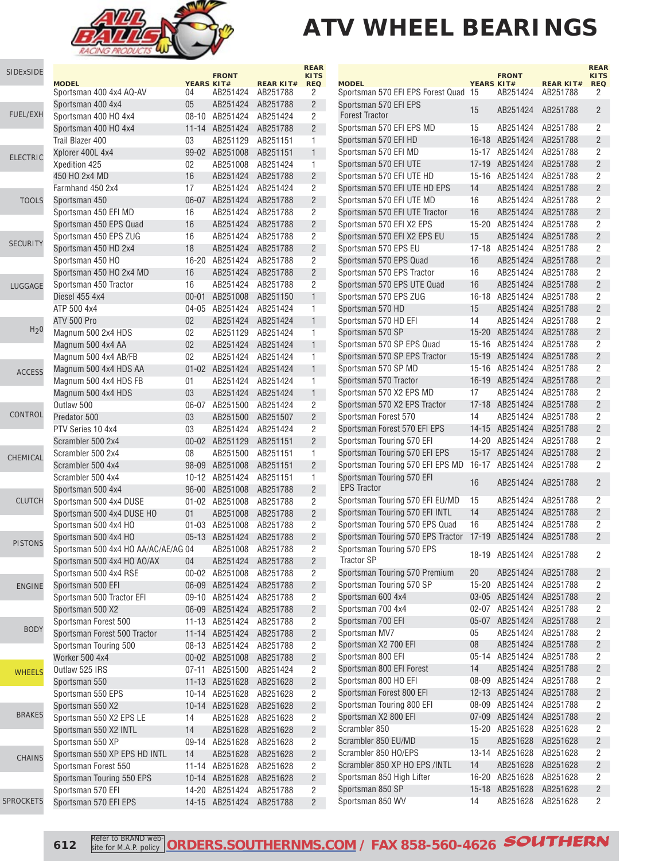

| SIDExSIDE        | <b>MODEL</b>                                     | <b>YEARS KIT#</b> | <b>FRONT</b>                        | <b>REAR KIT#</b> | <b>REAR</b><br><b>KITS</b><br><b>REQ</b> | <b>MODEL</b>                                    | <b>YEARS KIT#</b> | <b>FRONT</b>               | <b>REAR KIT#</b>     | <b>REAR</b><br><b>KITS</b><br><b>REQ</b> |
|------------------|--------------------------------------------------|-------------------|-------------------------------------|------------------|------------------------------------------|-------------------------------------------------|-------------------|----------------------------|----------------------|------------------------------------------|
|                  | Sportsman 400 4x4 AQ-AV                          | 04                | AB251424                            | AB251788         | 2                                        | Sportsman 570 EFI EPS Forest Quad 15            |                   | AB251424                   | AB251788             | 2                                        |
|                  | Sportsman 400 4x4                                | 05                | AB251424                            | AB251788         | $\overline{2}$                           | Sportsman 570 EFI EPS                           | 15                | AB251424                   | AB251788             | $\overline{2}$                           |
| FUEL/EXH         | Sportsman 400 HO 4x4                             |                   | 08-10 AB251424 AB251424             |                  | 2                                        | <b>Forest Tractor</b>                           |                   |                            |                      |                                          |
|                  | Sportsman 400 HO 4x4                             |                   | 11-14 AB251424                      | AB251788         | $\overline{2}$                           | Sportsman 570 EFI EPS MD                        | 15                | AB251424                   | AB251788             | 2                                        |
|                  | Trail Blazer 400                                 | 03                | AB251129 AB251151                   |                  | $\mathbf{1}$                             | Sportsman 570 EFI HD                            |                   | 16-18 AB251424             | AB251788             | $\overline{2}$                           |
| <b>ELECTRIC</b>  | Xplorer 400L 4x4                                 |                   | 99-02 AB251008                      | AB251151         | $1 -$                                    | Sportsman 570 EFI MD                            |                   | 15-17 AB251424             | AB251788             | 2                                        |
|                  | Xpedition 425                                    | 02                | AB251008                            | AB251424         | $\mathbf{1}$                             | Sportsman 570 EFI UTE                           |                   | 17-19 AB251424             | AB251788             | $\overline{2}$                           |
|                  | 450 HO 2x4 MD                                    | 16                | AB251424                            | AB251788         | $\overline{2}$                           | Sportsman 570 EFI UTE HD                        |                   | 15-16 AB251424             | AB251788             | 2                                        |
|                  | Farmhand 450 2x4                                 | 17                | AB251424 AB251424                   |                  | 2                                        | Sportsman 570 EFI UTE HD EPS                    | 14                | AB251424                   | AB251788             | $\overline{2}$                           |
| <b>TOOLS</b>     | Sportsman 450                                    |                   | 06-07 AB251424 AB251788             |                  | $\overline{2}$                           | Sportsman 570 EFI UTE MD                        | 16                | AB251424                   | AB251788             | $\overline{2}$                           |
|                  | Sportsman 450 EFI MD                             | 16                | AB251424 AB251788                   |                  | $\overline{2}$                           | Sportsman 570 EFI UTE Tractor                   | 16                | AB251424                   | AB251788             | $\overline{c}$                           |
|                  | Sportsman 450 EPS Quad                           | 16                | AB251424                            | AB251788         | $2^{\circ}$                              | Sportsman 570 EFI X2 EPS                        |                   | 15-20 AB251424             | AB251788             | $\overline{2}$                           |
| <b>SECURITY</b>  | Sportsman 450 EPS ZUG                            | 16                | AB251424                            | AB251788         | 2                                        | Sportsman 570 EFI X2 EPS EU                     | 15                | AB251424                   | AB251788             | $\overline{2}$                           |
|                  | Sportsman 450 HD 2x4                             | 18                | AB251424                            | AB251788         | $\overline{2}$                           | Sportsman 570 EPS EU                            |                   | 17-18 AB251424             | AB251788             | 2                                        |
|                  | Sportsman 450 HO                                 |                   | 16-20 AB251424 AB251788             |                  | $\overline{2}$                           | Sportsman 570 EPS Quad                          | 16                | AB251424                   | AB251788             | $\overline{2}$<br>2                      |
|                  | Sportsman 450 HO 2x4 MD<br>Sportsman 450 Tractor | 16<br>16          | AB251424<br>AB251424 AB251788       | AB251788         | $\overline{2}$                           | Sportsman 570 EPS Tractor                       | 16<br>16          | AB251424<br>AB251424       | AB251788<br>AB251788 |                                          |
| LUGGAGE          |                                                  |                   |                                     | AB251150         | 2                                        | Sportsman 570 EPS UTE Quad                      |                   |                            | AB251788             | $\overline{c}$<br>2                      |
|                  | Diesel 455 4x4<br>ATP 500 4x4                    | $00 - 01$         | AB251008<br>04-05 AB251424 AB251424 |                  | $1 -$                                    | Sportsman 570 EPS ZUG<br>Sportsman 570 HD       | 15                | 16-18 AB251424<br>AB251424 | AB251788             | $\overline{2}$                           |
|                  | ATV 500 Pro                                      | 02                | AB251424                            | AB251424         | $\mathbf{1}$<br>$1 -$                    | Sportsman 570 HD EFI                            | 14                | AB251424                   | AB251788             | $\overline{2}$                           |
| H <sub>2</sub> 0 |                                                  | 02                | AB251129                            | AB251424         | $\mathbf{1}$                             | Sportsman 570 SP                                |                   | 15-20 AB251424 AB251788    |                      | $\sqrt{2}$                               |
|                  | Magnum 500 2x4 HDS<br>Magnum 500 4x4 AA          | 02                | AB251424                            | AB251424         | $1 -$                                    | Sportsman 570 SP EPS Quad                       |                   | 15-16 AB251424             | AB251788             | 2                                        |
|                  | Magnum 500 4x4 AB/FB                             | 02                | AB251424                            | AB251424         | $\mathbf{1}$                             | Sportsman 570 SP EPS Tractor                    |                   | 15-19 AB251424             | AB251788             | $\overline{2}$                           |
|                  | Magnum 500 4x4 HDS AA                            |                   | 01-02 AB251424                      | AB251424         | $1 -$                                    | Sportsman 570 SP MD                             |                   | 15-16 AB251424             | AB251788             | $\overline{2}$                           |
| <b>ACCESS</b>    | Magnum 500 4x4 HDS FB                            | 01                | AB251424 AB251424                   |                  | $\mathbf{1}$                             | Sportsman 570 Tractor                           |                   | 16-19 AB251424             | AB251788             | $\overline{2}$                           |
|                  | Magnum 500 4x4 HDS                               | 03                | AB251424                            | AB251424         | $1 -$                                    | Sportsman 570 X2 EPS MD                         | 17                | AB251424                   | AB251788             | $\overline{2}$                           |
|                  | Outlaw 500                                       |                   | 06-07 AB251500 AB251424             |                  | $\mathbf{2}$                             | Sportsman 570 X2 EPS Tractor                    |                   | 17-18 AB251424             | AB251788             | $\overline{2}$                           |
| CONTROL          | Predator 500                                     | 03                | AB251500                            | AB251507         | $\overline{2}$                           | Sportsman Forest 570                            | 14                | AB251424                   | AB251788             | 2                                        |
|                  | PTV Series 10 4x4                                | 03                | AB251424                            | AB251424         | 2                                        | Sportsman Forest 570 EFI EPS                    |                   | 14-15 AB251424             | AB251788             | $\overline{2}$                           |
|                  | Scrambler 500 2x4                                |                   | 00-02 AB251129                      | AB251151         | $2^{\circ}$                              | Sportsman Touring 570 EFI                       |                   | 14-20 AB251424             | AB251788             | 2                                        |
|                  | Scrambler 500 2x4                                | 08                | AB251500                            | AB251151         | $\mathbf{1}$                             | Sportsman Touring 570 EFI EPS                   |                   | 15-17 AB251424             | AB251788             | $\overline{c}$                           |
| CHEMICAL         | Scrambler 500 4x4                                |                   | 98-09 AB251008                      | AB251151         | $2^{\circ}$                              | Sportsman Touring 570 EFI EPS MD 16-17 AB251424 |                   |                            | AB251788             | 2                                        |
|                  | Scrambler 500 4x4                                |                   | 10-12 AB251424 AB251151             |                  | $\mathbf{1}$                             | Sportsman Touring 570 EFI                       |                   |                            |                      |                                          |
|                  | Sportsman 500 4x4                                |                   | 96-00 AB251008                      | AB251788         | $2^{\circ}$                              | <b>EPS Tractor</b>                              | 16                | AB251424                   | AB251788             | $\overline{2}$                           |
| <b>CLUTCH</b>    | Sportsman 500 4x4 DUSE                           |                   | 01-02 AB251008                      | AB251788         | $\overline{2}$                           | Sportsman Touring 570 EFI EU/MD                 | 15                | AB251424                   | AB251788             | 2                                        |
|                  | Sportsman 500 4x4 DUSE HO                        | 01                | AB251008                            | AB251788         | $\overline{2}$                           | Sportsman Touring 570 EFI INTL                  | 14                | AB251424                   | AB251788             | $\overline{2}$                           |
|                  | Sportsman 500 4x4 HO                             |                   | 01-03 AB251008                      | AB251788         | 2                                        | Sportsman Touring 570 EPS Quad                  | 16                | AB251424                   | AB251788             | 2                                        |
|                  | Sportsman 500 4x4 HO                             |                   | 05-13 AB251424                      | AB251788         | $\overline{2}$                           | Sportsman Touring 570 EPS Tractor               |                   | 17-19 AB251424             | AB251788             | $\overline{2}$                           |
| <b>PISTONS</b>   | Sportsman 500 4x4 HO AA/AC/AE/AG 04              |                   | AB251008                            | AB251788         | $\overline{2}$                           | Sportsman Touring 570 EPS                       |                   |                            |                      | 2                                        |
|                  | Sportsman 500 4x4 HO AO/AX                       | 04                | AB251424 AB251788                   |                  | $\overline{c}$                           | <b>Tractor SP</b>                               |                   | 18-19 AB251424 AB251788    |                      |                                          |
|                  | Sportsman 500 4x4 RSE                            |                   | 00-02 AB251008                      | AB251788         | 2                                        | Sportsman Touring 570 Premium                   | 20                | AB251424                   | AB251788             | 2                                        |
| <b>ENGINE</b>    | Sportsman 500 EFI                                |                   | 06-09 AB251424                      | AB251788         | $\overline{2}$                           | Sportsman Touring 570 SP                        |                   | 15-20 AB251424 AB251788    |                      | 2                                        |
|                  | Sportsman 500 Tractor EFI                        |                   | 09-10 AB251424 AB251788             |                  | 2                                        | Sportsman 600 4x4                               |                   | 03-05 AB251424 AB251788    |                      | $\overline{c}$                           |
|                  | Sportsman 500 X2                                 |                   | 06-09 AB251424                      | AB251788         | $\overline{2}$                           | Sportsman 700 4x4                               |                   | 02-07 AB251424             | AB251788             | 2                                        |
|                  | Sportsman Forest 500                             |                   | 11-13 AB251424 AB251788             |                  | $\overline{2}$                           | Sportsman 700 EFI                               |                   | 05-07 AB251424             | AB251788             | $\overline{2}$                           |
| <b>BODY</b>      | Sportsman Forest 500 Tractor                     |                   | 11-14 AB251424                      | AB251788         | $2^{\circ}$                              | Sportsman MV7                                   | 05                | AB251424 AB251788          |                      | 2                                        |
|                  | Sportsman Touring 500                            |                   | 08-13 AB251424 AB251788             |                  | 2                                        | Sportsman X2 700 EFI                            | 08                | AB251424                   | AB251788             | $\overline{2}$                           |
|                  | Worker 500 4x4                                   |                   | 00-02 AB251008                      | AB251788         | $\overline{2}$                           | Sportsman 800 EFI                               |                   | 05-14 AB251424             | AB251788             | 2                                        |
| <b>WHEELS</b>    | Outlaw 525 IRS                                   |                   | 07-11 AB251500 AB251424             |                  | $\overline{2}$                           | Sportsman 800 EFI Forest                        | 14                | AB251424 AB251788          |                      | $\overline{c}$                           |
|                  | Sportsman 550                                    |                   | 11-13 AB251628 AB251628             |                  | $\overline{2}$                           | Sportsman 800 HO EFI                            |                   | 08-09 AB251424             | AB251788             | 2                                        |
|                  | Sportsman 550 EPS                                |                   | 10-14 AB251628 AB251628             |                  | $\overline{2}$                           | Sportsman Forest 800 EFI                        |                   | 12-13 AB251424             | AB251788             | $\overline{2}$                           |
|                  | Sportsman 550 X2                                 |                   | 10-14 AB251628                      | AB251628         | $2^{\circ}$                              | Sportsman Touring 800 EFI                       |                   | 08-09 AB251424             | AB251788             | 2                                        |
| <b>BRAKES</b>    | Sportsman 550 X2 EPS LE                          | 14                | AB251628 AB251628                   |                  | 2                                        | Sportsman X2 800 EFI                            | $07 - 09$         | AB251424                   | AB251788             | $\overline{2}$                           |
|                  | Sportsman 550 X2 INTL                            | 14                | AB251628 AB251628                   |                  | $\overline{2}$                           | Scrambler 850                                   |                   | 15-20 AB251628             | AB251628             | 2                                        |
|                  | Sportsman 550 XP                                 |                   | 09-14 AB251628 AB251628             |                  | $\overline{2}$                           | Scrambler 850 EU/MD                             | 15                | AB251628                   | AB251628             | $\overline{2}$                           |
| <b>CHAINS</b>    | Sportsman 550 XP EPS HD INTL                     | 14                | AB251628                            | AB251628         | $\overline{2}$                           | Scrambler 850 HO/EPS                            |                   | 13-14 AB251628             | AB251628             | 2                                        |
|                  | Sportsman Forest 550                             |                   | 11-14 AB251628 AB251628             |                  | 2                                        | Scrambler 850 XP HO EPS /INTL                   | 14                | AB251628                   | AB251628             | $\overline{2}$                           |
|                  | Sportsman Touring 550 EPS                        |                   | 10-14 AB251628                      | AB251628         | $2^{\circ}$                              | Sportsman 850 High Lifter                       |                   | 16-20 AB251628             | AB251628             | 2                                        |
| <b>SPROCKETS</b> | Sportsman 570 EFI                                |                   | 14-20 AB251424                      | AB251788         | 2                                        | Sportsman 850 SP                                | 14                | 15-18 AB251628<br>AB251628 | AB251628<br>AB251628 | $\overline{2}$<br>2                      |
|                  | Sportsman 570 EFI EPS                            |                   | 14-15 AB251424                      | AB251788         | $\overline{2}$                           | Sportsman 850 WV                                |                   |                            |                      |                                          |

**612** Refer to BRAND web Refer to BRAND web-

**[ORDERS.SOUTHERNMS.COM](http://orders.southernms.com) / FAX 858-560-4626** SOUTHERN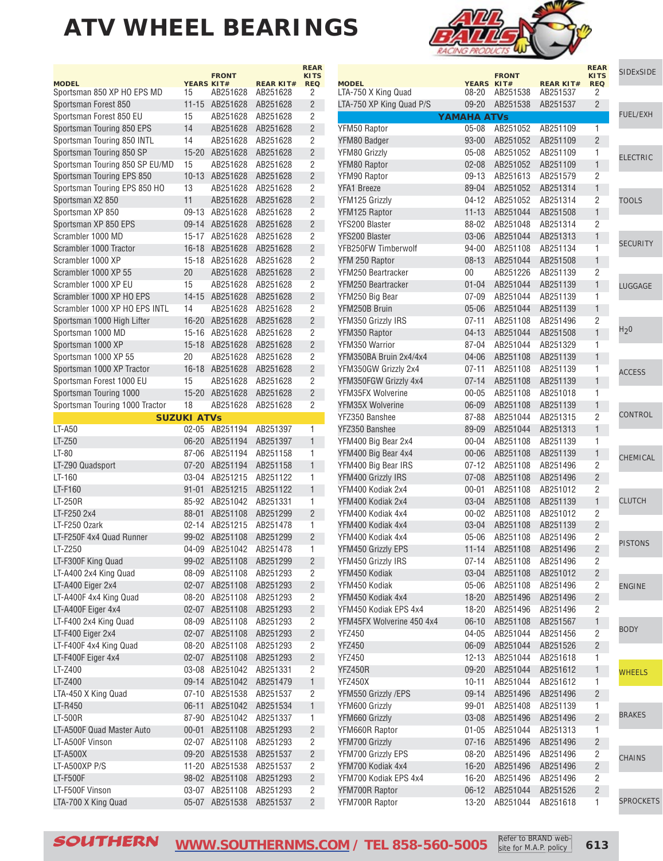



**REAR**

|                                     |                     | <b>FRONT</b> |                              | <b>KITS</b>     | <b>SIDExSIDE</b> |
|-------------------------------------|---------------------|--------------|------------------------------|-----------------|------------------|
| <b>MODEL</b><br>LTA-750 X King Quad | YEARS KIT#<br>08-20 | AB251538     | <b>REAR KIT#</b><br>AB251537 | <b>REQ</b><br>2 |                  |
| LTA-750 XP King Quad P/S            | $09 - 20$           | AB251538     | AB251537                     | $\overline{2}$  |                  |
|                                     | <b>YAMAHA ATVs</b>  |              |                              |                 | <b>FUEL/EXH</b>  |
| YFM50 Raptor                        | $05 - 08$           | AB251052     | AB251109                     | $\overline{1}$  |                  |
| YFM80 Badger                        | 93-00               | AB251052     | AB251109                     | $\overline{2}$  |                  |
| YFM80 Grizzly                       | $05 - 08$           | AB251052     | AB251109                     | 1               |                  |
| YFM80 Raptor                        | $02 - 08$           | AB251052     | AB251109                     | $\mathbf{1}$    | <b>ELECTRIC</b>  |
| YFM90 Raptor                        | 09-13               | AB251613     | AB251579                     | 2               |                  |
| <b>YFA1 Breeze</b>                  | 89-04               | AB251052     | AB251314                     | $\mathbf{1}$    |                  |
| YFM125 Grizzly                      | $04 - 12$           | AB251052     | AB251314                     | $\overline{c}$  | <b>TOOLS</b>     |
| YFM125 Raptor                       | $11 - 13$           | AB251044     | AB251508                     | $\mathbf{1}$    |                  |
| YFS200 Blaster                      | 88-02               | AB251048     | AB251314                     | 2               |                  |
| YFS200 Blaster                      | 03-06               | AB251044     | AB251313                     | $\mathbf{1}$    |                  |
| YFB250FW Timberwolf                 | 94-00               | AB251108     | AB251134                     | 1               | <b>SECURITY</b>  |
| YFM 250 Raptor                      | $08 - 13$           | AB251044     | AB251508                     | $\mathbf{1}$    |                  |
| YFM250 Beartracker                  | 00                  | AB251226     | AB251139                     | $\overline{c}$  |                  |
| YFM250 Beartracker                  | $01 - 04$           | AB251044     | AB251139                     | $\mathbf{1}$    | LUGGAGE          |
| YFM250 Big Bear                     | $07 - 09$           | AB251044     | AB251139                     | 1               |                  |
| YFM250B Bruin                       | 05-06               | AB251044     | AB251139                     | $\mathbf{1}$    |                  |
| YFM350 Grizzly IRS                  | $07 - 11$           | AB251108     | AB251496                     | 2               |                  |
| YFM350 Raptor                       | $04-13$             | AB251044     | AB251508                     | $\mathbf{1}$    | H <sub>2</sub> 0 |
| YFM350 Warrior                      | 87-04               | AB251044     | AB251329                     | 1               |                  |
| YFM350BA Bruin 2x4/4x4              | 04-06               | AB251108     | AB251139                     | 1               |                  |
| YFM350GW Grizzly 2x4                | $07 - 11$           | AB251108     | AB251139                     | 1               |                  |
| YFM350FGW Grizzly 4x4               | $07 - 14$           | AB251108     | AB251139                     | $\mathbf{1}$    | <b>ACCESS</b>    |
| YFM35FX Wolverine                   | $00 - 05$           | AB251108     | AB251018                     | 1               |                  |
| YFM35X Wolverine                    | 06-09               | AB251108     | AB251139                     | $\mathbf{1}$    |                  |
| YFZ350 Banshee                      | 87-88               | AB251044     | AB251315                     | 2               | <b>CONTROL</b>   |
| YFZ350 Banshee                      | 89-09               | AB251044     | AB251313                     | $\mathbf{1}$    |                  |
| YFM400 Big Bear 2x4                 | $00 - 04$           | AB251108     | AB251139                     | 1               |                  |
| YFM400 Big Bear 4x4                 | $00 - 06$           | AB251108     | AB251139                     | $\mathbf{1}$    |                  |
| YFM400 Big Bear IRS                 | $07 - 12$           | AB251108     | AB251496                     | 2               | CHEMICAL         |
| YFM400 Grizzly IRS                  | 07-08               | AB251108     | AB251496                     | $\overline{2}$  |                  |
| YFM400 Kodiak 2x4                   | $00 - 01$           | AB251108     | AB251012                     | $\overline{2}$  |                  |
| YFM400 Kodiak 2x4                   | 03-04               | AB251108     | AB251139                     | $\mathbf{1}$    | <b>CLUTCH</b>    |
| YFM400 Kodiak 4x4                   | $00 - 02$           | AB251108     | AB251012                     | 2               |                  |
| YFM400 Kodiak 4x4                   | 03-04               | AB251108     | AB251139                     | $\overline{c}$  |                  |
| YFM400 Kodiak 4x4                   | 05-06               | AB251108     | AB251496                     | 2               |                  |
| YFM450 Grizzly EPS                  | $11 - 14$           | AB251108     | AB251496                     | $\overline{c}$  | <b>PISTONS</b>   |
| YFM450 Grizzly IRS                  | 07-14               | AB251108     | AB251496                     | $\overline{2}$  |                  |
| YFM450 Kodiak                       | 03-04               | AB251108     | AB251012                     | 2               |                  |
| YFM450 Kodiak                       | $05 - 06$           | AB251108     | AB251496                     | 2               | <b>ENGINE</b>    |
| YFM450 Kodiak 4x4                   | 18-20               | AB251496     | AB251496                     | $\overline{c}$  |                  |
| YFM450 Kodiak EPS 4x4               | 18-20               | AB251496     | AB251496                     | 2               |                  |
| YFM45FX Wolverine 450 4x4           | 06-10               | AB251108     | AB251567                     | $\mathbf{1}$    |                  |
| YFZ450                              | 04-05               | AB251044     | AB251456                     | $\overline{c}$  | <b>BODY</b>      |
| <b>YFZ450</b>                       | 06-09               | AB251044     | AB251526                     | $\overline{c}$  |                  |
| <b>YFZ450</b>                       | $12 - 13$           | AB251044     | AB251618                     | 1               |                  |
| YFZ450R                             | $09 - 20$           | AB251044     | AB251612                     | $\mathbf{1}$    | <b>WHEELS</b>    |
| <b>YFZ450X</b>                      | 10-11               | AB251044     | AB251612                     | 1               |                  |
| YFM550 Grizzly /EPS                 | $09 - 14$           | AB251496     | AB251496                     | $\overline{c}$  |                  |
| YFM600 Grizzly                      | 99-01               | AB251408     | AB251139                     | 1               |                  |
| YFM660 Grizzly                      | 03-08               | AB251496     | AB251496                     | $\overline{c}$  | <b>BRAKES</b>    |
| YFM660R Raptor                      | $01 - 05$           | AB251044     | AB251313                     | 1               |                  |
| YFM700 Grizzly                      | 07-16               | AB251496     | AB251496                     | $\overline{c}$  |                  |
| YFM700 Grizzly EPS                  | 08-20               | AB251496     | AB251496                     | 2               | <b>CHAINS</b>    |
| YFM700 Kodiak 4x4                   | $16 - 20$           | AB251496     | AB251496                     | $\overline{c}$  |                  |
| YFM700 Kodiak EPS 4x4               | 16-20               | AB251496     | AB251496                     | 2               |                  |
| YFM700R Raptor                      | $06 - 12$           | AB251044     | AB251526                     | $\overline{c}$  |                  |
| YFM700R Raptor                      | 13-20               | AB251044     | AB251618                     | 1               | <b>SPROCKETS</b> |
|                                     |                     |              |                              |                 |                  |

SOUTHERN **[WWW.SOUTHERNMS.COM](http://m.southernms.com) / TEL 858-560-5005 613**

Refer to BRAND website for M.A.P. policy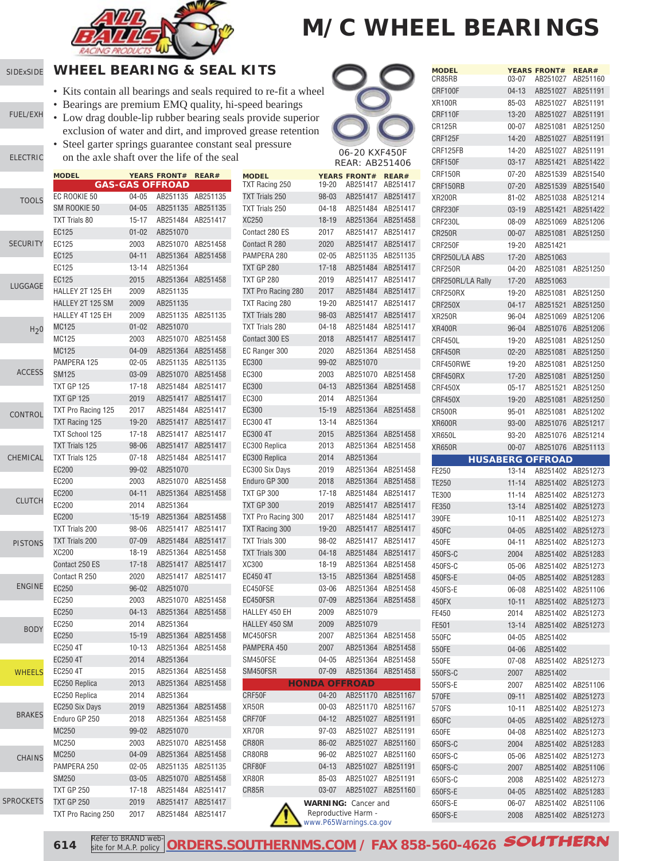

#### [SIDExSIDE](http://www.southernms.com/wp-content/uploads/2015/08/01_UTV.pdf) **WHEEL BEARING & SEAL KITS**

[ELECTRIC](http://www.southernms.com/wp-content/uploads/2015/08/03_electrical.pdf)

LU

C<sub>C</sub>

CH

SE

- Kits contain all bearings and seals required to re-fit a wheel
- Bearings are premium EMQ quality, hi-speed bearings
- [FUEL/EXH](http://www.southernms.com/wp-content/uploads/2015/08/02_fuel_exh.pdf) • Low drag double-lip rubber bearing seals provide superior exclusion of water and dirt, and improved grease retention
	- Steel garter springs guarantee constant seal pressure on the axle shaft over the life of the seal

|                  | <b>MODEL</b>          |           | <b>YEARS FRONT#</b><br><b>GAS-GAS OFFROAD</b> | REAR#             | <b>MODEL</b><br>TXT Racing 2 |
|------------------|-----------------------|-----------|-----------------------------------------------|-------------------|------------------------------|
| <b>TOOLS</b>     | EC ROOKIE 50          | 04-05     |                                               | AB251135 AB251135 | <b>TXT Trials 25</b>         |
|                  | SM ROOKIE 50          | $04 - 05$ | AB251135                                      | AB251135          | <b>TXT Trials 25</b>         |
|                  | <b>TXT Trials 80</b>  | $15 - 17$ | AB251484                                      | AB251417          | XC250                        |
|                  | EC125                 | $01 - 02$ | AB251070                                      |                   | Contact 280 I                |
| ECURITY          | EC125                 | 2003      | AB251070                                      | AB251458          | Contact R 28                 |
|                  | EC125                 | $04 - 11$ | AB251364                                      | AB251458          | PAMPERA 28                   |
|                  | EC125                 | $13 - 14$ | AB251364                                      |                   | <b>TXT GP 280</b>            |
|                  | EC125                 | 2015      | AB251364                                      | AB251458          | <b>TXT GP 280</b>            |
| <b>UGGAGE</b>    | HALLEY 2T 125 EH      | 2009      | AB251135                                      |                   | <b>TXT Pro Raci</b>          |
|                  | HALLEY 2T 125 SM      | 2009      | AB251135                                      |                   | <b>TXT Racing 2</b>          |
|                  | HALLEY 4T 125 EH      | 2009      | AB251135                                      | AB251135          | <b>TXT Trials 28</b>         |
| H <sub>2</sub> 0 | <b>MC125</b>          | $01 - 02$ | AB251070                                      |                   | <b>TXT Trials 28</b>         |
|                  | MC125                 | 2003      | AB251070                                      | AB251458          | Contact 300 l                |
|                  | MC125                 | 04-09     |                                               | AB251364 AB251458 | EC Ranger 30                 |
|                  | PAMPERA 125           | $02 - 05$ | AB251135                                      | AB251135          | EC300                        |
| <b>ACCESS</b>    | <b>SM125</b>          | 03-09     | AB251070                                      | AB251458          | EC300                        |
|                  | <b>TXT GP 125</b>     | $17 - 18$ |                                               | AB251484 AB251417 | EC300                        |
|                  | <b>TXT GP 125</b>     | 2019      |                                               | AB251417 AB251417 | EC300                        |
|                  | TXT Pro Racing 125    | 2017      |                                               | AB251484 AB251417 | EC300                        |
| <b>CONTROL</b>   | TXT Racing 125        | 19-20     | AB251417                                      | AB251417          | EC300 4T                     |
|                  | <b>TXT School 125</b> | 17-18     | AB251417                                      | AB251417          | EC300 4T                     |
|                  | <b>TXT Trials 125</b> | 98-06     | AB251417                                      | AB251417          | EC300 Replic                 |
| HEMICAL          | <b>TXT Trials 125</b> | $07 - 18$ | AB251484                                      | AB251417          | EC300 Replic                 |
|                  | <b>EC200</b>          | 99-02     | AB251070                                      |                   | EC300 Six Da                 |
|                  | EC200                 | 2003      | AB251070                                      | AB251458          | Enduro GP 3                  |
|                  | EC200                 | $04 - 11$ | AB251364                                      | AB251458          | TXT GP 300                   |
| <b>CLUTCH</b>    | EC200                 | 2014      | AB251364                                      |                   | <b>TXT GP 300</b>            |
|                  | <b>EC200</b>          | $'15-19$  | AB251364                                      | AB251458          | <b>TXT Pro Raci</b>          |
|                  | <b>TXT Trials 200</b> | 98-06     |                                               | AB251417 AB251417 | <b>TXT Racing 3</b>          |
| <b>PISTONS</b>   | <b>TXT Trials 200</b> | $07 - 09$ | AB251484                                      | AB251417          | <b>TXT Trials 30</b>         |
|                  | XC200                 | 18-19     | AB251364                                      | AB251458          | <b>TXT Trials 30</b>         |
|                  | Contact 250 ES        | $17 - 18$ | AB251417                                      | AB251417          | XC300                        |
|                  | Contact R 250         | 2020      | AB251417                                      | AB251417          | EC450 4T                     |
| <b>ENGINE</b>    | EC250                 | $96 - 02$ | AB251070                                      |                   | EC450FSE                     |
|                  | EC250                 | 2003      | AB251070                                      | AB251458          | EC450FSR                     |
|                  | EC250                 | $04-13$   | AB251364                                      | AB251458          | HALLEY 450                   |
|                  | EC250                 | 2014      | AB251364                                      |                   | HALLEY 450                   |
| <b>BODY</b>      | EC250                 | $15 - 19$ | AB251364                                      | AB251458          | MC450FSR                     |
|                  | EC250 4T              | $10 - 13$ | AB251364                                      | AB251458          | PAMPERA 45                   |
|                  | EC250 4T              | 2014      | AB251364                                      |                   | SM450FSE                     |
| <b>WHEELS</b>    | EC250 4T              | 2015      | AB251364                                      | AB251458          | SM450FSR                     |
|                  | EC250 Replica         | 2013      | AB251364                                      | AB251458          |                              |
|                  | EC250 Replica         | 2014      | AB251364                                      |                   | CRF50F                       |
|                  | EC250 Six Days        | 2019      | AB251364                                      | AB251458          | XR50R                        |
| <b>BRAKES</b>    | Enduro GP 250         | 2018      | AB251364                                      | AB251458          | CRF70F                       |
|                  | MC250                 | 99-02     | AB251070                                      |                   | XR70R                        |
|                  | MC250                 | 2003      | AB251070                                      | AB251458          | CR80R                        |
| <b>CHAINS</b>    | MC250                 | $04 - 09$ | AB251364                                      | AB251458          | CR80RB                       |
|                  | PAMPERA 250           | $02 - 05$ | AB251135                                      | AB251135          | CRF80F                       |
|                  | SM250                 | $03 - 05$ | AB251070                                      | AB251458          | XR80R                        |
|                  | <b>TXT GP 250</b>     | 17-18     | AB251484                                      | AB251417          | CR85R                        |
| २OCKETS          | <b>TXT GP 250</b>     | 2019      | AB251417                                      | AB251417          |                              |
|                  | TXT Pro Racing 250    | 2017      |                                               | AB251484 AB251417 |                              |



| <b>MODEL</b><br>CR85RB  | 03-07          | <b>YEARS FRONT#</b><br>AB251027 | <b>REAR#</b><br>AB251160 |
|-------------------------|----------------|---------------------------------|--------------------------|
| CRF100F                 | $04 - 13$      | AB251027                        | AB251191                 |
| <b>XR100R</b>           | 85-03          | AB251027                        | AB251191                 |
| CRF110F                 | 13-20          | AB251027                        | AB251191                 |
| CR125R                  | 00-07          | AB251081                        | AB251250                 |
| CRF125F                 | 14-20          | AB251027                        | AB251191                 |
| CRF125FB                | 14-20          | AB251027                        | AB251191                 |
| CRF150F                 | $03 - 17$      | AB251421                        | AB251422                 |
| CRF150R                 | $07 - 20$      | AB251539                        | AB251540                 |
| CRF150RB                | 07-20          | AB251539                        | AB251540                 |
| <b>XR200R</b>           | 81-02          | AB251038                        | AB251214                 |
| CRF230F                 | $03-19$        | AB251421                        | AB251422                 |
| CRF230L                 | 08-09          | AB251069                        | AB251206                 |
| <b>CR250R</b>           | 00-07          | AB251081                        | AB251250                 |
| CRF250F                 | 19-20          | AB251421                        |                          |
| CRF250L/LA ABS          | 17-20          | AB251063                        |                          |
| CRF250R                 | 04-20          | AB251081                        | AB251250                 |
| CRF250RL/LA Rally       | $17 - 20$      | AB251063                        |                          |
| CRF250RX                | 19-20          | AB251081                        | AB251250                 |
| CRF250X                 | $04 - 17$      | AB251521                        | AB251250                 |
| <b>XR250R</b>           | 96-04          | AB251069                        | AB251206                 |
| <b>XR400R</b>           | $96 - 04$      | AB251076                        | AB251206                 |
| CRF450L                 | 19-20          | AB251081                        | AB251250                 |
| CRF450R                 | 02-20          | AB251081                        | AB251250                 |
| CRF450RWE               | 19-20          | AB251081                        | AB251250                 |
| CRF450RX                | 17-20          | AB251081                        | AB251250                 |
| CRF450X                 | $05 - 17$      | AB251521                        | AB251250                 |
| CRF450X                 | 19-20          | AB251081                        | AB251250                 |
| CR500R                  | 95-01          | AB251081                        | AB251202                 |
| <b>XR600R</b>           | 93-00          | AB251076                        | AB251217                 |
| XR650L                  | 93-20          | AB251076                        | AB251214                 |
| <b>XR650R</b>           | $00 - 07$      | AB251076                        | AB251113                 |
|                         |                | <b>HUSABERG OFFROAD</b>         |                          |
| FE250                   | 13-14          | AB251402                        | AB251273                 |
| TE250                   | $11 - 14$      | AB251402                        | AB251273                 |
| TE300                   | 11-14          | AB251402                        | AB251273                 |
| FE350                   | $13 - 14$      | AB251402                        | AB251273                 |
| 390FE                   | 10-11          | AB251402                        | AB251273                 |
| 450FC                   | 04-05          | AB251402                        | AB251273                 |
| 450FE                   | 04-11          | AB251402                        | AB251273                 |
| 450FS-C                 | 2004           | AB251402                        | AB251283                 |
| 450FS-C                 | 05-06          | AB251402                        | AB251273                 |
| 450FS-E                 | $04 - 05$      |                                 | AB251283                 |
| 450FS-E                 |                | AB251402                        |                          |
|                         | 06-08          | AB251402                        | AB251106                 |
| 450FX                   | 10-11          | AB251402                        | AB251273                 |
| FE450                   | 2014           | AB251402                        | AB251273                 |
| FE501                   | $13 - 14$      | AB251402                        | AB251273                 |
| 550FC                   | $04 - 05$      | AB251402                        |                          |
| 550FE                   | 04-06          | AB251402                        |                          |
| 550FE                   | 07-08          | AB251402                        | AB251273                 |
| 550FS-C                 | 2007           | AB251402                        |                          |
| 550FS-E                 | 2007           | AB251402                        | AB251106                 |
|                         | $09 - 11$      | AB251402                        | AB251273                 |
|                         | $10 - 11$      | AB251402                        | AB251273                 |
| 570FE<br>570FS<br>650FC | 04-05          | AB251402                        | AB251273                 |
| 650FE                   | 04-08          | AB251402                        | AB251273                 |
| 650FS-C                 | 2004           | AB251402                        | AB251283                 |
| 650FS-C                 | 05-06          | AB251402                        | AB251273                 |
| 650FS-C                 | 2007           | AB251402                        | AB251106                 |
| 650FS-C                 | 2008           | AB251402                        | AB251273                 |
| 650FS-E<br>650FS-E      | 04-05<br>06-07 | AB251402<br>AB251402            | AB251283<br>AB251106     |

650FS-E 2008 AB251402 AB251273

 Reproductive Harm [www.P65Warnings.ca.gov](http://www.P65Warnings.ca.gov)

**614**

SPR<sub>C</sub>

Refer to BRAND web site for M.A.P. policy **[ORDERS.SOUTHERNMS.COM](http://orders.southernms.com) / FAX 858-560-4626** SOUTHERN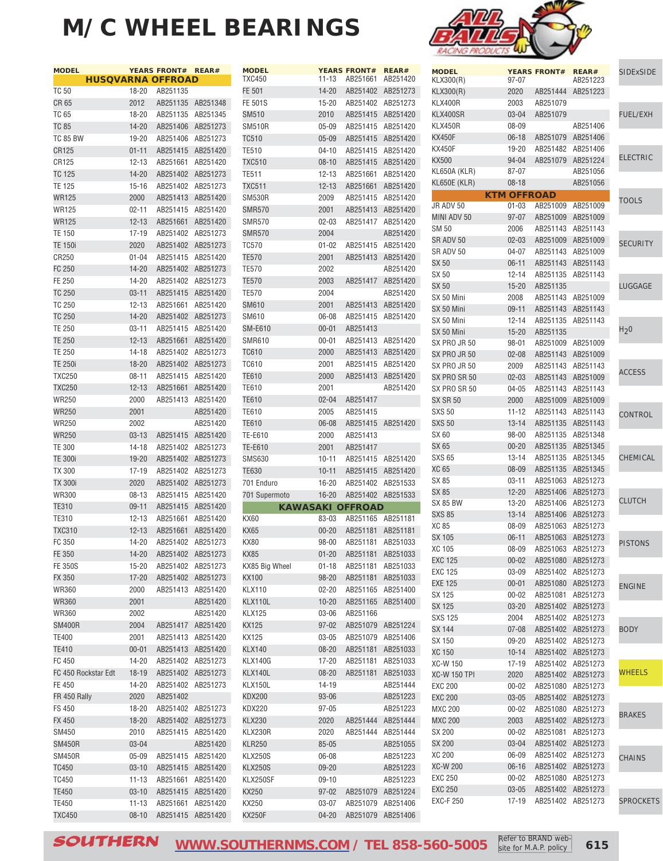

|                     |                   |                                                                                                                                                                                                                                                                                                                                                                                                                                                                                                                                                                                                                               | <b>MODEL</b>                                                                                                                                                                                                                                                                                                                                                                                                                                                                                                                                                                                                                                                                                                                                                                                                                                                                                                                                                                                                                                                                                                                                                                                                                       |                                                                                                                                                                                                                                                                                                                                                                                                                                                              |                                                                                                                                                                                                                                                                                                                                   |                                                                      | <b>MODEL</b>                                                                                                                                                                                                                                                                                                                                                                                                                                                                                                                                                                                                                                                                                                                                                                                                                                                                                                                                                                               |
|---------------------|-------------------|-------------------------------------------------------------------------------------------------------------------------------------------------------------------------------------------------------------------------------------------------------------------------------------------------------------------------------------------------------------------------------------------------------------------------------------------------------------------------------------------------------------------------------------------------------------------------------------------------------------------------------|------------------------------------------------------------------------------------------------------------------------------------------------------------------------------------------------------------------------------------------------------------------------------------------------------------------------------------------------------------------------------------------------------------------------------------------------------------------------------------------------------------------------------------------------------------------------------------------------------------------------------------------------------------------------------------------------------------------------------------------------------------------------------------------------------------------------------------------------------------------------------------------------------------------------------------------------------------------------------------------------------------------------------------------------------------------------------------------------------------------------------------------------------------------------------------------------------------------------------------|--------------------------------------------------------------------------------------------------------------------------------------------------------------------------------------------------------------------------------------------------------------------------------------------------------------------------------------------------------------------------------------------------------------------------------------------------------------|-----------------------------------------------------------------------------------------------------------------------------------------------------------------------------------------------------------------------------------------------------------------------------------------------------------------------------------|----------------------------------------------------------------------|--------------------------------------------------------------------------------------------------------------------------------------------------------------------------------------------------------------------------------------------------------------------------------------------------------------------------------------------------------------------------------------------------------------------------------------------------------------------------------------------------------------------------------------------------------------------------------------------------------------------------------------------------------------------------------------------------------------------------------------------------------------------------------------------------------------------------------------------------------------------------------------------------------------------------------------------------------------------------------------------|
|                     |                   |                                                                                                                                                                                                                                                                                                                                                                                                                                                                                                                                                                                                                               |                                                                                                                                                                                                                                                                                                                                                                                                                                                                                                                                                                                                                                                                                                                                                                                                                                                                                                                                                                                                                                                                                                                                                                                                                                    |                                                                                                                                                                                                                                                                                                                                                                                                                                                              |                                                                                                                                                                                                                                                                                                                                   |                                                                      | KLX300(R)                                                                                                                                                                                                                                                                                                                                                                                                                                                                                                                                                                                                                                                                                                                                                                                                                                                                                                                                                                                  |
|                     | AB251135          |                                                                                                                                                                                                                                                                                                                                                                                                                                                                                                                                                                                                                               |                                                                                                                                                                                                                                                                                                                                                                                                                                                                                                                                                                                                                                                                                                                                                                                                                                                                                                                                                                                                                                                                                                                                                                                                                                    |                                                                                                                                                                                                                                                                                                                                                                                                                                                              |                                                                                                                                                                                                                                                                                                                                   |                                                                      | KLX300(R)                                                                                                                                                                                                                                                                                                                                                                                                                                                                                                                                                                                                                                                                                                                                                                                                                                                                                                                                                                                  |
|                     |                   |                                                                                                                                                                                                                                                                                                                                                                                                                                                                                                                                                                                                                               | FE 501S                                                                                                                                                                                                                                                                                                                                                                                                                                                                                                                                                                                                                                                                                                                                                                                                                                                                                                                                                                                                                                                                                                                                                                                                                            | $15 - 20$                                                                                                                                                                                                                                                                                                                                                                                                                                                    |                                                                                                                                                                                                                                                                                                                                   |                                                                      | KLX400R                                                                                                                                                                                                                                                                                                                                                                                                                                                                                                                                                                                                                                                                                                                                                                                                                                                                                                                                                                                    |
|                     |                   |                                                                                                                                                                                                                                                                                                                                                                                                                                                                                                                                                                                                                               | SM510                                                                                                                                                                                                                                                                                                                                                                                                                                                                                                                                                                                                                                                                                                                                                                                                                                                                                                                                                                                                                                                                                                                                                                                                                              | 2010                                                                                                                                                                                                                                                                                                                                                                                                                                                         |                                                                                                                                                                                                                                                                                                                                   |                                                                      | KLX400SR                                                                                                                                                                                                                                                                                                                                                                                                                                                                                                                                                                                                                                                                                                                                                                                                                                                                                                                                                                                   |
|                     |                   |                                                                                                                                                                                                                                                                                                                                                                                                                                                                                                                                                                                                                               | <b>SM510R</b>                                                                                                                                                                                                                                                                                                                                                                                                                                                                                                                                                                                                                                                                                                                                                                                                                                                                                                                                                                                                                                                                                                                                                                                                                      | $05 - 09$                                                                                                                                                                                                                                                                                                                                                                                                                                                    |                                                                                                                                                                                                                                                                                                                                   |                                                                      | KLX450R                                                                                                                                                                                                                                                                                                                                                                                                                                                                                                                                                                                                                                                                                                                                                                                                                                                                                                                                                                                    |
|                     |                   |                                                                                                                                                                                                                                                                                                                                                                                                                                                                                                                                                                                                                               | <b>TC510</b>                                                                                                                                                                                                                                                                                                                                                                                                                                                                                                                                                                                                                                                                                                                                                                                                                                                                                                                                                                                                                                                                                                                                                                                                                       | $05 - 09$                                                                                                                                                                                                                                                                                                                                                                                                                                                    |                                                                                                                                                                                                                                                                                                                                   |                                                                      | <b>KX450F</b>                                                                                                                                                                                                                                                                                                                                                                                                                                                                                                                                                                                                                                                                                                                                                                                                                                                                                                                                                                              |
|                     |                   |                                                                                                                                                                                                                                                                                                                                                                                                                                                                                                                                                                                                                               | <b>TE510</b>                                                                                                                                                                                                                                                                                                                                                                                                                                                                                                                                                                                                                                                                                                                                                                                                                                                                                                                                                                                                                                                                                                                                                                                                                       | $04 - 10$                                                                                                                                                                                                                                                                                                                                                                                                                                                    |                                                                                                                                                                                                                                                                                                                                   |                                                                      | <b>KX450F</b>                                                                                                                                                                                                                                                                                                                                                                                                                                                                                                                                                                                                                                                                                                                                                                                                                                                                                                                                                                              |
|                     |                   |                                                                                                                                                                                                                                                                                                                                                                                                                                                                                                                                                                                                                               | <b>TXC510</b>                                                                                                                                                                                                                                                                                                                                                                                                                                                                                                                                                                                                                                                                                                                                                                                                                                                                                                                                                                                                                                                                                                                                                                                                                      | $08 - 10$                                                                                                                                                                                                                                                                                                                                                                                                                                                    |                                                                                                                                                                                                                                                                                                                                   |                                                                      | KX500                                                                                                                                                                                                                                                                                                                                                                                                                                                                                                                                                                                                                                                                                                                                                                                                                                                                                                                                                                                      |
|                     |                   |                                                                                                                                                                                                                                                                                                                                                                                                                                                                                                                                                                                                                               | <b>TE511</b>                                                                                                                                                                                                                                                                                                                                                                                                                                                                                                                                                                                                                                                                                                                                                                                                                                                                                                                                                                                                                                                                                                                                                                                                                       | $12 - 13$                                                                                                                                                                                                                                                                                                                                                                                                                                                    |                                                                                                                                                                                                                                                                                                                                   |                                                                      | KL650A (KLR)                                                                                                                                                                                                                                                                                                                                                                                                                                                                                                                                                                                                                                                                                                                                                                                                                                                                                                                                                                               |
|                     |                   |                                                                                                                                                                                                                                                                                                                                                                                                                                                                                                                                                                                                                               | <b>TXC511</b>                                                                                                                                                                                                                                                                                                                                                                                                                                                                                                                                                                                                                                                                                                                                                                                                                                                                                                                                                                                                                                                                                                                                                                                                                      | $12 - 13$                                                                                                                                                                                                                                                                                                                                                                                                                                                    |                                                                                                                                                                                                                                                                                                                                   |                                                                      | <b>KL650E (KLR)</b>                                                                                                                                                                                                                                                                                                                                                                                                                                                                                                                                                                                                                                                                                                                                                                                                                                                                                                                                                                        |
| 2000                |                   |                                                                                                                                                                                                                                                                                                                                                                                                                                                                                                                                                                                                                               | <b>SM530R</b>                                                                                                                                                                                                                                                                                                                                                                                                                                                                                                                                                                                                                                                                                                                                                                                                                                                                                                                                                                                                                                                                                                                                                                                                                      | 2009                                                                                                                                                                                                                                                                                                                                                                                                                                                         |                                                                                                                                                                                                                                                                                                                                   |                                                                      |                                                                                                                                                                                                                                                                                                                                                                                                                                                                                                                                                                                                                                                                                                                                                                                                                                                                                                                                                                                            |
|                     |                   |                                                                                                                                                                                                                                                                                                                                                                                                                                                                                                                                                                                                                               | <b>SMR570</b>                                                                                                                                                                                                                                                                                                                                                                                                                                                                                                                                                                                                                                                                                                                                                                                                                                                                                                                                                                                                                                                                                                                                                                                                                      | 2001                                                                                                                                                                                                                                                                                                                                                                                                                                                         |                                                                                                                                                                                                                                                                                                                                   |                                                                      | JR ADV 50                                                                                                                                                                                                                                                                                                                                                                                                                                                                                                                                                                                                                                                                                                                                                                                                                                                                                                                                                                                  |
|                     |                   |                                                                                                                                                                                                                                                                                                                                                                                                                                                                                                                                                                                                                               | <b>SMR570</b>                                                                                                                                                                                                                                                                                                                                                                                                                                                                                                                                                                                                                                                                                                                                                                                                                                                                                                                                                                                                                                                                                                                                                                                                                      | $02 - 03$                                                                                                                                                                                                                                                                                                                                                                                                                                                    |                                                                                                                                                                                                                                                                                                                                   |                                                                      | MINI ADV 50                                                                                                                                                                                                                                                                                                                                                                                                                                                                                                                                                                                                                                                                                                                                                                                                                                                                                                                                                                                |
|                     |                   |                                                                                                                                                                                                                                                                                                                                                                                                                                                                                                                                                                                                                               | <b>SMR570</b>                                                                                                                                                                                                                                                                                                                                                                                                                                                                                                                                                                                                                                                                                                                                                                                                                                                                                                                                                                                                                                                                                                                                                                                                                      | 2004                                                                                                                                                                                                                                                                                                                                                                                                                                                         |                                                                                                                                                                                                                                                                                                                                   | AB251420                                                             | <b>SM 50</b>                                                                                                                                                                                                                                                                                                                                                                                                                                                                                                                                                                                                                                                                                                                                                                                                                                                                                                                                                                               |
|                     |                   |                                                                                                                                                                                                                                                                                                                                                                                                                                                                                                                                                                                                                               | <b>TC570</b>                                                                                                                                                                                                                                                                                                                                                                                                                                                                                                                                                                                                                                                                                                                                                                                                                                                                                                                                                                                                                                                                                                                                                                                                                       | $01 - 02$                                                                                                                                                                                                                                                                                                                                                                                                                                                    |                                                                                                                                                                                                                                                                                                                                   |                                                                      | SR ADV 50                                                                                                                                                                                                                                                                                                                                                                                                                                                                                                                                                                                                                                                                                                                                                                                                                                                                                                                                                                                  |
|                     |                   |                                                                                                                                                                                                                                                                                                                                                                                                                                                                                                                                                                                                                               |                                                                                                                                                                                                                                                                                                                                                                                                                                                                                                                                                                                                                                                                                                                                                                                                                                                                                                                                                                                                                                                                                                                                                                                                                                    | 2001                                                                                                                                                                                                                                                                                                                                                                                                                                                         |                                                                                                                                                                                                                                                                                                                                   |                                                                      | SR ADV 50                                                                                                                                                                                                                                                                                                                                                                                                                                                                                                                                                                                                                                                                                                                                                                                                                                                                                                                                                                                  |
|                     |                   |                                                                                                                                                                                                                                                                                                                                                                                                                                                                                                                                                                                                                               |                                                                                                                                                                                                                                                                                                                                                                                                                                                                                                                                                                                                                                                                                                                                                                                                                                                                                                                                                                                                                                                                                                                                                                                                                                    |                                                                                                                                                                                                                                                                                                                                                                                                                                                              |                                                                                                                                                                                                                                                                                                                                   |                                                                      | SX 50                                                                                                                                                                                                                                                                                                                                                                                                                                                                                                                                                                                                                                                                                                                                                                                                                                                                                                                                                                                      |
|                     |                   |                                                                                                                                                                                                                                                                                                                                                                                                                                                                                                                                                                                                                               |                                                                                                                                                                                                                                                                                                                                                                                                                                                                                                                                                                                                                                                                                                                                                                                                                                                                                                                                                                                                                                                                                                                                                                                                                                    |                                                                                                                                                                                                                                                                                                                                                                                                                                                              |                                                                                                                                                                                                                                                                                                                                   |                                                                      | SX 50                                                                                                                                                                                                                                                                                                                                                                                                                                                                                                                                                                                                                                                                                                                                                                                                                                                                                                                                                                                      |
|                     |                   |                                                                                                                                                                                                                                                                                                                                                                                                                                                                                                                                                                                                                               |                                                                                                                                                                                                                                                                                                                                                                                                                                                                                                                                                                                                                                                                                                                                                                                                                                                                                                                                                                                                                                                                                                                                                                                                                                    |                                                                                                                                                                                                                                                                                                                                                                                                                                                              |                                                                                                                                                                                                                                                                                                                                   |                                                                      | SX 50                                                                                                                                                                                                                                                                                                                                                                                                                                                                                                                                                                                                                                                                                                                                                                                                                                                                                                                                                                                      |
|                     |                   |                                                                                                                                                                                                                                                                                                                                                                                                                                                                                                                                                                                                                               |                                                                                                                                                                                                                                                                                                                                                                                                                                                                                                                                                                                                                                                                                                                                                                                                                                                                                                                                                                                                                                                                                                                                                                                                                                    |                                                                                                                                                                                                                                                                                                                                                                                                                                                              |                                                                                                                                                                                                                                                                                                                                   |                                                                      | SX 50 Mini                                                                                                                                                                                                                                                                                                                                                                                                                                                                                                                                                                                                                                                                                                                                                                                                                                                                                                                                                                                 |
|                     |                   |                                                                                                                                                                                                                                                                                                                                                                                                                                                                                                                                                                                                                               |                                                                                                                                                                                                                                                                                                                                                                                                                                                                                                                                                                                                                                                                                                                                                                                                                                                                                                                                                                                                                                                                                                                                                                                                                                    |                                                                                                                                                                                                                                                                                                                                                                                                                                                              |                                                                                                                                                                                                                                                                                                                                   |                                                                      | SX 50 Mini                                                                                                                                                                                                                                                                                                                                                                                                                                                                                                                                                                                                                                                                                                                                                                                                                                                                                                                                                                                 |
|                     |                   |                                                                                                                                                                                                                                                                                                                                                                                                                                                                                                                                                                                                                               |                                                                                                                                                                                                                                                                                                                                                                                                                                                                                                                                                                                                                                                                                                                                                                                                                                                                                                                                                                                                                                                                                                                                                                                                                                    |                                                                                                                                                                                                                                                                                                                                                                                                                                                              |                                                                                                                                                                                                                                                                                                                                   |                                                                      | SX 50 Mini                                                                                                                                                                                                                                                                                                                                                                                                                                                                                                                                                                                                                                                                                                                                                                                                                                                                                                                                                                                 |
|                     |                   |                                                                                                                                                                                                                                                                                                                                                                                                                                                                                                                                                                                                                               |                                                                                                                                                                                                                                                                                                                                                                                                                                                                                                                                                                                                                                                                                                                                                                                                                                                                                                                                                                                                                                                                                                                                                                                                                                    |                                                                                                                                                                                                                                                                                                                                                                                                                                                              |                                                                                                                                                                                                                                                                                                                                   |                                                                      | SX 50 Mini                                                                                                                                                                                                                                                                                                                                                                                                                                                                                                                                                                                                                                                                                                                                                                                                                                                                                                                                                                                 |
|                     |                   |                                                                                                                                                                                                                                                                                                                                                                                                                                                                                                                                                                                                                               |                                                                                                                                                                                                                                                                                                                                                                                                                                                                                                                                                                                                                                                                                                                                                                                                                                                                                                                                                                                                                                                                                                                                                                                                                                    |                                                                                                                                                                                                                                                                                                                                                                                                                                                              |                                                                                                                                                                                                                                                                                                                                   |                                                                      | SX PRO JR 50                                                                                                                                                                                                                                                                                                                                                                                                                                                                                                                                                                                                                                                                                                                                                                                                                                                                                                                                                                               |
|                     |                   |                                                                                                                                                                                                                                                                                                                                                                                                                                                                                                                                                                                                                               |                                                                                                                                                                                                                                                                                                                                                                                                                                                                                                                                                                                                                                                                                                                                                                                                                                                                                                                                                                                                                                                                                                                                                                                                                                    |                                                                                                                                                                                                                                                                                                                                                                                                                                                              |                                                                                                                                                                                                                                                                                                                                   |                                                                      | SX PRO JR 50                                                                                                                                                                                                                                                                                                                                                                                                                                                                                                                                                                                                                                                                                                                                                                                                                                                                                                                                                                               |
|                     |                   |                                                                                                                                                                                                                                                                                                                                                                                                                                                                                                                                                                                                                               |                                                                                                                                                                                                                                                                                                                                                                                                                                                                                                                                                                                                                                                                                                                                                                                                                                                                                                                                                                                                                                                                                                                                                                                                                                    |                                                                                                                                                                                                                                                                                                                                                                                                                                                              |                                                                                                                                                                                                                                                                                                                                   |                                                                      | SX PRO JR 50                                                                                                                                                                                                                                                                                                                                                                                                                                                                                                                                                                                                                                                                                                                                                                                                                                                                                                                                                                               |
|                     |                   |                                                                                                                                                                                                                                                                                                                                                                                                                                                                                                                                                                                                                               |                                                                                                                                                                                                                                                                                                                                                                                                                                                                                                                                                                                                                                                                                                                                                                                                                                                                                                                                                                                                                                                                                                                                                                                                                                    |                                                                                                                                                                                                                                                                                                                                                                                                                                                              |                                                                                                                                                                                                                                                                                                                                   |                                                                      | SX PRO SR 50                                                                                                                                                                                                                                                                                                                                                                                                                                                                                                                                                                                                                                                                                                                                                                                                                                                                                                                                                                               |
|                     |                   |                                                                                                                                                                                                                                                                                                                                                                                                                                                                                                                                                                                                                               |                                                                                                                                                                                                                                                                                                                                                                                                                                                                                                                                                                                                                                                                                                                                                                                                                                                                                                                                                                                                                                                                                                                                                                                                                                    |                                                                                                                                                                                                                                                                                                                                                                                                                                                              |                                                                                                                                                                                                                                                                                                                                   |                                                                      | SX PRO SR 50                                                                                                                                                                                                                                                                                                                                                                                                                                                                                                                                                                                                                                                                                                                                                                                                                                                                                                                                                                               |
|                     |                   |                                                                                                                                                                                                                                                                                                                                                                                                                                                                                                                                                                                                                               |                                                                                                                                                                                                                                                                                                                                                                                                                                                                                                                                                                                                                                                                                                                                                                                                                                                                                                                                                                                                                                                                                                                                                                                                                                    |                                                                                                                                                                                                                                                                                                                                                                                                                                                              |                                                                                                                                                                                                                                                                                                                                   |                                                                      | <b>SX SR 50</b>                                                                                                                                                                                                                                                                                                                                                                                                                                                                                                                                                                                                                                                                                                                                                                                                                                                                                                                                                                            |
|                     |                   |                                                                                                                                                                                                                                                                                                                                                                                                                                                                                                                                                                                                                               |                                                                                                                                                                                                                                                                                                                                                                                                                                                                                                                                                                                                                                                                                                                                                                                                                                                                                                                                                                                                                                                                                                                                                                                                                                    |                                                                                                                                                                                                                                                                                                                                                                                                                                                              |                                                                                                                                                                                                                                                                                                                                   |                                                                      | <b>SXS 50</b>                                                                                                                                                                                                                                                                                                                                                                                                                                                                                                                                                                                                                                                                                                                                                                                                                                                                                                                                                                              |
|                     |                   |                                                                                                                                                                                                                                                                                                                                                                                                                                                                                                                                                                                                                               |                                                                                                                                                                                                                                                                                                                                                                                                                                                                                                                                                                                                                                                                                                                                                                                                                                                                                                                                                                                                                                                                                                                                                                                                                                    |                                                                                                                                                                                                                                                                                                                                                                                                                                                              |                                                                                                                                                                                                                                                                                                                                   |                                                                      | <b>SXS 50</b>                                                                                                                                                                                                                                                                                                                                                                                                                                                                                                                                                                                                                                                                                                                                                                                                                                                                                                                                                                              |
|                     |                   |                                                                                                                                                                                                                                                                                                                                                                                                                                                                                                                                                                                                                               |                                                                                                                                                                                                                                                                                                                                                                                                                                                                                                                                                                                                                                                                                                                                                                                                                                                                                                                                                                                                                                                                                                                                                                                                                                    |                                                                                                                                                                                                                                                                                                                                                                                                                                                              |                                                                                                                                                                                                                                                                                                                                   |                                                                      | SX 60<br>SX 65                                                                                                                                                                                                                                                                                                                                                                                                                                                                                                                                                                                                                                                                                                                                                                                                                                                                                                                                                                             |
|                     |                   |                                                                                                                                                                                                                                                                                                                                                                                                                                                                                                                                                                                                                               |                                                                                                                                                                                                                                                                                                                                                                                                                                                                                                                                                                                                                                                                                                                                                                                                                                                                                                                                                                                                                                                                                                                                                                                                                                    |                                                                                                                                                                                                                                                                                                                                                                                                                                                              |                                                                                                                                                                                                                                                                                                                                   |                                                                      | <b>SXS 65</b>                                                                                                                                                                                                                                                                                                                                                                                                                                                                                                                                                                                                                                                                                                                                                                                                                                                                                                                                                                              |
|                     |                   |                                                                                                                                                                                                                                                                                                                                                                                                                                                                                                                                                                                                                               |                                                                                                                                                                                                                                                                                                                                                                                                                                                                                                                                                                                                                                                                                                                                                                                                                                                                                                                                                                                                                                                                                                                                                                                                                                    |                                                                                                                                                                                                                                                                                                                                                                                                                                                              |                                                                                                                                                                                                                                                                                                                                   |                                                                      | XC 65                                                                                                                                                                                                                                                                                                                                                                                                                                                                                                                                                                                                                                                                                                                                                                                                                                                                                                                                                                                      |
|                     |                   |                                                                                                                                                                                                                                                                                                                                                                                                                                                                                                                                                                                                                               |                                                                                                                                                                                                                                                                                                                                                                                                                                                                                                                                                                                                                                                                                                                                                                                                                                                                                                                                                                                                                                                                                                                                                                                                                                    |                                                                                                                                                                                                                                                                                                                                                                                                                                                              |                                                                                                                                                                                                                                                                                                                                   |                                                                      | SX 85                                                                                                                                                                                                                                                                                                                                                                                                                                                                                                                                                                                                                                                                                                                                                                                                                                                                                                                                                                                      |
|                     |                   |                                                                                                                                                                                                                                                                                                                                                                                                                                                                                                                                                                                                                               |                                                                                                                                                                                                                                                                                                                                                                                                                                                                                                                                                                                                                                                                                                                                                                                                                                                                                                                                                                                                                                                                                                                                                                                                                                    |                                                                                                                                                                                                                                                                                                                                                                                                                                                              |                                                                                                                                                                                                                                                                                                                                   |                                                                      | SX 85                                                                                                                                                                                                                                                                                                                                                                                                                                                                                                                                                                                                                                                                                                                                                                                                                                                                                                                                                                                      |
|                     |                   |                                                                                                                                                                                                                                                                                                                                                                                                                                                                                                                                                                                                                               |                                                                                                                                                                                                                                                                                                                                                                                                                                                                                                                                                                                                                                                                                                                                                                                                                                                                                                                                                                                                                                                                                                                                                                                                                                    |                                                                                                                                                                                                                                                                                                                                                                                                                                                              |                                                                                                                                                                                                                                                                                                                                   |                                                                      | <b>SX 85 BW</b>                                                                                                                                                                                                                                                                                                                                                                                                                                                                                                                                                                                                                                                                                                                                                                                                                                                                                                                                                                            |
|                     |                   |                                                                                                                                                                                                                                                                                                                                                                                                                                                                                                                                                                                                                               |                                                                                                                                                                                                                                                                                                                                                                                                                                                                                                                                                                                                                                                                                                                                                                                                                                                                                                                                                                                                                                                                                                                                                                                                                                    |                                                                                                                                                                                                                                                                                                                                                                                                                                                              |                                                                                                                                                                                                                                                                                                                                   |                                                                      | <b>SXS 85</b>                                                                                                                                                                                                                                                                                                                                                                                                                                                                                                                                                                                                                                                                                                                                                                                                                                                                                                                                                                              |
|                     |                   |                                                                                                                                                                                                                                                                                                                                                                                                                                                                                                                                                                                                                               |                                                                                                                                                                                                                                                                                                                                                                                                                                                                                                                                                                                                                                                                                                                                                                                                                                                                                                                                                                                                                                                                                                                                                                                                                                    |                                                                                                                                                                                                                                                                                                                                                                                                                                                              |                                                                                                                                                                                                                                                                                                                                   |                                                                      | XC 85                                                                                                                                                                                                                                                                                                                                                                                                                                                                                                                                                                                                                                                                                                                                                                                                                                                                                                                                                                                      |
|                     |                   |                                                                                                                                                                                                                                                                                                                                                                                                                                                                                                                                                                                                                               |                                                                                                                                                                                                                                                                                                                                                                                                                                                                                                                                                                                                                                                                                                                                                                                                                                                                                                                                                                                                                                                                                                                                                                                                                                    |                                                                                                                                                                                                                                                                                                                                                                                                                                                              |                                                                                                                                                                                                                                                                                                                                   |                                                                      | SX 105                                                                                                                                                                                                                                                                                                                                                                                                                                                                                                                                                                                                                                                                                                                                                                                                                                                                                                                                                                                     |
|                     |                   |                                                                                                                                                                                                                                                                                                                                                                                                                                                                                                                                                                                                                               |                                                                                                                                                                                                                                                                                                                                                                                                                                                                                                                                                                                                                                                                                                                                                                                                                                                                                                                                                                                                                                                                                                                                                                                                                                    |                                                                                                                                                                                                                                                                                                                                                                                                                                                              |                                                                                                                                                                                                                                                                                                                                   |                                                                      | <b>XC 105</b>                                                                                                                                                                                                                                                                                                                                                                                                                                                                                                                                                                                                                                                                                                                                                                                                                                                                                                                                                                              |
|                     |                   |                                                                                                                                                                                                                                                                                                                                                                                                                                                                                                                                                                                                                               |                                                                                                                                                                                                                                                                                                                                                                                                                                                                                                                                                                                                                                                                                                                                                                                                                                                                                                                                                                                                                                                                                                                                                                                                                                    |                                                                                                                                                                                                                                                                                                                                                                                                                                                              |                                                                                                                                                                                                                                                                                                                                   |                                                                      | <b>EXC 125</b>                                                                                                                                                                                                                                                                                                                                                                                                                                                                                                                                                                                                                                                                                                                                                                                                                                                                                                                                                                             |
|                     |                   |                                                                                                                                                                                                                                                                                                                                                                                                                                                                                                                                                                                                                               |                                                                                                                                                                                                                                                                                                                                                                                                                                                                                                                                                                                                                                                                                                                                                                                                                                                                                                                                                                                                                                                                                                                                                                                                                                    |                                                                                                                                                                                                                                                                                                                                                                                                                                                              |                                                                                                                                                                                                                                                                                                                                   |                                                                      | <b>EXC 125</b>                                                                                                                                                                                                                                                                                                                                                                                                                                                                                                                                                                                                                                                                                                                                                                                                                                                                                                                                                                             |
|                     |                   |                                                                                                                                                                                                                                                                                                                                                                                                                                                                                                                                                                                                                               |                                                                                                                                                                                                                                                                                                                                                                                                                                                                                                                                                                                                                                                                                                                                                                                                                                                                                                                                                                                                                                                                                                                                                                                                                                    |                                                                                                                                                                                                                                                                                                                                                                                                                                                              |                                                                                                                                                                                                                                                                                                                                   |                                                                      | <b>EXE 125</b>                                                                                                                                                                                                                                                                                                                                                                                                                                                                                                                                                                                                                                                                                                                                                                                                                                                                                                                                                                             |
|                     |                   |                                                                                                                                                                                                                                                                                                                                                                                                                                                                                                                                                                                                                               |                                                                                                                                                                                                                                                                                                                                                                                                                                                                                                                                                                                                                                                                                                                                                                                                                                                                                                                                                                                                                                                                                                                                                                                                                                    |                                                                                                                                                                                                                                                                                                                                                                                                                                                              |                                                                                                                                                                                                                                                                                                                                   |                                                                      | SX 125                                                                                                                                                                                                                                                                                                                                                                                                                                                                                                                                                                                                                                                                                                                                                                                                                                                                                                                                                                                     |
|                     |                   |                                                                                                                                                                                                                                                                                                                                                                                                                                                                                                                                                                                                                               |                                                                                                                                                                                                                                                                                                                                                                                                                                                                                                                                                                                                                                                                                                                                                                                                                                                                                                                                                                                                                                                                                                                                                                                                                                    |                                                                                                                                                                                                                                                                                                                                                                                                                                                              |                                                                                                                                                                                                                                                                                                                                   |                                                                      | SX 125                                                                                                                                                                                                                                                                                                                                                                                                                                                                                                                                                                                                                                                                                                                                                                                                                                                                                                                                                                                     |
|                     |                   |                                                                                                                                                                                                                                                                                                                                                                                                                                                                                                                                                                                                                               |                                                                                                                                                                                                                                                                                                                                                                                                                                                                                                                                                                                                                                                                                                                                                                                                                                                                                                                                                                                                                                                                                                                                                                                                                                    |                                                                                                                                                                                                                                                                                                                                                                                                                                                              |                                                                                                                                                                                                                                                                                                                                   |                                                                      | <b>SXS 125</b>                                                                                                                                                                                                                                                                                                                                                                                                                                                                                                                                                                                                                                                                                                                                                                                                                                                                                                                                                                             |
|                     |                   |                                                                                                                                                                                                                                                                                                                                                                                                                                                                                                                                                                                                                               |                                                                                                                                                                                                                                                                                                                                                                                                                                                                                                                                                                                                                                                                                                                                                                                                                                                                                                                                                                                                                                                                                                                                                                                                                                    |                                                                                                                                                                                                                                                                                                                                                                                                                                                              |                                                                                                                                                                                                                                                                                                                                   |                                                                      | SX 144                                                                                                                                                                                                                                                                                                                                                                                                                                                                                                                                                                                                                                                                                                                                                                                                                                                                                                                                                                                     |
|                     |                   |                                                                                                                                                                                                                                                                                                                                                                                                                                                                                                                                                                                                                               | KX125                                                                                                                                                                                                                                                                                                                                                                                                                                                                                                                                                                                                                                                                                                                                                                                                                                                                                                                                                                                                                                                                                                                                                                                                                              | 03-05                                                                                                                                                                                                                                                                                                                                                                                                                                                        |                                                                                                                                                                                                                                                                                                                                   |                                                                      | SX 150                                                                                                                                                                                                                                                                                                                                                                                                                                                                                                                                                                                                                                                                                                                                                                                                                                                                                                                                                                                     |
|                     |                   |                                                                                                                                                                                                                                                                                                                                                                                                                                                                                                                                                                                                                               | <b>KLX140</b>                                                                                                                                                                                                                                                                                                                                                                                                                                                                                                                                                                                                                                                                                                                                                                                                                                                                                                                                                                                                                                                                                                                                                                                                                      | $08 - 20$                                                                                                                                                                                                                                                                                                                                                                                                                                                    |                                                                                                                                                                                                                                                                                                                                   |                                                                      | XC 150                                                                                                                                                                                                                                                                                                                                                                                                                                                                                                                                                                                                                                                                                                                                                                                                                                                                                                                                                                                     |
|                     |                   |                                                                                                                                                                                                                                                                                                                                                                                                                                                                                                                                                                                                                               | KLX140G                                                                                                                                                                                                                                                                                                                                                                                                                                                                                                                                                                                                                                                                                                                                                                                                                                                                                                                                                                                                                                                                                                                                                                                                                            | 17-20                                                                                                                                                                                                                                                                                                                                                                                                                                                        |                                                                                                                                                                                                                                                                                                                                   |                                                                      | <b>XC-W 150</b>                                                                                                                                                                                                                                                                                                                                                                                                                                                                                                                                                                                                                                                                                                                                                                                                                                                                                                                                                                            |
| FC 450 Rockstar Edt |                   |                                                                                                                                                                                                                                                                                                                                                                                                                                                                                                                                                                                                                               | KLX140L                                                                                                                                                                                                                                                                                                                                                                                                                                                                                                                                                                                                                                                                                                                                                                                                                                                                                                                                                                                                                                                                                                                                                                                                                            | 08-20                                                                                                                                                                                                                                                                                                                                                                                                                                                        |                                                                                                                                                                                                                                                                                                                                   |                                                                      | XC-W 150 TPI                                                                                                                                                                                                                                                                                                                                                                                                                                                                                                                                                                                                                                                                                                                                                                                                                                                                                                                                                                               |
|                     |                   |                                                                                                                                                                                                                                                                                                                                                                                                                                                                                                                                                                                                                               | KLX150L                                                                                                                                                                                                                                                                                                                                                                                                                                                                                                                                                                                                                                                                                                                                                                                                                                                                                                                                                                                                                                                                                                                                                                                                                            | 14-19                                                                                                                                                                                                                                                                                                                                                                                                                                                        |                                                                                                                                                                                                                                                                                                                                   | AB251444                                                             | <b>EXC 200</b>                                                                                                                                                                                                                                                                                                                                                                                                                                                                                                                                                                                                                                                                                                                                                                                                                                                                                                                                                                             |
| FR 450 Rally        | AB251402          |                                                                                                                                                                                                                                                                                                                                                                                                                                                                                                                                                                                                                               | <b>KDX200</b>                                                                                                                                                                                                                                                                                                                                                                                                                                                                                                                                                                                                                                                                                                                                                                                                                                                                                                                                                                                                                                                                                                                                                                                                                      | 93-06                                                                                                                                                                                                                                                                                                                                                                                                                                                        |                                                                                                                                                                                                                                                                                                                                   | AB251223                                                             | <b>EXC 200</b>                                                                                                                                                                                                                                                                                                                                                                                                                                                                                                                                                                                                                                                                                                                                                                                                                                                                                                                                                                             |
|                     |                   |                                                                                                                                                                                                                                                                                                                                                                                                                                                                                                                                                                                                                               | KDX220                                                                                                                                                                                                                                                                                                                                                                                                                                                                                                                                                                                                                                                                                                                                                                                                                                                                                                                                                                                                                                                                                                                                                                                                                             | $97 - 05$                                                                                                                                                                                                                                                                                                                                                                                                                                                    |                                                                                                                                                                                                                                                                                                                                   | AB251223                                                             | <b>MXC 200</b>                                                                                                                                                                                                                                                                                                                                                                                                                                                                                                                                                                                                                                                                                                                                                                                                                                                                                                                                                                             |
|                     |                   |                                                                                                                                                                                                                                                                                                                                                                                                                                                                                                                                                                                                                               | <b>KLX230</b>                                                                                                                                                                                                                                                                                                                                                                                                                                                                                                                                                                                                                                                                                                                                                                                                                                                                                                                                                                                                                                                                                                                                                                                                                      | 2020                                                                                                                                                                                                                                                                                                                                                                                                                                                         |                                                                                                                                                                                                                                                                                                                                   |                                                                      | MXC 200                                                                                                                                                                                                                                                                                                                                                                                                                                                                                                                                                                                                                                                                                                                                                                                                                                                                                                                                                                                    |
|                     |                   |                                                                                                                                                                                                                                                                                                                                                                                                                                                                                                                                                                                                                               | KLX230R                                                                                                                                                                                                                                                                                                                                                                                                                                                                                                                                                                                                                                                                                                                                                                                                                                                                                                                                                                                                                                                                                                                                                                                                                            | 2020                                                                                                                                                                                                                                                                                                                                                                                                                                                         | AB251444                                                                                                                                                                                                                                                                                                                          |                                                                      | SX 200                                                                                                                                                                                                                                                                                                                                                                                                                                                                                                                                                                                                                                                                                                                                                                                                                                                                                                                                                                                     |
|                     |                   | AB251420                                                                                                                                                                                                                                                                                                                                                                                                                                                                                                                                                                                                                      | <b>KLR250</b>                                                                                                                                                                                                                                                                                                                                                                                                                                                                                                                                                                                                                                                                                                                                                                                                                                                                                                                                                                                                                                                                                                                                                                                                                      | 85-05                                                                                                                                                                                                                                                                                                                                                                                                                                                        |                                                                                                                                                                                                                                                                                                                                   | AB251055                                                             | SX 200                                                                                                                                                                                                                                                                                                                                                                                                                                                                                                                                                                                                                                                                                                                                                                                                                                                                                                                                                                                     |
|                     |                   |                                                                                                                                                                                                                                                                                                                                                                                                                                                                                                                                                                                                                               | KLX250S                                                                                                                                                                                                                                                                                                                                                                                                                                                                                                                                                                                                                                                                                                                                                                                                                                                                                                                                                                                                                                                                                                                                                                                                                            | 06-08                                                                                                                                                                                                                                                                                                                                                                                                                                                        |                                                                                                                                                                                                                                                                                                                                   | AB251223                                                             | XC 200                                                                                                                                                                                                                                                                                                                                                                                                                                                                                                                                                                                                                                                                                                                                                                                                                                                                                                                                                                                     |
|                     |                   |                                                                                                                                                                                                                                                                                                                                                                                                                                                                                                                                                                                                                               | <b>KLX250S</b>                                                                                                                                                                                                                                                                                                                                                                                                                                                                                                                                                                                                                                                                                                                                                                                                                                                                                                                                                                                                                                                                                                                                                                                                                     | 09-20                                                                                                                                                                                                                                                                                                                                                                                                                                                        |                                                                                                                                                                                                                                                                                                                                   | AB251223                                                             | XC-W 200                                                                                                                                                                                                                                                                                                                                                                                                                                                                                                                                                                                                                                                                                                                                                                                                                                                                                                                                                                                   |
|                     |                   |                                                                                                                                                                                                                                                                                                                                                                                                                                                                                                                                                                                                                               | KLX250SF                                                                                                                                                                                                                                                                                                                                                                                                                                                                                                                                                                                                                                                                                                                                                                                                                                                                                                                                                                                                                                                                                                                                                                                                                           | $09-10$                                                                                                                                                                                                                                                                                                                                                                                                                                                      |                                                                                                                                                                                                                                                                                                                                   | AB251223                                                             | <b>EXC 250</b>                                                                                                                                                                                                                                                                                                                                                                                                                                                                                                                                                                                                                                                                                                                                                                                                                                                                                                                                                                             |
|                     |                   |                                                                                                                                                                                                                                                                                                                                                                                                                                                                                                                                                                                                                               |                                                                                                                                                                                                                                                                                                                                                                                                                                                                                                                                                                                                                                                                                                                                                                                                                                                                                                                                                                                                                                                                                                                                                                                                                                    |                                                                                                                                                                                                                                                                                                                                                                                                                                                              |                                                                                                                                                                                                                                                                                                                                   |                                                                      | EXC 250                                                                                                                                                                                                                                                                                                                                                                                                                                                                                                                                                                                                                                                                                                                                                                                                                                                                                                                                                                                    |
| $03 - 10$           | AB251415 AB251420 |                                                                                                                                                                                                                                                                                                                                                                                                                                                                                                                                                                                                                               | KX250                                                                                                                                                                                                                                                                                                                                                                                                                                                                                                                                                                                                                                                                                                                                                                                                                                                                                                                                                                                                                                                                                                                                                                                                                              | $97 - 02$                                                                                                                                                                                                                                                                                                                                                                                                                                                    |                                                                                                                                                                                                                                                                                                                                   | AB251079 AB251224                                                    |                                                                                                                                                                                                                                                                                                                                                                                                                                                                                                                                                                                                                                                                                                                                                                                                                                                                                                                                                                                            |
| 11-13               |                   | AB251661 AB251420                                                                                                                                                                                                                                                                                                                                                                                                                                                                                                                                                                                                             | KX250                                                                                                                                                                                                                                                                                                                                                                                                                                                                                                                                                                                                                                                                                                                                                                                                                                                                                                                                                                                                                                                                                                                                                                                                                              | 03-07                                                                                                                                                                                                                                                                                                                                                                                                                                                        | AB251079 AB251406                                                                                                                                                                                                                                                                                                                 |                                                                      | <b>EXC-F 250</b>                                                                                                                                                                                                                                                                                                                                                                                                                                                                                                                                                                                                                                                                                                                                                                                                                                                                                                                                                                           |
|                     | 2001<br>2001      | 18-20<br>2012<br>18-20<br>$14 - 20$<br>19-20<br>$01 - 11$<br>$12 - 13$<br>$14 - 20$<br>$15 - 16$<br>$02 - 11$<br>$12 - 13$<br>17-19<br>2020<br>$01 - 04$<br>14-20<br>14-20<br>$03 - 11$<br>$12 - 13$<br>$14 - 20$<br>$03 - 11$<br>$12 - 13$<br>14-18<br>$18 - 20$<br>$08 - 11$<br>$12 - 13$<br>2000<br>2002<br>$03 - 13$<br>14-18<br>19-20<br>17-19<br>2020<br>$08 - 13$<br>$09 - 11$<br>$12 - 13$<br>$12 - 13$<br>14-20<br>$14 - 20$<br>$15 - 20$<br>$17 - 20$<br>2000<br>2002<br>2004<br>2001<br>$00 - 01$<br>14-20<br>18-19<br>14-20<br>2020<br>18-20<br>$18 - 20$<br>2010<br>$03 - 04$<br>$05 - 09$<br>$03 - 10$<br>11-13 | YEARS FRONT# REAR#<br><b>HUSQVARNA OFFROAD</b><br>AB251135 AB251348<br>AB251135 AB251345<br>AB251406 AB251273<br>AB251406 AB251273<br>AB251415 AB251420<br>AB251661 AB251420<br>AB251402 AB251273<br>AB251402 AB251273<br>AB251413 AB251420<br>AB251415 AB251420<br>AB251661 AB251420<br>AB251402 AB251273<br>AB251402 AB251273<br>AB251415 AB251420<br>AB251402 AB251273<br>AB251402 AB251273<br>AB251415 AB251420<br>AB251661 AB251420<br>AB251402 AB251273<br>AB251415 AB251420<br>AB251661 AB251420<br>AB251402 AB251273<br>AB251402 AB251273<br>AB251415 AB251420<br>AB251661 AB251420<br>AB251413 AB251420<br>AB251420<br>AB251420<br>AB251415 AB251420<br>AB251402 AB251273<br>AB251402 AB251273<br>AB251402 AB251273<br>AB251402 AB251273<br>AB251415 AB251420<br>AB251415 AB251420<br>AB251661 AB251420<br>AB251661 AB251420<br>AB251402 AB251273<br>AB251402 AB251273<br>AB251402 AB251273<br>AB251402 AB251273<br>AB251413 AB251420<br>AB251420<br>AB251420<br>AB251417 AB251420<br>AB251413 AB251420<br>AB251413 AB251420<br>AB251402 AB251273<br>AB251402 AB251273<br>AB251402 AB251273<br>AB251402 AB251273<br>AB251402 AB251273<br>AB251415 AB251420<br>AB251415 AB251420<br>AB251415 AB251420<br>AB251661 AB251420 | <b>TXC450</b><br>FE 501<br><b>TE570</b><br>TE570<br><b>TE570</b><br><b>TE570</b><br>SM610<br><b>SM610</b><br><b>SM-E610</b><br><b>SMR610</b><br>TC610<br><b>TC610</b><br>TE610<br>TE610<br><b>TE610</b><br><b>TE610</b><br>TE610<br>TE-E610<br>TE-E610<br><b>SMS630</b><br><b>TE630</b><br>701 Enduro<br>701 Supermoto<br>KX60<br>KX65<br><b>KX80</b><br><b>KX85</b><br>KX85 Big Wheel<br><b>KX100</b><br><b>KLX110</b><br>KLX110L<br><b>KLX125</b><br>KX125 | 11-13<br>14-20<br>2002<br>2003<br>2004<br>2001<br>06-08<br>$00 - 01$<br>$00 - 01$<br>2000<br>2001<br>2000<br>2001<br>$02 - 04$<br>2005<br>06-08<br>2000<br>2001<br>$10 - 11$<br>$10 - 11$<br>$16 - 20$<br>$16 - 20$<br>83-03<br>$00 - 20$<br>98-00<br>$01 - 20$<br>$01 - 18$<br>98-20<br>$02 - 20$<br>$10 - 20$<br>03-06<br>97-02 | AB251413<br>AB251417<br>AB251415<br>AB251413<br>AB251417<br>AB251166 | YEARS FRONT# REAR#<br>AB251661 AB251420<br>AB251402 AB251273<br>AB251402 AB251273<br>AB251415 AB251420<br>AB251415 AB251420<br>AB251415 AB251420<br>AB251415 AB251420<br>AB251415 AB251420<br>AB251661 AB251420<br>AB251661 AB251420<br>AB251415 AB251420<br>AB251413 AB251420<br>AB251417 AB251420<br>AB251415 AB251420<br>AB251413 AB251420<br>AB251420<br>AB251417 AB251420<br>AB251420<br>AB251413 AB251420<br>AB251415 AB251420<br>AB251413 AB251420<br>AB251413 AB251420<br>AB251415 AB251420<br>AB251413 AB251420<br>AB251420<br>AB251415 AB251420<br>AB251415 AB251420<br>AB251415 AB251420<br>AB251402 AB251533<br>AB251402 AB251533<br><b>KAWASAKI OFFROAD</b><br>AB251165 AB251181<br>AB251181 AB251181<br>AB251181 AB251033<br>AB251181 AB251033<br>AB251181 AB251033<br>AB251181 AB251033<br>AB251165 AB251400<br>AB251165 AB251400<br>AB251079 AB251224<br>AB251079 AB251406<br>AB251181 AB251033<br>AB251181 AB251033<br>AB251181 AB251033<br>AB251444 AB251444<br>AB251444 |

| <b>MODEL</b>   |                    | <b>YEARS FRONT#</b> | REAR#    | <b>SIDExSIDE</b> |
|----------------|--------------------|---------------------|----------|------------------|
| KLX300(R)      | 97-07              |                     | AB251223 |                  |
| KLX300(R)      | 2020               | AB251444            | AB251223 |                  |
| KLX400R        | 2003               | AB251079            |          |                  |
| KLX400SR       | $03 - 04$          | AB251079            |          | <b>FUEL/EXH</b>  |
| KLX450R        | 08-09              |                     | AB251406 |                  |
| <b>KX450F</b>  | $06 - 18$          | AB251079            | AB251406 |                  |
| KX450F         | 19-20              | AB251482            | AB251406 |                  |
| KX500          | 94-04              | AB251079            | AB251224 | <b>ELECTRIC</b>  |
| KL650A (KLR)   | 87-07              |                     | AB251056 |                  |
| KL650E (KLR)   | $08 - 18$          |                     | AB251056 |                  |
|                | <b>KTM OFFROAD</b> |                     |          | <b>TOOLS</b>     |
| JR ADV 50      | 01-03              | AB251009            | AB251009 |                  |
| MINI ADV 50    | $97 - 07$          | AB251009            | AB251009 |                  |
| SM 50          | 2006               | AB251143            | AB251143 |                  |
| SR ADV 50      | $02 - 03$          | AB251009            | AB251009 | <b>SECURITY</b>  |
| SR ADV 50      | 04-07              | AB251143            | AB251009 |                  |
| SX 50          | $06 - 11$          | AB251143            | AB251143 |                  |
| SX 50          | $12 - 14$          | AB251135            | AB251143 |                  |
| SX 50          | $15 - 20$          | AB251135            |          | LUGGAGE          |
| SX 50 Mini     | 2008               | AB251143            | AB251009 |                  |
| SX 50 Mini     | $09 - 11$          | AB251143            | AB251143 |                  |
| SX 50 Mini     | $12 - 14$          | AB251135            | AB251143 |                  |
| SX 50 Mini     | 15-20              | AB251135            |          | $H_20$           |
| SX PRO JR 50   | 98-01              | AB251009            | AB251009 |                  |
| SX PRO JR 50   | $02 - 08$          | AB251143            | AB251009 |                  |
| SX PRO JR 50   | 2009               | AB251143            | AB251143 | <b>ACCESS</b>    |
| SX PRO SR 50   | $02 - 03$          | AB251143            | AB251009 |                  |
| SX PRO SR 50   | 04-05              | AB251143            | AB251143 |                  |
| SX SR 50       | 2000               | AB251009            | AB251009 |                  |
| SXS 50         | 11-12              | AB251143            | AB251143 | CONTROL          |
| <b>SXS 50</b>  | $13 - 14$          | AB251135            | AB251143 |                  |
| SX 60          | $98 - 00$          | AB251135            | AB251348 |                  |
| SX 65          | $00 - 20$          | AB251135            | AB251345 |                  |
| <b>SXS 65</b>  | 13-14              | AB251135            | AB251345 | CHEMICAL         |
| XC 65          | 08-09              | AB251135            | AB251345 |                  |
| SX 85          | 03-11              | AB251063            | AB251273 |                  |
| SX 85          | $12 - 20$          | AB251406            | AB251273 |                  |
| SX 85 BW       | 13-20              | AB251406            | AB251273 | <b>CLUTCH</b>    |
| <b>SXS 85</b>  | 13-14              | AB251406            | AB251273 |                  |
| XC 85          | 08-09              | AB251063            | AB251273 |                  |
| SX 105         | $06 - 11$          | AB251063            | AB251273 | <b>PISTONS</b>   |
| XC 105         | 08-09              | AB251063            | AB251273 |                  |
| EXC 125        | 00-02              | AB251080            | AB251273 |                  |
| EXC 125        | $03 - 09$          | AB251402            | AB251273 |                  |
| EXE 125        | $00 - 01$          | AB251080            | AB251273 | ENGINE           |
| SX 125         | $00 - 02$          | AB251081            | AB251273 |                  |
| SX 125         | $03 - 20$          | AB251402 AB251273   |          |                  |
| SXS 125        | 2004               | AB251402            | AB251273 |                  |
| SX 144         | 07-08              | AB251402            | AB251273 | <b>BODY</b>      |
| SX 150         | $09 - 20$          | AB251402            | AB251273 |                  |
| XC 150         | $10 - 14$          | AB251402 AB251273   |          |                  |
| XC-W 150       | 17-19              | AB251402            | AB251273 |                  |
| XC-W 150 TPI   | 2020               | AB251402            | AB251273 | <b>WHEELS</b>    |
| <b>EXC 200</b> | $00 - 02$          | AB251080            | AB251273 |                  |
| <b>EXC 200</b> | $03 - 05$          | AB251402            | AB251273 |                  |
| MXC 200        | $00 - 02$          | AB251080            | AB251273 |                  |
| <b>MXC 200</b> | 2003               | AB251402            | AB251273 | <b>BRAKES</b>    |
| SX 200         | $00 - 02$          | AB251081            | AB251273 |                  |
| SX 200         | $03 - 04$          | AB251402            | AB251273 |                  |
| XC 200         | $06 - 09$          | AB251402            | AB251273 | CHAINS           |
| XC-W 200       | $06 - 16$          | AB251402            | AB251273 |                  |
| EXC 250        | $00 - 02$          | AB251080            | AB251273 |                  |
| EXC 250        | 03-05              | AB251402            | AB251273 |                  |
| EXC-F 250      | 17-19              | AB251402            | AB251273 | <b>SPROCKETS</b> |
|                |                    |                     |          |                  |

SOUTHERN [WWW.SOUTHERNMS.COM](http://m.southernms.com) / TEL 858-560-5005 Refer to BRAND web-<br>
of the for M.A.P. policy 615

site for M.A.P. policy